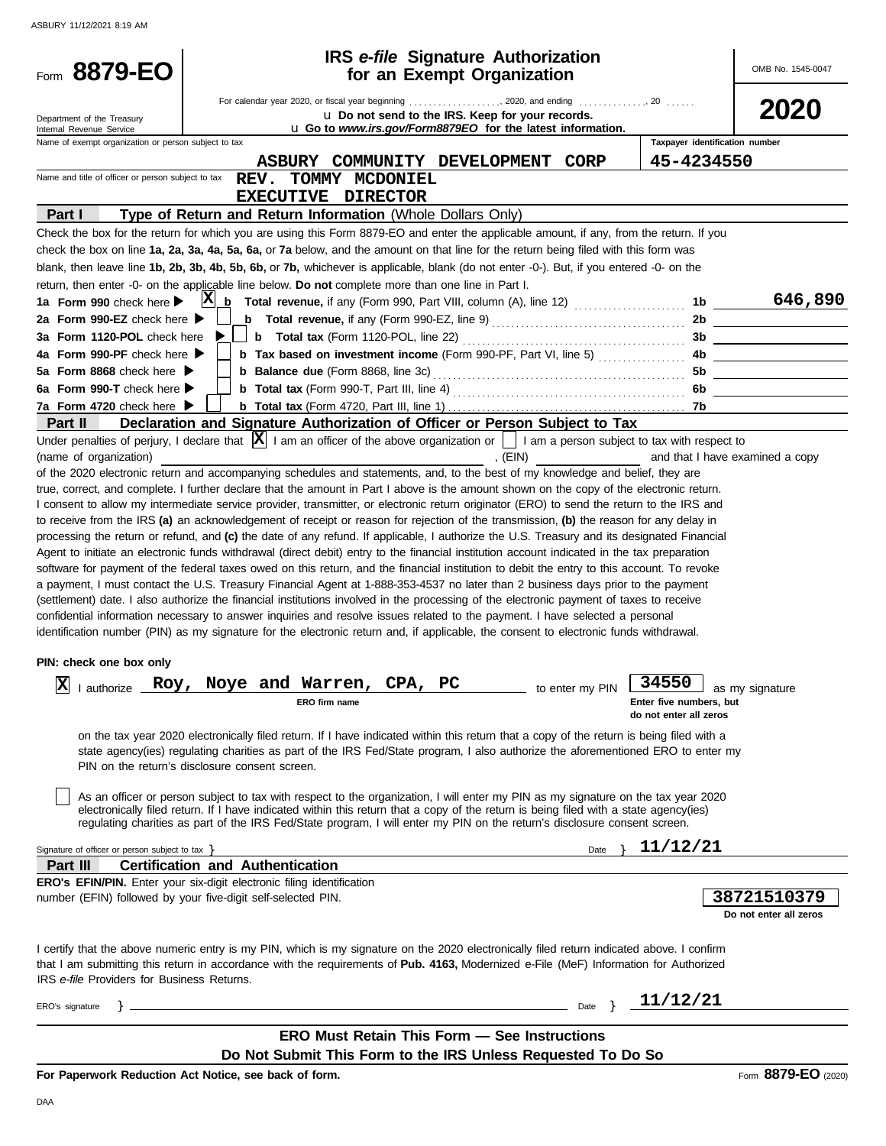| Form 8879-EO                                                                                                                                                                                                                                                                                                                                                                                                                                                                                                                                                                                                                                                                                                                                                                                                                                                                                                                                                                                                                                                                                                                                                                                                                                                                                                                                                                                                                                                                                                                                                                                                                    |                                                |                                                            | <b>IRS</b> e-file Signature Authorization<br>for an Exempt Organization                                                                                                                                                                                                                                                                                                                                                                                                                                                                                                                                                                                                                 |        |                                                            | OMB No. 1545-0047                                  |
|---------------------------------------------------------------------------------------------------------------------------------------------------------------------------------------------------------------------------------------------------------------------------------------------------------------------------------------------------------------------------------------------------------------------------------------------------------------------------------------------------------------------------------------------------------------------------------------------------------------------------------------------------------------------------------------------------------------------------------------------------------------------------------------------------------------------------------------------------------------------------------------------------------------------------------------------------------------------------------------------------------------------------------------------------------------------------------------------------------------------------------------------------------------------------------------------------------------------------------------------------------------------------------------------------------------------------------------------------------------------------------------------------------------------------------------------------------------------------------------------------------------------------------------------------------------------------------------------------------------------------------|------------------------------------------------|------------------------------------------------------------|-----------------------------------------------------------------------------------------------------------------------------------------------------------------------------------------------------------------------------------------------------------------------------------------------------------------------------------------------------------------------------------------------------------------------------------------------------------------------------------------------------------------------------------------------------------------------------------------------------------------------------------------------------------------------------------------|--------|------------------------------------------------------------|----------------------------------------------------|
|                                                                                                                                                                                                                                                                                                                                                                                                                                                                                                                                                                                                                                                                                                                                                                                                                                                                                                                                                                                                                                                                                                                                                                                                                                                                                                                                                                                                                                                                                                                                                                                                                                 |                                                |                                                            |                                                                                                                                                                                                                                                                                                                                                                                                                                                                                                                                                                                                                                                                                         |        |                                                            |                                                    |
| Department of the Treasury                                                                                                                                                                                                                                                                                                                                                                                                                                                                                                                                                                                                                                                                                                                                                                                                                                                                                                                                                                                                                                                                                                                                                                                                                                                                                                                                                                                                                                                                                                                                                                                                      |                                                |                                                            | u Do not send to the IRS. Keep for your records.                                                                                                                                                                                                                                                                                                                                                                                                                                                                                                                                                                                                                                        |        |                                                            | 2020                                               |
| Internal Revenue Service                                                                                                                                                                                                                                                                                                                                                                                                                                                                                                                                                                                                                                                                                                                                                                                                                                                                                                                                                                                                                                                                                                                                                                                                                                                                                                                                                                                                                                                                                                                                                                                                        |                                                |                                                            | u Go to www.irs.gov/Form8879EO for the latest information.                                                                                                                                                                                                                                                                                                                                                                                                                                                                                                                                                                                                                              |        |                                                            |                                                    |
| Name of exempt organization or person subject to tax                                                                                                                                                                                                                                                                                                                                                                                                                                                                                                                                                                                                                                                                                                                                                                                                                                                                                                                                                                                                                                                                                                                                                                                                                                                                                                                                                                                                                                                                                                                                                                            |                                                |                                                            |                                                                                                                                                                                                                                                                                                                                                                                                                                                                                                                                                                                                                                                                                         |        |                                                            | <b>Taxpaver identification number</b>              |
|                                                                                                                                                                                                                                                                                                                                                                                                                                                                                                                                                                                                                                                                                                                                                                                                                                                                                                                                                                                                                                                                                                                                                                                                                                                                                                                                                                                                                                                                                                                                                                                                                                 |                                                |                                                            | ASBURY COMMUNITY DEVELOPMENT                                                                                                                                                                                                                                                                                                                                                                                                                                                                                                                                                                                                                                                            | CORP   | 45-4234550                                                 |                                                    |
| Name and title of officer or person subject to tax                                                                                                                                                                                                                                                                                                                                                                                                                                                                                                                                                                                                                                                                                                                                                                                                                                                                                                                                                                                                                                                                                                                                                                                                                                                                                                                                                                                                                                                                                                                                                                              | REV.                                           | TOMMY MCDONIEL                                             |                                                                                                                                                                                                                                                                                                                                                                                                                                                                                                                                                                                                                                                                                         |        |                                                            |                                                    |
|                                                                                                                                                                                                                                                                                                                                                                                                                                                                                                                                                                                                                                                                                                                                                                                                                                                                                                                                                                                                                                                                                                                                                                                                                                                                                                                                                                                                                                                                                                                                                                                                                                 |                                                | EXECUTIVE DIRECTOR                                         |                                                                                                                                                                                                                                                                                                                                                                                                                                                                                                                                                                                                                                                                                         |        |                                                            |                                                    |
| Part I                                                                                                                                                                                                                                                                                                                                                                                                                                                                                                                                                                                                                                                                                                                                                                                                                                                                                                                                                                                                                                                                                                                                                                                                                                                                                                                                                                                                                                                                                                                                                                                                                          |                                                | Type of Return and Return Information (Whole Dollars Only) |                                                                                                                                                                                                                                                                                                                                                                                                                                                                                                                                                                                                                                                                                         |        |                                                            |                                                    |
| Check the box for the return for which you are using this Form 8879-EO and enter the applicable amount, if any, from the return. If you                                                                                                                                                                                                                                                                                                                                                                                                                                                                                                                                                                                                                                                                                                                                                                                                                                                                                                                                                                                                                                                                                                                                                                                                                                                                                                                                                                                                                                                                                         |                                                |                                                            |                                                                                                                                                                                                                                                                                                                                                                                                                                                                                                                                                                                                                                                                                         |        |                                                            |                                                    |
| check the box on line 1a, 2a, 3a, 4a, 5a, 6a, or 7a below, and the amount on that line for the return being filed with this form was                                                                                                                                                                                                                                                                                                                                                                                                                                                                                                                                                                                                                                                                                                                                                                                                                                                                                                                                                                                                                                                                                                                                                                                                                                                                                                                                                                                                                                                                                            |                                                |                                                            |                                                                                                                                                                                                                                                                                                                                                                                                                                                                                                                                                                                                                                                                                         |        |                                                            |                                                    |
| blank, then leave line 1b, 2b, 3b, 4b, 5b, 6b, or 7b, whichever is applicable, blank (do not enter -0-). But, if you entered -0- on the                                                                                                                                                                                                                                                                                                                                                                                                                                                                                                                                                                                                                                                                                                                                                                                                                                                                                                                                                                                                                                                                                                                                                                                                                                                                                                                                                                                                                                                                                         |                                                |                                                            |                                                                                                                                                                                                                                                                                                                                                                                                                                                                                                                                                                                                                                                                                         |        |                                                            |                                                    |
| return, then enter -0- on the applicable line below. Do not complete more than one line in Part I.                                                                                                                                                                                                                                                                                                                                                                                                                                                                                                                                                                                                                                                                                                                                                                                                                                                                                                                                                                                                                                                                                                                                                                                                                                                                                                                                                                                                                                                                                                                              |                                                |                                                            |                                                                                                                                                                                                                                                                                                                                                                                                                                                                                                                                                                                                                                                                                         |        |                                                            |                                                    |
| 1a Form 990 check here                                                                                                                                                                                                                                                                                                                                                                                                                                                                                                                                                                                                                                                                                                                                                                                                                                                                                                                                                                                                                                                                                                                                                                                                                                                                                                                                                                                                                                                                                                                                                                                                          | $ {\bf X} $                                    |                                                            |                                                                                                                                                                                                                                                                                                                                                                                                                                                                                                                                                                                                                                                                                         |        |                                                            |                                                    |
| 2a Form 990-EZ check here $\blacktriangleright$                                                                                                                                                                                                                                                                                                                                                                                                                                                                                                                                                                                                                                                                                                                                                                                                                                                                                                                                                                                                                                                                                                                                                                                                                                                                                                                                                                                                                                                                                                                                                                                 |                                                |                                                            | <b>b</b> Total revenue, if any (Form 990-EZ, line 9) $\ldots$ $\ldots$ $\ldots$ $\ldots$ $\ldots$ $\ldots$                                                                                                                                                                                                                                                                                                                                                                                                                                                                                                                                                                              |        |                                                            |                                                    |
| 3a Form 1120-POL check here                                                                                                                                                                                                                                                                                                                                                                                                                                                                                                                                                                                                                                                                                                                                                                                                                                                                                                                                                                                                                                                                                                                                                                                                                                                                                                                                                                                                                                                                                                                                                                                                     |                                                |                                                            |                                                                                                                                                                                                                                                                                                                                                                                                                                                                                                                                                                                                                                                                                         |        |                                                            |                                                    |
| 4a Form 990-PF check here ▶                                                                                                                                                                                                                                                                                                                                                                                                                                                                                                                                                                                                                                                                                                                                                                                                                                                                                                                                                                                                                                                                                                                                                                                                                                                                                                                                                                                                                                                                                                                                                                                                     |                                                |                                                            |                                                                                                                                                                                                                                                                                                                                                                                                                                                                                                                                                                                                                                                                                         |        |                                                            |                                                    |
| 5a Form 8868 check here $\blacktriangleright$                                                                                                                                                                                                                                                                                                                                                                                                                                                                                                                                                                                                                                                                                                                                                                                                                                                                                                                                                                                                                                                                                                                                                                                                                                                                                                                                                                                                                                                                                                                                                                                   |                                                |                                                            |                                                                                                                                                                                                                                                                                                                                                                                                                                                                                                                                                                                                                                                                                         |        |                                                            |                                                    |
| 6a Form 990-T check here $\blacktriangleright$                                                                                                                                                                                                                                                                                                                                                                                                                                                                                                                                                                                                                                                                                                                                                                                                                                                                                                                                                                                                                                                                                                                                                                                                                                                                                                                                                                                                                                                                                                                                                                                  |                                                |                                                            |                                                                                                                                                                                                                                                                                                                                                                                                                                                                                                                                                                                                                                                                                         |        |                                                            |                                                    |
| 7a Form 4720 check here $\blacktriangleright$<br>Part II                                                                                                                                                                                                                                                                                                                                                                                                                                                                                                                                                                                                                                                                                                                                                                                                                                                                                                                                                                                                                                                                                                                                                                                                                                                                                                                                                                                                                                                                                                                                                                        |                                                |                                                            | Declaration and Signature Authorization of Officer or Person Subject to Tax                                                                                                                                                                                                                                                                                                                                                                                                                                                                                                                                                                                                             |        | 7b                                                         |                                                    |
| (name of organization)<br>of the 2020 electronic return and accompanying schedules and statements, and, to the best of my knowledge and belief, they are<br>true, correct, and complete. I further declare that the amount in Part I above is the amount shown on the copy of the electronic return.<br>I consent to allow my intermediate service provider, transmitter, or electronic return originator (ERO) to send the return to the IRS and<br>to receive from the IRS (a) an acknowledgement of receipt or reason for rejection of the transmission, (b) the reason for any delay in<br>processing the return or refund, and (c) the date of any refund. If applicable, I authorize the U.S. Treasury and its designated Financial<br>Agent to initiate an electronic funds withdrawal (direct debit) entry to the financial institution account indicated in the tax preparation<br>software for payment of the federal taxes owed on this return, and the financial institution to debit the entry to this account. To revoke<br>a payment, I must contact the U.S. Treasury Financial Agent at 1-888-353-4537 no later than 2 business days prior to the payment<br>(settlement) date. I also authorize the financial institutions involved in the processing of the electronic payment of taxes to receive<br>confidential information necessary to answer inquiries and resolve issues related to the payment. I have selected a personal<br>identification number (PIN) as my signature for the electronic return and, if applicable, the consent to electronic funds withdrawal.<br>PIN: check one box only<br> X |                                                | l authorize Roy, Noye and Warren, CPA, PC<br>ERO firm name | , (EIN)<br>to enter my PIN                                                                                                                                                                                                                                                                                                                                                                                                                                                                                                                                                                                                                                                              |        | 34550<br>Enter five numbers, but<br>do not enter all zeros | and that I have examined a copy<br>as my signature |
|                                                                                                                                                                                                                                                                                                                                                                                                                                                                                                                                                                                                                                                                                                                                                                                                                                                                                                                                                                                                                                                                                                                                                                                                                                                                                                                                                                                                                                                                                                                                                                                                                                 | PIN on the return's disclosure consent screen. |                                                            | on the tax year 2020 electronically filed return. If I have indicated within this return that a copy of the return is being filed with a<br>state agency(ies) regulating charities as part of the IRS Fed/State program, I also authorize the aforementioned ERO to enter my<br>As an officer or person subject to tax with respect to the organization, I will enter my PIN as my signature on the tax year 2020<br>electronically filed return. If I have indicated within this return that a copy of the return is being filed with a state agency(ies)<br>regulating charities as part of the IRS Fed/State program, I will enter my PIN on the return's disclosure consent screen. |        |                                                            |                                                    |
|                                                                                                                                                                                                                                                                                                                                                                                                                                                                                                                                                                                                                                                                                                                                                                                                                                                                                                                                                                                                                                                                                                                                                                                                                                                                                                                                                                                                                                                                                                                                                                                                                                 |                                                |                                                            |                                                                                                                                                                                                                                                                                                                                                                                                                                                                                                                                                                                                                                                                                         |        | 11/12/21                                                   |                                                    |
| Signature of officer or person subject to tax $\}$<br>Part III                                                                                                                                                                                                                                                                                                                                                                                                                                                                                                                                                                                                                                                                                                                                                                                                                                                                                                                                                                                                                                                                                                                                                                                                                                                                                                                                                                                                                                                                                                                                                                  | <b>Certification and Authentication</b>        |                                                            |                                                                                                                                                                                                                                                                                                                                                                                                                                                                                                                                                                                                                                                                                         | Date   |                                                            |                                                    |
| <b>ERO's EFIN/PIN.</b> Enter your six-digit electronic filing identification                                                                                                                                                                                                                                                                                                                                                                                                                                                                                                                                                                                                                                                                                                                                                                                                                                                                                                                                                                                                                                                                                                                                                                                                                                                                                                                                                                                                                                                                                                                                                    |                                                |                                                            |                                                                                                                                                                                                                                                                                                                                                                                                                                                                                                                                                                                                                                                                                         |        |                                                            |                                                    |
| number (EFIN) followed by your five-digit self-selected PIN.                                                                                                                                                                                                                                                                                                                                                                                                                                                                                                                                                                                                                                                                                                                                                                                                                                                                                                                                                                                                                                                                                                                                                                                                                                                                                                                                                                                                                                                                                                                                                                    |                                                |                                                            |                                                                                                                                                                                                                                                                                                                                                                                                                                                                                                                                                                                                                                                                                         |        |                                                            | 38721510379<br>Do not enter all zeros              |
| I certify that the above numeric entry is my PIN, which is my signature on the 2020 electronically filed return indicated above. I confirm<br>that I am submitting this return in accordance with the requirements of Pub. 4163, Modernized e-File (MeF) Information for Authorized<br>IRS e-file Providers for Business Returns.                                                                                                                                                                                                                                                                                                                                                                                                                                                                                                                                                                                                                                                                                                                                                                                                                                                                                                                                                                                                                                                                                                                                                                                                                                                                                               |                                                |                                                            |                                                                                                                                                                                                                                                                                                                                                                                                                                                                                                                                                                                                                                                                                         |        |                                                            |                                                    |
| ERO's signature                                                                                                                                                                                                                                                                                                                                                                                                                                                                                                                                                                                                                                                                                                                                                                                                                                                                                                                                                                                                                                                                                                                                                                                                                                                                                                                                                                                                                                                                                                                                                                                                                 |                                                |                                                            | the control of the control of the control of the control of the control of the control of the control of the control of the control of the control of the control of the control of the control of the control of the control                                                                                                                                                                                                                                                                                                                                                                                                                                                           | Date } | 11/12/21                                                   |                                                    |
|                                                                                                                                                                                                                                                                                                                                                                                                                                                                                                                                                                                                                                                                                                                                                                                                                                                                                                                                                                                                                                                                                                                                                                                                                                                                                                                                                                                                                                                                                                                                                                                                                                 |                                                |                                                            |                                                                                                                                                                                                                                                                                                                                                                                                                                                                                                                                                                                                                                                                                         |        |                                                            |                                                    |
|                                                                                                                                                                                                                                                                                                                                                                                                                                                                                                                                                                                                                                                                                                                                                                                                                                                                                                                                                                                                                                                                                                                                                                                                                                                                                                                                                                                                                                                                                                                                                                                                                                 |                                                |                                                            | <b>ERO Must Retain This Form - See Instructions</b>                                                                                                                                                                                                                                                                                                                                                                                                                                                                                                                                                                                                                                     |        |                                                            |                                                    |
|                                                                                                                                                                                                                                                                                                                                                                                                                                                                                                                                                                                                                                                                                                                                                                                                                                                                                                                                                                                                                                                                                                                                                                                                                                                                                                                                                                                                                                                                                                                                                                                                                                 |                                                |                                                            | Do Not Submit This Form to the IRS Unless Requested To Do So                                                                                                                                                                                                                                                                                                                                                                                                                                                                                                                                                                                                                            |        |                                                            |                                                    |
| For Paperwork Reduction Act Notice, see back of form.                                                                                                                                                                                                                                                                                                                                                                                                                                                                                                                                                                                                                                                                                                                                                                                                                                                                                                                                                                                                                                                                                                                                                                                                                                                                                                                                                                                                                                                                                                                                                                           |                                                |                                                            |                                                                                                                                                                                                                                                                                                                                                                                                                                                                                                                                                                                                                                                                                         |        |                                                            | Form 8879-EO (2020)                                |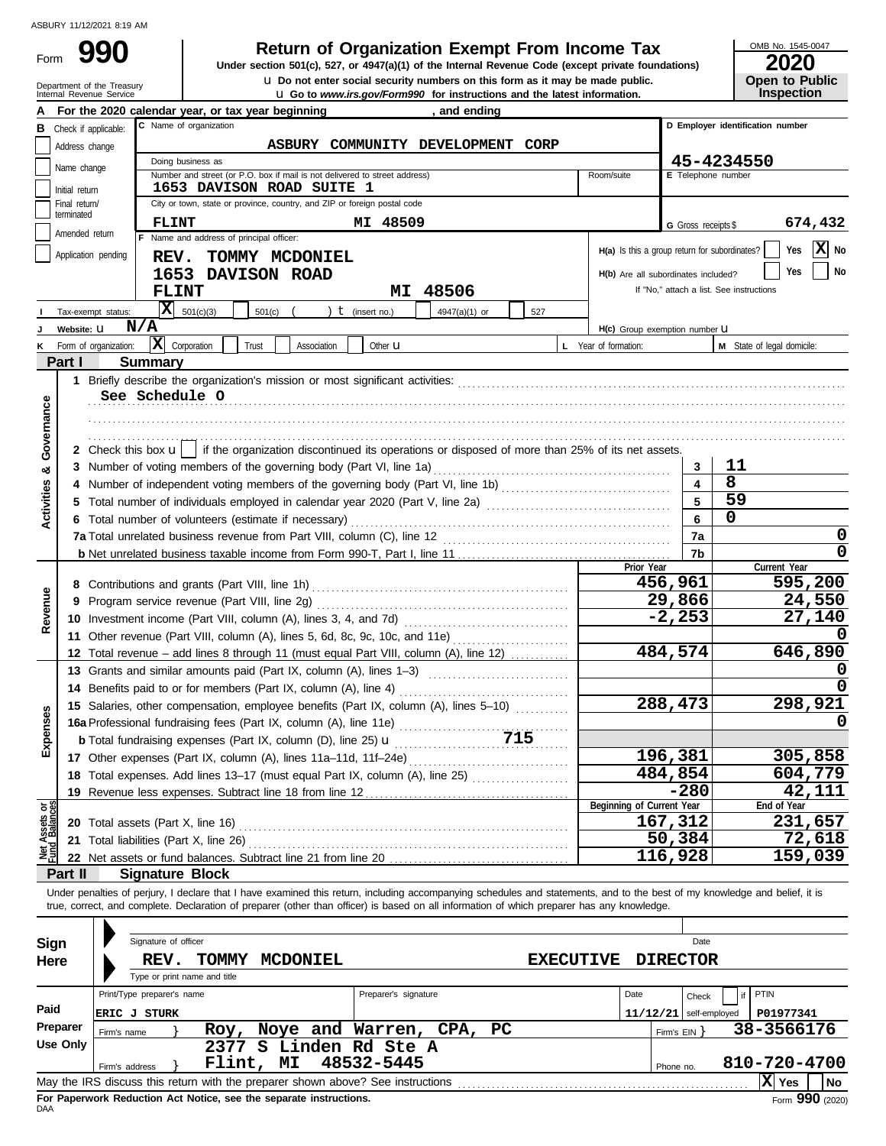Form

Department of the Treasury<br>Internal Revenue Service

# **990 2020 2020 2020 2020 2020 2020 2020 2020 2020 2020 2020 2020 2020 2020 2020 2020 2020 2020 2020 2020 2020 2020 2020 2020 2020 2020 2020 2020 2020 2020 2020**

**u** Go to *www.irs.gov/Form990* for instructions and the latest information. **u** Do not enter social security numbers on this form as it may be made public. **Under section 501(c), 527, or 4947(a)(1) of the Internal Revenue Code (except private foundations)** OMB No. 1545-0047

|  | LULU                  |
|--|-----------------------|
|  | <b>Open to Public</b> |
|  | <b>Inspection</b>     |

|                                |                | For the 2020 calendar year, or tax year beginning<br>and ending                                                                                                                    |                                               |                     |                                          |  |  |  |  |  |  |  |
|--------------------------------|----------------|------------------------------------------------------------------------------------------------------------------------------------------------------------------------------------|-----------------------------------------------|---------------------|------------------------------------------|--|--|--|--|--|--|--|
|                                |                | C Name of organization<br><b>B</b> Check if applicable:                                                                                                                            |                                               |                     | D Employer identification number         |  |  |  |  |  |  |  |
|                                | Address change | ASBURY COMMUNITY DEVELOPMENT CORP                                                                                                                                                  |                                               |                     |                                          |  |  |  |  |  |  |  |
|                                |                | 45-4234550<br>Doing business as<br>Name change                                                                                                                                     |                                               |                     |                                          |  |  |  |  |  |  |  |
|                                |                | Number and street (or P.O. box if mail is not delivered to street address)<br>E Telephone number<br>Room/suite                                                                     |                                               |                     |                                          |  |  |  |  |  |  |  |
|                                |                | 1653 DAVISON ROAD SUITE 1<br>Initial return                                                                                                                                        |                                               |                     |                                          |  |  |  |  |  |  |  |
|                                |                | Final return/<br>City or town, state or province, country, and ZIP or foreign postal code<br>terminated                                                                            |                                               |                     |                                          |  |  |  |  |  |  |  |
|                                | Amended return | MI 48509<br><b>FLINT</b>                                                                                                                                                           |                                               | G Gross receipts \$ | 674,432                                  |  |  |  |  |  |  |  |
|                                |                | F Name and address of principal officer:                                                                                                                                           | H(a) Is this a group return for subordinates? |                     | X No<br>Yes                              |  |  |  |  |  |  |  |
|                                |                | Application pending<br>REV. TOMMY MCDONIEL                                                                                                                                         |                                               |                     |                                          |  |  |  |  |  |  |  |
|                                |                | 1653 DAVISON ROAD                                                                                                                                                                  | H(b) Are all subordinates included?           |                     | No<br>Yes                                |  |  |  |  |  |  |  |
|                                |                | MI 48506<br><b>FLINT</b>                                                                                                                                                           |                                               |                     | If "No," attach a list. See instructions |  |  |  |  |  |  |  |
|                                |                | $ {\bf x} $<br>501(c)(3)<br>) $t$ (insert no.)<br>501(c)<br>4947(a)(1) or<br>527<br>Tax-exempt status:                                                                             |                                               |                     |                                          |  |  |  |  |  |  |  |
|                                | Website: U     | N/A                                                                                                                                                                                | H(c) Group exemption number <b>LI</b>         |                     |                                          |  |  |  |  |  |  |  |
|                                |                | $ \mathbf{X} $ Corporation<br>K Form of organization:<br>Trust<br>Association<br>Other $\mathbf u$                                                                                 | L Year of formation:                          |                     | M State of legal domicile:               |  |  |  |  |  |  |  |
|                                | Part I         | <b>Summary</b>                                                                                                                                                                     |                                               |                     |                                          |  |  |  |  |  |  |  |
|                                |                |                                                                                                                                                                                    |                                               |                     |                                          |  |  |  |  |  |  |  |
|                                |                | See Schedule O                                                                                                                                                                     |                                               |                     |                                          |  |  |  |  |  |  |  |
|                                |                |                                                                                                                                                                                    |                                               |                     |                                          |  |  |  |  |  |  |  |
| Governance                     |                |                                                                                                                                                                                    |                                               |                     |                                          |  |  |  |  |  |  |  |
|                                |                |                                                                                                                                                                                    |                                               |                     |                                          |  |  |  |  |  |  |  |
|                                |                | 2 Check this box $\mathbf{u}$   if the organization discontinued its operations or disposed of more than 25% of its net assets.                                                    |                                               |                     |                                          |  |  |  |  |  |  |  |
| ಂ                              |                |                                                                                                                                                                                    |                                               | 3                   | 11                                       |  |  |  |  |  |  |  |
| <b>Activities</b>              |                |                                                                                                                                                                                    |                                               |                     | 8                                        |  |  |  |  |  |  |  |
|                                | 5              | Total number of individuals employed in calendar year 2020 (Part V, line 2a) [11] [20] [11] [20] [11] Total number of individuals employed in calendar year 2020 (Part V, line 2a) |                                               |                     | 59                                       |  |  |  |  |  |  |  |
|                                |                | 6 Total number of volunteers (estimate if necessary)                                                                                                                               |                                               | 6                   | 0                                        |  |  |  |  |  |  |  |
|                                |                |                                                                                                                                                                                    |                                               | 7a                  | 0                                        |  |  |  |  |  |  |  |
|                                |                |                                                                                                                                                                                    |                                               | 7b                  | 0                                        |  |  |  |  |  |  |  |
|                                |                |                                                                                                                                                                                    | Prior Year                                    |                     | Current Year                             |  |  |  |  |  |  |  |
|                                |                |                                                                                                                                                                                    |                                               | 456,961             | 595,200                                  |  |  |  |  |  |  |  |
|                                | 9              | Program service revenue (Part VIII, line 2g)                                                                                                                                       | 29,866                                        | 24,550              |                                          |  |  |  |  |  |  |  |
| Revenue                        |                |                                                                                                                                                                                    |                                               | $-2, 253$           | 27,140                                   |  |  |  |  |  |  |  |
|                                |                | 11 Other revenue (Part VIII, column (A), lines 5, 6d, 8c, 9c, 10c, and 11e)                                                                                                        |                                               |                     |                                          |  |  |  |  |  |  |  |
|                                |                | 12 Total revenue - add lines 8 through 11 (must equal Part VIII, column (A), line 12)                                                                                              |                                               | 484,574             | 646,890                                  |  |  |  |  |  |  |  |
|                                |                | 13 Grants and similar amounts paid (Part IX, column (A), lines 1-3)                                                                                                                |                                               |                     |                                          |  |  |  |  |  |  |  |
|                                |                | Benefits paid to or for members (Part IX, column (A), line 4)                                                                                                                      |                                               |                     | 0                                        |  |  |  |  |  |  |  |
|                                | 14             |                                                                                                                                                                                    |                                               | 288,473             | 298,921                                  |  |  |  |  |  |  |  |
|                                |                | 15 Salaries, other compensation, employee benefits (Part IX, column (A), lines 5-10)                                                                                               |                                               |                     |                                          |  |  |  |  |  |  |  |
| Expenses                       |                | 16a Professional fundraising fees (Part IX, column (A), line 11e)                                                                                                                  |                                               |                     |                                          |  |  |  |  |  |  |  |
|                                |                | 715<br><b>b</b> Total fundraising expenses (Part IX, column (D), line 25) $\mathbf{u}$                                                                                             |                                               |                     |                                          |  |  |  |  |  |  |  |
|                                |                | 17 Other expenses (Part IX, column (A), lines 11a-11d, 11f-24e)                                                                                                                    |                                               | 196,381             | 305,858                                  |  |  |  |  |  |  |  |
|                                |                | 18 Total expenses. Add lines 13-17 (must equal Part IX, column (A), line 25)                                                                                                       |                                               | 484,854             | 604,779                                  |  |  |  |  |  |  |  |
|                                |                | 19 Revenue less expenses. Subtract line 18 from line 12                                                                                                                            |                                               | $-280$              | 42,111                                   |  |  |  |  |  |  |  |
|                                |                |                                                                                                                                                                                    | Beginning of Current Year                     |                     | End of Year                              |  |  |  |  |  |  |  |
| Net Assets or<br>Fund Balances |                |                                                                                                                                                                                    |                                               | 167,312             | 231,657                                  |  |  |  |  |  |  |  |
|                                |                |                                                                                                                                                                                    |                                               | 50,384              | 72,618                                   |  |  |  |  |  |  |  |
|                                |                |                                                                                                                                                                                    |                                               | 116,928             | 159,039                                  |  |  |  |  |  |  |  |
|                                | Part II        | <b>Signature Block</b>                                                                                                                                                             |                                               |                     |                                          |  |  |  |  |  |  |  |
|                                |                | Under penalties of perjury, I declare that I have examined this return, including accompanying schedules and statements, and to the best of my knowledge and belief, it is         |                                               |                     |                                          |  |  |  |  |  |  |  |
|                                |                | true, correct, and complete. Declaration of preparer (other than officer) is based on all information of which preparer has any knowledge.                                         |                                               |                     |                                          |  |  |  |  |  |  |  |
|                                |                |                                                                                                                                                                                    |                                               |                     |                                          |  |  |  |  |  |  |  |
| Sign                           |                | Signature of officer                                                                                                                                                               |                                               | Date                |                                          |  |  |  |  |  |  |  |
| Here                           |                | REV.<br><b>EXECUTIVE</b><br>TOMMY<br><b>MCDONIEL</b>                                                                                                                               |                                               | <b>DIRECTOR</b>     |                                          |  |  |  |  |  |  |  |
|                                |                | Type or print name and title                                                                                                                                                       |                                               |                     |                                          |  |  |  |  |  |  |  |
|                                |                |                                                                                                                                                                                    |                                               |                     | PTIN                                     |  |  |  |  |  |  |  |
|                                |                | Print/Type preparer's name<br>Preparer's signature                                                                                                                                 | Date                                          | Check               |                                          |  |  |  |  |  |  |  |
| Paid                           |                | ERIC J STURK                                                                                                                                                                       | 11/12/21                                      | self-employed       | P01977341                                |  |  |  |  |  |  |  |
|                                | Preparer       | Noye and Warren,<br>CPA,<br>PC<br>Roy,<br>Firm's name                                                                                                                              |                                               | Firm's $EIN$ }      | 38-3566176                               |  |  |  |  |  |  |  |
|                                | Use Only       | Linden Rd Ste A<br>2377<br>S                                                                                                                                                       |                                               |                     |                                          |  |  |  |  |  |  |  |
|                                |                | 48532-5445<br>Flint,<br>MI<br>Firm's address                                                                                                                                       |                                               | Phone no.           | 810-720-4700                             |  |  |  |  |  |  |  |
|                                |                | May the IRS discuss this return with the preparer shown above? See instructions                                                                                                    |                                               |                     | X Yes<br>No                              |  |  |  |  |  |  |  |

| Sign     | Signature of officer         |        |                                                                      |                                                                                 |         |                  |      |              | Date            |              |             |
|----------|------------------------------|--------|----------------------------------------------------------------------|---------------------------------------------------------------------------------|---------|------------------|------|--------------|-----------------|--------------|-------------|
| Here     | REV.                         | TOMMY  | <b>MCDONIEL</b>                                                      |                                                                                 |         | <b>EXECUTIVE</b> |      |              | <b>DIRECTOR</b> |              |             |
|          | Type or print name and title |        |                                                                      |                                                                                 |         |                  |      |              |                 |              |             |
|          | Print/Type preparer's name   |        |                                                                      | Preparer's signature                                                            |         |                  | Date |              | Check           | PTIN         |             |
| Paid     | ERIC J STURK                 |        |                                                                      |                                                                                 |         |                  |      | 11/12/21     | self-employed   | P01977341    |             |
| Preparer | Firm's name                  | Roy,   |                                                                      | Nove and Warren,                                                                | CPA, PC |                  |      | Firm's EIN Y |                 | 38-3566176   |             |
| Use Only |                              | 2377 S |                                                                      | Linden Rd Ste A                                                                 |         |                  |      |              |                 |              |             |
|          | Firm's address               | Flint, | MI                                                                   | 48532-5445                                                                      |         |                  |      | Phone no.    |                 | 810-720-4700 |             |
|          |                              |        |                                                                      | May the IRS discuss this return with the preparer shown above? See instructions |         |                  |      |              |                 | XI Yes       | No          |
|          |                              |        | Fee Denomicals Deduction, Act Notice, one the concrete inctrustions. |                                                                                 |         |                  |      |              |                 |              | $000 \dots$ |

**FOI**<br>DAA **For Paperwork Reduction Act Notice, see the separate instructions.**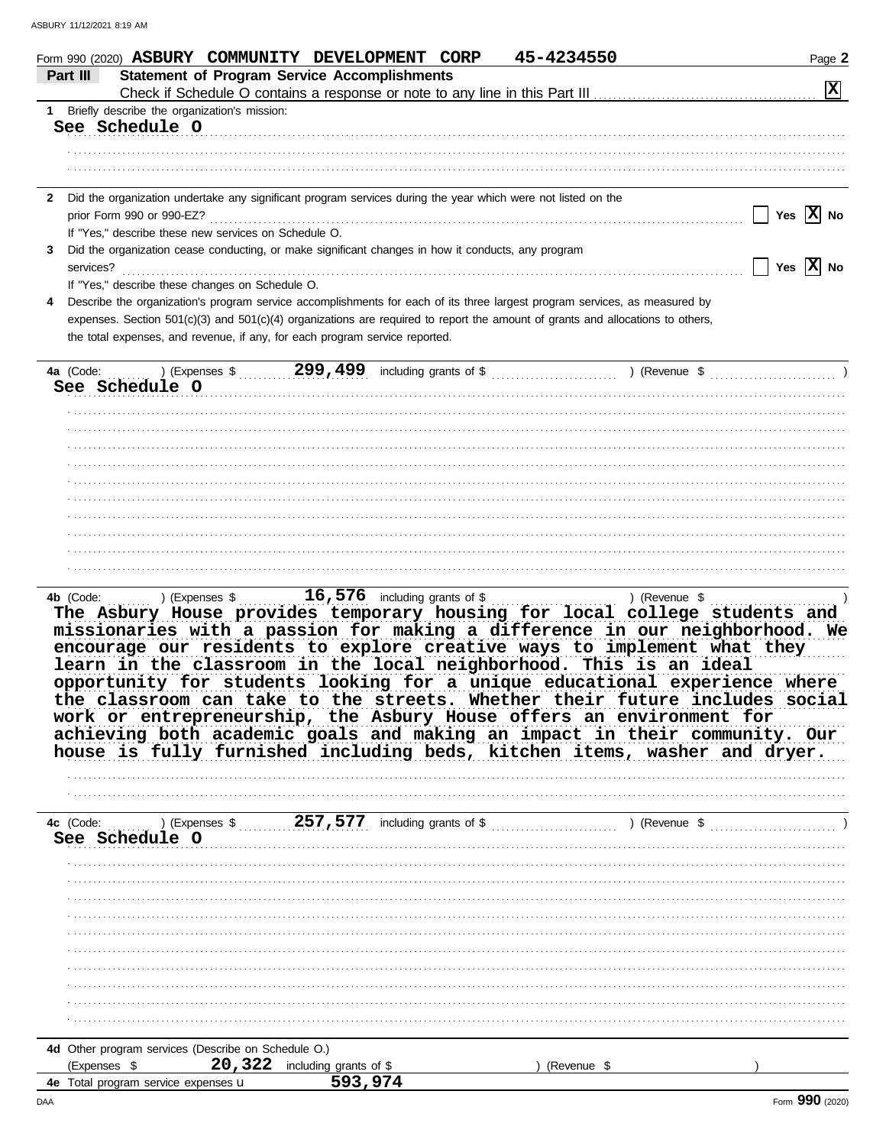| Form 990 (2020) ASBURY COMMUNITY DEVELOPMENT CORP<br>Part III               | 45-4234550<br><b>Statement of Program Service Accomplishments</b>                                                                                                                                                                                                                                                                                                                                                                                                                                                                             | Page 2                |
|-----------------------------------------------------------------------------|-----------------------------------------------------------------------------------------------------------------------------------------------------------------------------------------------------------------------------------------------------------------------------------------------------------------------------------------------------------------------------------------------------------------------------------------------------------------------------------------------------------------------------------------------|-----------------------|
|                                                                             |                                                                                                                                                                                                                                                                                                                                                                                                                                                                                                                                               | $ \mathbf{x} $        |
| 1 Briefly describe the organization's mission:                              |                                                                                                                                                                                                                                                                                                                                                                                                                                                                                                                                               |                       |
| See Schedule O                                                              |                                                                                                                                                                                                                                                                                                                                                                                                                                                                                                                                               |                       |
|                                                                             |                                                                                                                                                                                                                                                                                                                                                                                                                                                                                                                                               |                       |
|                                                                             |                                                                                                                                                                                                                                                                                                                                                                                                                                                                                                                                               |                       |
| 2                                                                           | Did the organization undertake any significant program services during the year which were not listed on the                                                                                                                                                                                                                                                                                                                                                                                                                                  |                       |
|                                                                             |                                                                                                                                                                                                                                                                                                                                                                                                                                                                                                                                               | Yes $\overline{X}$ No |
| If "Yes," describe these new services on Schedule O.                        |                                                                                                                                                                                                                                                                                                                                                                                                                                                                                                                                               |                       |
| 3                                                                           | Did the organization cease conducting, or make significant changes in how it conducts, any program                                                                                                                                                                                                                                                                                                                                                                                                                                            |                       |
| services?<br>If "Yes," describe these changes on Schedule O.                |                                                                                                                                                                                                                                                                                                                                                                                                                                                                                                                                               | Yes $\overline{X}$ No |
| 4                                                                           | Describe the organization's program service accomplishments for each of its three largest program services, as measured by                                                                                                                                                                                                                                                                                                                                                                                                                    |                       |
|                                                                             | expenses. Section 501(c)(3) and 501(c)(4) organizations are required to report the amount of grants and allocations to others,                                                                                                                                                                                                                                                                                                                                                                                                                |                       |
| the total expenses, and revenue, if any, for each program service reported. |                                                                                                                                                                                                                                                                                                                                                                                                                                                                                                                                               |                       |
|                                                                             |                                                                                                                                                                                                                                                                                                                                                                                                                                                                                                                                               |                       |
| See Schedule O                                                              |                                                                                                                                                                                                                                                                                                                                                                                                                                                                                                                                               |                       |
|                                                                             |                                                                                                                                                                                                                                                                                                                                                                                                                                                                                                                                               |                       |
|                                                                             |                                                                                                                                                                                                                                                                                                                                                                                                                                                                                                                                               |                       |
|                                                                             |                                                                                                                                                                                                                                                                                                                                                                                                                                                                                                                                               |                       |
|                                                                             |                                                                                                                                                                                                                                                                                                                                                                                                                                                                                                                                               |                       |
|                                                                             |                                                                                                                                                                                                                                                                                                                                                                                                                                                                                                                                               |                       |
|                                                                             |                                                                                                                                                                                                                                                                                                                                                                                                                                                                                                                                               |                       |
|                                                                             |                                                                                                                                                                                                                                                                                                                                                                                                                                                                                                                                               |                       |
|                                                                             |                                                                                                                                                                                                                                                                                                                                                                                                                                                                                                                                               |                       |
|                                                                             |                                                                                                                                                                                                                                                                                                                                                                                                                                                                                                                                               |                       |
| 4b (Code:                                                                   | $\ldots$ ) (Expenses \$ \beta \cdots \cdots \cdots \cdots \cdots \cdots \cdots \cdots \cdots \cdots \cdots \cdots \cdots \cdots \cdots \cdots \cdots \cdots \cdots \cdots \cdots \cdots \cdots \cdots \cdots \cdots \cdots \cdots<br>) (Revenue \$<br>The Asbury House provides temporary housing for local college students and<br>missionaries with a passion for making a difference in our neighborhood. We                                                                                                                               |                       |
|                                                                             | encourage our residents to explore creative ways to implement what they<br>learn in the classroom in the local neighborhood. This is an ideal<br>opportunity for students looking for a unique educational experience where<br>the classroom can take to the streets. Whether their future includes social<br>work or entrepreneurship, the Asbury House offers an environment for<br>achieving both academic goals and making an impact in their community. Our<br>house is fully furnished including beds, kitchen items, washer and dryer. |                       |
|                                                                             |                                                                                                                                                                                                                                                                                                                                                                                                                                                                                                                                               |                       |
|                                                                             |                                                                                                                                                                                                                                                                                                                                                                                                                                                                                                                                               |                       |
| See Schedule O                                                              |                                                                                                                                                                                                                                                                                                                                                                                                                                                                                                                                               |                       |
|                                                                             |                                                                                                                                                                                                                                                                                                                                                                                                                                                                                                                                               |                       |
|                                                                             |                                                                                                                                                                                                                                                                                                                                                                                                                                                                                                                                               |                       |
|                                                                             |                                                                                                                                                                                                                                                                                                                                                                                                                                                                                                                                               |                       |
|                                                                             |                                                                                                                                                                                                                                                                                                                                                                                                                                                                                                                                               |                       |
|                                                                             |                                                                                                                                                                                                                                                                                                                                                                                                                                                                                                                                               |                       |
|                                                                             |                                                                                                                                                                                                                                                                                                                                                                                                                                                                                                                                               |                       |
|                                                                             |                                                                                                                                                                                                                                                                                                                                                                                                                                                                                                                                               |                       |
|                                                                             |                                                                                                                                                                                                                                                                                                                                                                                                                                                                                                                                               |                       |
|                                                                             |                                                                                                                                                                                                                                                                                                                                                                                                                                                                                                                                               |                       |
| 4d Other program services (Describe on Schedule O.)                         |                                                                                                                                                                                                                                                                                                                                                                                                                                                                                                                                               |                       |
| (Expenses \$                                                                | 20, 322 including grants of \$<br>) (Revenue \$                                                                                                                                                                                                                                                                                                                                                                                                                                                                                               |                       |
| 4e Total program service expenses u                                         | 593,974                                                                                                                                                                                                                                                                                                                                                                                                                                                                                                                                       |                       |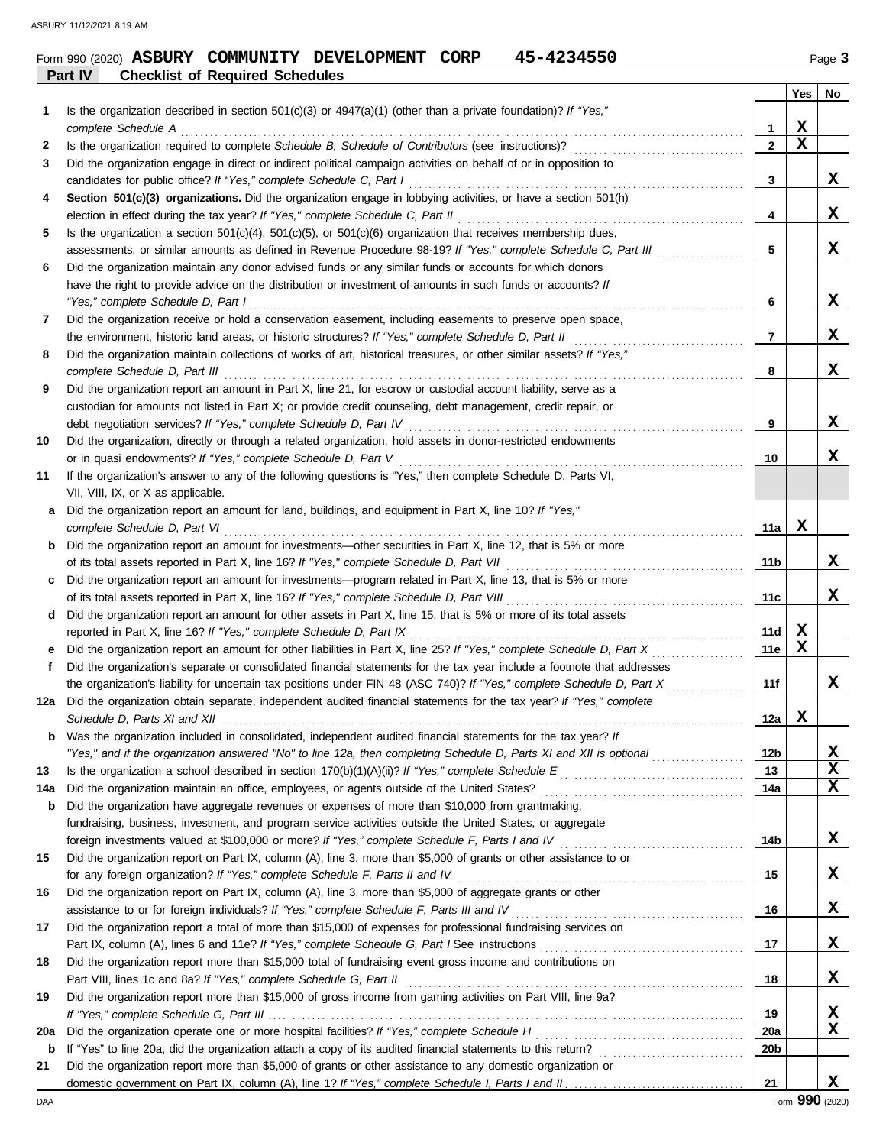| Form 990 (2020) | <b>ASBURY</b> | COMMUNITY                              | <b>DEVELOPMENT</b> | <b>CORP</b> | 34550<br>45-423 | Page |
|-----------------|---------------|----------------------------------------|--------------------|-------------|-----------------|------|
| Part IV         |               | <b>Checklist of Required Schedules</b> |                    |             |                 |      |

|             |                                                                                                                                                                                                                                                                                                                                     |                 | Yes | No |
|-------------|-------------------------------------------------------------------------------------------------------------------------------------------------------------------------------------------------------------------------------------------------------------------------------------------------------------------------------------|-----------------|-----|----|
| 1           | Is the organization described in section $501(c)(3)$ or $4947(a)(1)$ (other than a private foundation)? If "Yes,"                                                                                                                                                                                                                   |                 |     |    |
|             |                                                                                                                                                                                                                                                                                                                                     | $\mathbf 1$     | x   |    |
| 2           | complete Schedule A example of the state of the state of the state of the state of the state of the state of the state of the state of the state of the state of the state of the state of the state of the state of the state<br>Is the organization required to complete Schedule B, Schedule of Contributors (see instructions)? | $\mathbf{2}$    | X   |    |
| 3           | Did the organization engage in direct or indirect political campaign activities on behalf of or in opposition to                                                                                                                                                                                                                    |                 |     |    |
|             | candidates for public office? If "Yes," complete Schedule C, Part I                                                                                                                                                                                                                                                                 | 3               |     | X. |
| 4           | Section 501(c)(3) organizations. Did the organization engage in lobbying activities, or have a section 501(h)                                                                                                                                                                                                                       |                 |     |    |
|             |                                                                                                                                                                                                                                                                                                                                     | 4               |     | X. |
| 5           | Is the organization a section $501(c)(4)$ , $501(c)(5)$ , or $501(c)(6)$ organization that receives membership dues,                                                                                                                                                                                                                |                 |     |    |
|             | assessments, or similar amounts as defined in Revenue Procedure 98-19? If "Yes," complete Schedule C, Part III                                                                                                                                                                                                                      | 5               |     | x  |
| 6           | Did the organization maintain any donor advised funds or any similar funds or accounts for which donors                                                                                                                                                                                                                             |                 |     |    |
|             | have the right to provide advice on the distribution or investment of amounts in such funds or accounts? If                                                                                                                                                                                                                         |                 |     |    |
|             |                                                                                                                                                                                                                                                                                                                                     | 6               |     | X, |
| 7           | Did the organization receive or hold a conservation easement, including easements to preserve open space,                                                                                                                                                                                                                           |                 |     |    |
|             |                                                                                                                                                                                                                                                                                                                                     | 7               |     | X. |
| 8           | Did the organization maintain collections of works of art, historical treasures, or other similar assets? If "Yes,"                                                                                                                                                                                                                 |                 |     |    |
|             |                                                                                                                                                                                                                                                                                                                                     | 8               |     | x  |
| 9           | Did the organization report an amount in Part X, line 21, for escrow or custodial account liability, serve as a                                                                                                                                                                                                                     |                 |     |    |
|             | custodian for amounts not listed in Part X; or provide credit counseling, debt management, credit repair, or                                                                                                                                                                                                                        |                 |     |    |
|             | debt negotiation services? If "Yes," complete Schedule D, Part IV                                                                                                                                                                                                                                                                   | 9               |     | X. |
| 10          | Did the organization, directly or through a related organization, hold assets in donor-restricted endowments                                                                                                                                                                                                                        |                 |     |    |
|             |                                                                                                                                                                                                                                                                                                                                     | 10              |     | X. |
| 11          | If the organization's answer to any of the following questions is "Yes," then complete Schedule D, Parts VI,                                                                                                                                                                                                                        |                 |     |    |
|             | VII, VIII, IX, or X as applicable.                                                                                                                                                                                                                                                                                                  |                 |     |    |
| а           | Did the organization report an amount for land, buildings, and equipment in Part X, line 10? If "Yes,"                                                                                                                                                                                                                              |                 | x   |    |
|             | Did the organization report an amount for investments—other securities in Part X, line 12, that is 5% or more                                                                                                                                                                                                                       | 11a             |     |    |
| b           | of its total assets reported in Part X, line 16? If "Yes," complete Schedule D, Part VII [[[[[[[[[[[[[[[[[[[[[                                                                                                                                                                                                                      | 11 <sub>b</sub> |     | X. |
| c           | Did the organization report an amount for investments—program related in Part X, line 13, that is 5% or more                                                                                                                                                                                                                        |                 |     |    |
|             |                                                                                                                                                                                                                                                                                                                                     | 11c             |     | x  |
| d           | Did the organization report an amount for other assets in Part X, line 15, that is 5% or more of its total assets                                                                                                                                                                                                                   |                 |     |    |
|             | reported in Part X, line 16? If "Yes," complete Schedule D, Part IX                                                                                                                                                                                                                                                                 | 11d             | x   |    |
| е           | Did the organization report an amount for other liabilities in Part X, line 25? If "Yes," complete Schedule D, Part X                                                                                                                                                                                                               | 11e             | x   |    |
| f           | Did the organization's separate or consolidated financial statements for the tax year include a footnote that addresses                                                                                                                                                                                                             |                 |     |    |
|             | the organization's liability for uncertain tax positions under FIN 48 (ASC 740)? If "Yes," complete Schedule D, Part X                                                                                                                                                                                                              | 11f             |     | x  |
| 12a         | Did the organization obtain separate, independent audited financial statements for the tax year? If "Yes," complete                                                                                                                                                                                                                 |                 |     |    |
|             |                                                                                                                                                                                                                                                                                                                                     | 12a             | x   |    |
| b           | Was the organization included in consolidated, independent audited financial statements for the tax year? If                                                                                                                                                                                                                        |                 |     |    |
|             | "Yes," and if the organization answered "No" to line 12a, then completing Schedule D, Parts XI and XII is optional                                                                                                                                                                                                                  | 12 <sub>b</sub> |     | x  |
| 13          |                                                                                                                                                                                                                                                                                                                                     | 13              |     | х  |
| 14a         |                                                                                                                                                                                                                                                                                                                                     | 14a             |     | x  |
| b           | Did the organization have aggregate revenues or expenses of more than \$10,000 from grantmaking,                                                                                                                                                                                                                                    |                 |     |    |
|             | fundraising, business, investment, and program service activities outside the United States, or aggregate                                                                                                                                                                                                                           |                 |     |    |
|             |                                                                                                                                                                                                                                                                                                                                     | 14b             |     | X  |
| 15          | Did the organization report on Part IX, column (A), line 3, more than \$5,000 of grants or other assistance to or                                                                                                                                                                                                                   |                 |     |    |
|             |                                                                                                                                                                                                                                                                                                                                     | 15              |     | X  |
| 16          | Did the organization report on Part IX, column (A), line 3, more than \$5,000 of aggregate grants or other                                                                                                                                                                                                                          |                 |     |    |
|             | assistance to or for foreign individuals? If "Yes," complete Schedule F, Parts III and IV [[[[[[[[[[[[[[[[[[[                                                                                                                                                                                                                       | 16              |     | X  |
| 17          | Did the organization report a total of more than \$15,000 of expenses for professional fundraising services on                                                                                                                                                                                                                      | 17              |     | X  |
| 18          | Did the organization report more than \$15,000 total of fundraising event gross income and contributions on                                                                                                                                                                                                                         |                 |     |    |
|             |                                                                                                                                                                                                                                                                                                                                     | 18              |     | X  |
| 19          | Did the organization report more than \$15,000 of gross income from gaming activities on Part VIII, line 9a?                                                                                                                                                                                                                        |                 |     |    |
|             |                                                                                                                                                                                                                                                                                                                                     | 19              |     | x  |
| 20a         |                                                                                                                                                                                                                                                                                                                                     | <b>20a</b>      |     | x  |
| $\mathbf b$ |                                                                                                                                                                                                                                                                                                                                     | 20 <sub>b</sub> |     |    |
| 21          | Did the organization report more than \$5,000 of grants or other assistance to any domestic organization or                                                                                                                                                                                                                         |                 |     |    |
|             |                                                                                                                                                                                                                                                                                                                                     | 21              |     | X  |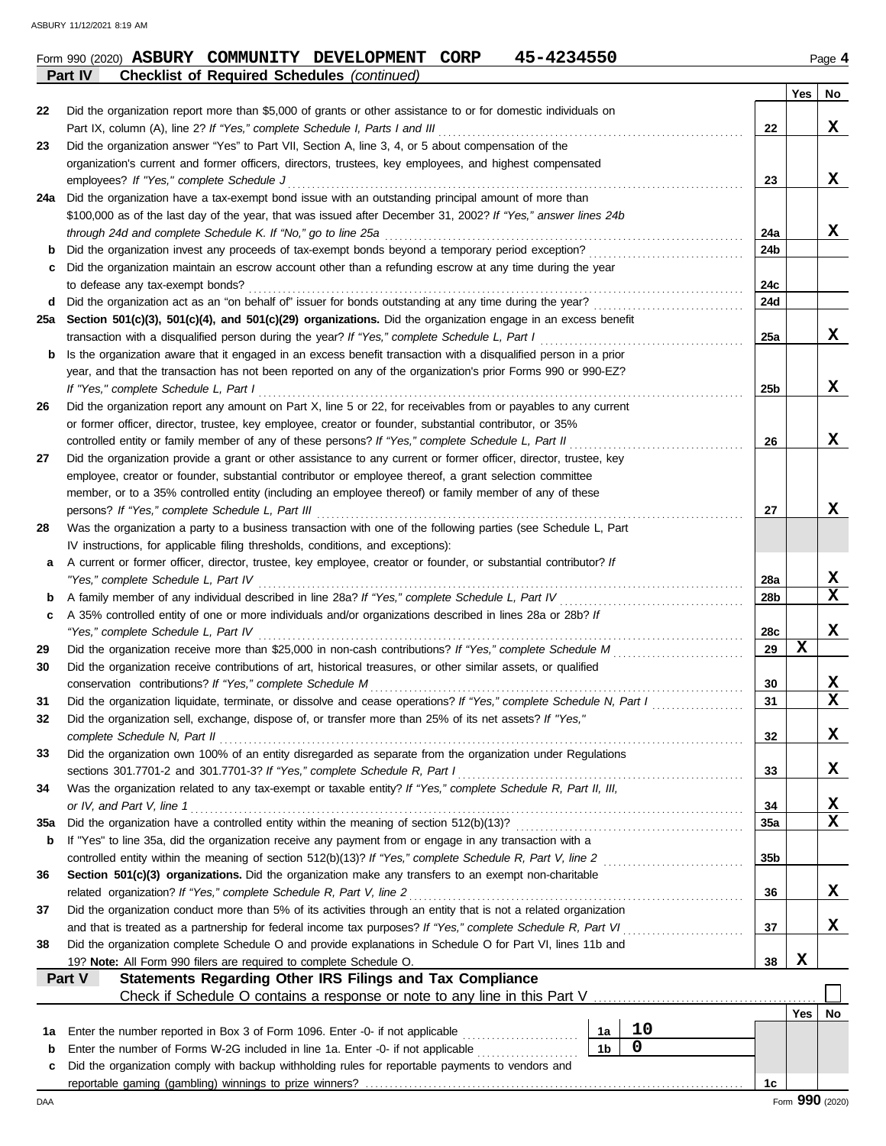|     | 45-4234550<br>Form 990 (2020) ASBURY COMMUNITY DEVELOPMENT CORP                                                                                                                                               |                 |             | Page 4          |
|-----|---------------------------------------------------------------------------------------------------------------------------------------------------------------------------------------------------------------|-----------------|-------------|-----------------|
|     | <b>Checklist of Required Schedules (continued)</b><br>Part IV                                                                                                                                                 |                 |             |                 |
|     |                                                                                                                                                                                                               |                 | Yes         | No              |
| 22  | Did the organization report more than \$5,000 of grants or other assistance to or for domestic individuals on                                                                                                 |                 |             | x               |
| 23  | Part IX, column (A), line 2? If "Yes," complete Schedule I, Parts I and III<br>Did the organization answer "Yes" to Part VII, Section A, line 3, 4, or 5 about compensation of the                            | 22              |             |                 |
|     | organization's current and former officers, directors, trustees, key employees, and highest compensated                                                                                                       |                 |             |                 |
|     | employees? If "Yes," complete Schedule J                                                                                                                                                                      | 23              |             | x               |
|     | 24a Did the organization have a tax-exempt bond issue with an outstanding principal amount of more than                                                                                                       |                 |             |                 |
|     | \$100,000 as of the last day of the year, that was issued after December 31, 2002? If "Yes," answer lines 24b                                                                                                 |                 |             |                 |
|     | through 24d and complete Schedule K. If "No," go to line 25a                                                                                                                                                  | 24a             |             | x               |
| b   | Did the organization invest any proceeds of tax-exempt bonds beyond a temporary period exception?                                                                                                             | 24b             |             |                 |
| с   | Did the organization maintain an escrow account other than a refunding escrow at any time during the year                                                                                                     |                 |             |                 |
|     | to defease any tax-exempt bonds?                                                                                                                                                                              | 24c             |             |                 |
| d   |                                                                                                                                                                                                               | 24d             |             |                 |
| 25а | Section 501(c)(3), 501(c)(4), and 501(c)(29) organizations. Did the organization engage in an excess benefit                                                                                                  |                 |             |                 |
|     | transaction with a disqualified person during the year? If "Yes," complete Schedule L, Part I                                                                                                                 | 25a             |             | X               |
| b   | Is the organization aware that it engaged in an excess benefit transaction with a disqualified person in a prior                                                                                              |                 |             |                 |
|     | year, and that the transaction has not been reported on any of the organization's prior Forms 990 or 990-EZ?                                                                                                  |                 |             |                 |
|     | If "Yes," complete Schedule L, Part I                                                                                                                                                                         | 25 <sub>b</sub> |             | x               |
| 26  | Did the organization report any amount on Part X, line 5 or 22, for receivables from or payables to any current                                                                                               |                 |             |                 |
|     | or former officer, director, trustee, key employee, creator or founder, substantial contributor, or 35%<br>controlled entity or family member of any of these persons? If "Yes," complete Schedule L, Part II | 26              |             | X               |
| 27  | Did the organization provide a grant or other assistance to any current or former officer, director, trustee, key                                                                                             |                 |             |                 |
|     | employee, creator or founder, substantial contributor or employee thereof, a grant selection committee                                                                                                        |                 |             |                 |
|     | member, or to a 35% controlled entity (including an employee thereof) or family member of any of these                                                                                                        |                 |             |                 |
|     | persons? If "Yes," complete Schedule L, Part III                                                                                                                                                              | 27              |             | x               |
| 28  | Was the organization a party to a business transaction with one of the following parties (see Schedule L, Part                                                                                                |                 |             |                 |
|     | IV instructions, for applicable filing thresholds, conditions, and exceptions):                                                                                                                               |                 |             |                 |
| a   | A current or former officer, director, trustee, key employee, creator or founder, or substantial contributor? If                                                                                              |                 |             |                 |
|     | "Yes," complete Schedule L, Part IV                                                                                                                                                                           | 28a             |             | X               |
| b   | A family member of any individual described in line 28a? If "Yes," complete Schedule L, Part IV [[[[[[[[[[[[[                                                                                                 | 28b             |             | X               |
| c   | A 35% controlled entity of one or more individuals and/or organizations described in lines 28a or 28b? If                                                                                                     |                 |             |                 |
|     | "Yes," complete Schedule L, Part IV                                                                                                                                                                           | 28c             |             | x               |
| 29  | Did the organization receive more than \$25,000 in non-cash contributions? If "Yes," complete Schedule M                                                                                                      | 29              | $\mathbf x$ |                 |
| 30  | Did the organization receive contributions of art, historical treasures, or other similar assets, or qualified                                                                                                |                 |             |                 |
|     |                                                                                                                                                                                                               | 30              |             | х               |
| 31  | Did the organization liquidate, terminate, or dissolve and cease operations? If "Yes," complete Schedule N, Part I                                                                                            | 31              |             | $\mathbf x$     |
| 32  | Did the organization sell, exchange, dispose of, or transfer more than 25% of its net assets? If "Yes,"                                                                                                       |                 |             |                 |
|     | complete Schedule N, Part II                                                                                                                                                                                  | 32              |             | X               |
| 33  | Did the organization own 100% of an entity disregarded as separate from the organization under Regulations                                                                                                    |                 |             |                 |
|     | sections 301.7701-2 and 301.7701-3? If "Yes," complete Schedule R, Part I                                                                                                                                     | 33              |             | x               |
| 34  | Was the organization related to any tax-exempt or taxable entity? If "Yes," complete Schedule R, Part II, III,                                                                                                |                 |             | X               |
| 35a | or IV, and Part V, line 1                                                                                                                                                                                     | 34<br>35a       |             | X               |
| b   | If "Yes" to line 35a, did the organization receive any payment from or engage in any transaction with a                                                                                                       |                 |             |                 |
|     | controlled entity within the meaning of section 512(b)(13)? If "Yes," complete Schedule R, Part V, line 2                                                                                                     | 35 <sub>b</sub> |             |                 |
| 36  | Section 501(c)(3) organizations. Did the organization make any transfers to an exempt non-charitable                                                                                                          |                 |             |                 |
|     | related organization? If "Yes," complete Schedule R, Part V, line 2                                                                                                                                           | 36              |             | X               |
| 37  | Did the organization conduct more than 5% of its activities through an entity that is not a related organization                                                                                              |                 |             |                 |
|     | and that is treated as a partnership for federal income tax purposes? If "Yes," complete Schedule R, Part VI                                                                                                  | 37              |             | x               |
| 38  | Did the organization complete Schedule O and provide explanations in Schedule O for Part VI, lines 11b and                                                                                                    |                 |             |                 |
|     | 19? Note: All Form 990 filers are required to complete Schedule O.                                                                                                                                            | 38              | X           |                 |
|     | Statements Regarding Other IRS Filings and Tax Compliance<br>Part V                                                                                                                                           |                 |             |                 |
|     | Check if Schedule O contains a response or note to any line in this Part V                                                                                                                                    |                 |             |                 |
|     |                                                                                                                                                                                                               |                 | Yes         | No              |
| 1а  | 10<br>Enter the number reported in Box 3 of Form 1096. Enter -0- if not applicable [1] [1] [1] [1] Enter the number<br>1a                                                                                     |                 |             |                 |
| b   | $\mathbf 0$<br>1 <sub>b</sub>                                                                                                                                                                                 |                 |             |                 |
| c   | Did the organization comply with backup withholding rules for reportable payments to vendors and                                                                                                              |                 |             |                 |
|     |                                                                                                                                                                                                               | 1c              |             |                 |
| DAA |                                                                                                                                                                                                               |                 |             | Form 990 (2020) |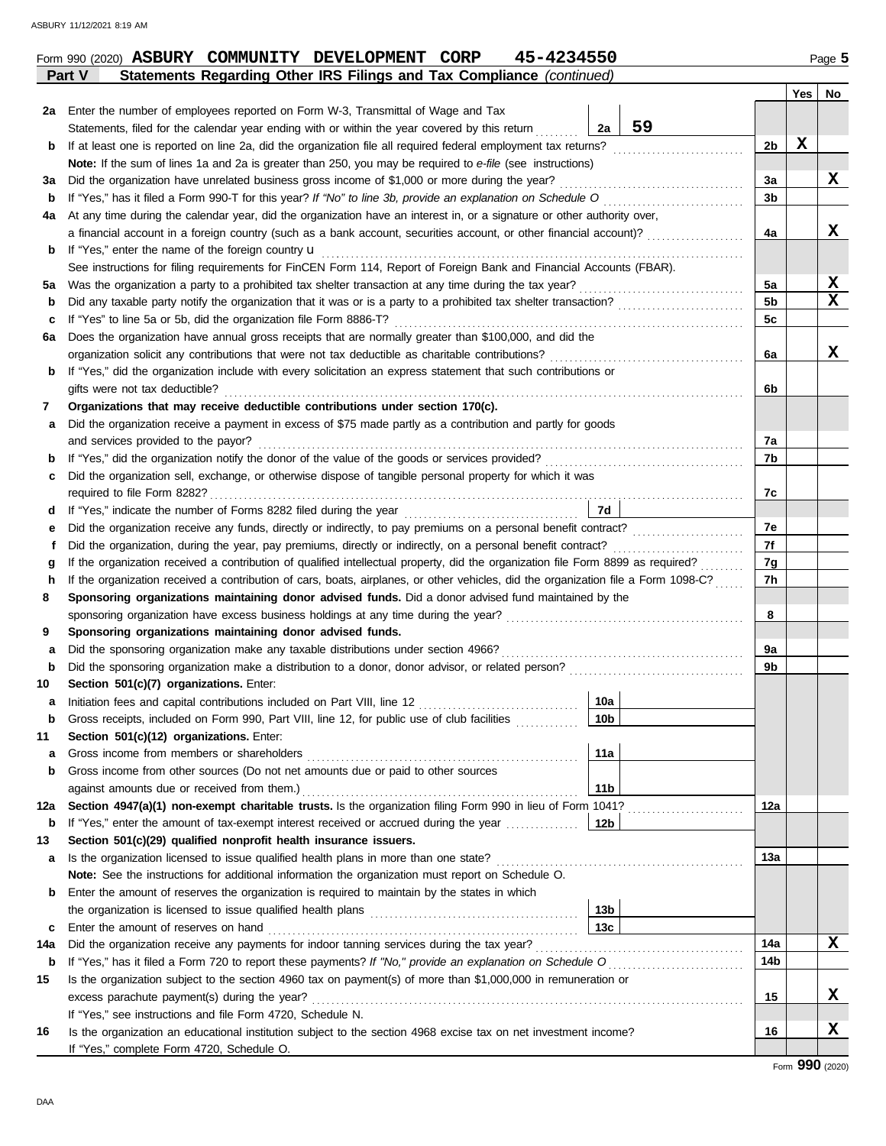|     |                                                                                                                                    |                 |    |                | Yes | No              |
|-----|------------------------------------------------------------------------------------------------------------------------------------|-----------------|----|----------------|-----|-----------------|
| 2a  | Enter the number of employees reported on Form W-3, Transmittal of Wage and Tax                                                    |                 |    |                |     |                 |
|     | Statements, filed for the calendar year ending with or within the year covered by this return                                      | 2a              | 59 |                |     |                 |
| b   | If at least one is reported on line 2a, did the organization file all required federal employment tax returns?                     |                 |    | 2b             | X   |                 |
|     | <b>Note:</b> If the sum of lines 1a and 2a is greater than 250, you may be required to e-file (see instructions)                   |                 |    |                |     |                 |
| За  |                                                                                                                                    |                 |    | За             |     | x               |
| b   |                                                                                                                                    |                 |    | 3b             |     |                 |
| 4a  | At any time during the calendar year, did the organization have an interest in, or a signature or other authority over,            |                 |    |                |     |                 |
|     | a financial account in a foreign country (such as a bank account, securities account, or other financial account)?                 |                 |    | 4a             |     | x               |
| b   |                                                                                                                                    |                 |    |                |     |                 |
|     | See instructions for filing requirements for FinCEN Form 114, Report of Foreign Bank and Financial Accounts (FBAR).                |                 |    |                |     |                 |
| 5a  |                                                                                                                                    |                 |    | 5a             |     | x               |
| b   |                                                                                                                                    |                 |    | 5 <sub>b</sub> |     | $\mathbf x$     |
| c   |                                                                                                                                    |                 |    | 5 <sub>c</sub> |     |                 |
| 6а  | Does the organization have annual gross receipts that are normally greater than \$100,000, and did the                             |                 |    |                |     |                 |
|     |                                                                                                                                    |                 |    | 6a             |     | x               |
| b   | If "Yes," did the organization include with every solicitation an express statement that such contributions or                     |                 |    |                |     |                 |
|     |                                                                                                                                    |                 |    | 6b             |     |                 |
| 7   | Organizations that may receive deductible contributions under section 170(c).                                                      |                 |    |                |     |                 |
| а   | Did the organization receive a payment in excess of \$75 made partly as a contribution and partly for goods                        |                 |    |                |     |                 |
|     |                                                                                                                                    |                 |    | 7a             |     |                 |
| b   |                                                                                                                                    |                 |    | 7b             |     |                 |
| c   | Did the organization sell, exchange, or otherwise dispose of tangible personal property for which it was                           |                 |    |                |     |                 |
|     |                                                                                                                                    |                 |    | 7c             |     |                 |
| d   |                                                                                                                                    | <b>7d</b>       |    |                |     |                 |
| е   | Did the organization receive any funds, directly or indirectly, to pay premiums on a personal benefit contract?                    |                 |    | 7e             |     |                 |
| f   |                                                                                                                                    |                 |    | 7f             |     |                 |
| g   | If the organization received a contribution of qualified intellectual property, did the organization file Form 8899 as required?   |                 |    | 7g             |     |                 |
| h   | If the organization received a contribution of cars, boats, airplanes, or other vehicles, did the organization file a Form 1098-C? |                 |    | 7h             |     |                 |
| 8   | Sponsoring organizations maintaining donor advised funds. Did a donor advised fund maintained by the                               |                 |    |                |     |                 |
|     |                                                                                                                                    |                 |    | 8              |     |                 |
| 9   | Sponsoring organizations maintaining donor advised funds.                                                                          |                 |    |                |     |                 |
| a   |                                                                                                                                    |                 |    | 9a             |     |                 |
| b   |                                                                                                                                    |                 |    | 9b             |     |                 |
| 10  | Section 501(c)(7) organizations. Enter:                                                                                            |                 |    |                |     |                 |
| a   | Initiation fees and capital contributions included on Part VIII, line 12 [11][11][11][11][11][11][11][11][11][                     | 10a             |    |                |     |                 |
| b   | Gross receipts, included on Form 990, Part VIII, line 12, for public use of club facilities                                        | 10 <sub>b</sub> |    |                |     |                 |
| 11  | Section 501(c)(12) organizations. Enter:                                                                                           |                 |    |                |     |                 |
| a   |                                                                                                                                    | 11a             |    |                |     |                 |
| b   | Gross income from other sources (Do not net amounts due or paid to other sources                                                   |                 |    |                |     |                 |
|     |                                                                                                                                    | 11b             |    |                |     |                 |
| 12a | Section 4947(a)(1) non-exempt charitable trusts. Is the organization filing Form 990 in lieu of Form 1041?                         |                 |    | 12a            |     |                 |
| b   | If "Yes," enter the amount of tax-exempt interest received or accrued during the year                                              | 12b             |    |                |     |                 |
| 13  | Section 501(c)(29) qualified nonprofit health insurance issuers.                                                                   |                 |    |                |     |                 |
| а   |                                                                                                                                    |                 |    | 13a            |     |                 |
|     | Note: See the instructions for additional information the organization must report on Schedule O.                                  |                 |    |                |     |                 |
| b   | Enter the amount of reserves the organization is required to maintain by the states in which                                       |                 |    |                |     |                 |
|     |                                                                                                                                    | 13 <sub>b</sub> |    |                |     |                 |
| c   |                                                                                                                                    | 13c             |    |                |     |                 |
| 14a |                                                                                                                                    |                 |    | 14a            |     | X               |
| b   |                                                                                                                                    |                 |    | 14b            |     |                 |
| 15  | Is the organization subject to the section 4960 tax on payment(s) of more than \$1,000,000 in remuneration or                      |                 |    |                |     |                 |
|     |                                                                                                                                    |                 |    | 15             |     | X               |
|     | If "Yes," see instructions and file Form 4720, Schedule N.                                                                         |                 |    |                |     |                 |
| 16  | Is the organization an educational institution subject to the section 4968 excise tax on net investment income?                    |                 |    | 16             |     | X               |
|     | If "Yes," complete Form 4720, Schedule O.                                                                                          |                 |    |                |     |                 |
|     |                                                                                                                                    |                 |    |                |     | Form 990 (2020) |

**Part V Statements Regarding Other IRS Filings and Tax Compliance** *(continued)*

**Form 990 (2020) ASBURY COMMUNITY DEVELOPMENT CORP 45-4234550** Page 5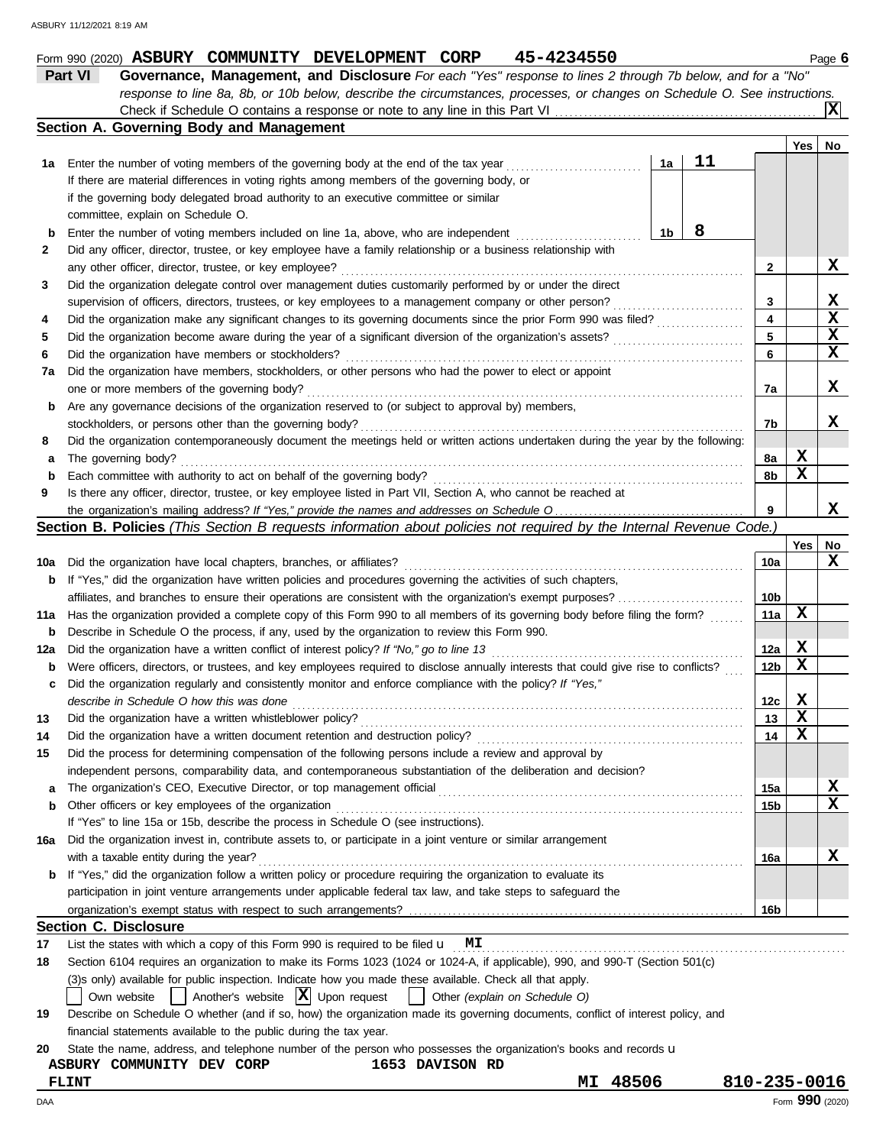|             | 45-4234550<br>Form 990 (2020) ASBURY COMMUNITY DEVELOPMENT CORP                                                                                                                              |                         |     | Page 6      |  |  |  |  |  |  |
|-------------|----------------------------------------------------------------------------------------------------------------------------------------------------------------------------------------------|-------------------------|-----|-------------|--|--|--|--|--|--|
|             | Part VI<br>Governance, Management, and Disclosure For each "Yes" response to lines 2 through 7b below, and for a "No"                                                                        |                         |     |             |  |  |  |  |  |  |
|             | response to line 8a, 8b, or 10b below, describe the circumstances, processes, or changes on Schedule O. See instructions.                                                                    |                         |     |             |  |  |  |  |  |  |
|             |                                                                                                                                                                                              |                         |     | ΙxΙ         |  |  |  |  |  |  |
|             | Section A. Governing Body and Management                                                                                                                                                     |                         |     |             |  |  |  |  |  |  |
|             |                                                                                                                                                                                              |                         | Yes | No          |  |  |  |  |  |  |
| 1а          | 11<br>1a<br>Enter the number of voting members of the governing body at the end of the tax year                                                                                              |                         |     |             |  |  |  |  |  |  |
|             | If there are material differences in voting rights among members of the governing body, or                                                                                                   |                         |     |             |  |  |  |  |  |  |
|             | if the governing body delegated broad authority to an executive committee or similar                                                                                                         |                         |     |             |  |  |  |  |  |  |
|             | committee, explain on Schedule O.                                                                                                                                                            |                         |     |             |  |  |  |  |  |  |
| b           | 8<br>1b<br>Enter the number of voting members included on line 1a, above, who are independent                                                                                                |                         |     |             |  |  |  |  |  |  |
| 2           | Did any officer, director, trustee, or key employee have a family relationship or a business relationship with                                                                               |                         |     |             |  |  |  |  |  |  |
|             | any other officer, director, trustee, or key employee?                                                                                                                                       | 2                       |     | X           |  |  |  |  |  |  |
| 3           | Did the organization delegate control over management duties customarily performed by or under the direct                                                                                    |                         |     |             |  |  |  |  |  |  |
|             | supervision of officers, directors, trustees, or key employees to a management company or other person?                                                                                      | 3                       |     | х           |  |  |  |  |  |  |
| 4           | Did the organization make any significant changes to its governing documents since the prior Form 990 was filed?                                                                             | $\overline{\mathbf{4}}$ |     | $\mathbf x$ |  |  |  |  |  |  |
| 5           |                                                                                                                                                                                              | 5                       |     | X           |  |  |  |  |  |  |
| 6           | Did the organization have members or stockholders?                                                                                                                                           | 6                       |     | X           |  |  |  |  |  |  |
| 7a          | Did the organization have members, stockholders, or other persons who had the power to elect or appoint                                                                                      |                         |     |             |  |  |  |  |  |  |
|             | one or more members of the governing body?                                                                                                                                                   | 7a                      |     | X           |  |  |  |  |  |  |
| b           | Are any governance decisions of the organization reserved to (or subject to approval by) members,                                                                                            |                         |     |             |  |  |  |  |  |  |
|             |                                                                                                                                                                                              | 7b                      |     | x           |  |  |  |  |  |  |
|             | stockholders, or persons other than the governing body?<br>Did the organization contemporaneously document the meetings held or written actions undertaken during the year by the following: |                         |     |             |  |  |  |  |  |  |
| 8           |                                                                                                                                                                                              |                         | X   |             |  |  |  |  |  |  |
| а           | The governing body?                                                                                                                                                                          | 8а                      | X   |             |  |  |  |  |  |  |
| $\mathbf b$ | Each committee with authority to act on behalf of the governing body?                                                                                                                        | 8b                      |     |             |  |  |  |  |  |  |
| 9           | Is there any officer, director, trustee, or key employee listed in Part VII, Section A, who cannot be reached at                                                                             |                         |     |             |  |  |  |  |  |  |
|             | the organization's mailing address? If "Yes," provide the names and addresses on Schedule O                                                                                                  | 9                       |     | x           |  |  |  |  |  |  |
|             | Section B. Policies (This Section B requests information about policies not required by the Internal Revenue Code.)                                                                          |                         |     |             |  |  |  |  |  |  |
|             |                                                                                                                                                                                              |                         | Yes | No          |  |  |  |  |  |  |
| 10a         | Did the organization have local chapters, branches, or affiliates?                                                                                                                           | 10a                     |     | x           |  |  |  |  |  |  |
| b           | If "Yes," did the organization have written policies and procedures governing the activities of such chapters,                                                                               |                         |     |             |  |  |  |  |  |  |
|             | affiliates, and branches to ensure their operations are consistent with the organization's exempt purposes?                                                                                  | 10b                     |     |             |  |  |  |  |  |  |
| 11a         | Has the organization provided a complete copy of this Form 990 to all members of its governing body before filing the form?                                                                  | 11a                     | х   |             |  |  |  |  |  |  |
| b           | Describe in Schedule O the process, if any, used by the organization to review this Form 990.                                                                                                |                         |     |             |  |  |  |  |  |  |
| 12a         | Did the organization have a written conflict of interest policy? If "No," go to line 13                                                                                                      | 12a                     | X   |             |  |  |  |  |  |  |
| b           | Were officers, directors, or trustees, and key employees required to disclose annually interests that could give rise to conflicts?                                                          | 12b                     | X   |             |  |  |  |  |  |  |
| c           | Did the organization regularly and consistently monitor and enforce compliance with the policy? If "Yes,"                                                                                    |                         |     |             |  |  |  |  |  |  |
|             | describe in Schedule O how this was done                                                                                                                                                     | 12c                     | X   |             |  |  |  |  |  |  |
| 13          | Did the organization have a written whistleblower policy?                                                                                                                                    | 13                      | X   |             |  |  |  |  |  |  |
| 14          | Did the organization have a written document retention and destruction policy?                                                                                                               | 14                      | X   |             |  |  |  |  |  |  |
| 15          | Did the process for determining compensation of the following persons include a review and approval by                                                                                       |                         |     |             |  |  |  |  |  |  |
|             | independent persons, comparability data, and contemporaneous substantiation of the deliberation and decision?                                                                                |                         |     |             |  |  |  |  |  |  |
| a           |                                                                                                                                                                                              | 15a                     |     | X           |  |  |  |  |  |  |
| b           | Other officers or key employees of the organization                                                                                                                                          | 15b                     |     | X           |  |  |  |  |  |  |
|             | If "Yes" to line 15a or 15b, describe the process in Schedule O (see instructions).                                                                                                          |                         |     |             |  |  |  |  |  |  |
| 16a         | Did the organization invest in, contribute assets to, or participate in a joint venture or similar arrangement                                                                               |                         |     |             |  |  |  |  |  |  |
|             | with a taxable entity during the year?                                                                                                                                                       | 16a                     |     | X           |  |  |  |  |  |  |
| b           | If "Yes," did the organization follow a written policy or procedure requiring the organization to evaluate its                                                                               |                         |     |             |  |  |  |  |  |  |
|             | participation in joint venture arrangements under applicable federal tax law, and take steps to safeguard the                                                                                |                         |     |             |  |  |  |  |  |  |
|             | organization's exempt status with respect to such arrangements?                                                                                                                              | 16b                     |     |             |  |  |  |  |  |  |
|             | <b>Section C. Disclosure</b>                                                                                                                                                                 |                         |     |             |  |  |  |  |  |  |
| 17          | List the states with which a copy of this Form 990 is required to be filed $\mathbf{u}$ MI                                                                                                   |                         |     |             |  |  |  |  |  |  |
| 18          | Section 6104 requires an organization to make its Forms 1023 (1024 or 1024-A, if applicable), 990, and 990-T (Section 501(c)                                                                 |                         |     |             |  |  |  |  |  |  |
|             |                                                                                                                                                                                              |                         |     |             |  |  |  |  |  |  |
|             | (3)s only) available for public inspection. Indicate how you made these available. Check all that apply.<br>Another's website $ \mathbf{X} $ Upon request                                    |                         |     |             |  |  |  |  |  |  |
|             | Other (explain on Schedule O)<br>Own website                                                                                                                                                 |                         |     |             |  |  |  |  |  |  |
| 19          | Describe on Schedule O whether (and if so, how) the organization made its governing documents, conflict of interest policy, and                                                              |                         |     |             |  |  |  |  |  |  |
|             | financial statements available to the public during the tax year.                                                                                                                            |                         |     |             |  |  |  |  |  |  |
| 20          | State the name, address, and telephone number of the person who possesses the organization's books and records u                                                                             |                         |     |             |  |  |  |  |  |  |
|             | 1653 DAVISON RD<br>ASBURY COMMUNITY DEV CORP                                                                                                                                                 |                         |     |             |  |  |  |  |  |  |
|             | MI 48506<br><b>FLINT</b>                                                                                                                                                                     | 810-235-0016            |     |             |  |  |  |  |  |  |

DAA Form **990** (2020)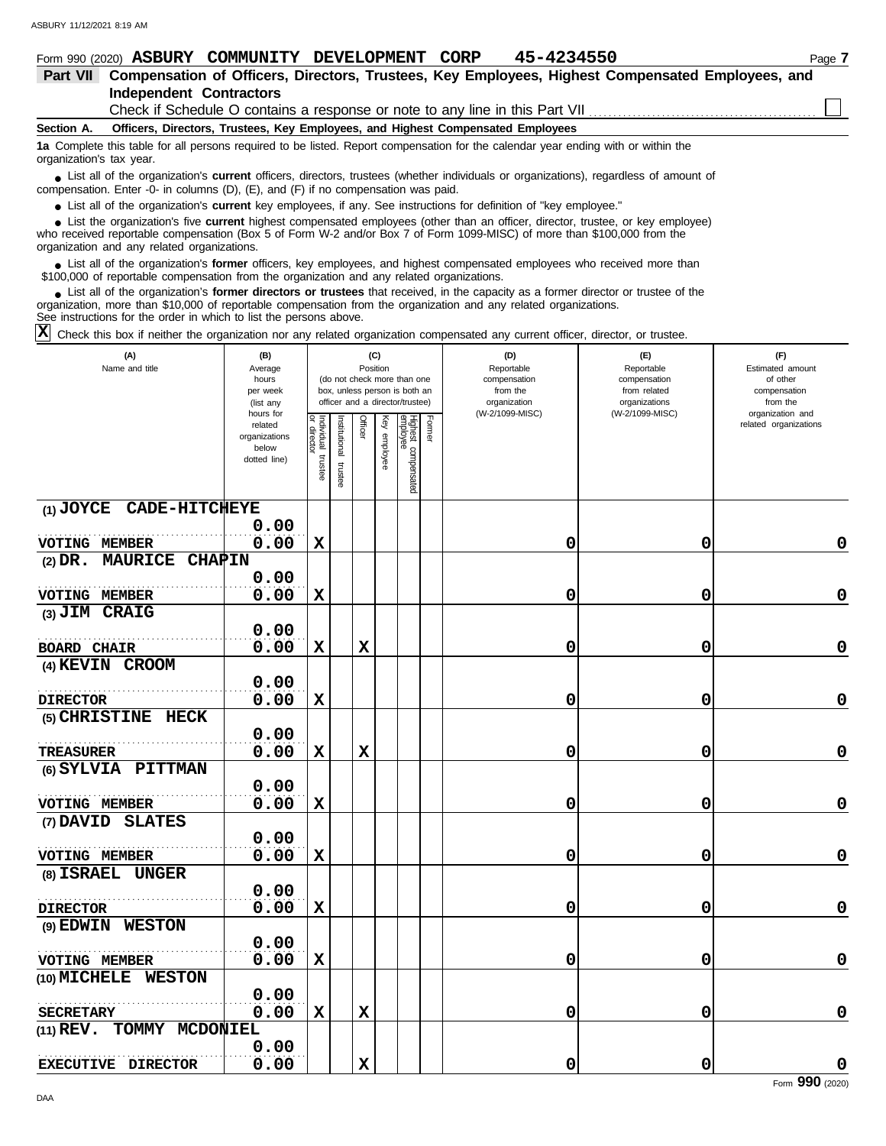| 45-4234550<br>Form 990 (2020) ASBURY COMMUNITY DEVELOPMENT CORP                                                                                                                                                                  | Page 7 |
|----------------------------------------------------------------------------------------------------------------------------------------------------------------------------------------------------------------------------------|--------|
| Compensation of Officers, Directors, Trustees, Key Employees, Highest Compensated Employees, and<br><b>Part VII</b>                                                                                                              |        |
| <b>Independent Contractors</b>                                                                                                                                                                                                   |        |
|                                                                                                                                                                                                                                  |        |
| Officers, Directors, Trustees, Key Employees, and Highest Compensated Employees<br>Section A.                                                                                                                                    |        |
| 1a Complete this table for all persons required to be listed. Report compensation for the calendar year ending with or within the<br>organization's tax year.                                                                    |        |
| • List all of the organization's current officers, directors, trustees (whether individuals or organizations), regardless of amount of<br>compensation. Enter -0- in columns (D), $(E)$ , and $(F)$ if no compensation was paid. |        |

● List all of the organization's **current** key employees, if any. See instructions for definition of "key employee."

■ List the organization's five **current** highest compensated employees (other than an officer, director, trustee, or key employee)<br> **•** Preceived reportable compensation (Box 5 of Form M/-2 and/or Box 7 of Form 1099-MISC)

who received reportable compensation (Box 5 of Form W-2 and/or Box 7 of Form 1099-MISC) of more than \$100,000 from the organization and any related organizations.

■ List all of the organization's **former** officers, key employees, and highest compensated employees who received more than<br>00,000 of reportable compensation from the organization and any related organizations \$100,000 of reportable compensation from the organization and any related organizations.

■ List all of the organization's **former directors or trustees** that received, in the capacity as a former director or trustee of the anization more than \$10,000 of reportable compensation from the organization and any re organization, more than \$10,000 of reportable compensation from the organization and any related organizations.

See instructions for the order in which to list the persons above.

Check this box if neither the organization nor any related organization compensated any current officer, director, or trustee. **X**

| (A)<br>Name and title                    | (B)<br>Average<br>hours<br>per week<br>(list any               |                                |                         | Position    | (C)             | (do not check more than one<br>box, unless person is both an<br>officer and a director/trustee) | (D)<br>Reportable<br>compensation<br>from the<br>organization | (E)<br>Reportable<br>compensation<br>from related<br>organizations | (F)<br>Estimated amount<br>of other<br>compensation<br>from the |
|------------------------------------------|----------------------------------------------------------------|--------------------------------|-------------------------|-------------|-----------------|-------------------------------------------------------------------------------------------------|---------------------------------------------------------------|--------------------------------------------------------------------|-----------------------------------------------------------------|
|                                          | hours for<br>related<br>organizations<br>below<br>dotted line) | Individual trustee<br>director | nstitutional<br>trustee | Officer     | Ķey<br>employee | Former<br>Highest compensated<br>employee                                                       | (W-2/1099-MISC)                                               | (W-2/1099-MISC)                                                    | organization and<br>related organizations                       |
| <b>CADE-HITCHEYE</b><br>$(1)$ JOYCE      |                                                                |                                |                         |             |                 |                                                                                                 |                                                               |                                                                    |                                                                 |
|                                          | 0.00                                                           |                                |                         |             |                 |                                                                                                 |                                                               |                                                                    |                                                                 |
| VOTING MEMBER                            | 0.00                                                           | $\mathbf x$                    |                         |             |                 |                                                                                                 | 0                                                             | 0                                                                  | 0                                                               |
| MAURICE CHAPIN<br>$(2)$ DR.              |                                                                |                                |                         |             |                 |                                                                                                 |                                                               |                                                                    |                                                                 |
| .<br>VOTING MEMBER                       | 0.00<br>0.00                                                   | $\mathbf x$                    |                         |             |                 |                                                                                                 | 0                                                             | 0                                                                  | 0                                                               |
| (3) JIM CRAIG                            |                                                                |                                |                         |             |                 |                                                                                                 |                                                               |                                                                    |                                                                 |
|                                          | 0.00                                                           |                                |                         |             |                 |                                                                                                 |                                                               |                                                                    |                                                                 |
| <b>BOARD CHAIR</b>                       | 0.00                                                           | $\mathbf x$                    |                         | $\mathbf x$ |                 |                                                                                                 | 0                                                             | 0                                                                  | $\pmb{0}$                                                       |
| (4) KEVIN CROOM                          |                                                                |                                |                         |             |                 |                                                                                                 |                                                               |                                                                    |                                                                 |
|                                          | 0.00                                                           |                                |                         |             |                 |                                                                                                 |                                                               |                                                                    |                                                                 |
| <b>DIRECTOR</b>                          | 0.00                                                           | $\mathbf x$                    |                         |             |                 |                                                                                                 | 0                                                             | 0                                                                  | $\mathbf 0$                                                     |
| (5) CHRISTINE HECK                       |                                                                |                                |                         |             |                 |                                                                                                 |                                                               |                                                                    |                                                                 |
|                                          | 0.00                                                           |                                |                         |             |                 |                                                                                                 |                                                               |                                                                    |                                                                 |
| TREASURER                                | 0.00                                                           | $\mathbf x$                    |                         | $\mathbf x$ |                 |                                                                                                 | 0                                                             | 0                                                                  | 0                                                               |
| (6) SYLVIA PITTMAN                       |                                                                |                                |                         |             |                 |                                                                                                 |                                                               |                                                                    |                                                                 |
|                                          | 0.00                                                           |                                |                         |             |                 |                                                                                                 |                                                               |                                                                    |                                                                 |
| <b>VOTING MEMBER</b>                     | 0.00                                                           | $\mathbf x$                    |                         |             |                 |                                                                                                 | 0                                                             | 0                                                                  | 0                                                               |
| (7) DAVID SLATES                         | 0.00                                                           |                                |                         |             |                 |                                                                                                 |                                                               |                                                                    |                                                                 |
|                                          | 0.00                                                           | $\mathbf x$                    |                         |             |                 |                                                                                                 | 0                                                             | 0                                                                  | $\mathbf 0$                                                     |
| <b>VOTING MEMBER</b><br>(8) ISRAEL UNGER |                                                                |                                |                         |             |                 |                                                                                                 |                                                               |                                                                    |                                                                 |
|                                          | 0.00                                                           |                                |                         |             |                 |                                                                                                 |                                                               |                                                                    |                                                                 |
| <b>DIRECTOR</b>                          | 0.00                                                           | $\mathbf x$                    |                         |             |                 |                                                                                                 | 0                                                             | 0                                                                  | 0                                                               |
| (9) EDWIN WESTON                         |                                                                |                                |                         |             |                 |                                                                                                 |                                                               |                                                                    |                                                                 |
|                                          | 0.00                                                           |                                |                         |             |                 |                                                                                                 |                                                               |                                                                    |                                                                 |
| VOTING MEMBER                            | 0.00                                                           | X                              |                         |             |                 |                                                                                                 | 0                                                             | 0                                                                  | 0                                                               |
| (10) MICHELE WESTON                      |                                                                |                                |                         |             |                 |                                                                                                 |                                                               |                                                                    |                                                                 |
|                                          | 0.00                                                           |                                |                         |             |                 |                                                                                                 |                                                               |                                                                    |                                                                 |
| <b>SECRETARY</b>                         | 0.00                                                           | $\mathbf x$                    |                         | $\mathbf x$ |                 |                                                                                                 | 0                                                             | 0                                                                  | $\mathbf 0$                                                     |
| TOMMY MCDONIEL<br>(11) REV.              |                                                                |                                |                         |             |                 |                                                                                                 |                                                               |                                                                    |                                                                 |
|                                          | 0.00                                                           |                                |                         |             |                 |                                                                                                 |                                                               |                                                                    |                                                                 |
| EXECUTIVE DIRECTOR                       | 0.00                                                           |                                |                         | $\mathbf x$ |                 |                                                                                                 | 0                                                             | 0                                                                  | 0                                                               |

Form **990** (2020)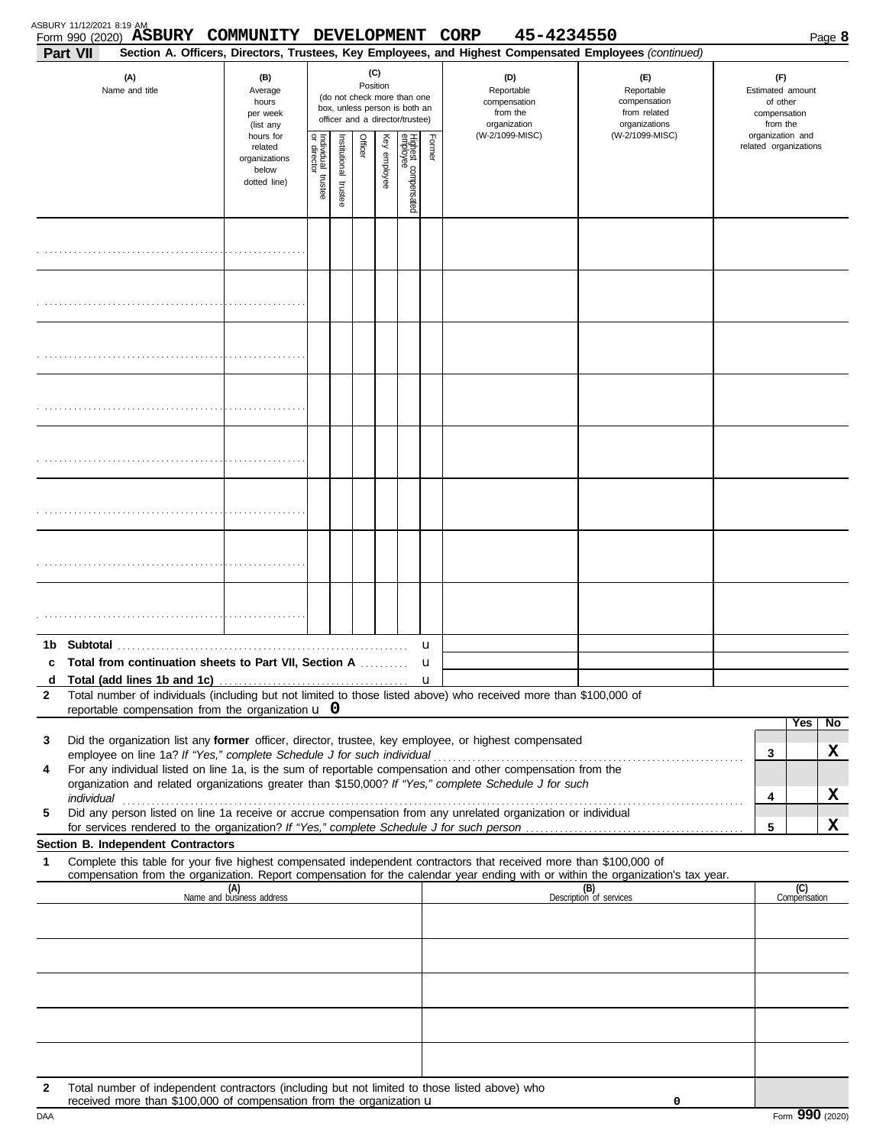| (C)<br>(A)<br>(B)<br>(D)<br>(F)<br>(E)<br>Position<br>Name and title<br>Average<br>Reportable<br>Reportable<br>Estimated amount<br>(do not check more than one<br>hours<br>compensation<br>compensation<br>of other<br>box, unless person is both an<br>from the<br>per week<br>from related<br>compensation<br>officer and a director/trustee)<br>organizations<br>organization<br>from the<br>(list any<br>(W-2/1099-MISC)<br>(W-2/1099-MISC)<br>organization and<br>hours for<br>Individual trustee<br>or director<br>Officer<br>Key employee<br>Highest compensated<br>employee<br>Form<br>Institutional<br>related organizations<br>related<br>$\bar{\mathbb{Q}}$<br>organizations<br>below<br>dotted line)<br>trustee<br>u<br>Total from continuation sheets to Part VII, Section A<br>c<br>u<br>d<br>$\mathbf u$<br>Total number of individuals (including but not limited to those listed above) who received more than \$100,000 of<br>2<br>reportable compensation from the organization $\bf{u}$ 0<br>Did the organization list any former officer, director, trustee, key employee, or highest compensated<br>3<br>3<br>employee on line 1a? If "Yes," complete Schedule J for such individual<br>For any individual listed on line 1a, is the sum of reportable compensation and other compensation from the<br>4<br>organization and related organizations greater than \$150,000? If "Yes," complete Schedule J for such<br>4<br>individual<br>Did any person listed on line 1a receive or accrue compensation from any unrelated organization or individual<br>5<br>5<br>Section B. Independent Contractors<br>Complete this table for your five highest compensated independent contractors that received more than \$100,000 of<br>1<br>compensation from the organization. Report compensation for the calendar year ending with or within the organization's tax year.<br>(C)<br>Compensation<br>(B)<br>Description of services<br>(A)<br>Name and business address | ASBURY 11/12/2021 8:19 AM<br>45-4234550<br>Form 990 (2020) ASBURY COMMUNITY DEVELOPMENT CORP<br>Part VII<br>Section A. Officers, Directors, Trustees, Key Employees, and Highest Compensated Employees (continued) |  |  |  |  |  |  |  | Page 8 |  |     |    |
|-----------------------------------------------------------------------------------------------------------------------------------------------------------------------------------------------------------------------------------------------------------------------------------------------------------------------------------------------------------------------------------------------------------------------------------------------------------------------------------------------------------------------------------------------------------------------------------------------------------------------------------------------------------------------------------------------------------------------------------------------------------------------------------------------------------------------------------------------------------------------------------------------------------------------------------------------------------------------------------------------------------------------------------------------------------------------------------------------------------------------------------------------------------------------------------------------------------------------------------------------------------------------------------------------------------------------------------------------------------------------------------------------------------------------------------------------------------------------------------------------------------------------------------------------------------------------------------------------------------------------------------------------------------------------------------------------------------------------------------------------------------------------------------------------------------------------------------------------------------------------------------------------------------------------------------------------------------------------------------------|--------------------------------------------------------------------------------------------------------------------------------------------------------------------------------------------------------------------|--|--|--|--|--|--|--|--------|--|-----|----|
|                                                                                                                                                                                                                                                                                                                                                                                                                                                                                                                                                                                                                                                                                                                                                                                                                                                                                                                                                                                                                                                                                                                                                                                                                                                                                                                                                                                                                                                                                                                                                                                                                                                                                                                                                                                                                                                                                                                                                                                         |                                                                                                                                                                                                                    |  |  |  |  |  |  |  |        |  |     |    |
|                                                                                                                                                                                                                                                                                                                                                                                                                                                                                                                                                                                                                                                                                                                                                                                                                                                                                                                                                                                                                                                                                                                                                                                                                                                                                                                                                                                                                                                                                                                                                                                                                                                                                                                                                                                                                                                                                                                                                                                         |                                                                                                                                                                                                                    |  |  |  |  |  |  |  |        |  |     |    |
|                                                                                                                                                                                                                                                                                                                                                                                                                                                                                                                                                                                                                                                                                                                                                                                                                                                                                                                                                                                                                                                                                                                                                                                                                                                                                                                                                                                                                                                                                                                                                                                                                                                                                                                                                                                                                                                                                                                                                                                         |                                                                                                                                                                                                                    |  |  |  |  |  |  |  |        |  |     |    |
|                                                                                                                                                                                                                                                                                                                                                                                                                                                                                                                                                                                                                                                                                                                                                                                                                                                                                                                                                                                                                                                                                                                                                                                                                                                                                                                                                                                                                                                                                                                                                                                                                                                                                                                                                                                                                                                                                                                                                                                         |                                                                                                                                                                                                                    |  |  |  |  |  |  |  |        |  |     |    |
|                                                                                                                                                                                                                                                                                                                                                                                                                                                                                                                                                                                                                                                                                                                                                                                                                                                                                                                                                                                                                                                                                                                                                                                                                                                                                                                                                                                                                                                                                                                                                                                                                                                                                                                                                                                                                                                                                                                                                                                         |                                                                                                                                                                                                                    |  |  |  |  |  |  |  |        |  |     |    |
|                                                                                                                                                                                                                                                                                                                                                                                                                                                                                                                                                                                                                                                                                                                                                                                                                                                                                                                                                                                                                                                                                                                                                                                                                                                                                                                                                                                                                                                                                                                                                                                                                                                                                                                                                                                                                                                                                                                                                                                         |                                                                                                                                                                                                                    |  |  |  |  |  |  |  |        |  |     |    |
|                                                                                                                                                                                                                                                                                                                                                                                                                                                                                                                                                                                                                                                                                                                                                                                                                                                                                                                                                                                                                                                                                                                                                                                                                                                                                                                                                                                                                                                                                                                                                                                                                                                                                                                                                                                                                                                                                                                                                                                         |                                                                                                                                                                                                                    |  |  |  |  |  |  |  |        |  |     |    |
|                                                                                                                                                                                                                                                                                                                                                                                                                                                                                                                                                                                                                                                                                                                                                                                                                                                                                                                                                                                                                                                                                                                                                                                                                                                                                                                                                                                                                                                                                                                                                                                                                                                                                                                                                                                                                                                                                                                                                                                         |                                                                                                                                                                                                                    |  |  |  |  |  |  |  |        |  |     |    |
|                                                                                                                                                                                                                                                                                                                                                                                                                                                                                                                                                                                                                                                                                                                                                                                                                                                                                                                                                                                                                                                                                                                                                                                                                                                                                                                                                                                                                                                                                                                                                                                                                                                                                                                                                                                                                                                                                                                                                                                         |                                                                                                                                                                                                                    |  |  |  |  |  |  |  |        |  |     |    |
|                                                                                                                                                                                                                                                                                                                                                                                                                                                                                                                                                                                                                                                                                                                                                                                                                                                                                                                                                                                                                                                                                                                                                                                                                                                                                                                                                                                                                                                                                                                                                                                                                                                                                                                                                                                                                                                                                                                                                                                         |                                                                                                                                                                                                                    |  |  |  |  |  |  |  |        |  |     |    |
|                                                                                                                                                                                                                                                                                                                                                                                                                                                                                                                                                                                                                                                                                                                                                                                                                                                                                                                                                                                                                                                                                                                                                                                                                                                                                                                                                                                                                                                                                                                                                                                                                                                                                                                                                                                                                                                                                                                                                                                         |                                                                                                                                                                                                                    |  |  |  |  |  |  |  |        |  |     |    |
|                                                                                                                                                                                                                                                                                                                                                                                                                                                                                                                                                                                                                                                                                                                                                                                                                                                                                                                                                                                                                                                                                                                                                                                                                                                                                                                                                                                                                                                                                                                                                                                                                                                                                                                                                                                                                                                                                                                                                                                         |                                                                                                                                                                                                                    |  |  |  |  |  |  |  |        |  |     |    |
|                                                                                                                                                                                                                                                                                                                                                                                                                                                                                                                                                                                                                                                                                                                                                                                                                                                                                                                                                                                                                                                                                                                                                                                                                                                                                                                                                                                                                                                                                                                                                                                                                                                                                                                                                                                                                                                                                                                                                                                         |                                                                                                                                                                                                                    |  |  |  |  |  |  |  |        |  |     |    |
|                                                                                                                                                                                                                                                                                                                                                                                                                                                                                                                                                                                                                                                                                                                                                                                                                                                                                                                                                                                                                                                                                                                                                                                                                                                                                                                                                                                                                                                                                                                                                                                                                                                                                                                                                                                                                                                                                                                                                                                         |                                                                                                                                                                                                                    |  |  |  |  |  |  |  |        |  | Yes | No |
|                                                                                                                                                                                                                                                                                                                                                                                                                                                                                                                                                                                                                                                                                                                                                                                                                                                                                                                                                                                                                                                                                                                                                                                                                                                                                                                                                                                                                                                                                                                                                                                                                                                                                                                                                                                                                                                                                                                                                                                         |                                                                                                                                                                                                                    |  |  |  |  |  |  |  |        |  |     | x  |
|                                                                                                                                                                                                                                                                                                                                                                                                                                                                                                                                                                                                                                                                                                                                                                                                                                                                                                                                                                                                                                                                                                                                                                                                                                                                                                                                                                                                                                                                                                                                                                                                                                                                                                                                                                                                                                                                                                                                                                                         |                                                                                                                                                                                                                    |  |  |  |  |  |  |  |        |  |     |    |
|                                                                                                                                                                                                                                                                                                                                                                                                                                                                                                                                                                                                                                                                                                                                                                                                                                                                                                                                                                                                                                                                                                                                                                                                                                                                                                                                                                                                                                                                                                                                                                                                                                                                                                                                                                                                                                                                                                                                                                                         |                                                                                                                                                                                                                    |  |  |  |  |  |  |  |        |  |     | x  |
|                                                                                                                                                                                                                                                                                                                                                                                                                                                                                                                                                                                                                                                                                                                                                                                                                                                                                                                                                                                                                                                                                                                                                                                                                                                                                                                                                                                                                                                                                                                                                                                                                                                                                                                                                                                                                                                                                                                                                                                         |                                                                                                                                                                                                                    |  |  |  |  |  |  |  |        |  |     | X  |
|                                                                                                                                                                                                                                                                                                                                                                                                                                                                                                                                                                                                                                                                                                                                                                                                                                                                                                                                                                                                                                                                                                                                                                                                                                                                                                                                                                                                                                                                                                                                                                                                                                                                                                                                                                                                                                                                                                                                                                                         |                                                                                                                                                                                                                    |  |  |  |  |  |  |  |        |  |     |    |
|                                                                                                                                                                                                                                                                                                                                                                                                                                                                                                                                                                                                                                                                                                                                                                                                                                                                                                                                                                                                                                                                                                                                                                                                                                                                                                                                                                                                                                                                                                                                                                                                                                                                                                                                                                                                                                                                                                                                                                                         |                                                                                                                                                                                                                    |  |  |  |  |  |  |  |        |  |     |    |
|                                                                                                                                                                                                                                                                                                                                                                                                                                                                                                                                                                                                                                                                                                                                                                                                                                                                                                                                                                                                                                                                                                                                                                                                                                                                                                                                                                                                                                                                                                                                                                                                                                                                                                                                                                                                                                                                                                                                                                                         |                                                                                                                                                                                                                    |  |  |  |  |  |  |  |        |  |     |    |
|                                                                                                                                                                                                                                                                                                                                                                                                                                                                                                                                                                                                                                                                                                                                                                                                                                                                                                                                                                                                                                                                                                                                                                                                                                                                                                                                                                                                                                                                                                                                                                                                                                                                                                                                                                                                                                                                                                                                                                                         |                                                                                                                                                                                                                    |  |  |  |  |  |  |  |        |  |     |    |
|                                                                                                                                                                                                                                                                                                                                                                                                                                                                                                                                                                                                                                                                                                                                                                                                                                                                                                                                                                                                                                                                                                                                                                                                                                                                                                                                                                                                                                                                                                                                                                                                                                                                                                                                                                                                                                                                                                                                                                                         |                                                                                                                                                                                                                    |  |  |  |  |  |  |  |        |  |     |    |
|                                                                                                                                                                                                                                                                                                                                                                                                                                                                                                                                                                                                                                                                                                                                                                                                                                                                                                                                                                                                                                                                                                                                                                                                                                                                                                                                                                                                                                                                                                                                                                                                                                                                                                                                                                                                                                                                                                                                                                                         |                                                                                                                                                                                                                    |  |  |  |  |  |  |  |        |  |     |    |
|                                                                                                                                                                                                                                                                                                                                                                                                                                                                                                                                                                                                                                                                                                                                                                                                                                                                                                                                                                                                                                                                                                                                                                                                                                                                                                                                                                                                                                                                                                                                                                                                                                                                                                                                                                                                                                                                                                                                                                                         |                                                                                                                                                                                                                    |  |  |  |  |  |  |  |        |  |     |    |
|                                                                                                                                                                                                                                                                                                                                                                                                                                                                                                                                                                                                                                                                                                                                                                                                                                                                                                                                                                                                                                                                                                                                                                                                                                                                                                                                                                                                                                                                                                                                                                                                                                                                                                                                                                                                                                                                                                                                                                                         |                                                                                                                                                                                                                    |  |  |  |  |  |  |  |        |  |     |    |
| Total number of independent contractors (including but not limited to those listed above) who<br>2<br>received more than \$100,000 of compensation from the organization u                                                                                                                                                                                                                                                                                                                                                                                                                                                                                                                                                                                                                                                                                                                                                                                                                                                                                                                                                                                                                                                                                                                                                                                                                                                                                                                                                                                                                                                                                                                                                                                                                                                                                                                                                                                                              |                                                                                                                                                                                                                    |  |  |  |  |  |  |  |        |  |     |    |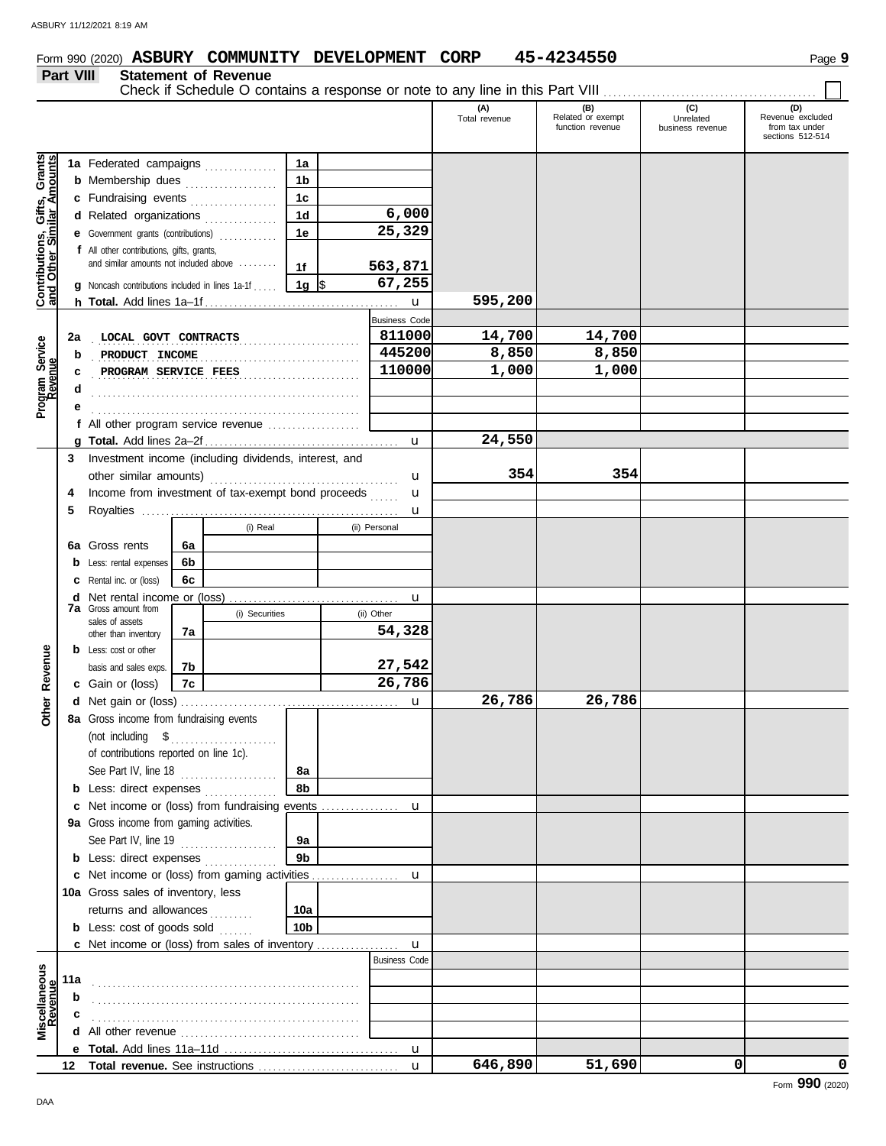**2a**

**Contributions, Gifts, Grants and Other Similar Amounts**

Contributions, Gifts, Grants<br>and Other Similar Amounts

**Program Service**

Program Service<br>Revenue

**e d c b**

**3**

## **Form 990 (2020) ASBURY COMMUNITY DEVELOPMENT CORP 45-4234550** Page 9

### **Part VIII Statement of Revenue**

**(A) (B) (C) (D)** Total revenue Related or exempt Unrelated Revenue excluded function revenue business revenue from tax under **1a** Federated campaigns **.............**.. **b** Membership dues **. . . . . . . . . . . . . . .** . . . **c** Fundraising events . . . . . . . . . . . . . . . **d** Related organizations ............... **e** Government grants (contributions) . . . . . . . . . . . . **f** All other contributions, gifts, grants, **g** Noncash contributions included in lines 1a-1f . . . . . **h Total.** Add lines 1a–1f . . . . . . . . . . . . . . . . . . . . . . . . . . . . . . . . . . . . . . . . and similar amounts not included above ........ **1a 1b 1c 1d 1e 1f** u . . . . . . . . . . . . . . . . . . . . . . . . . . . . . . . . . . . . . . . . . . . . . . . . . . . . . . . **LOCAL GOVT CONTRACTS 811000 14,700 14,700** . . . . . . . . . . . . . . . . . . . . . . . . . . . . . . . . . . . . . . . . . . . . . . . . . . . . . . . **PROGRAM SERVICE FEES 110000 1,000 1,000** . . . . . . . . . . . . . . . . . . . . . . . . . . . . . . . . . . . . . . . . . . . . . . . . . . . . . . . . . . . . . . . . . . . . . . . . . . . . . . . . . . . . . . . . . . . . . . . . . . . . . . . . . . . . . . **g Total.** Add lines 2a–2f . . . . . . . . . . . . . . . . . . . . . . . . . . . . . . . . . . . . . . . . u **f** All other program service revenue . . . . . . . . . . . . . . . . . . . \$ . . . . . . . . . . . . . . . . . . . . . **67,255** Investment income (including dividends, interest, and . . . . . . . . . . . . . . . . . . . . . . . . . . . . . . . . . . . . . . . u u Business Code Check if Schedule O contains a response or note to any line in this Part VIII ...... 1g  $\frac{1}{3}$ **6,000 25,329 563,871 595,200 PRODUCT INCOME 445200 8,850 8,850 24,550 354 354**

|                         |     |                                                      |    | ounone moonio (molaamig annaonao, milorool, |                 |  | u                    | 354     | 354    |   |   |
|-------------------------|-----|------------------------------------------------------|----|---------------------------------------------|-----------------|--|----------------------|---------|--------|---|---|
|                         | 4   | Income from investment of tax-exempt bond proceeds   |    |                                             |                 |  | u                    |         |        |   |   |
|                         | 5   |                                                      |    |                                             |                 |  | $\mathbf u$          |         |        |   |   |
|                         |     |                                                      |    | (i) Real                                    |                 |  | (ii) Personal        |         |        |   |   |
|                         |     | 6a Gross rents                                       | 6a |                                             |                 |  |                      |         |        |   |   |
|                         |     | <b>b</b> Less: rental expenses                       | 6b |                                             |                 |  |                      |         |        |   |   |
|                         |     | <b>c</b> Rental inc. or (loss)                       | 6с |                                             |                 |  |                      |         |        |   |   |
|                         | d   | Net rental income or (loss)                          |    |                                             |                 |  | $\mathbf u$          |         |        |   |   |
|                         |     | <b>7a</b> Gross amount from                          |    | (i) Securities                              |                 |  | (ii) Other           |         |        |   |   |
|                         |     | sales of assets                                      | 7a |                                             |                 |  | 54,328               |         |        |   |   |
|                         |     | other than inventory<br><b>b</b> Less: cost or other |    |                                             |                 |  |                      |         |        |   |   |
|                         |     | basis and sales exps.                                | 7b |                                             |                 |  | 27,542               |         |        |   |   |
| Revenue                 |     | c Gain or (loss)                                     | 7c |                                             |                 |  | 26,786               |         |        |   |   |
|                         |     |                                                      |    |                                             |                 |  | $\mathbf u$          | 26,786  | 26,786 |   |   |
| Other                   |     | 8a Gross income from fundraising events              |    |                                             |                 |  |                      |         |        |   |   |
|                         |     |                                                      |    |                                             |                 |  |                      |         |        |   |   |
|                         |     | of contributions reported on line 1c).               |    |                                             |                 |  |                      |         |        |   |   |
|                         |     | See Part IV, line 18                                 |    |                                             | 8а              |  |                      |         |        |   |   |
|                         |     | <b>b</b> Less: direct expenses                       |    |                                             | 8b              |  |                      |         |        |   |   |
|                         |     | c Net income or (loss) from fundraising events       |    |                                             |                 |  | u                    |         |        |   |   |
|                         |     | 9a Gross income from gaming activities.              |    |                                             |                 |  |                      |         |        |   |   |
|                         |     | See Part IV, line 19 $\ldots$                        |    |                                             | <b>9a</b>       |  |                      |         |        |   |   |
|                         |     | <b>b</b> Less: direct expenses                       |    |                                             | 9 <sub>b</sub>  |  |                      |         |        |   |   |
|                         |     | c Net income or (loss) from gaming activities        |    |                                             |                 |  | u                    |         |        |   |   |
|                         |     | 10a Gross sales of inventory, less                   |    |                                             |                 |  |                      |         |        |   |   |
|                         |     | returns and allowances                               |    |                                             | 10a             |  |                      |         |        |   |   |
|                         |     | <b>b</b> Less: cost of goods sold                    |    |                                             | 10 <sub>b</sub> |  |                      |         |        |   |   |
|                         |     | c Net income or (loss) from sales of inventory       |    |                                             |                 |  | $\mathbf u$          |         |        |   |   |
|                         |     |                                                      |    |                                             |                 |  | <b>Business Code</b> |         |        |   |   |
|                         | 11a |                                                      |    |                                             |                 |  |                      |         |        |   |   |
|                         | b   |                                                      |    |                                             |                 |  |                      |         |        |   |   |
| iscellaneous<br>Revenue |     |                                                      |    |                                             |                 |  |                      |         |        |   |   |
|                         | d   |                                                      |    |                                             |                 |  |                      |         |        |   |   |
|                         |     |                                                      |    |                                             |                 |  | $\mathbf u$          |         |        |   |   |
|                         |     |                                                      |    |                                             |                 |  | $\mathbf{u}$         | 646,890 | 51,690 | 0 | 0 |

sections 512-514

**Miscellaneous**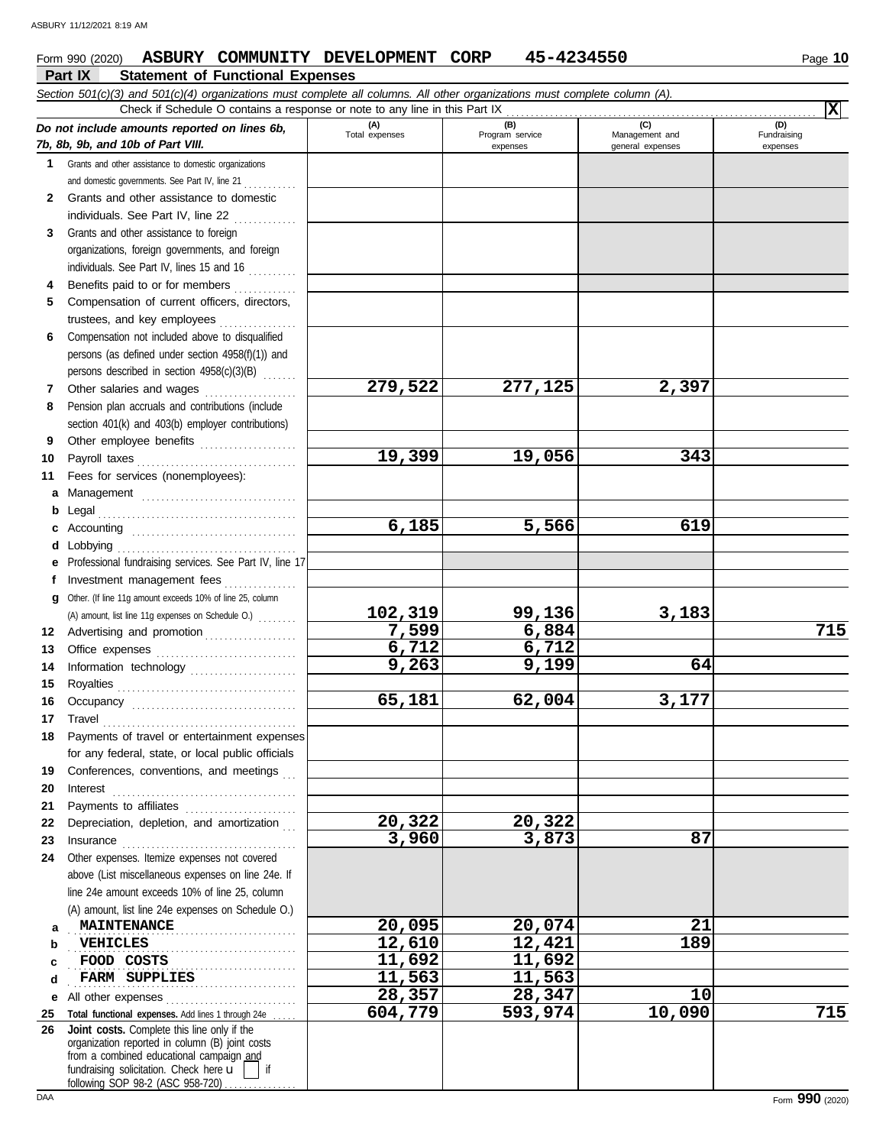### **Part IX Statement of Functional Expenses Form 990 (2020) ASBURY COMMUNITY DEVELOPMENT CORP 45-4234550** Page 10 *Section 501(c)(3) and 501(c)(4) organizations must complete all columns. All other organizations must complete column (A).* Check if Schedule O contains a response or note to any line in this Part IX

|              | Check if Schedule O contains a response or note to any line in this Part IX                                                                                                                                                                                                                                                                                                                                                                                                                                                                                                 |                       |                        |                       | lxl                |
|--------------|-----------------------------------------------------------------------------------------------------------------------------------------------------------------------------------------------------------------------------------------------------------------------------------------------------------------------------------------------------------------------------------------------------------------------------------------------------------------------------------------------------------------------------------------------------------------------------|-----------------------|------------------------|-----------------------|--------------------|
|              | Do not include amounts reported on lines 6b,                                                                                                                                                                                                                                                                                                                                                                                                                                                                                                                                | (A)<br>Total expenses | (B)<br>Program service | (C)<br>Management and | (D)<br>Fundraising |
|              | 7b, 8b, 9b, and 10b of Part VIII.                                                                                                                                                                                                                                                                                                                                                                                                                                                                                                                                           |                       | expenses               | general expenses      | expenses           |
|              | 1 Grants and other assistance to domestic organizations                                                                                                                                                                                                                                                                                                                                                                                                                                                                                                                     |                       |                        |                       |                    |
|              | and domestic governments. See Part IV, line 21                                                                                                                                                                                                                                                                                                                                                                                                                                                                                                                              |                       |                        |                       |                    |
| $\mathbf{2}$ | Grants and other assistance to domestic                                                                                                                                                                                                                                                                                                                                                                                                                                                                                                                                     |                       |                        |                       |                    |
|              | individuals. See Part IV, line 22<br>Grants and other assistance to foreign                                                                                                                                                                                                                                                                                                                                                                                                                                                                                                 |                       |                        |                       |                    |
| 3            | organizations, foreign governments, and foreign                                                                                                                                                                                                                                                                                                                                                                                                                                                                                                                             |                       |                        |                       |                    |
|              | individuals. See Part IV, lines 15 and 16                                                                                                                                                                                                                                                                                                                                                                                                                                                                                                                                   |                       |                        |                       |                    |
| 4            | Benefits paid to or for members                                                                                                                                                                                                                                                                                                                                                                                                                                                                                                                                             |                       |                        |                       |                    |
| 5            | Compensation of current officers, directors,                                                                                                                                                                                                                                                                                                                                                                                                                                                                                                                                |                       |                        |                       |                    |
|              | trustees, and key employees                                                                                                                                                                                                                                                                                                                                                                                                                                                                                                                                                 |                       |                        |                       |                    |
| 6            | Compensation not included above to disqualified                                                                                                                                                                                                                                                                                                                                                                                                                                                                                                                             |                       |                        |                       |                    |
|              | persons (as defined under section 4958(f)(1)) and                                                                                                                                                                                                                                                                                                                                                                                                                                                                                                                           |                       |                        |                       |                    |
|              | persons described in section 4958(c)(3)(B)                                                                                                                                                                                                                                                                                                                                                                                                                                                                                                                                  |                       |                        |                       |                    |
| 7            | Other salaries and wages                                                                                                                                                                                                                                                                                                                                                                                                                                                                                                                                                    | 279,522               | 277,125                | 2,397                 |                    |
| 8            | Pension plan accruals and contributions (include                                                                                                                                                                                                                                                                                                                                                                                                                                                                                                                            |                       |                        |                       |                    |
|              | section 401(k) and 403(b) employer contributions)                                                                                                                                                                                                                                                                                                                                                                                                                                                                                                                           |                       |                        |                       |                    |
| 9            | Other employee benefits                                                                                                                                                                                                                                                                                                                                                                                                                                                                                                                                                     |                       |                        |                       |                    |
| 10           |                                                                                                                                                                                                                                                                                                                                                                                                                                                                                                                                                                             | 19,399                | 19,056                 | 343                   |                    |
| 11           | Fees for services (nonemployees):                                                                                                                                                                                                                                                                                                                                                                                                                                                                                                                                           |                       |                        |                       |                    |
| a            | Management                                                                                                                                                                                                                                                                                                                                                                                                                                                                                                                                                                  |                       |                        |                       |                    |
| b            |                                                                                                                                                                                                                                                                                                                                                                                                                                                                                                                                                                             |                       |                        |                       |                    |
| c            |                                                                                                                                                                                                                                                                                                                                                                                                                                                                                                                                                                             | 6,185                 | 5,566                  | 619                   |                    |
| d            |                                                                                                                                                                                                                                                                                                                                                                                                                                                                                                                                                                             |                       |                        |                       |                    |
| е            | Professional fundraising services. See Part IV, line 17                                                                                                                                                                                                                                                                                                                                                                                                                                                                                                                     |                       |                        |                       |                    |
| f.           | Investment management fees                                                                                                                                                                                                                                                                                                                                                                                                                                                                                                                                                  |                       |                        |                       |                    |
| a            | Other. (If line 11g amount exceeds 10% of line 25, column                                                                                                                                                                                                                                                                                                                                                                                                                                                                                                                   |                       |                        |                       |                    |
|              | (A) amount, list line 11g expenses on Schedule O.)                                                                                                                                                                                                                                                                                                                                                                                                                                                                                                                          | 102,319               | 99,136                 | 3,183                 |                    |
| 12           | Advertising and promotion                                                                                                                                                                                                                                                                                                                                                                                                                                                                                                                                                   | 7,599                 | 6,884                  |                       | 715                |
| 13           |                                                                                                                                                                                                                                                                                                                                                                                                                                                                                                                                                                             | 6,712                 | 6,712                  |                       |                    |
| 14           | Information technology                                                                                                                                                                                                                                                                                                                                                                                                                                                                                                                                                      | 9,263                 | 9,199                  | 64                    |                    |
| 15           |                                                                                                                                                                                                                                                                                                                                                                                                                                                                                                                                                                             | 65,181                | 62,004                 | 3,177                 |                    |
| 16<br>17     |                                                                                                                                                                                                                                                                                                                                                                                                                                                                                                                                                                             |                       |                        |                       |                    |
| 18           | $\begin{minipage}[c]{0.9\linewidth} \begin{tabular}{l} \textbf{Travel} \end{tabular} \end{minipage} \end{minipage} \begin{minipage}[c]{0.9\linewidth} \begin{tabular}{l} \textbf{True} \end{tabular} \end{minipage} \end{minipage} \begin{minipage}[c]{0.9\linewidth} \begin{tabular}{l} \textbf{True} \end{tabular} \end{minipage} \end{minipage} \begin{minipage}[c]{0.9\linewidth} \begin{tabular}{l} \textbf{True} \end{tabular} \end{minipage} \end{minipage} \begin{minipage}[c]{0.9\linewidth} \begin{tabular}{l} \$<br>Payments of travel or entertainment expenses |                       |                        |                       |                    |
|              | for any federal, state, or local public officials                                                                                                                                                                                                                                                                                                                                                                                                                                                                                                                           |                       |                        |                       |                    |
| 19           | Conferences, conventions, and meetings                                                                                                                                                                                                                                                                                                                                                                                                                                                                                                                                      |                       |                        |                       |                    |
| 20           | Interest                                                                                                                                                                                                                                                                                                                                                                                                                                                                                                                                                                    |                       |                        |                       |                    |
| 21           | Payments to affiliates                                                                                                                                                                                                                                                                                                                                                                                                                                                                                                                                                      |                       |                        |                       |                    |
| 22           | Depreciation, depletion, and amortization                                                                                                                                                                                                                                                                                                                                                                                                                                                                                                                                   | 20,322                | 20,322                 |                       |                    |
| 23           | Insurance                                                                                                                                                                                                                                                                                                                                                                                                                                                                                                                                                                   | 3,960                 | 3,873                  | 87                    |                    |
| 24           | Other expenses. Itemize expenses not covered                                                                                                                                                                                                                                                                                                                                                                                                                                                                                                                                |                       |                        |                       |                    |
|              | above (List miscellaneous expenses on line 24e. If                                                                                                                                                                                                                                                                                                                                                                                                                                                                                                                          |                       |                        |                       |                    |
|              | line 24e amount exceeds 10% of line 25, column                                                                                                                                                                                                                                                                                                                                                                                                                                                                                                                              |                       |                        |                       |                    |
|              | (A) amount, list line 24e expenses on Schedule O.)                                                                                                                                                                                                                                                                                                                                                                                                                                                                                                                          |                       |                        |                       |                    |
| а            | <b>MAINTENANCE</b>                                                                                                                                                                                                                                                                                                                                                                                                                                                                                                                                                          | 20,095                | 20,074                 | 21                    |                    |
| b            | <b>VEHICLES</b>                                                                                                                                                                                                                                                                                                                                                                                                                                                                                                                                                             | 12,610                | 12,421                 | 189                   |                    |
| c            | FOOD COSTS                                                                                                                                                                                                                                                                                                                                                                                                                                                                                                                                                                  | 11,692                | 11,692                 |                       |                    |
| d            | FARM SUPPLIES                                                                                                                                                                                                                                                                                                                                                                                                                                                                                                                                                               | 11,563<br>28,357      | 11,563<br>28,347       | 10                    |                    |
| е            | All other expenses                                                                                                                                                                                                                                                                                                                                                                                                                                                                                                                                                          | 604,779               | 593,974                | 10,090                | 715                |
| 25<br>26     | Total functional expenses. Add lines 1 through 24e<br>Joint costs. Complete this line only if the                                                                                                                                                                                                                                                                                                                                                                                                                                                                           |                       |                        |                       |                    |
|              | organization reported in column (B) joint costs                                                                                                                                                                                                                                                                                                                                                                                                                                                                                                                             |                       |                        |                       |                    |
|              | from a combined educational campaign and<br>fundraising solicitation. Check here u<br>if                                                                                                                                                                                                                                                                                                                                                                                                                                                                                    |                       |                        |                       |                    |
|              | following SOP 98-2 (ASC 958-720)                                                                                                                                                                                                                                                                                                                                                                                                                                                                                                                                            |                       |                        |                       |                    |
| DAA          |                                                                                                                                                                                                                                                                                                                                                                                                                                                                                                                                                                             |                       |                        |                       | Form 990 (2020)    |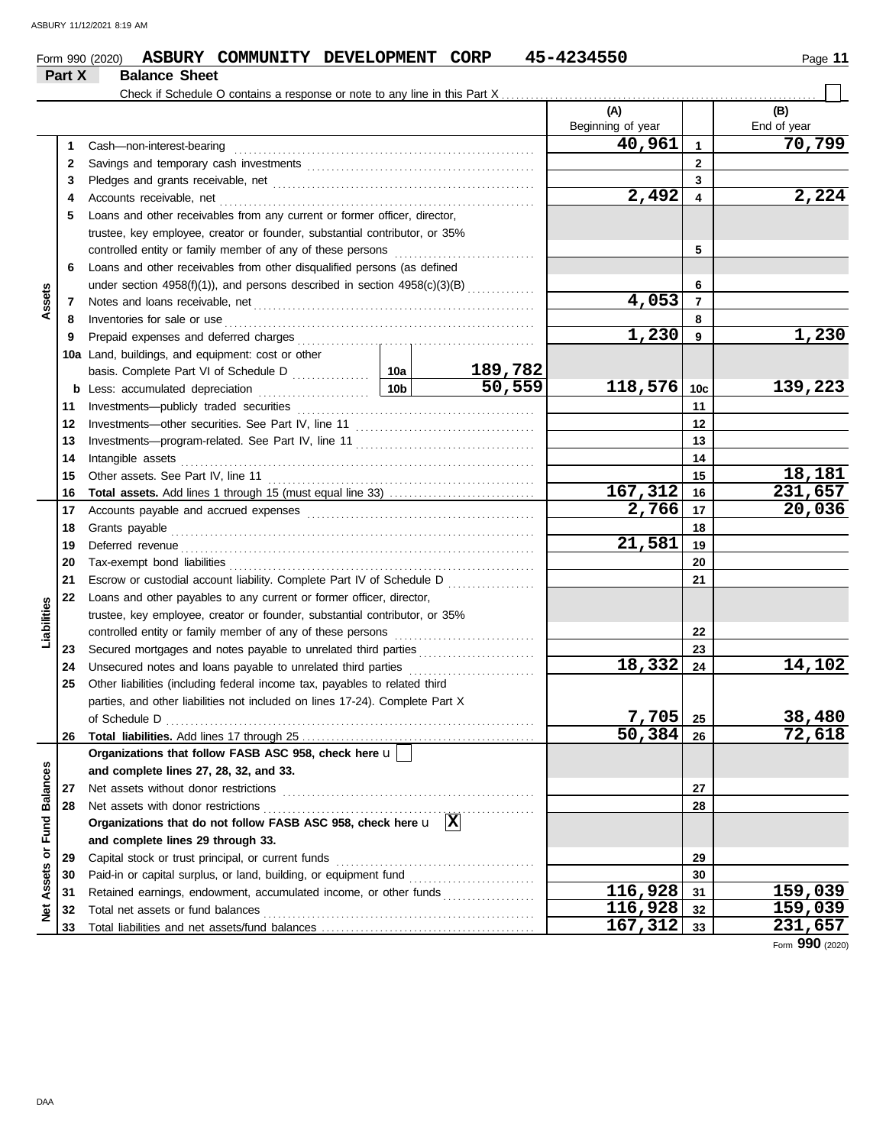|                      |          | ASBURY COMMUNITY DEVELOPMENT CORP<br>Form 990 (2020)                                                                                                                                                                                |                                                                  |                  | 45-4234550        |                | Page 11     |  |  |
|----------------------|----------|-------------------------------------------------------------------------------------------------------------------------------------------------------------------------------------------------------------------------------------|------------------------------------------------------------------|------------------|-------------------|----------------|-------------|--|--|
|                      | Part X   | <b>Balance Sheet</b>                                                                                                                                                                                                                |                                                                  |                  |                   |                |             |  |  |
|                      |          | Check if Schedule O contains a response or note to any line in this Part X                                                                                                                                                          |                                                                  |                  |                   |                |             |  |  |
|                      |          |                                                                                                                                                                                                                                     |                                                                  |                  | (A)               |                | (B)         |  |  |
|                      |          |                                                                                                                                                                                                                                     |                                                                  |                  | Beginning of year |                | End of year |  |  |
|                      | 1        | Cash-non-interest-bearing                                                                                                                                                                                                           |                                                                  |                  | 40,961            | $\mathbf{1}$   | 70,799      |  |  |
|                      | 2        |                                                                                                                                                                                                                                     |                                                                  |                  |                   | $\mathbf{2}$   |             |  |  |
|                      | 3        |                                                                                                                                                                                                                                     |                                                                  |                  |                   | 3              |             |  |  |
|                      | 4        |                                                                                                                                                                                                                                     |                                                                  |                  | 2,492             | 4              | 2,224       |  |  |
|                      | 5        | Loans and other receivables from any current or former officer, director,                                                                                                                                                           |                                                                  |                  |                   |                |             |  |  |
|                      |          | trustee, key employee, creator or founder, substantial contributor, or 35%                                                                                                                                                          |                                                                  |                  |                   |                |             |  |  |
|                      |          | controlled entity or family member of any of these persons                                                                                                                                                                          |                                                                  |                  |                   | 5              |             |  |  |
|                      | 6        | Loans and other receivables from other disqualified persons (as defined                                                                                                                                                             |                                                                  |                  |                   |                |             |  |  |
|                      |          | under section 4958(f)(1)), and persons described in section $4958(c)(3)(B)$                                                                                                                                                         |                                                                  |                  |                   | 6              |             |  |  |
| Assets               | 7        |                                                                                                                                                                                                                                     |                                                                  |                  | 4,053             | $\overline{7}$ |             |  |  |
|                      | 8        | Inventories for sale or use <i>communication</i> and the state or use of the state or use of the state or use of the state or use of the state or use of the state or use of the state of the state or the state or the state or th |                                                                  |                  | 1,230             | 8              |             |  |  |
|                      | 9        |                                                                                                                                                                                                                                     |                                                                  |                  |                   | 9              | 1,230       |  |  |
|                      |          | <b>10a</b> Land, buildings, and equipment: cost or other                                                                                                                                                                            |                                                                  | 189,782          |                   |                |             |  |  |
|                      |          |                                                                                                                                                                                                                                     |                                                                  | 50,559           | 118,576           |                | 139,223     |  |  |
|                      |          |                                                                                                                                                                                                                                     |                                                                  |                  |                   | 10c            |             |  |  |
|                      | 11       |                                                                                                                                                                                                                                     |                                                                  |                  |                   | 11<br>$12 \,$  |             |  |  |
|                      | 12       |                                                                                                                                                                                                                                     |                                                                  |                  | 13                |                |             |  |  |
|                      | 13       |                                                                                                                                                                                                                                     |                                                                  |                  | 14                |                |             |  |  |
|                      | 14<br>15 |                                                                                                                                                                                                                                     |                                                                  |                  | 15                | 18,181         |             |  |  |
|                      | 16       |                                                                                                                                                                                                                                     |                                                                  | 167,312          | 16                | 231,657        |             |  |  |
|                      | 17       |                                                                                                                                                                                                                                     |                                                                  | $\sqrt{2}$ , 766 | 17                | 20,036         |             |  |  |
|                      | 18       |                                                                                                                                                                                                                                     |                                                                  |                  | 18                |                |             |  |  |
|                      | 19       |                                                                                                                                                                                                                                     |                                                                  |                  | 21,581            | 19             |             |  |  |
|                      | 20       |                                                                                                                                                                                                                                     |                                                                  |                  |                   | 20             |             |  |  |
|                      | 21       | Escrow or custodial account liability. Complete Part IV of Schedule D                                                                                                                                                               |                                                                  |                  |                   | 21             |             |  |  |
|                      | 22       | Loans and other payables to any current or former officer, director,                                                                                                                                                                |                                                                  |                  |                   |                |             |  |  |
| Liabilities          |          | trustee, key employee, creator or founder, substantial contributor, or 35%                                                                                                                                                          |                                                                  |                  |                   |                |             |  |  |
|                      |          | controlled entity or family member of any of these persons                                                                                                                                                                          |                                                                  |                  |                   | 22             |             |  |  |
|                      | 23       | Secured mortgages and notes payable to unrelated third parties                                                                                                                                                                      |                                                                  |                  |                   | 23             |             |  |  |
|                      | 24       | Unsecured notes and loans payable to unrelated third parties [111] [11] Unsecured notes and loans payable to unrelated third parties                                                                                                |                                                                  |                  | 18,332            | 24             | 14,102      |  |  |
|                      | 25       | Other liabilities (including federal income tax, payables to related third                                                                                                                                                          |                                                                  |                  |                   |                |             |  |  |
|                      |          | parties, and other liabilities not included on lines 17-24). Complete Part X                                                                                                                                                        |                                                                  |                  |                   |                |             |  |  |
|                      |          | of Schedule D                                                                                                                                                                                                                       |                                                                  |                  | 7,705             | 25             | 38,480      |  |  |
|                      | 26       |                                                                                                                                                                                                                                     |                                                                  |                  | 50,384            | 26             | 72,618      |  |  |
|                      |          | Organizations that follow FASB ASC 958, check here $\mathbf{u}$                                                                                                                                                                     |                                                                  |                  |                   |                |             |  |  |
|                      |          | and complete lines 27, 28, 32, and 33.                                                                                                                                                                                              |                                                                  |                  |                   |                |             |  |  |
| <b>Fund Balances</b> | 27       | Net assets without donor restrictions                                                                                                                                                                                               |                                                                  |                  |                   | 27             |             |  |  |
|                      | 28       |                                                                                                                                                                                                                                     |                                                                  | 28               |                   |                |             |  |  |
|                      |          | Net assets with donor restrictions<br><b>Organizations that do not follow FASB ASC 958, check here u</b> $\boxed{\mathbf{X}}$                                                                                                       |                                                                  |                  |                   |                |             |  |  |
|                      |          | and complete lines 29 through 33.                                                                                                                                                                                                   |                                                                  |                  |                   |                |             |  |  |
| Assets or            | 29       |                                                                                                                                                                                                                                     |                                                                  |                  | 29                |                |             |  |  |
|                      | 30       |                                                                                                                                                                                                                                     |                                                                  |                  | 116,928           | 30             | 159,039     |  |  |
|                      | 31       |                                                                                                                                                                                                                                     | Retained earnings, endowment, accumulated income, or other funds |                  |                   |                |             |  |  |
| <b>Met</b>           | 32       | Total net assets or fund balances                                                                                                                                                                                                   |                                                                  |                  | 116,928           | 32             | 159,039     |  |  |
|                      | 33       |                                                                                                                                                                                                                                     |                                                                  |                  | 167,312           | 33             | 231,657     |  |  |

Form **990** (2020)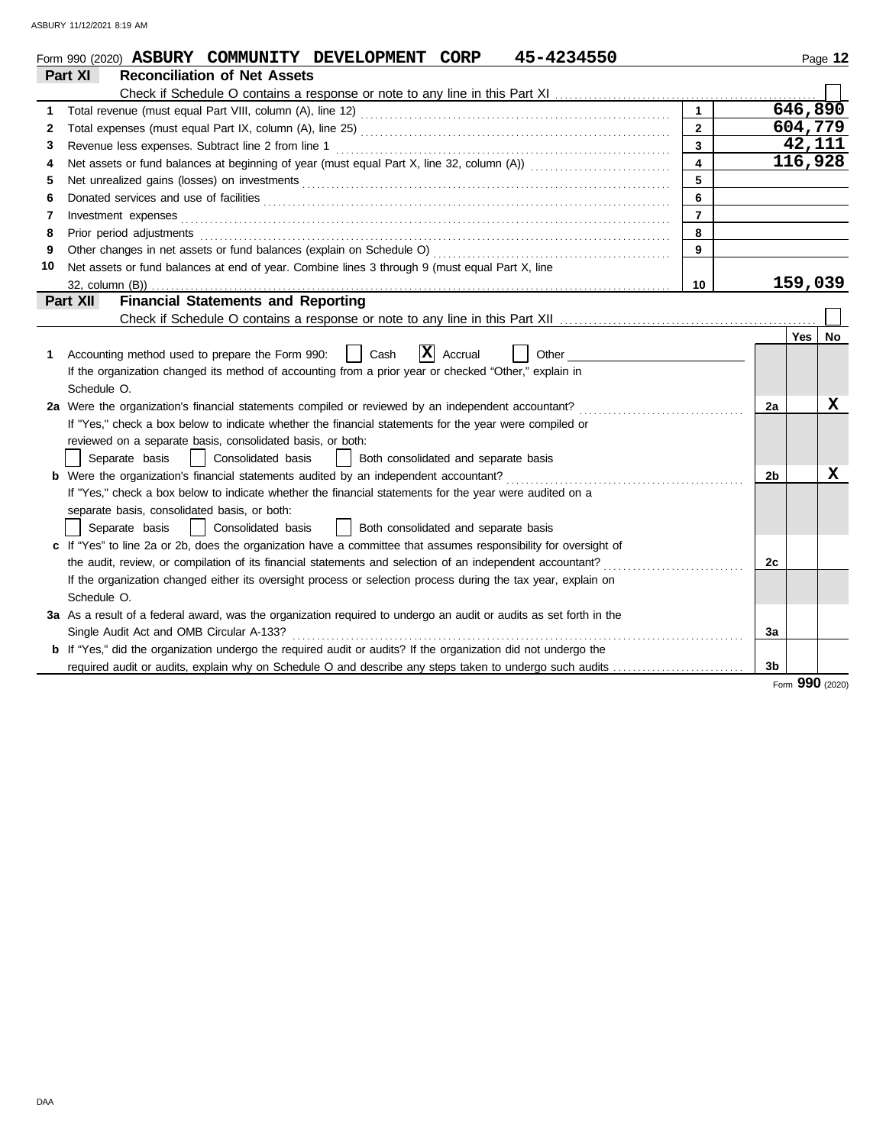ASBURY 11/12/2021 8:19 AM

|                                          | 45-4234550<br>Form 990 (2020) ASBURY COMMUNITY DEVELOPMENT CORP                                                                                                                                                                |                         |                | Page 12          |  |  |  |
|------------------------------------------|--------------------------------------------------------------------------------------------------------------------------------------------------------------------------------------------------------------------------------|-------------------------|----------------|------------------|--|--|--|
|                                          | Part XI<br><b>Reconciliation of Net Assets</b>                                                                                                                                                                                 |                         |                |                  |  |  |  |
|                                          |                                                                                                                                                                                                                                |                         |                |                  |  |  |  |
| 1                                        |                                                                                                                                                                                                                                |                         |                | 646,890          |  |  |  |
| 2                                        |                                                                                                                                                                                                                                | $\overline{2}$          |                | 604,779          |  |  |  |
| 3                                        |                                                                                                                                                                                                                                | $\overline{\mathbf{3}}$ |                | 42,111           |  |  |  |
| 4                                        | Net assets or fund balances at beginning of year (must equal Part X, line 32, column (A))                                                                                                                                      | $\overline{\mathbf{4}}$ |                | 116,928          |  |  |  |
| 5                                        |                                                                                                                                                                                                                                | 5                       |                |                  |  |  |  |
| 6                                        |                                                                                                                                                                                                                                | 6                       |                |                  |  |  |  |
| 7                                        |                                                                                                                                                                                                                                | $\overline{7}$          |                |                  |  |  |  |
| 8                                        | Prior period adjustments [11, 12] and the contract of the contract of the contract of the contract of the contract of the contract of the contract of the contract of the contract of the contract of the contract of the cont | 8                       |                |                  |  |  |  |
| 9                                        |                                                                                                                                                                                                                                | $\overline{9}$          |                |                  |  |  |  |
| 10                                       | Net assets or fund balances at end of year. Combine lines 3 through 9 (must equal Part X, line                                                                                                                                 |                         |                |                  |  |  |  |
|                                          | 32, column (B))                                                                                                                                                                                                                | 10                      |                | 159,039          |  |  |  |
|                                          | <b>Financial Statements and Reporting</b><br>Part XII                                                                                                                                                                          |                         |                |                  |  |  |  |
|                                          |                                                                                                                                                                                                                                |                         |                |                  |  |  |  |
|                                          |                                                                                                                                                                                                                                |                         |                | <b>Yes</b><br>No |  |  |  |
| 1.                                       | $ \mathbf{X} $ Accrual<br>Cash<br>Accounting method used to prepare the Form 990:<br>Other                                                                                                                                     |                         |                |                  |  |  |  |
|                                          | If the organization changed its method of accounting from a prior year or checked "Other," explain in                                                                                                                          |                         |                |                  |  |  |  |
|                                          | Schedule O.                                                                                                                                                                                                                    |                         |                |                  |  |  |  |
|                                          | 2a Were the organization's financial statements compiled or reviewed by an independent accountant?                                                                                                                             |                         | 2a             | X                |  |  |  |
|                                          | If "Yes," check a box below to indicate whether the financial statements for the year were compiled or                                                                                                                         |                         |                |                  |  |  |  |
|                                          | reviewed on a separate basis, consolidated basis, or both:                                                                                                                                                                     |                         |                |                  |  |  |  |
|                                          | Both consolidated and separate basis<br>Separate basis<br>Consolidated basis<br>$\Box$                                                                                                                                         |                         |                |                  |  |  |  |
|                                          | <b>b</b> Were the organization's financial statements audited by an independent accountant?                                                                                                                                    |                         | 2b             | x                |  |  |  |
|                                          | If "Yes," check a box below to indicate whether the financial statements for the year were audited on a                                                                                                                        |                         |                |                  |  |  |  |
|                                          | separate basis, consolidated basis, or both:                                                                                                                                                                                   |                         |                |                  |  |  |  |
|                                          | Separate basis<br>Consolidated basis<br>Both consolidated and separate basis                                                                                                                                                   |                         |                |                  |  |  |  |
|                                          | c If "Yes" to line 2a or 2b, does the organization have a committee that assumes responsibility for oversight of                                                                                                               |                         |                |                  |  |  |  |
|                                          | the audit, review, or compilation of its financial statements and selection of an independent accountant?                                                                                                                      |                         | 2c             |                  |  |  |  |
|                                          | If the organization changed either its oversight process or selection process during the tax year, explain on                                                                                                                  |                         |                |                  |  |  |  |
|                                          | Schedule O.                                                                                                                                                                                                                    |                         |                |                  |  |  |  |
|                                          | 3a As a result of a federal award, was the organization required to undergo an audit or audits as set forth in the                                                                                                             |                         |                |                  |  |  |  |
| Single Audit Act and OMB Circular A-133? |                                                                                                                                                                                                                                |                         |                |                  |  |  |  |
|                                          | <b>b</b> If "Yes," did the organization undergo the required audit or audits? If the organization did not undergo the                                                                                                          |                         |                |                  |  |  |  |
|                                          |                                                                                                                                                                                                                                |                         | 3 <sub>b</sub> |                  |  |  |  |

Form **990** (2020)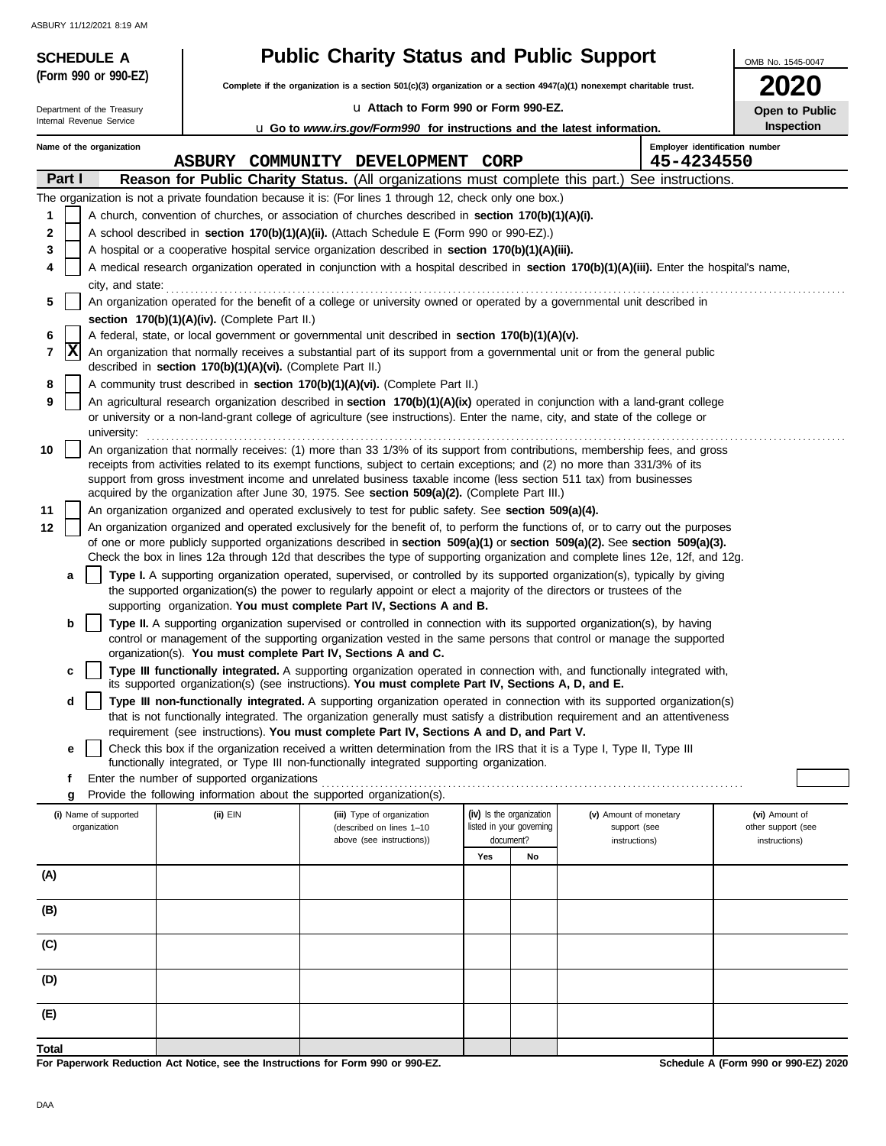ASBURY 11/12/2021 8:19 AM

| <b>SCHEDULE A</b>          |                                                                                                                                                   | <b>Public Charity Status and Public Support</b>                                                                                                                                                                                                                 |                          |    |                        | OMB No. 1545-0047              |  |  |  |  |
|----------------------------|---------------------------------------------------------------------------------------------------------------------------------------------------|-----------------------------------------------------------------------------------------------------------------------------------------------------------------------------------------------------------------------------------------------------------------|--------------------------|----|------------------------|--------------------------------|--|--|--|--|
| (Form 990 or 990-EZ)       |                                                                                                                                                   | Complete if the organization is a section 501(c)(3) organization or a section 4947(a)(1) nonexempt charitable trust.                                                                                                                                            |                          |    |                        | 2020                           |  |  |  |  |
| Department of the Treasury |                                                                                                                                                   | La Attach to Form 990 or Form 990-EZ.                                                                                                                                                                                                                           |                          |    |                        | Open to Public                 |  |  |  |  |
| Internal Revenue Service   |                                                                                                                                                   | u Go to www.irs.gov/Form990 for instructions and the latest information.                                                                                                                                                                                        |                          |    |                        | <b>Inspection</b>              |  |  |  |  |
| Name of the organization   |                                                                                                                                                   | ASBURY COMMUNITY DEVELOPMENT CORP                                                                                                                                                                                                                               |                          |    | 45-4234550             | Employer identification number |  |  |  |  |
| Part I                     |                                                                                                                                                   | Reason for Public Charity Status. (All organizations must complete this part.) See instructions.                                                                                                                                                                |                          |    |                        |                                |  |  |  |  |
|                            |                                                                                                                                                   | The organization is not a private foundation because it is: (For lines 1 through 12, check only one box.)                                                                                                                                                       |                          |    |                        |                                |  |  |  |  |
| 1                          |                                                                                                                                                   | A church, convention of churches, or association of churches described in section 170(b)(1)(A)(i).                                                                                                                                                              |                          |    |                        |                                |  |  |  |  |
| 2<br>3                     |                                                                                                                                                   | A school described in section 170(b)(1)(A)(ii). (Attach Schedule E (Form 990 or 990-EZ).)<br>A hospital or a cooperative hospital service organization described in section 170(b)(1)(A)(iii).                                                                  |                          |    |                        |                                |  |  |  |  |
| 4                          |                                                                                                                                                   | A medical research organization operated in conjunction with a hospital described in section 170(b)(1)(A)(iii). Enter the hospital's name,                                                                                                                      |                          |    |                        |                                |  |  |  |  |
| city, and state:           |                                                                                                                                                   |                                                                                                                                                                                                                                                                 |                          |    |                        |                                |  |  |  |  |
| 5                          |                                                                                                                                                   | An organization operated for the benefit of a college or university owned or operated by a governmental unit described in                                                                                                                                       |                          |    |                        |                                |  |  |  |  |
| 6                          | section 170(b)(1)(A)(iv). (Complete Part II.)<br>A federal, state, or local government or governmental unit described in section 170(b)(1)(A)(v). |                                                                                                                                                                                                                                                                 |                          |    |                        |                                |  |  |  |  |
| X<br>7                     | An organization that normally receives a substantial part of its support from a governmental unit or from the general public                      |                                                                                                                                                                                                                                                                 |                          |    |                        |                                |  |  |  |  |
|                            | described in section 170(b)(1)(A)(vi). (Complete Part II.)                                                                                        |                                                                                                                                                                                                                                                                 |                          |    |                        |                                |  |  |  |  |
| 8                          |                                                                                                                                                   | A community trust described in section 170(b)(1)(A)(vi). (Complete Part II.)                                                                                                                                                                                    |                          |    |                        |                                |  |  |  |  |
| 9<br>university:           |                                                                                                                                                   | An agricultural research organization described in section 170(b)(1)(A)(ix) operated in conjunction with a land-grant college<br>or university or a non-land-grant college of agriculture (see instructions). Enter the name, city, and state of the college or |                          |    |                        |                                |  |  |  |  |
| 10                         |                                                                                                                                                   | An organization that normally receives: (1) more than 33 1/3% of its support from contributions, membership fees, and gross                                                                                                                                     |                          |    |                        |                                |  |  |  |  |
|                            |                                                                                                                                                   | receipts from activities related to its exempt functions, subject to certain exceptions; and (2) no more than 331/3% of its                                                                                                                                     |                          |    |                        |                                |  |  |  |  |
|                            |                                                                                                                                                   | support from gross investment income and unrelated business taxable income (less section 511 tax) from businesses<br>acquired by the organization after June 30, 1975. See section 509(a)(2). (Complete Part III.)                                              |                          |    |                        |                                |  |  |  |  |
| 11                         |                                                                                                                                                   | An organization organized and operated exclusively to test for public safety. See section 509(a)(4).                                                                                                                                                            |                          |    |                        |                                |  |  |  |  |
| 12                         |                                                                                                                                                   | An organization organized and operated exclusively for the benefit of, to perform the functions of, or to carry out the purposes                                                                                                                                |                          |    |                        |                                |  |  |  |  |
|                            |                                                                                                                                                   | of one or more publicly supported organizations described in section 509(a)(1) or section 509(a)(2). See section 509(a)(3).<br>Check the box in lines 12a through 12d that describes the type of supporting organization and complete lines 12e, 12f, and 12g.  |                          |    |                        |                                |  |  |  |  |
| а                          |                                                                                                                                                   | Type I. A supporting organization operated, supervised, or controlled by its supported organization(s), typically by giving                                                                                                                                     |                          |    |                        |                                |  |  |  |  |
|                            |                                                                                                                                                   | the supported organization(s) the power to regularly appoint or elect a majority of the directors or trustees of the                                                                                                                                            |                          |    |                        |                                |  |  |  |  |
| b                          |                                                                                                                                                   | supporting organization. You must complete Part IV, Sections A and B.<br>Type II. A supporting organization supervised or controlled in connection with its supported organization(s), by having                                                                |                          |    |                        |                                |  |  |  |  |
|                            |                                                                                                                                                   | control or management of the supporting organization vested in the same persons that control or manage the supported                                                                                                                                            |                          |    |                        |                                |  |  |  |  |
|                            |                                                                                                                                                   | organization(s). You must complete Part IV, Sections A and C.                                                                                                                                                                                                   |                          |    |                        |                                |  |  |  |  |
| с                          |                                                                                                                                                   | Type III functionally integrated. A supporting organization operated in connection with, and functionally integrated with,<br>its supported organization(s) (see instructions). You must complete Part IV, Sections A, D, and E.                                |                          |    |                        |                                |  |  |  |  |
| d                          |                                                                                                                                                   | Type III non-functionally integrated. A supporting organization operated in connection with its supported organization(s)                                                                                                                                       |                          |    |                        |                                |  |  |  |  |
|                            |                                                                                                                                                   | that is not functionally integrated. The organization generally must satisfy a distribution requirement and an attentiveness<br>requirement (see instructions). You must complete Part IV, Sections A and D, and Part V.                                        |                          |    |                        |                                |  |  |  |  |
| е                          |                                                                                                                                                   | Check this box if the organization received a written determination from the IRS that it is a Type I, Type II, Type III                                                                                                                                         |                          |    |                        |                                |  |  |  |  |
|                            |                                                                                                                                                   | functionally integrated, or Type III non-functionally integrated supporting organization.                                                                                                                                                                       |                          |    |                        |                                |  |  |  |  |
| f<br>g                     | Enter the number of supported organizations                                                                                                       | Provide the following information about the supported organization(s).                                                                                                                                                                                          |                          |    |                        |                                |  |  |  |  |
| (i) Name of supported      | $(ii)$ EIN                                                                                                                                        | (iii) Type of organization                                                                                                                                                                                                                                      | (iv) Is the organization |    | (v) Amount of monetary | (vi) Amount of                 |  |  |  |  |
| organization               |                                                                                                                                                   | (described on lines 1-10                                                                                                                                                                                                                                        | listed in your governing |    | support (see           | other support (see             |  |  |  |  |
|                            |                                                                                                                                                   | above (see instructions))                                                                                                                                                                                                                                       | document?<br>Yes         | No | instructions)          | instructions)                  |  |  |  |  |
| (A)                        |                                                                                                                                                   |                                                                                                                                                                                                                                                                 |                          |    |                        |                                |  |  |  |  |
|                            |                                                                                                                                                   |                                                                                                                                                                                                                                                                 |                          |    |                        |                                |  |  |  |  |
| (B)                        |                                                                                                                                                   |                                                                                                                                                                                                                                                                 |                          |    |                        |                                |  |  |  |  |
| (C)                        |                                                                                                                                                   |                                                                                                                                                                                                                                                                 |                          |    |                        |                                |  |  |  |  |
| (D)                        |                                                                                                                                                   |                                                                                                                                                                                                                                                                 |                          |    |                        |                                |  |  |  |  |
| (E)                        |                                                                                                                                                   |                                                                                                                                                                                                                                                                 |                          |    |                        |                                |  |  |  |  |
| Total                      |                                                                                                                                                   |                                                                                                                                                                                                                                                                 |                          |    |                        |                                |  |  |  |  |

**For Paperwork Reduction Act Notice, see the Instructions for Form 990 or 990-EZ.**

**Schedule A (Form 990 or 990-EZ) 2020**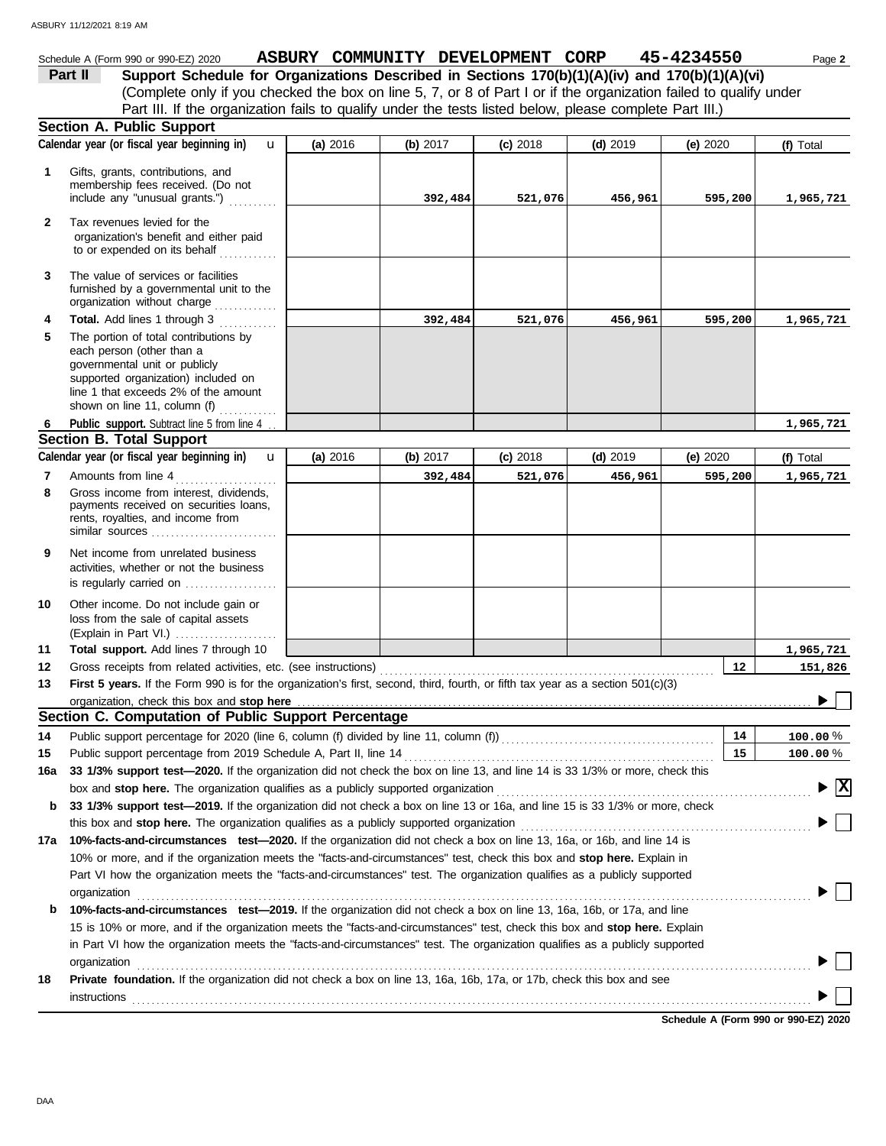|              | Schedule A (Form 990 or 990-EZ) 2020                                                                                                                                                                                                                                                                                                                         |          | ASBURY COMMUNITY DEVELOPMENT CORP |            |            | 45-4234550 | Page 2      |
|--------------|--------------------------------------------------------------------------------------------------------------------------------------------------------------------------------------------------------------------------------------------------------------------------------------------------------------------------------------------------------------|----------|-----------------------------------|------------|------------|------------|-------------|
|              | Part II<br>Support Schedule for Organizations Described in Sections 170(b)(1)(A)(iv) and 170(b)(1)(A)(vi)                                                                                                                                                                                                                                                    |          |                                   |            |            |            |             |
|              | (Complete only if you checked the box on line 5, 7, or 8 of Part I or if the organization failed to qualify under                                                                                                                                                                                                                                            |          |                                   |            |            |            |             |
|              | Part III. If the organization fails to qualify under the tests listed below, please complete Part III.)                                                                                                                                                                                                                                                      |          |                                   |            |            |            |             |
|              | Section A. Public Support                                                                                                                                                                                                                                                                                                                                    |          |                                   |            |            |            |             |
|              | Calendar year (or fiscal year beginning in)<br>$\mathbf{u}$                                                                                                                                                                                                                                                                                                  | (a) 2016 | (b) 2017                          | $(c)$ 2018 | $(d)$ 2019 | (e) $2020$ | (f) Total   |
| 1            | Gifts, grants, contributions, and<br>membership fees received. (Do not<br>include any "unusual grants.")                                                                                                                                                                                                                                                     |          | 392,484                           |            |            |            |             |
|              |                                                                                                                                                                                                                                                                                                                                                              |          |                                   | 521,076    | 456,961    | 595,200    | 1,965,721   |
| $\mathbf{2}$ | Tax revenues levied for the<br>organization's benefit and either paid<br>to or expended on its behalf                                                                                                                                                                                                                                                        |          |                                   |            |            |            |             |
| 3            | The value of services or facilities<br>furnished by a governmental unit to the<br>organization without charge                                                                                                                                                                                                                                                |          |                                   |            |            |            |             |
| 4            | Total. Add lines 1 through 3                                                                                                                                                                                                                                                                                                                                 |          | 392,484                           | 521,076    | 456,961    | 595,200    | 1,965,721   |
| 5            | The portion of total contributions by<br>each person (other than a<br>governmental unit or publicly<br>supported organization) included on<br>line 1 that exceeds 2% of the amount<br>shown on line 11, column (f)                                                                                                                                           |          |                                   |            |            |            |             |
| 6            | Public support. Subtract line 5 from line 4                                                                                                                                                                                                                                                                                                                  |          |                                   |            |            |            | 1,965,721   |
|              | <b>Section B. Total Support</b>                                                                                                                                                                                                                                                                                                                              |          |                                   |            |            |            |             |
|              | Calendar year (or fiscal year beginning in)<br>$\mathbf{u}$                                                                                                                                                                                                                                                                                                  | (a) 2016 | (b) 2017                          | $(c)$ 2018 | $(d)$ 2019 | (e) $2020$ | (f) Total   |
| 7            | Amounts from line 4<br>.                                                                                                                                                                                                                                                                                                                                     |          | 392,484                           | 521,076    | 456,961    | 595,200    | 1,965,721   |
| 8            | Gross income from interest, dividends,<br>payments received on securities loans,<br>rents, royalties, and income from<br>similar sources                                                                                                                                                                                                                     |          |                                   |            |            |            |             |
| 9            | Net income from unrelated business<br>activities, whether or not the business<br>is regularly carried on                                                                                                                                                                                                                                                     |          |                                   |            |            |            |             |
| 10           | Other income. Do not include gain or<br>loss from the sale of capital assets<br>(Explain in Part VI.)                                                                                                                                                                                                                                                        |          |                                   |            |            |            |             |
| 11           | Total support. Add lines 7 through 10                                                                                                                                                                                                                                                                                                                        |          |                                   |            |            |            | 1,965,721   |
| 12           |                                                                                                                                                                                                                                                                                                                                                              |          |                                   |            |            | 12         | 151,826     |
| 13           | First 5 years. If the Form 990 is for the organization's first, second, third, fourth, or fifth tax year as a section 501(c)(3)                                                                                                                                                                                                                              |          |                                   |            |            |            |             |
|              | organization, check this box and stop here<br>Section C. Computation of Public Support Percentage                                                                                                                                                                                                                                                            |          |                                   |            |            |            |             |
|              |                                                                                                                                                                                                                                                                                                                                                              |          |                                   |            |            |            |             |
| 14           | Public support percentage for 2020 (line 6, column (f) divided by line 11, column (f)) [[[[[[[[[[[[[[[[[[[[[[                                                                                                                                                                                                                                                |          |                                   |            |            | 14         | $100.00\%$  |
| 15           | 33 1/3% support test-2020. If the organization did not check the box on line 13, and line 14 is 33 1/3% or more, check this                                                                                                                                                                                                                                  |          |                                   |            |            | 15         | $100.00\%$  |
| 16a          |                                                                                                                                                                                                                                                                                                                                                              |          |                                   |            |            |            | $ {\bf x} $ |
| b            | box and stop here. The organization qualifies as a publicly supported organization [11] content content content content content of the state of the state of the state of the state of the state of the state of the state of<br>33 1/3% support test-2019. If the organization did not check a box on line 13 or 16a, and line 15 is 33 1/3% or more, check |          |                                   |            |            |            |             |
|              |                                                                                                                                                                                                                                                                                                                                                              |          |                                   |            |            |            |             |
| 17a          | 10%-facts-and-circumstances test-2020. If the organization did not check a box on line 13, 16a, or 16b, and line 14 is                                                                                                                                                                                                                                       |          |                                   |            |            |            |             |
|              | 10% or more, and if the organization meets the "facts-and-circumstances" test, check this box and stop here. Explain in                                                                                                                                                                                                                                      |          |                                   |            |            |            |             |
|              | Part VI how the organization meets the "facts-and-circumstances" test. The organization qualifies as a publicly supported                                                                                                                                                                                                                                    |          |                                   |            |            |            |             |
|              |                                                                                                                                                                                                                                                                                                                                                              |          |                                   |            |            |            |             |
| b            | organization                                                                                                                                                                                                                                                                                                                                                 |          |                                   |            |            |            |             |
|              | 10%-facts-and-circumstances test-2019. If the organization did not check a box on line 13, 16a, 16b, or 17a, and line<br>15 is 10% or more, and if the organization meets the "facts-and-circumstances" test, check this box and stop here. Explain                                                                                                          |          |                                   |            |            |            |             |
|              | in Part VI how the organization meets the "facts-and-circumstances" test. The organization qualifies as a publicly supported                                                                                                                                                                                                                                 |          |                                   |            |            |            |             |
|              | organization                                                                                                                                                                                                                                                                                                                                                 |          |                                   |            |            |            |             |
| 18           | Private foundation. If the organization did not check a box on line 13, 16a, 16b, 17a, or 17b, check this box and see                                                                                                                                                                                                                                        |          |                                   |            |            |            |             |
|              | instructions                                                                                                                                                                                                                                                                                                                                                 |          |                                   |            |            |            |             |

**Schedule A (Form 990 or 990-EZ) 2020**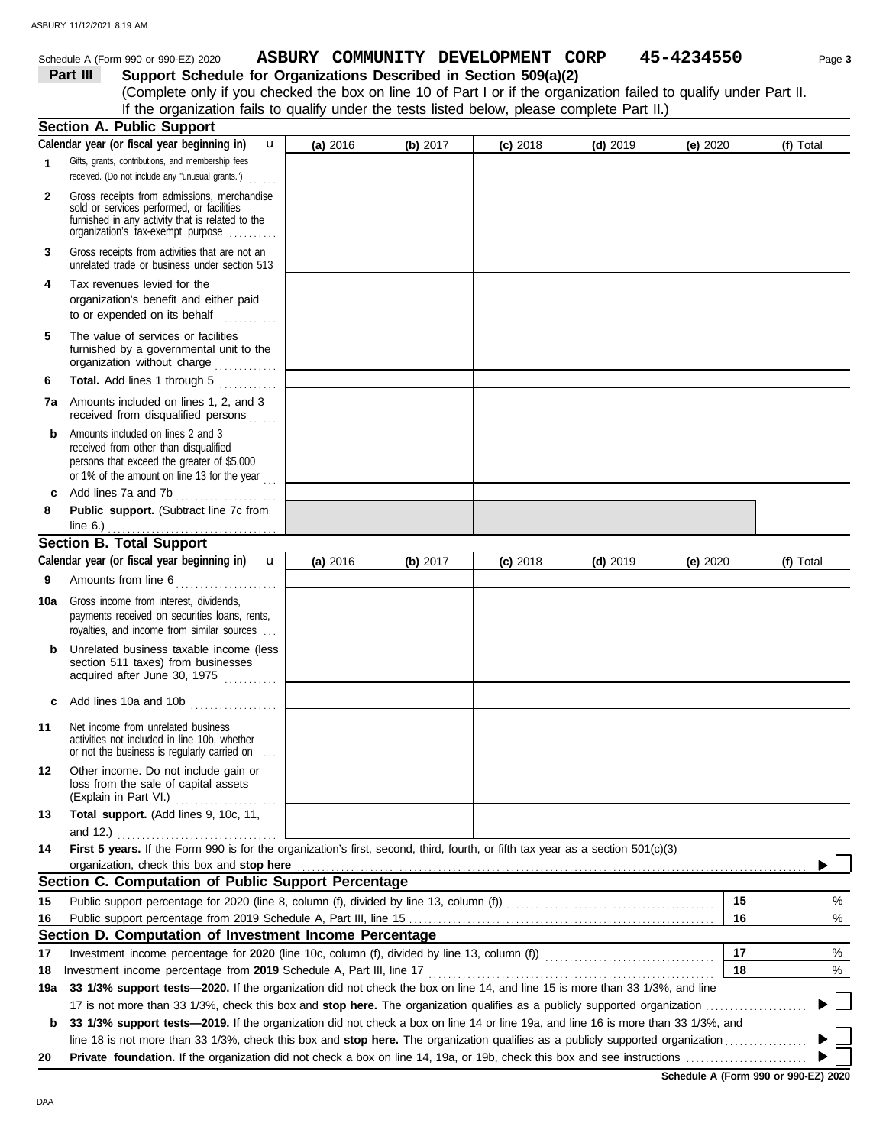|              | Schedule A (Form 990 or 990-EZ) 2020                                                                                                                                                                                                                                 |            | ASBURY COMMUNITY DEVELOPMENT CORP |            |            | 45-4234550 | Page 3    |
|--------------|----------------------------------------------------------------------------------------------------------------------------------------------------------------------------------------------------------------------------------------------------------------------|------------|-----------------------------------|------------|------------|------------|-----------|
|              | Part III<br>Support Schedule for Organizations Described in Section 509(a)(2)                                                                                                                                                                                        |            |                                   |            |            |            |           |
|              | (Complete only if you checked the box on line 10 of Part I or if the organization failed to qualify under Part II.                                                                                                                                                   |            |                                   |            |            |            |           |
|              | If the organization fails to qualify under the tests listed below, please complete Part II.)                                                                                                                                                                         |            |                                   |            |            |            |           |
|              | <b>Section A. Public Support</b>                                                                                                                                                                                                                                     |            |                                   |            |            |            |           |
|              | Calendar year (or fiscal year beginning in)<br>$\mathbf{u}$                                                                                                                                                                                                          | (a) 2016   | (b) 2017                          | $(c)$ 2018 | $(d)$ 2019 | (e) 2020   | (f) Total |
| $\mathbf 1$  | Gifts, grants, contributions, and membership fees                                                                                                                                                                                                                    |            |                                   |            |            |            |           |
|              | received. (Do not include any "unusual grants.")                                                                                                                                                                                                                     |            |                                   |            |            |            |           |
| $\mathbf{2}$ | Gross receipts from admissions, merchandise<br>sold or services performed, or facilities<br>furnished in any activity that is related to the<br>organization's tax-exempt purpose                                                                                    |            |                                   |            |            |            |           |
| 3            | Gross receipts from activities that are not an<br>unrelated trade or business under section 513                                                                                                                                                                      |            |                                   |            |            |            |           |
| 4            | Tax revenues levied for the                                                                                                                                                                                                                                          |            |                                   |            |            |            |           |
|              | organization's benefit and either paid<br>to or expended on its behalf                                                                                                                                                                                               |            |                                   |            |            |            |           |
| 5            | The value of services or facilities<br>furnished by a governmental unit to the<br>organization without charge                                                                                                                                                        |            |                                   |            |            |            |           |
| 6            | Total. Add lines 1 through 5                                                                                                                                                                                                                                         |            |                                   |            |            |            |           |
| 7a           | Amounts included on lines 1, 2, and 3<br>received from disqualified persons                                                                                                                                                                                          |            |                                   |            |            |            |           |
| b            | Amounts included on lines 2 and 3<br>received from other than disqualified<br>persons that exceed the greater of \$5,000<br>or 1% of the amount on line 13 for the year $\ldots$                                                                                     |            |                                   |            |            |            |           |
| c            | Add lines 7a and 7b                                                                                                                                                                                                                                                  |            |                                   |            |            |            |           |
| 8            | Public support. (Subtract line 7c from                                                                                                                                                                                                                               |            |                                   |            |            |            |           |
|              | <b>Section B. Total Support</b>                                                                                                                                                                                                                                      |            |                                   |            |            |            |           |
|              |                                                                                                                                                                                                                                                                      |            |                                   |            |            |            |           |
|              | Calendar year (or fiscal year beginning in)<br>$\mathbf{u}$                                                                                                                                                                                                          | (a) $2016$ | (b) 2017                          | $(c)$ 2018 | $(d)$ 2019 | (e) $2020$ | (f) Total |
| 9            | Amounts from line 6                                                                                                                                                                                                                                                  |            |                                   |            |            |            |           |
| 10a          | Gross income from interest, dividends,<br>payments received on securities loans, rents,<br>royalties, and income from similar sources                                                                                                                                |            |                                   |            |            |            |           |
| b            | Unrelated business taxable income (less<br>section 511 taxes) from businesses<br>acquired after June 30, 1975                                                                                                                                                        |            |                                   |            |            |            |           |
| c            | Add lines 10a and 10b [                                                                                                                                                                                                                                              |            |                                   |            |            |            |           |
| 11           | Net income from unrelated business<br>activities not included in line 10b, whether<br>or not the business is regularly carried on                                                                                                                                    |            |                                   |            |            |            |           |
| 12           | Other income. Do not include gain or<br>loss from the sale of capital assets                                                                                                                                                                                         |            |                                   |            |            |            |           |
| 13           | Total support. (Add lines 9, 10c, 11,                                                                                                                                                                                                                                |            |                                   |            |            |            |           |
|              |                                                                                                                                                                                                                                                                      |            |                                   |            |            |            |           |
| 14           | First 5 years. If the Form 990 is for the organization's first, second, third, fourth, or fifth tax year as a section 501(c)(3)<br>organization, check this box and stop here                                                                                        |            |                                   |            |            |            |           |
|              | Section C. Computation of Public Support Percentage                                                                                                                                                                                                                  |            |                                   |            |            |            |           |
| 15           |                                                                                                                                                                                                                                                                      |            |                                   |            |            | 15         | %         |
| 16           |                                                                                                                                                                                                                                                                      |            |                                   |            |            | 16         | %         |
|              | Section D. Computation of Investment Income Percentage                                                                                                                                                                                                               |            |                                   |            |            |            |           |
| 17           |                                                                                                                                                                                                                                                                      |            |                                   |            |            | 17         | %         |
| 18           |                                                                                                                                                                                                                                                                      |            |                                   |            |            | 18         | %         |
| 19a          | 33 1/3% support tests-2020. If the organization did not check the box on line 14, and line 15 is more than 33 1/3%, and line                                                                                                                                         |            |                                   |            |            |            |           |
|              |                                                                                                                                                                                                                                                                      |            |                                   |            |            |            |           |
| b            | 33 1/3% support tests-2019. If the organization did not check a box on line 14 or line 19a, and line 16 is more than 33 1/3%, and<br>line 18 is not more than 33 1/3%, check this box and stop here. The organization qualifies as a publicly supported organization |            |                                   |            |            |            |           |

 $\blacktriangleright$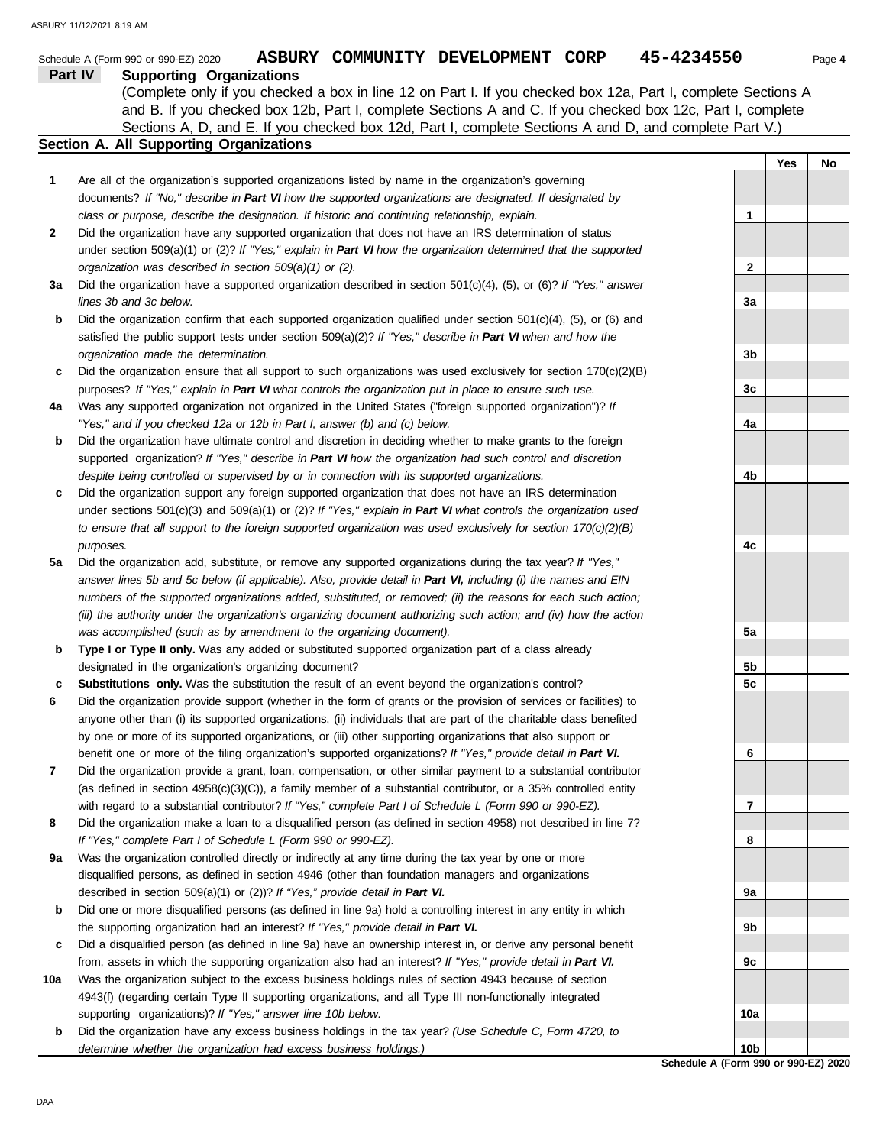|                | 45-4234550<br>ASBURY COMMUNITY DEVELOPMENT CORP<br>Schedule A (Form 990 or 990-EZ) 2020                                  |                 |     | Page 4 |
|----------------|--------------------------------------------------------------------------------------------------------------------------|-----------------|-----|--------|
| <b>Part IV</b> | <b>Supporting Organizations</b>                                                                                          |                 |     |        |
|                | (Complete only if you checked a box in line 12 on Part I. If you checked box 12a, Part I, complete Sections A            |                 |     |        |
|                | and B. If you checked box 12b, Part I, complete Sections A and C. If you checked box 12c, Part I, complete               |                 |     |        |
|                | Sections A, D, and E. If you checked box 12d, Part I, complete Sections A and D, and complete Part V.)                   |                 |     |        |
|                | <b>Section A. All Supporting Organizations</b>                                                                           |                 |     |        |
|                |                                                                                                                          |                 | Yes | No     |
| $\mathbf{1}$   | Are all of the organization's supported organizations listed by name in the organization's governing                     |                 |     |        |
|                | documents? If "No," describe in Part VI how the supported organizations are designated. If designated by                 |                 |     |        |
|                | class or purpose, describe the designation. If historic and continuing relationship, explain.                            | 1               |     |        |
| $\mathbf{2}$   | Did the organization have any supported organization that does not have an IRS determination of status                   |                 |     |        |
|                | under section 509(a)(1) or (2)? If "Yes," explain in Part VI how the organization determined that the supported          |                 |     |        |
|                | organization was described in section 509(a)(1) or (2).                                                                  | $\mathbf{2}$    |     |        |
| За             | Did the organization have a supported organization described in section $501(c)(4)$ , (5), or (6)? If "Yes," answer      |                 |     |        |
|                | lines 3b and 3c below.                                                                                                   | 3a              |     |        |
| b              | Did the organization confirm that each supported organization qualified under section $501(c)(4)$ , $(5)$ , or $(6)$ and |                 |     |        |
|                | satisfied the public support tests under section 509(a)(2)? If "Yes," describe in Part VI when and how the               |                 |     |        |
|                | organization made the determination.                                                                                     | 3b              |     |        |
| c              | Did the organization ensure that all support to such organizations was used exclusively for section $170(c)(2)(B)$       |                 |     |        |
|                | purposes? If "Yes," explain in Part VI what controls the organization put in place to ensure such use.                   | 3c              |     |        |
| 4a             | Was any supported organization not organized in the United States ("foreign supported organization")? If                 |                 |     |        |
|                | "Yes," and if you checked 12a or 12b in Part I, answer (b) and (c) below.                                                | 4a              |     |        |
| b              | Did the organization have ultimate control and discretion in deciding whether to make grants to the foreign              |                 |     |        |
|                | supported organization? If "Yes," describe in Part VI how the organization had such control and discretion               |                 |     |        |
|                | despite being controlled or supervised by or in connection with its supported organizations.                             | 4b              |     |        |
| c              | Did the organization support any foreign supported organization that does not have an IRS determination                  |                 |     |        |
|                | under sections $501(c)(3)$ and $509(a)(1)$ or (2)? If "Yes," explain in Part VI what controls the organization used      |                 |     |        |
|                | to ensure that all support to the foreign supported organization was used exclusively for section $170(c)(2)(B)$         |                 |     |        |
|                | purposes.                                                                                                                | 4c              |     |        |
| 5a             | Did the organization add, substitute, or remove any supported organizations during the tax year? If "Yes,"               |                 |     |        |
|                | answer lines 5b and 5c below (if applicable). Also, provide detail in Part VI, including (i) the names and EIN           |                 |     |        |
|                | numbers of the supported organizations added, substituted, or removed; (ii) the reasons for each such action;            |                 |     |        |
|                | (iii) the authority under the organization's organizing document authorizing such action; and (iv) how the action        |                 |     |        |
|                | was accomplished (such as by amendment to the organizing document).                                                      | 5a              |     |        |
| b              | Type I or Type II only. Was any added or substituted supported organization part of a class already                      |                 |     |        |
|                | designated in the organization's organizing document?                                                                    | 5b              |     |        |
| c              | Substitutions only. Was the substitution the result of an event beyond the organization's control?                       | 5c              |     |        |
| 6              | Did the organization provide support (whether in the form of grants or the provision of services or facilities) to       |                 |     |        |
|                | anyone other than (i) its supported organizations, (ii) individuals that are part of the charitable class benefited      |                 |     |        |
|                | by one or more of its supported organizations, or (iii) other supporting organizations that also support or              |                 |     |        |
|                | benefit one or more of the filing organization's supported organizations? If "Yes," provide detail in Part VI.           | 6               |     |        |
| 7              | Did the organization provide a grant, loan, compensation, or other similar payment to a substantial contributor          |                 |     |        |
|                | (as defined in section $4958(c)(3)(C)$ ), a family member of a substantial contributor, or a 35% controlled entity       |                 |     |        |
|                | with regard to a substantial contributor? If "Yes," complete Part I of Schedule L (Form 990 or 990-EZ).                  | 7               |     |        |
| 8              | Did the organization make a loan to a disqualified person (as defined in section 4958) not described in line 7?          |                 |     |        |
|                | If "Yes," complete Part I of Schedule L (Form 990 or 990-EZ).                                                            | 8               |     |        |
| 9а             | Was the organization controlled directly or indirectly at any time during the tax year by one or more                    |                 |     |        |
|                | disqualified persons, as defined in section 4946 (other than foundation managers and organizations                       |                 |     |        |
|                | described in section 509(a)(1) or (2))? If "Yes," provide detail in Part VI.                                             | 9а              |     |        |
| b              | Did one or more disqualified persons (as defined in line 9a) hold a controlling interest in any entity in which          |                 |     |        |
|                | the supporting organization had an interest? If "Yes," provide detail in Part VI.                                        | 9b              |     |        |
| c              | Did a disqualified person (as defined in line 9a) have an ownership interest in, or derive any personal benefit          |                 |     |        |
|                | from, assets in which the supporting organization also had an interest? If "Yes," provide detail in Part VI.             | 9c              |     |        |
| 10a            | Was the organization subject to the excess business holdings rules of section 4943 because of section                    |                 |     |        |
|                | 4943(f) (regarding certain Type II supporting organizations, and all Type III non-functionally integrated                |                 |     |        |
|                | supporting organizations)? If "Yes," answer line 10b below.                                                              | 10a             |     |        |
| b              | Did the organization have any excess business holdings in the tax year? (Use Schedule C, Form 4720, to                   |                 |     |        |
|                | determine whether the organization had excess business holdings.)                                                        | 10 <sub>b</sub> |     |        |

**Schedule A (Form 990 or 990-EZ) 2020**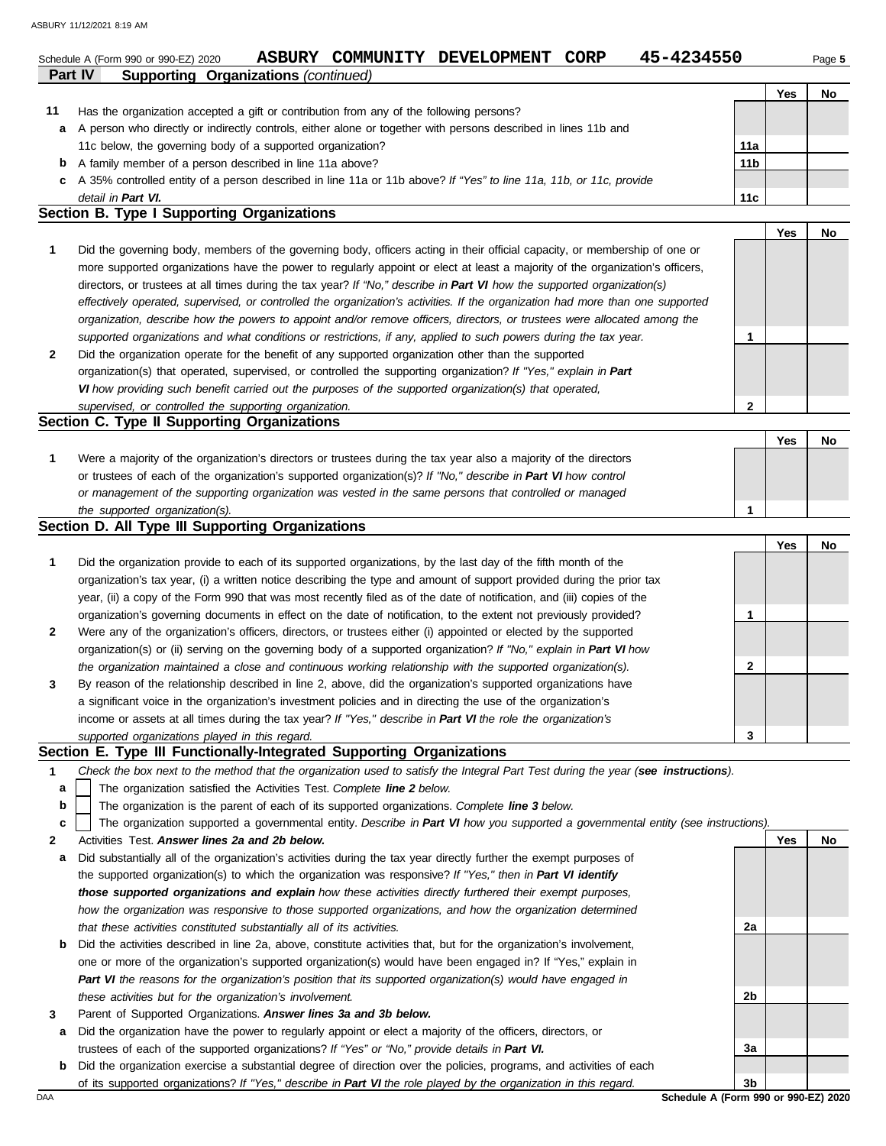|                | Schedule A (Form 990 or 990-EZ) 2020                                                                               | <b>ASBURY</b> | COMMINTTY | <b>DEVELOPMENT</b> | CORP | 45-4234550 |     |     | Page 5 |
|----------------|--------------------------------------------------------------------------------------------------------------------|---------------|-----------|--------------------|------|------------|-----|-----|--------|
| <b>Part IV</b> | <b>Supporting Organizations (continued)</b>                                                                        |               |           |                    |      |            |     |     |        |
|                |                                                                                                                    |               |           |                    |      |            |     | Yes | No     |
| 11             | Has the organization accepted a gift or contribution from any of the following persons?                            |               |           |                    |      |            |     |     |        |
| a              | A person who directly or indirectly controls, either alone or together with persons described in lines 11b and     |               |           |                    |      |            |     |     |        |
|                | 11c below, the governing body of a supported organization?                                                         |               |           |                    |      |            | 11a |     |        |
| b              | A family member of a person described in line 11a above?                                                           |               |           |                    |      |            | 11b |     |        |
| C              | A 35% controlled entity of a person described in line 11a or 11b above? If "Yes" to line 11a, 11b, or 11c, provide |               |           |                    |      |            |     |     |        |
|                | detail in Part VI.                                                                                                 |               |           |                    |      |            | 11c |     |        |
|                | Section B. Type I Supporting Organizations                                                                         |               |           |                    |      |            |     |     |        |
|                |                                                                                                                    |               |           |                    |      |            |     | Yes | No     |
|                |                                                                                                                    |               |           |                    |      |            |     |     |        |

|   | Did the governing body, members of the governing body, officers acting in their official capacity, or membership of one or     |  |  |
|---|--------------------------------------------------------------------------------------------------------------------------------|--|--|
|   | more supported organizations have the power to regularly appoint or elect at least a majority of the organization's officers,  |  |  |
|   | directors, or trustees at all times during the tax year? If "No," describe in Part VI how the supported organization(s)        |  |  |
|   | effectively operated, supervised, or controlled the organization's activities. If the organization had more than one supported |  |  |
|   | organization, describe how the powers to appoint and/or remove officers, directors, or trustees were allocated among the       |  |  |
|   | supported organizations and what conditions or restrictions, if any, applied to such powers during the tax year.               |  |  |
| 2 | Did the organization operate for the benefit of any supported organization other than the supported                            |  |  |

| <u>Did tho organization operato for the bonom or any capponed organization cthor than the capponed</u>          |  |  |  |  |
|-----------------------------------------------------------------------------------------------------------------|--|--|--|--|
| organization(s) that operated, supervised, or controlled the supporting organization? If "Yes," explain in Part |  |  |  |  |
| VI how providing such benefit carried out the purposes of the supported organization(s) that operated,          |  |  |  |  |
| supervised, or controlled the supporting organization.                                                          |  |  |  |  |

### **Section C. Type II Supporting Organizations**

|                                                                                                                  |  | No |
|------------------------------------------------------------------------------------------------------------------|--|----|
| Were a majority of the organization's directors or trustees during the tax year also a majority of the directors |  |    |
| or trustees of each of the organization's supported organization(s)? If "No," describe in Part VI how control    |  |    |
| or management of the supporting organization was vested in the same persons that controlled or managed           |  |    |
| the supported organization(s).                                                                                   |  |    |

### **Section D. All Type III Supporting Organizations**

|                |                                                                                                                        |   | Yes | No |
|----------------|------------------------------------------------------------------------------------------------------------------------|---|-----|----|
| $\mathbf{1}$   | Did the organization provide to each of its supported organizations, by the last day of the fifth month of the         |   |     |    |
|                | organization's tax year, (i) a written notice describing the type and amount of support provided during the prior tax  |   |     |    |
|                | year, (ii) a copy of the Form 990 that was most recently filed as of the date of notification, and (iii) copies of the |   |     |    |
|                | organization's governing documents in effect on the date of notification, to the extent not previously provided?       |   |     |    |
| $\overline{2}$ | Were any of the organization's officers, directors, or trustees either (i) appointed or elected by the supported       |   |     |    |
|                | organization(s) or (ii) serving on the governing body of a supported organization? If "No," explain in Part VI how     |   |     |    |
|                | the organization maintained a close and continuous working relationship with the supported organization(s).            | 2 |     |    |
| $\mathbf{3}$   | By reason of the relationship described in line 2, above, did the organization's supported organizations have          |   |     |    |
|                | a significant voice in the organization's investment policies and in directing the use of the organization's           |   |     |    |
|                | income or assets at all times during the tax year? If "Yes," describe in Part VI the role the organization's           |   |     |    |
|                | supported organizations played in this regard.                                                                         | 3 |     |    |

### **Section E. Type III Functionally-Integrated Supporting Organizations**

- **1** *Check the box next to the method that the organization used to satisfy the Integral Part Test during the year (see instructions).*
	- The organization satisfied the Activities Test. *Complete line 2 below.* **a**
	- The organization is the parent of each of its supported organizations. *Complete line 3 below.* **b**

The organization supported a governmental entity. *Describe in Part VI how you supported a governmental entity (see instructions).* **c**

- **2** Activities Test. *Answer lines 2a and 2b below.*
- **a** Did substantially all of the organization's activities during the tax year directly further the exempt purposes of the supported organization(s) to which the organization was responsive? *If "Yes," then in Part VI identify those supported organizations and explain how these activities directly furthered their exempt purposes, how the organization was responsive to those supported organizations, and how the organization determined that these activities constituted substantially all of its activities.*
- **b** Did the activities described in line 2a, above, constitute activities that, but for the organization's involvement, one or more of the organization's supported organization(s) would have been engaged in? If "Yes," explain in *Part VI the reasons for the organization's position that its supported organization(s) would have engaged in these activities but for the organization's involvement.*
- **3** Parent of Supported Organizations. *Answer lines 3a and 3b below.*
- **a** Did the organization have the power to regularly appoint or elect a majority of the officers, directors, or trustees of each of the supported organizations? *If "Yes" or "No," provide details in Part VI.*
- **b** Did the organization exercise a substantial degree of direction over the policies, programs, and activities of each of its supported organizations? *If "Yes," describe in Part VI the role played by the organization in this regard.*

**Yes No 2a 2b 3a 3b**

**2**

DAA **Schedule A (Form 990 or 990-EZ) 2020**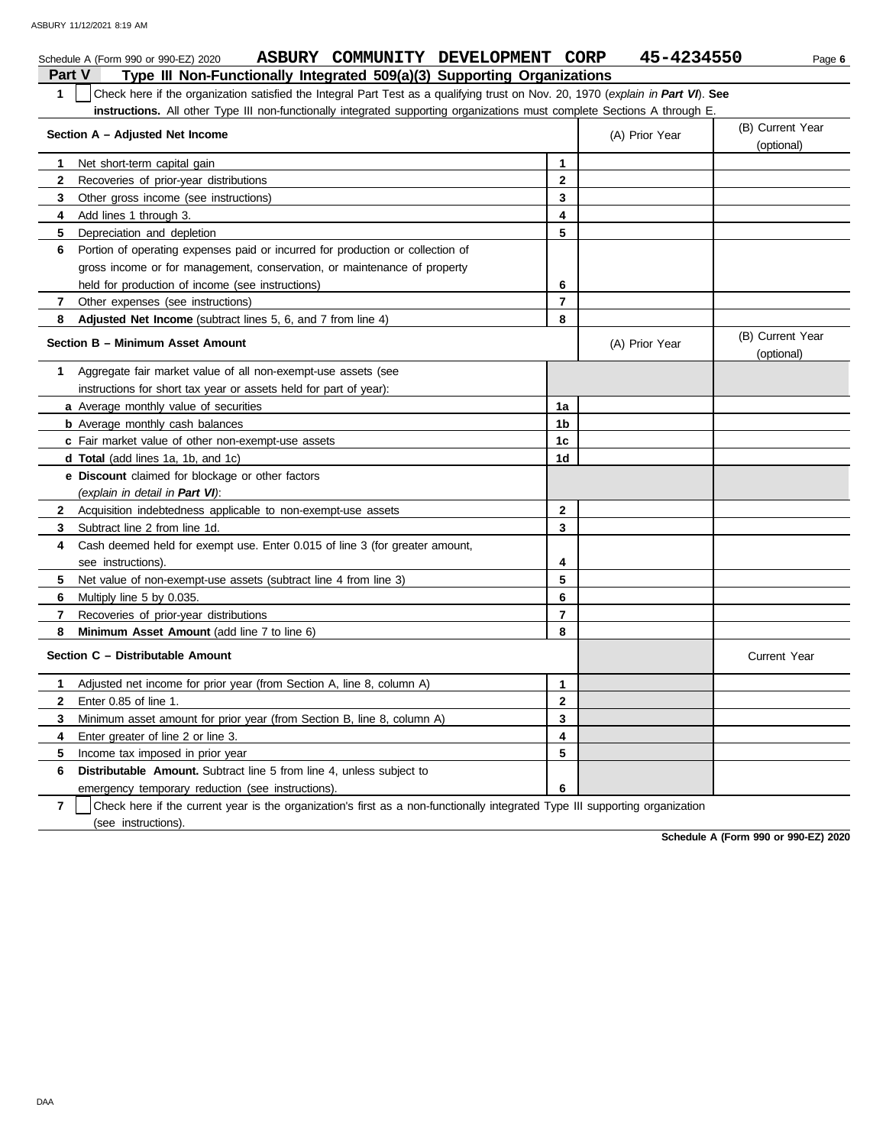ASBURY 11/12/2021 8:19 AM

|               | ASBURY COMMUNITY DEVELOPMENT CORP<br>Schedule A (Form 990 or 990-EZ) 2020                                                        |              | 45-4234550     | Page 6                         |
|---------------|----------------------------------------------------------------------------------------------------------------------------------|--------------|----------------|--------------------------------|
| <b>Part V</b> | Type III Non-Functionally Integrated 509(a)(3) Supporting Organizations                                                          |              |                |                                |
| $\mathbf{1}$  | Check here if the organization satisfied the Integral Part Test as a qualifying trust on Nov. 20, 1970 (explain in Part VI). See |              |                |                                |
|               | instructions. All other Type III non-functionally integrated supporting organizations must complete Sections A through E.        |              |                |                                |
|               | Section A - Adjusted Net Income                                                                                                  |              | (A) Prior Year | (B) Current Year<br>(optional) |
| 1             | Net short-term capital gain                                                                                                      | 1            |                |                                |
| 2             | Recoveries of prior-year distributions                                                                                           | $\mathbf{2}$ |                |                                |
| 3             | Other gross income (see instructions)                                                                                            | 3            |                |                                |
| 4             | Add lines 1 through 3.                                                                                                           | 4            |                |                                |
| 5             | Depreciation and depletion                                                                                                       | 5            |                |                                |
| 6             | Portion of operating expenses paid or incurred for production or collection of                                                   |              |                |                                |
|               | gross income or for management, conservation, or maintenance of property                                                         |              |                |                                |
|               | held for production of income (see instructions)                                                                                 | 6            |                |                                |
| 7             | Other expenses (see instructions)                                                                                                | 7            |                |                                |
| 8             | Adjusted Net Income (subtract lines 5, 6, and 7 from line 4)                                                                     | 8            |                |                                |
|               | Section B - Minimum Asset Amount                                                                                                 |              | (A) Prior Year | (B) Current Year<br>(optional) |
| 1             | Aggregate fair market value of all non-exempt-use assets (see                                                                    |              |                |                                |
|               | instructions for short tax year or assets held for part of year):                                                                |              |                |                                |
|               | a Average monthly value of securities                                                                                            | 1a           |                |                                |
|               | <b>b</b> Average monthly cash balances                                                                                           | 1b           |                |                                |
|               | c Fair market value of other non-exempt-use assets                                                                               | 1c           |                |                                |
|               | <b>d Total</b> (add lines 1a, 1b, and 1c)                                                                                        | 1d           |                |                                |
|               | e Discount claimed for blockage or other factors                                                                                 |              |                |                                |
|               | (explain in detail in Part VI):                                                                                                  |              |                |                                |
| $\mathbf{2}$  | Acquisition indebtedness applicable to non-exempt-use assets                                                                     | $\mathbf{2}$ |                |                                |
| 3             | Subtract line 2 from line 1d.                                                                                                    | 3            |                |                                |
| 4             | Cash deemed held for exempt use. Enter 0.015 of line 3 (for greater amount,                                                      |              |                |                                |
|               | see instructions).                                                                                                               | 4            |                |                                |
| 5             | Net value of non-exempt-use assets (subtract line 4 from line 3)                                                                 | 5            |                |                                |
| 6             | Multiply line 5 by 0.035.                                                                                                        | 6            |                |                                |
| 7             | Recoveries of prior-year distributions                                                                                           | 7            |                |                                |
| 8             | Minimum Asset Amount (add line 7 to line 6)                                                                                      | 8            |                |                                |
|               | Section C - Distributable Amount                                                                                                 |              |                | <b>Current Year</b>            |
| 1.            | Adjusted net income for prior year (from Section A, line 8, column A)                                                            | 1            |                |                                |
| 2             | Enter 0.85 of line 1.                                                                                                            | 2            |                |                                |
| 3             | Minimum asset amount for prior year (from Section B, line 8, column A)                                                           | 3            |                |                                |
| 4             | Enter greater of line 2 or line 3.                                                                                               | 4            |                |                                |
| 5             | Income tax imposed in prior year                                                                                                 | 5            |                |                                |
| 6             | Distributable Amount. Subtract line 5 from line 4, unless subject to                                                             |              |                |                                |
|               | emergency temporary reduction (see instructions).                                                                                | 6            |                |                                |
| 7             | Check here if the current year is the organization's first as a non-functionally integrated Type III supporting organization     |              |                |                                |
|               | (see instructions).                                                                                                              |              |                |                                |

**Schedule A (Form 990 or 990-EZ) 2020**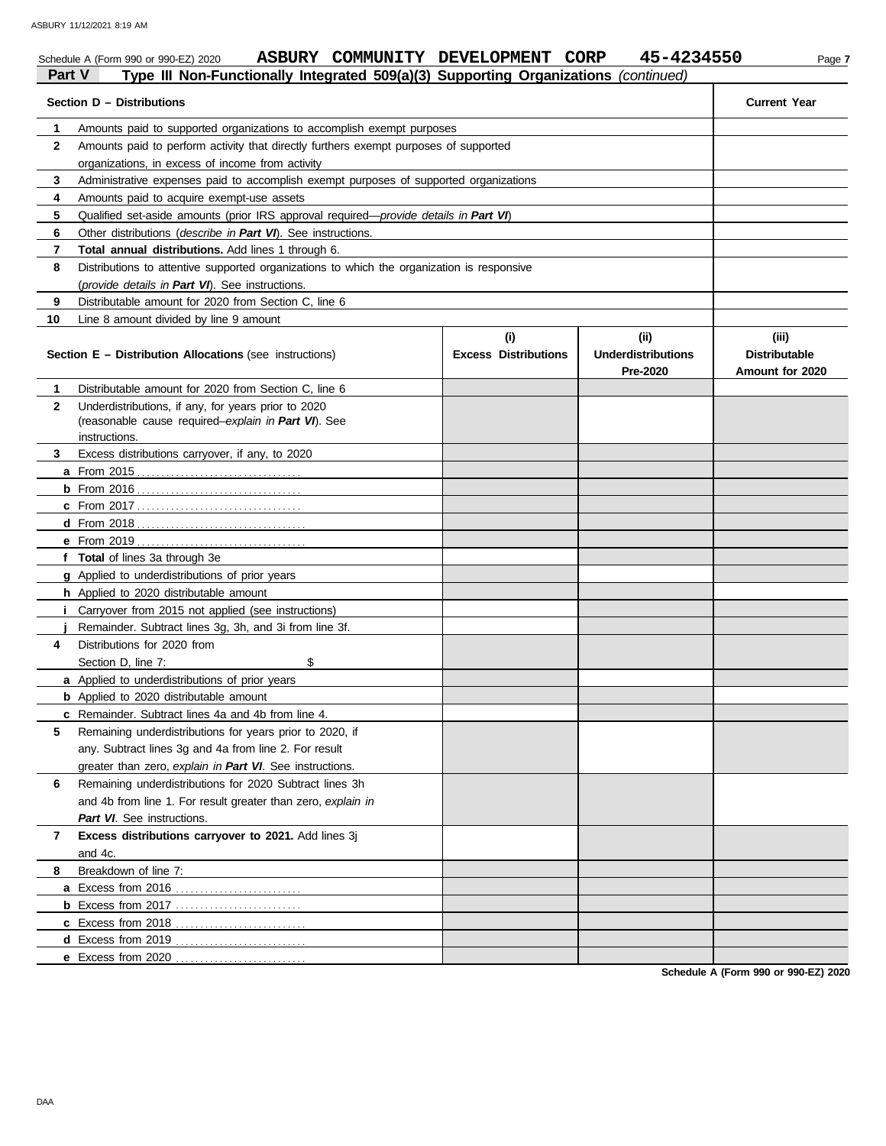|               | ASBURY 11/12/2021 8:19 AM                                                                                                                                 |                                    |                                              |                                                  |  |  |  |
|---------------|-----------------------------------------------------------------------------------------------------------------------------------------------------------|------------------------------------|----------------------------------------------|--------------------------------------------------|--|--|--|
| <b>Part V</b> | <b>ASBURY</b><br>COMMUNITY<br>Schedule A (Form 990 or 990-EZ) 2020<br>Type III Non-Functionally Integrated 509(a)(3) Supporting Organizations (continued) | <b>DEVELOPMENT</b>                 | 45-4234550<br><b>CORP</b>                    | Page 7                                           |  |  |  |
|               | Section D - Distributions                                                                                                                                 |                                    |                                              | <b>Current Year</b>                              |  |  |  |
|               | Amounts paid to supported organizations to accomplish exempt purposes                                                                                     |                                    |                                              |                                                  |  |  |  |
| $\mathbf{2}$  | Amounts paid to perform activity that directly furthers exempt purposes of supported<br>organizations, in excess of income from activity                  |                                    |                                              |                                                  |  |  |  |
| 3             | Administrative expenses paid to accomplish exempt purposes of supported organizations                                                                     |                                    |                                              |                                                  |  |  |  |
| 4             | Amounts paid to acquire exempt-use assets                                                                                                                 |                                    |                                              |                                                  |  |  |  |
| 5             | Qualified set-aside amounts (prior IRS approval required— <i>provide details in Part VI</i> )                                                             |                                    |                                              |                                                  |  |  |  |
| 6             | Other distributions (describe in Part VI). See instructions.                                                                                              |                                    |                                              |                                                  |  |  |  |
|               | <b>Total annual distributions.</b> Add lines 1 through 6.                                                                                                 |                                    |                                              |                                                  |  |  |  |
| 8             | Distributions to attentive supported organizations to which the organization is responsive                                                                |                                    |                                              |                                                  |  |  |  |
|               | (provide details in Part VI). See instructions.                                                                                                           |                                    |                                              |                                                  |  |  |  |
| 9             | Distributable amount for 2020 from Section C. line 6                                                                                                      |                                    |                                              |                                                  |  |  |  |
| 10            | Line 8 amount divided by line 9 amount                                                                                                                    |                                    |                                              |                                                  |  |  |  |
|               | <b>Section E - Distribution Allocations (see instructions)</b>                                                                                            | (i)<br><b>Excess Distributions</b> | (i)<br><b>Underdistributions</b><br>Pre-2020 | (iii)<br><b>Distributable</b><br>Amount for 2020 |  |  |  |
| 1             | Distributable amount for 2020 from Section C, line 6                                                                                                      |                                    |                                              |                                                  |  |  |  |

**Schedule A (Form 990 or 990-EZ) 2020**

**8**

**7**

and 4c.

**6**

**5**

**4**

**3**

instructions.

**a** From 2015 . . . . . . . . . . . . . . . . . . . . . . . . . . . . . . . . . . **b** From 2016 . . . . . . . . . . . . . . . . . . . . . . . . . . . . . . . . . . **c** From 2017 . . . . . . . . . . . . . . . . . . . . . . . . . . . . . . . . . . **d** From 2018 . . . . . . . . . . . . . . . . . . . . . . . . . . . . . . . . . . . **e** From 2019 . . . . . . . . . . . . . . . . . . . . . . . . . . . . . . . . . . .

Underdistributions, if any, for years prior to 2020 (reasonable cause required–*explain in Part VI*). See

Excess distributions carryover, if any, to 2020

**g** Applied to underdistributions of prior years **h** Applied to 2020 distributable amount

**a** Applied to underdistributions of prior years **b** Applied to 2020 distributable amount

**a** Excess from 2016 . . . . . . . . . . . . . . . . . . . . . . . . . . **b** Excess from 2017 . . . . . . . . . . . . . . . . . . . . . . . . . . **c** Excess from 2018 . . . . . . . . . . . . . . . . . . . . . . . . . . . **d** Excess from 2019 . . . . . . . . . . . . . . . . . . . . . . . . . . . **e** Excess from 2020 . . . . . . . . . . . . . . . . . . . . . . . . . . .

**c** Remainder. Subtract lines 4a and 4b from line 4.

Remaining underdistributions for years prior to 2020, if any. Subtract lines 3g and 4a from line 2. For result greater than zero, *explain in Part VI*. See instructions. Remaining underdistributions for 2020 Subtract lines 3h and 4b from line 1. For result greater than zero, *explain in*

**Excess distributions carryover to 2021.** Add lines 3j

Section D, line 7: \$

**i** Carryover from 2015 not applied (see instructions) **j** Remainder. Subtract lines 3g, 3h, and 3i from line 3f.

**f Total** of lines 3a through 3e

Distributions for 2020 from

*Part VI*. See instructions.

Breakdown of line 7:

**2**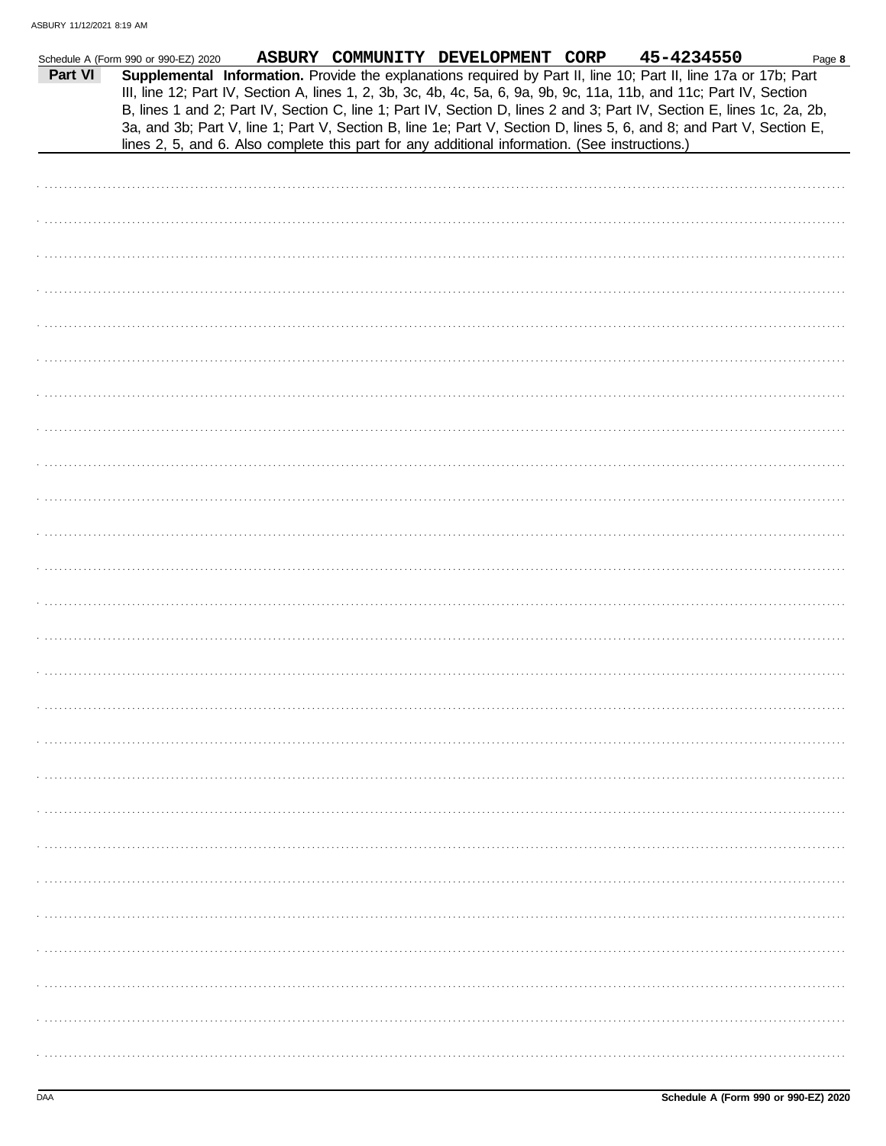ASBURY 11/12/2021 8:19 AM

|         | Schedule A (Form 990 or 990-EZ) 2020 |  | ASBURY COMMUNITY DEVELOPMENT CORP                                                                                                                                                                                                                                                                                                                                                                                                                                                                                                                                                           | 45-4234550 | Page 8 |
|---------|--------------------------------------|--|---------------------------------------------------------------------------------------------------------------------------------------------------------------------------------------------------------------------------------------------------------------------------------------------------------------------------------------------------------------------------------------------------------------------------------------------------------------------------------------------------------------------------------------------------------------------------------------------|------------|--------|
| Part VI |                                      |  | Supplemental Information. Provide the explanations required by Part II, line 10; Part II, line 17a or 17b; Part<br>III, line 12; Part IV, Section A, lines 1, 2, 3b, 3c, 4b, 4c, 5a, 6, 9a, 9b, 9c, 11a, 11b, and 11c; Part IV, Section<br>B, lines 1 and 2; Part IV, Section C, line 1; Part IV, Section D, lines 2 and 3; Part IV, Section E, lines 1c, 2a, 2b,<br>3a, and 3b; Part V, line 1; Part V, Section B, line 1e; Part V, Section D, lines 5, 6, and 8; and Part V, Section E,<br>lines 2, 5, and 6. Also complete this part for any additional information. (See instructions.) |            |        |
|         |                                      |  |                                                                                                                                                                                                                                                                                                                                                                                                                                                                                                                                                                                             |            |        |
|         |                                      |  |                                                                                                                                                                                                                                                                                                                                                                                                                                                                                                                                                                                             |            |        |
|         |                                      |  |                                                                                                                                                                                                                                                                                                                                                                                                                                                                                                                                                                                             |            |        |
|         |                                      |  |                                                                                                                                                                                                                                                                                                                                                                                                                                                                                                                                                                                             |            |        |
|         |                                      |  |                                                                                                                                                                                                                                                                                                                                                                                                                                                                                                                                                                                             |            |        |
|         |                                      |  |                                                                                                                                                                                                                                                                                                                                                                                                                                                                                                                                                                                             |            |        |
|         |                                      |  |                                                                                                                                                                                                                                                                                                                                                                                                                                                                                                                                                                                             |            |        |
|         |                                      |  |                                                                                                                                                                                                                                                                                                                                                                                                                                                                                                                                                                                             |            |        |
|         |                                      |  |                                                                                                                                                                                                                                                                                                                                                                                                                                                                                                                                                                                             |            |        |
|         |                                      |  |                                                                                                                                                                                                                                                                                                                                                                                                                                                                                                                                                                                             |            |        |
|         |                                      |  |                                                                                                                                                                                                                                                                                                                                                                                                                                                                                                                                                                                             |            |        |
|         |                                      |  |                                                                                                                                                                                                                                                                                                                                                                                                                                                                                                                                                                                             |            |        |
|         |                                      |  |                                                                                                                                                                                                                                                                                                                                                                                                                                                                                                                                                                                             |            |        |
|         |                                      |  |                                                                                                                                                                                                                                                                                                                                                                                                                                                                                                                                                                                             |            |        |
|         |                                      |  |                                                                                                                                                                                                                                                                                                                                                                                                                                                                                                                                                                                             |            |        |
|         |                                      |  |                                                                                                                                                                                                                                                                                                                                                                                                                                                                                                                                                                                             |            |        |
|         |                                      |  |                                                                                                                                                                                                                                                                                                                                                                                                                                                                                                                                                                                             |            |        |
|         |                                      |  |                                                                                                                                                                                                                                                                                                                                                                                                                                                                                                                                                                                             |            |        |
|         |                                      |  |                                                                                                                                                                                                                                                                                                                                                                                                                                                                                                                                                                                             |            |        |
|         |                                      |  |                                                                                                                                                                                                                                                                                                                                                                                                                                                                                                                                                                                             |            |        |
|         |                                      |  |                                                                                                                                                                                                                                                                                                                                                                                                                                                                                                                                                                                             |            |        |
|         |                                      |  |                                                                                                                                                                                                                                                                                                                                                                                                                                                                                                                                                                                             |            |        |
|         |                                      |  |                                                                                                                                                                                                                                                                                                                                                                                                                                                                                                                                                                                             |            |        |
|         |                                      |  |                                                                                                                                                                                                                                                                                                                                                                                                                                                                                                                                                                                             |            |        |
|         |                                      |  |                                                                                                                                                                                                                                                                                                                                                                                                                                                                                                                                                                                             |            |        |
|         |                                      |  |                                                                                                                                                                                                                                                                                                                                                                                                                                                                                                                                                                                             |            |        |
|         |                                      |  |                                                                                                                                                                                                                                                                                                                                                                                                                                                                                                                                                                                             |            |        |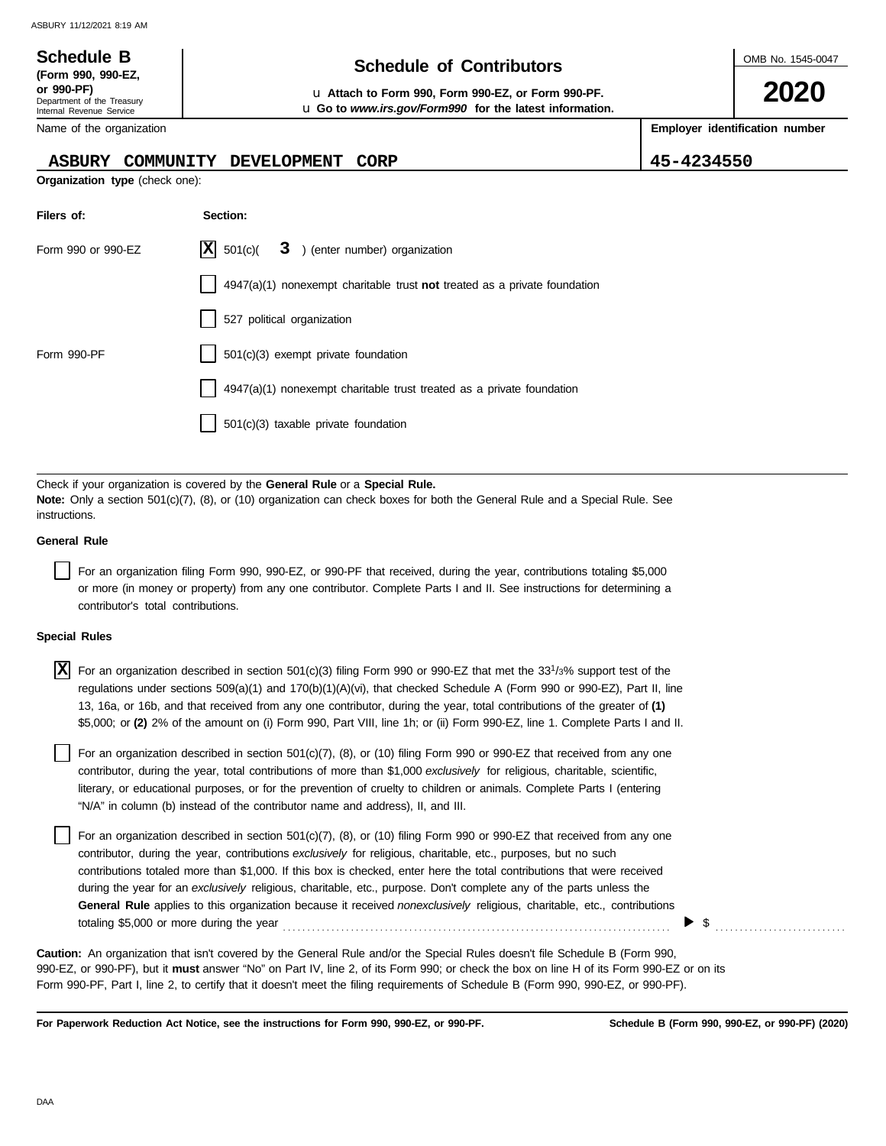Department of the Treasury Internal Revenue Service

**(Form 990, 990-EZ,**

## **Schedule of Contributors Schedule B**

**or 990-PF)** u **Attach to Form 990, Form 990-EZ, or Form 990-PF.** u **Go to** *www.irs.gov/Form990* **for the latest information.** OMB No. 1545-0047

**2020**

**Employer identification number**

| Name of the organization |  |  |
|--------------------------|--|--|
|--------------------------|--|--|

### **ASBURY COMMUNITY DEVELOPMENT CORP 45-4234550**

**Organization type** (check one):

| Filers of:         | Section:                                                                  |
|--------------------|---------------------------------------------------------------------------|
| Form 990 or 990-EZ | $ \mathbf{X} $ 501(c)( 3) (enter number) organization                     |
|                    | 4947(a)(1) nonexempt charitable trust not treated as a private foundation |
|                    | 527 political organization                                                |
| Form 990-PF        | 501(c)(3) exempt private foundation                                       |
|                    | 4947(a)(1) nonexempt charitable trust treated as a private foundation     |
|                    | 501(c)(3) taxable private foundation                                      |

Check if your organization is covered by the **General Rule** or a **Special Rule. Note:** Only a section 501(c)(7), (8), or (10) organization can check boxes for both the General Rule and a Special Rule. See instructions.

#### **General Rule**

For an organization filing Form 990, 990-EZ, or 990-PF that received, during the year, contributions totaling \$5,000 or more (in money or property) from any one contributor. Complete Parts I and II. See instructions for determining a contributor's total contributions.

#### **Special Rules**

For an organization described in section 501(c)(3) filing Form 990 or 990-EZ that met the 33<sup>1</sup> /3% support test of the **X** regulations under sections 509(a)(1) and 170(b)(1)(A)(vi), that checked Schedule A (Form 990 or 990-EZ), Part II, line 13, 16a, or 16b, and that received from any one contributor, during the year, total contributions of the greater of **(1)** \$5,000; or **(2)** 2% of the amount on (i) Form 990, Part VIII, line 1h; or (ii) Form 990-EZ, line 1. Complete Parts I and II.

literary, or educational purposes, or for the prevention of cruelty to children or animals. Complete Parts I (entering For an organization described in section  $501(c)(7)$ , (8), or (10) filing Form 990 or 990-EZ that received from any one contributor, during the year, total contributions of more than \$1,000 *exclusively* for religious, charitable, scientific, "N/A" in column (b) instead of the contributor name and address), II, and III.

For an organization described in section 501(c)(7), (8), or (10) filing Form 990 or 990-EZ that received from any one contributor, during the year, contributions *exclusively* for religious, charitable, etc., purposes, but no such contributions totaled more than \$1,000. If this box is checked, enter here the total contributions that were received during the year for an *exclusively* religious, charitable, etc., purpose. Don't complete any of the parts unless the **General Rule** applies to this organization because it received *nonexclusively* religious, charitable, etc., contributions totaling \$5,000 or more during the year . . . . . . . . . . . . . . . . . . . . . . . . . . . . . . . . . . . . . . . . . . . . . . . . . . . . . . . . . . . . . . . . . . . . . . . . . . . . . . . .

990-EZ, or 990-PF), but it **must** answer "No" on Part IV, line 2, of its Form 990; or check the box on line H of its Form 990-EZ or on its Form 990-PF, Part I, line 2, to certify that it doesn't meet the filing requirements of Schedule B (Form 990, 990-EZ, or 990-PF). **Caution:** An organization that isn't covered by the General Rule and/or the Special Rules doesn't file Schedule B (Form 990,

**For Paperwork Reduction Act Notice, see the instructions for Form 990, 990-EZ, or 990-PF.**

 $\triangleright$  \$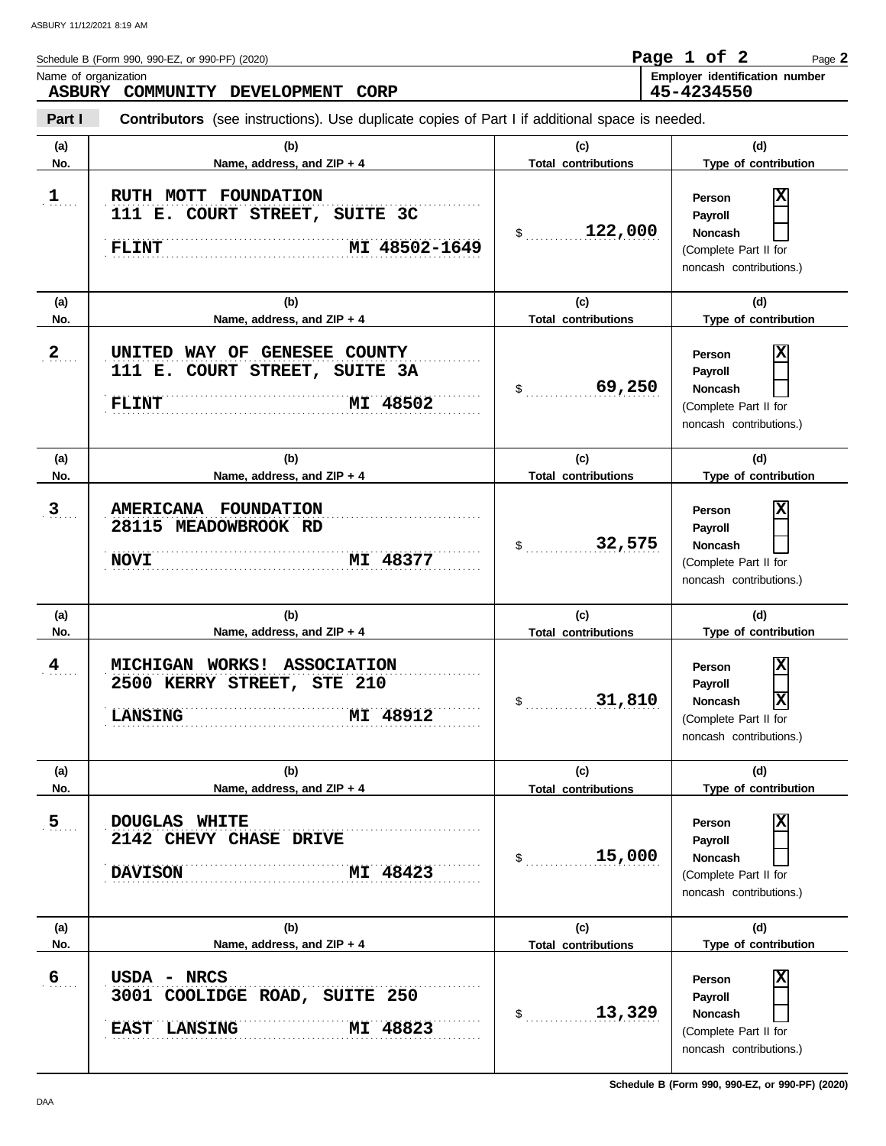Schedule B (Form 990, 990-EZ, or 990-PF) (2020) Name of organization **Employer identification number Employer identification number** Page **2 ASBURY COMMUNITY DEVELOPMENT CORP Page 1 of 2 45-4234550**

**Part I Contributors** (see instructions). Use duplicate copies of Part I if additional space is needed.

| (a)<br>No.     | (b)<br>Name, address, and ZIP + 4                                                            | (c)<br><b>Total contributions</b> | (d)<br>Type of contribution                                                                                             |
|----------------|----------------------------------------------------------------------------------------------|-----------------------------------|-------------------------------------------------------------------------------------------------------------------------|
| 1              | RUTH MOTT FOUNDATION<br>111 E. COURT STREET, SUITE 3C<br>MI 48502-1649<br><b>FLINT</b>       | 122,000<br>\$                     | X<br>Person<br>Payroll<br><b>Noncash</b><br>(Complete Part II for<br>noncash contributions.)                            |
| (a)<br>No.     | (b)<br>Name, address, and ZIP + 4                                                            | (c)<br><b>Total contributions</b> | (d)<br>Type of contribution                                                                                             |
| $\mathbf{2}$   | UNITED WAY OF GENESEE COUNTY<br>111 E.<br>COURT STREET, SUITE 3A<br>MI 48502<br><b>FLINT</b> | 69,250<br>$\mathbb{S}$            | х<br>Person<br>Payroll<br><b>Noncash</b><br>(Complete Part II for<br>noncash contributions.)                            |
| (a)<br>No.     | (b)<br>Name, address, and ZIP + 4                                                            | (c)<br><b>Total contributions</b> | (d)<br>Type of contribution                                                                                             |
| 3 <sub>1</sub> | AMERICANA FOUNDATION<br>28115 MEADOWBROOK RD<br>MI 48377<br><b>NOVI</b>                      | 32,575<br>$\mathsf{\$}$           | X<br>Person<br>Payroll<br><b>Noncash</b><br>(Complete Part II for<br>noncash contributions.)                            |
| (a)<br>No.     | (b)<br>Name, address, and ZIP + 4                                                            | (c)<br><b>Total contributions</b> | (d)<br>Type of contribution                                                                                             |
| 4              | MICHIGAN WORKS! ASSOCIATION<br>2500 KERRY STREET, STE 210<br>MI 48912<br>LANSING             | 31,810<br>\$                      | X<br>Person<br>Payroll<br>$\overline{\mathbf{x}}$<br><b>Noncash</b><br>(Complete Part II for<br>noncash contributions.) |
| (a)<br>No.     | (b)<br>Name, address, and ZIP + 4                                                            | (c)<br><b>Total contributions</b> | (d)<br>Type of contribution                                                                                             |
| 5 <sub>1</sub> | <b>DOUGLAS WHITE</b><br>2142 CHEVY CHASE DRIVE<br>MI 48423<br><b>DAVISON</b>                 | 15,000                            | X<br>Person<br>Payroll<br><b>Noncash</b><br>(Complete Part II for<br>noncash contributions.)                            |
| (a)<br>No.     | (b)<br>Name, address, and ZIP + 4                                                            | (c)<br><b>Total contributions</b> | (d)<br>Type of contribution                                                                                             |
|                |                                                                                              |                                   |                                                                                                                         |

**Schedule B (Form 990, 990-EZ, or 990-PF) (2020)**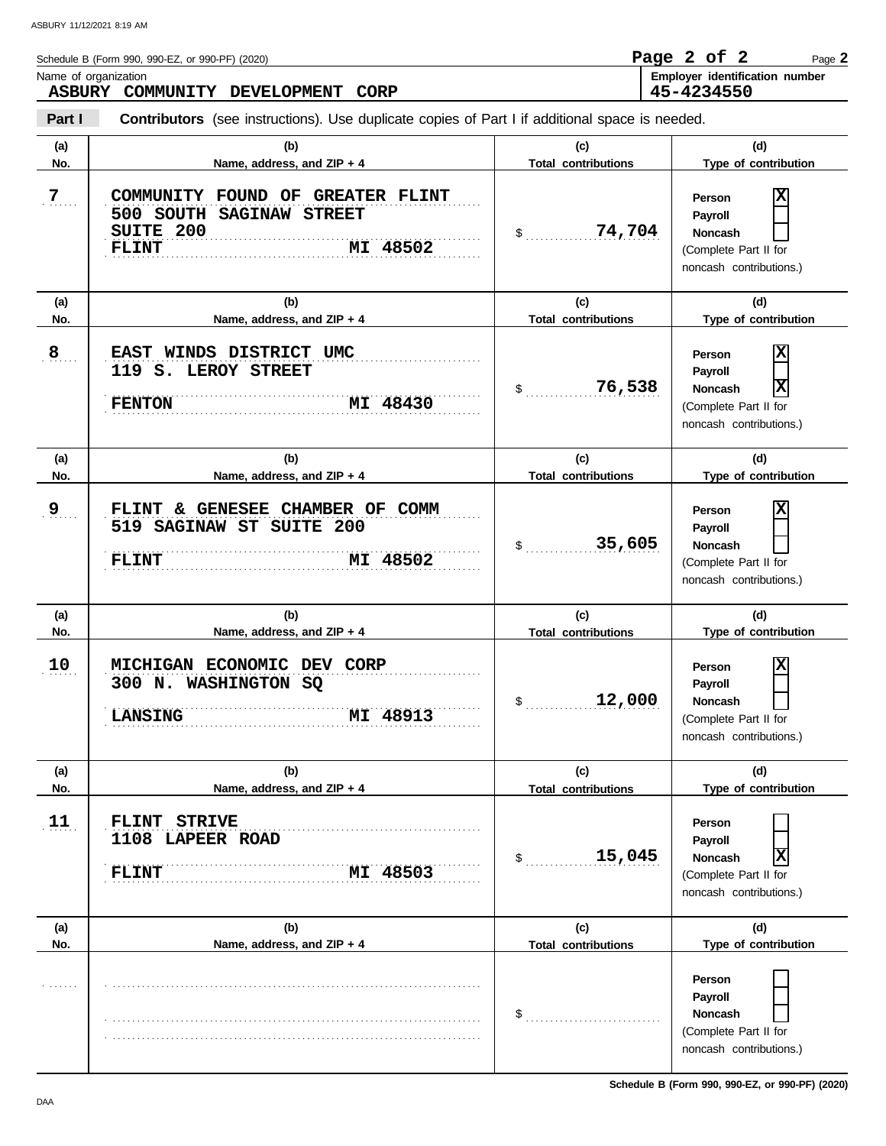Schedule B (Form 990, 990-EZ, or 990-PF) (2020) Name of organization **Employer identification number Employer identification number** Page **2 ASBURY COMMUNITY DEVELOPMENT CORP Page 2 of 2 45-4234550**

**Part I Contributors** (see instructions). Use duplicate copies of Part I if additional space is needed.

| (a)            | (b)                                                                                                   | (c)                                     | (d)                                                                                                |
|----------------|-------------------------------------------------------------------------------------------------------|-----------------------------------------|----------------------------------------------------------------------------------------------------|
| No.            | Name, address, and ZIP + 4                                                                            | <b>Total contributions</b>              | Type of contribution                                                                               |
| 7              | COMMUNITY FOUND OF GREATER FLINT<br>500 SOUTH SAGINAW STREET<br>SUITE 200<br>MI 48502<br><b>FLINT</b> | 74,704<br>$\mathcal{S}$                 | X<br>Person<br>Payroll<br><b>Noncash</b><br>(Complete Part II for<br>noncash contributions.)       |
| (a)<br>No.     | (b)<br>Name, address, and ZIP + 4                                                                     | (c)<br><b>Total contributions</b>       | (d)<br>Type of contribution                                                                        |
| 8              | EAST WINDS DISTRICT UMC<br>119 S. LEROY STREET<br>MI 48430<br><b>FENTON</b>                           | 76,538<br>$\mathcal{S}$                 | X<br>Person<br>Payroll<br>ΙX<br><b>Noncash</b><br>(Complete Part II for<br>noncash contributions.) |
| (a)<br>No.     | (b)<br>Name, address, and ZIP + 4                                                                     | (c)<br><b>Total contributions</b>       | (d)<br>Type of contribution                                                                        |
| 9 <sub>1</sub> | FLINT & GENESEE CHAMBER OF COMM<br>519 SAGINAW ST SUITE 200<br>MI 48502<br><b>FLINT</b>               | 35,605<br>$\mathsf{\$}$                 | X<br>Person<br>Payroll<br><b>Noncash</b><br>(Complete Part II for<br>noncash contributions.)       |
| (a)            |                                                                                                       |                                         |                                                                                                    |
| No.            | (b)<br>Name, address, and ZIP + 4                                                                     | (c)<br><b>Total contributions</b>       | (d)<br>Type of contribution                                                                        |
| 10             | MICHIGAN ECONOMIC DEV CORP<br>300 N. WASHINGTON SQ<br>MI 48913<br><b>LANSING</b>                      | 12,000<br>$\mathbb{S}$ and $\mathbb{S}$ | X<br>Person<br>Payroll<br><b>Noncash</b><br>(Complete Part II for<br>noncash contributions.)       |
| (a)<br>No.     | (b)<br>Name, address, and ZIP + 4                                                                     | (c)<br><b>Total contributions</b>       | (d)<br>Type of contribution                                                                        |
| 11             | <b>FLINT STRIVE</b><br>1108 LAPEER ROAD<br>MI 48503<br><b>FLINT</b>                                   | 15,045<br>$\sim$                        | Person<br>Payroll<br>X<br><b>Noncash</b><br>(Complete Part II for<br>noncash contributions.)       |
| (a)<br>No.     | (b)<br>Name, address, and ZIP + 4                                                                     | (c)<br><b>Total contributions</b>       | (d)<br>Type of contribution                                                                        |

**Schedule B (Form 990, 990-EZ, or 990-PF) (2020)**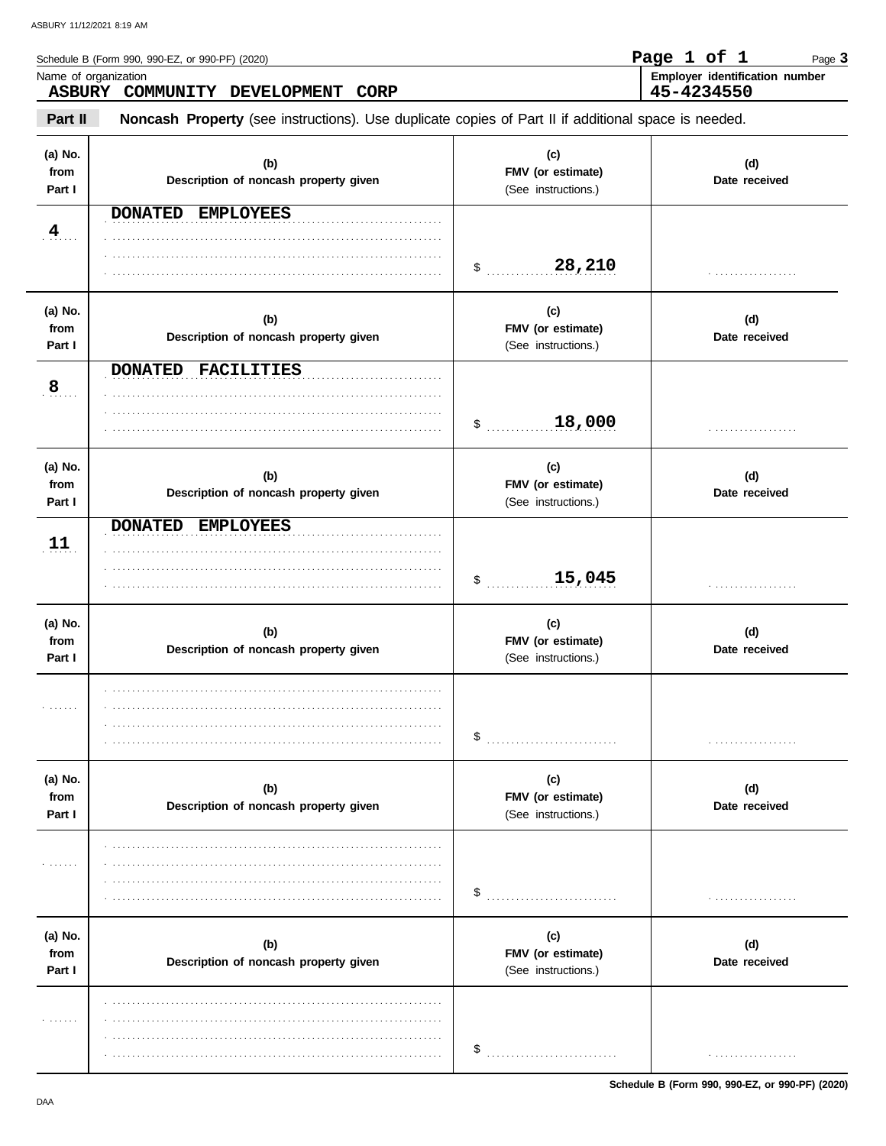|                           | Schedule B (Form 990, 990-EZ, or 990-PF) (2020)<br>Name of organization<br>ASBURY COMMUNITY DEVELOPMENT<br><b>CORP</b> |                                                 | Page 1 of 1<br>Page 3<br>Employer identification number<br>45-4234550 |
|---------------------------|------------------------------------------------------------------------------------------------------------------------|-------------------------------------------------|-----------------------------------------------------------------------|
| Part II                   | Noncash Property (see instructions). Use duplicate copies of Part II if additional space is needed.                    |                                                 |                                                                       |
| (a) No.<br>from<br>Part I | (b)<br>Description of noncash property given                                                                           | (c)<br>FMV (or estimate)<br>(See instructions.) | (d)<br>Date received                                                  |
| $\frac{4}{3}$             | <b>DONATED</b><br><b>EMPLOYEES</b>                                                                                     | 28,210<br>$\mathsf{\$}$                         | .                                                                     |
| (a) No.<br>from<br>Part I | (b)<br>Description of noncash property given                                                                           | (c)<br>FMV (or estimate)<br>(See instructions.) | (d)<br>Date received                                                  |
| 8 <sub>1</sub>            | <b>DONATED</b><br><b>FACILITIES</b>                                                                                    | 18,000<br>$\mathsf{\$}$                         | .                                                                     |
| (a) No.<br>from<br>Part I | (b)<br>Description of noncash property given                                                                           | (c)<br>FMV (or estimate)<br>(See instructions.) | (d)<br>Date received                                                  |
| 11                        | <b>DONATED</b><br><b>EMPLOYEES</b>                                                                                     | 15,045<br>$\mathsf{\$}$                         | .                                                                     |
| (a) No.<br>from<br>Part I | (b)<br>Description of noncash property given                                                                           | (c)<br>FMV (or estimate)<br>(See instructions.) | (d)<br>Date received                                                  |
| .                         |                                                                                                                        | \$                                              | .                                                                     |
| (a) No.<br>from<br>Part I | (b)<br>Description of noncash property given                                                                           | (c)<br>FMV (or estimate)<br>(See instructions.) | (d)<br>Date received                                                  |
| .                         |                                                                                                                        | \$                                              | .                                                                     |
| (a) No.<br>from<br>Part I | (b)<br>Description of noncash property given                                                                           | (c)<br>FMV (or estimate)<br>(See instructions.) | (d)<br>Date received                                                  |
| .                         |                                                                                                                        |                                                 | .                                                                     |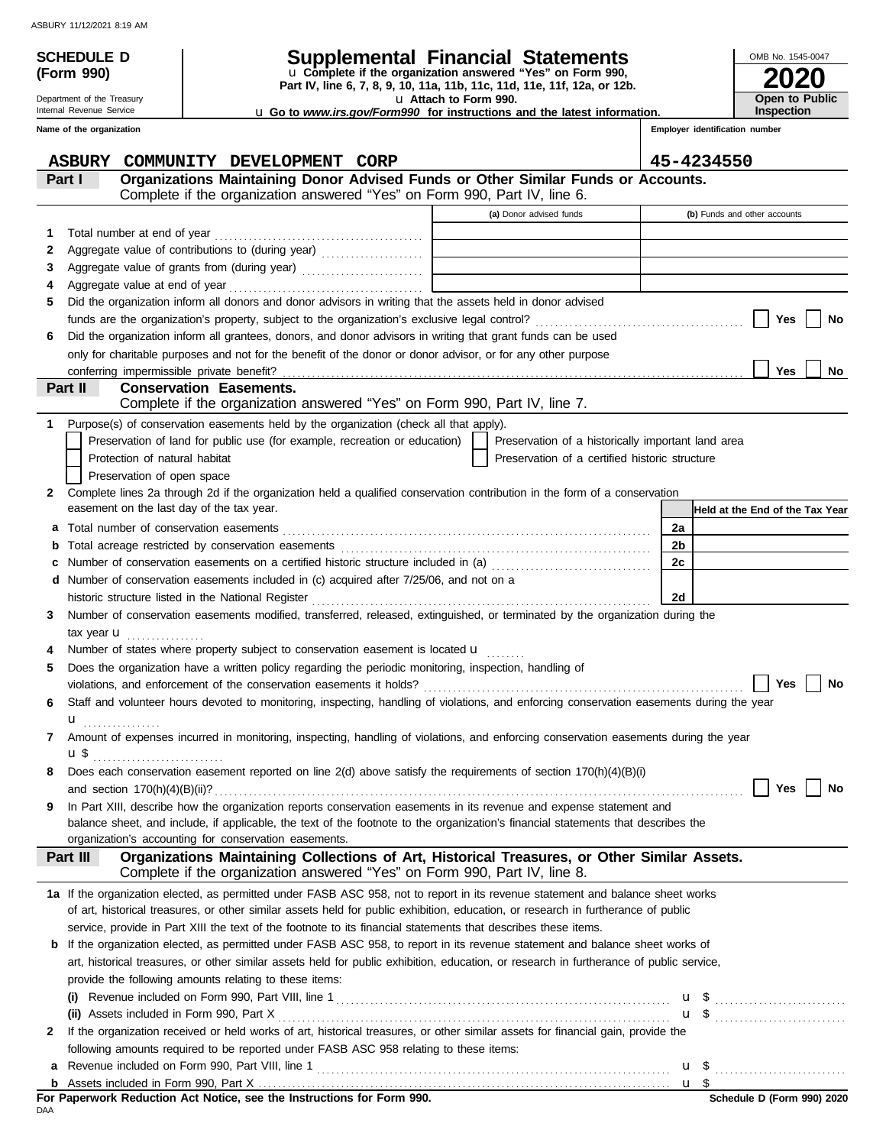Department of the Treasury Internal Revenue Service

**(Form 990)**

## **SCHEDULE D Supplemental Financial Statements**

**Part IV, line 6, 7, 8, 9, 10, 11a, 11b, 11c, 11d, 11e, 11f, 12a, or 12b.** u **Complete if the organization answered "Yes" on Form 990,**

u **Attach to Form 990.**  u **Go to** *www.irs.gov/Form990* **for instructions and the latest information.**

**Inspection**

**2020**

**Open to Public**

OMB No. 1545-0047

|    | Name of the organization                                                                                                                                                              |                                                             |    | Employer identification number  |
|----|---------------------------------------------------------------------------------------------------------------------------------------------------------------------------------------|-------------------------------------------------------------|----|---------------------------------|
|    | <b>ASBURY</b><br>COMMUNITY DEVELOPMENT CORP                                                                                                                                           |                                                             |    | 45-4234550                      |
|    | Organizations Maintaining Donor Advised Funds or Other Similar Funds or Accounts.<br>Part I<br>Complete if the organization answered "Yes" on Form 990, Part IV, line 6.              |                                                             |    |                                 |
|    |                                                                                                                                                                                       | (a) Donor advised funds                                     |    | (b) Funds and other accounts    |
| 1  | Total number at end of year                                                                                                                                                           |                                                             |    |                                 |
| 2  |                                                                                                                                                                                       | the control of the control of the control of the control of |    |                                 |
| 3  |                                                                                                                                                                                       | <u> 1980 - Johann Barn, mars ann an t-Amhair ann an t-A</u> |    |                                 |
| 4  |                                                                                                                                                                                       |                                                             |    |                                 |
| 5. | Did the organization inform all donors and donor advisors in writing that the assets held in donor advised                                                                            |                                                             |    |                                 |
|    |                                                                                                                                                                                       |                                                             |    | Yes<br>No                       |
| 6  | Did the organization inform all grantees, donors, and donor advisors in writing that grant funds can be used                                                                          |                                                             |    |                                 |
|    | only for charitable purposes and not for the benefit of the donor or donor advisor, or for any other purpose                                                                          |                                                             |    |                                 |
|    |                                                                                                                                                                                       |                                                             |    | <b>Yes</b><br>No                |
|    | Part II<br><b>Conservation Easements.</b><br>Complete if the organization answered "Yes" on Form 990, Part IV, line 7.                                                                |                                                             |    |                                 |
|    |                                                                                                                                                                                       |                                                             |    |                                 |
| 1. | Purpose(s) of conservation easements held by the organization (check all that apply).<br>Preservation of land for public use (for example, recreation or education)                   | Preservation of a historically important land area          |    |                                 |
|    | Protection of natural habitat                                                                                                                                                         | Preservation of a certified historic structure              |    |                                 |
|    | Preservation of open space                                                                                                                                                            |                                                             |    |                                 |
| 2  | Complete lines 2a through 2d if the organization held a qualified conservation contribution in the form of a conservation                                                             |                                                             |    |                                 |
|    | easement on the last day of the tax year.                                                                                                                                             |                                                             |    | Held at the End of the Tax Year |
| a  |                                                                                                                                                                                       |                                                             | 2a |                                 |
| b  |                                                                                                                                                                                       |                                                             | 2b |                                 |
| c  | Number of conservation easements on a certified historic structure included in (a) [[[[[[[[[[[[[[[[[[[[[[[[]]]]]]]]                                                                   |                                                             | 2c |                                 |
|    | d Number of conservation easements included in (c) acquired after 7/25/06, and not on a                                                                                               |                                                             |    |                                 |
|    |                                                                                                                                                                                       |                                                             | 2d |                                 |
| 3  | Number of conservation easements modified, transferred, released, extinguished, or terminated by the organization during the                                                          |                                                             |    |                                 |
|    | tax year $\mathbf u$                                                                                                                                                                  |                                                             |    |                                 |
|    | Number of states where property subject to conservation easement is located u                                                                                                         |                                                             |    |                                 |
| 5  | Does the organization have a written policy regarding the periodic monitoring, inspection, handling of                                                                                |                                                             |    |                                 |
|    |                                                                                                                                                                                       |                                                             |    | Yes<br>No                       |
| 6  | Staff and volunteer hours devoted to monitoring, inspecting, handling of violations, and enforcing conservation easements during the year                                             |                                                             |    |                                 |
|    | ${\bf u}$ , , , , , , , , , , , , , , ,                                                                                                                                               |                                                             |    |                                 |
| 7  | Amount of expenses incurred in monitoring, inspecting, handling of violations, and enforcing conservation easements during the year                                                   |                                                             |    |                                 |
|    | <b>u</b> \$<br>Does each conservation easement reported on line 2(d) above satisfy the requirements of section 170(h)(4)(B)(i)                                                        |                                                             |    |                                 |
|    |                                                                                                                                                                                       |                                                             |    | Yes<br>No                       |
| 9  | In Part XIII, describe how the organization reports conservation easements in its revenue and expense statement and                                                                   |                                                             |    |                                 |
|    | balance sheet, and include, if applicable, the text of the footnote to the organization's financial statements that describes the                                                     |                                                             |    |                                 |
|    | organization's accounting for conservation easements.                                                                                                                                 |                                                             |    |                                 |
|    | Organizations Maintaining Collections of Art, Historical Treasures, or Other Similar Assets.<br>Part III<br>Complete if the organization answered "Yes" on Form 990, Part IV, line 8. |                                                             |    |                                 |
|    | 1a If the organization elected, as permitted under FASB ASC 958, not to report in its revenue statement and balance sheet works                                                       |                                                             |    |                                 |
|    | of art, historical treasures, or other similar assets held for public exhibition, education, or research in furtherance of public                                                     |                                                             |    |                                 |
|    | service, provide in Part XIII the text of the footnote to its financial statements that describes these items.                                                                        |                                                             |    |                                 |
|    | <b>b</b> If the organization elected, as permitted under FASB ASC 958, to report in its revenue statement and balance sheet works of                                                  |                                                             |    |                                 |
|    | art, historical treasures, or other similar assets held for public exhibition, education, or research in furtherance of public service,                                               |                                                             |    |                                 |
|    | provide the following amounts relating to these items:                                                                                                                                |                                                             |    |                                 |
|    | (i)                                                                                                                                                                                   |                                                             |    |                                 |
|    |                                                                                                                                                                                       |                                                             |    |                                 |
| 2  | If the organization received or held works of art, historical treasures, or other similar assets for financial gain, provide the                                                      |                                                             |    |                                 |
|    | following amounts required to be reported under FASB ASC 958 relating to these items:                                                                                                 |                                                             |    |                                 |
| a  |                                                                                                                                                                                       |                                                             |    | $\mathbf{u}$ \$                 |
|    |                                                                                                                                                                                       |                                                             |    |                                 |

DAA **For Paperwork Reduction Act Notice, see the Instructions for Form 990.**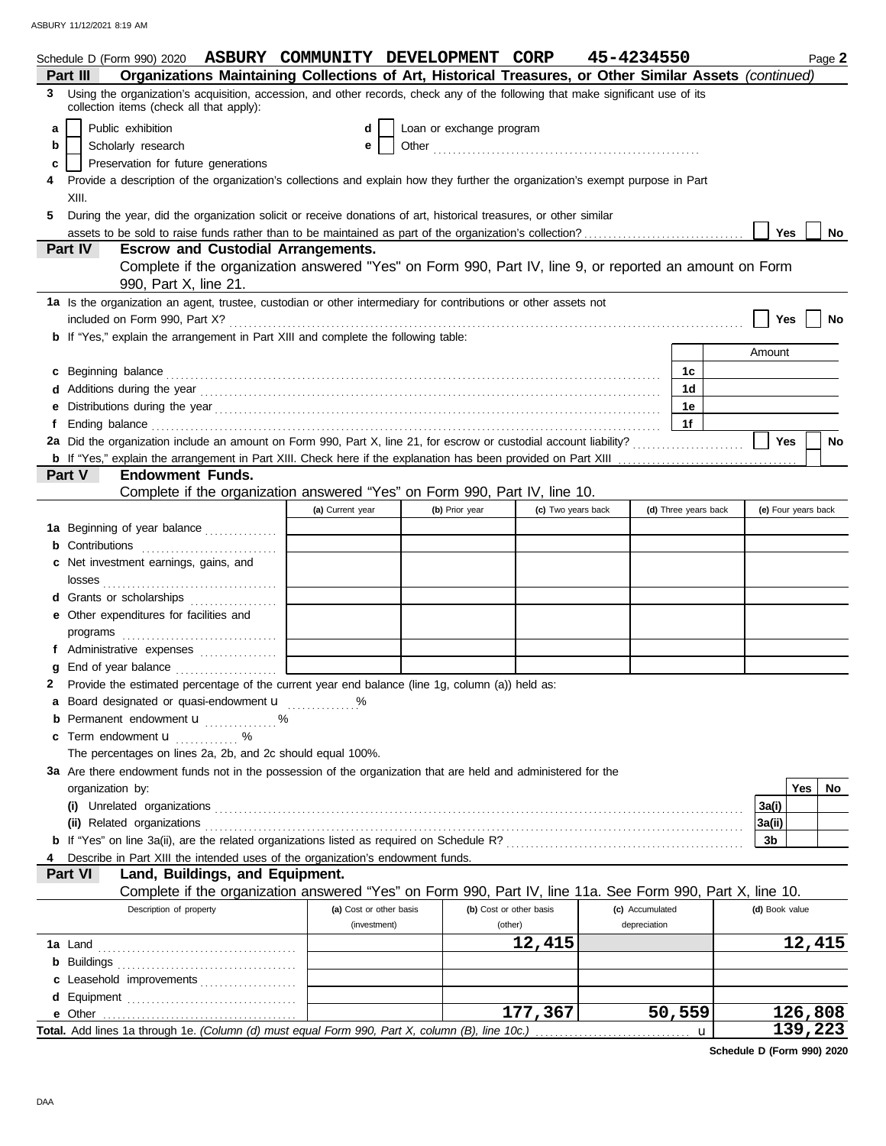ASBURY 11/12/2021 8:19 AM

|   | Schedule D (Form 990) 2020 ASBURY COMMUNITY DEVELOPMENT CORP                                                                                                                  |                         |                          |                         | 45-4234550      |                      |                | Page 2              |
|---|-------------------------------------------------------------------------------------------------------------------------------------------------------------------------------|-------------------------|--------------------------|-------------------------|-----------------|----------------------|----------------|---------------------|
|   | Organizations Maintaining Collections of Art, Historical Treasures, or Other Similar Assets (continued)<br>Part III                                                           |                         |                          |                         |                 |                      |                |                     |
|   | 3 Using the organization's acquisition, accession, and other records, check any of the following that make significant use of its<br>collection items (check all that apply): |                         |                          |                         |                 |                      |                |                     |
| a | Public exhibition                                                                                                                                                             | d                       | Loan or exchange program |                         |                 |                      |                |                     |
| b | Scholarly research                                                                                                                                                            | е                       |                          |                         |                 |                      |                |                     |
| c | Preservation for future generations                                                                                                                                           |                         |                          |                         |                 |                      |                |                     |
|   | Provide a description of the organization's collections and explain how they further the organization's exempt purpose in Part                                                |                         |                          |                         |                 |                      |                |                     |
|   | XIII.                                                                                                                                                                         |                         |                          |                         |                 |                      |                |                     |
| 5 | During the year, did the organization solicit or receive donations of art, historical treasures, or other similar                                                             |                         |                          |                         |                 |                      |                |                     |
|   | assets to be sold to raise funds rather than to be maintained as part of the organization's collection?                                                                       |                         |                          |                         |                 |                      | Yes            | No                  |
|   | Part IV<br><b>Escrow and Custodial Arrangements.</b>                                                                                                                          |                         |                          |                         |                 |                      |                |                     |
|   | Complete if the organization answered "Yes" on Form 990, Part IV, line 9, or reported an amount on Form<br>990, Part X, line 21.                                              |                         |                          |                         |                 |                      |                |                     |
|   | 1a Is the organization an agent, trustee, custodian or other intermediary for contributions or other assets not                                                               |                         |                          |                         |                 |                      |                |                     |
|   |                                                                                                                                                                               |                         |                          |                         |                 |                      | Yes            | No                  |
|   | <b>b</b> If "Yes," explain the arrangement in Part XIII and complete the following table:                                                                                     |                         |                          |                         |                 |                      |                |                     |
|   |                                                                                                                                                                               |                         |                          |                         |                 |                      | Amount         |                     |
| c |                                                                                                                                                                               |                         |                          |                         |                 | 1с                   |                |                     |
|   |                                                                                                                                                                               |                         |                          |                         |                 | 1d                   |                |                     |
|   |                                                                                                                                                                               |                         |                          |                         |                 | 1е                   |                |                     |
|   |                                                                                                                                                                               |                         |                          |                         |                 | 1f                   |                |                     |
|   |                                                                                                                                                                               |                         |                          |                         |                 |                      | Yes            | No                  |
|   |                                                                                                                                                                               |                         |                          |                         |                 |                      |                |                     |
|   | <b>Endowment Funds.</b><br>Part V                                                                                                                                             |                         |                          |                         |                 |                      |                |                     |
|   | Complete if the organization answered "Yes" on Form 990, Part IV, line 10.                                                                                                    |                         |                          |                         |                 |                      |                |                     |
|   |                                                                                                                                                                               | (a) Current year        | (b) Prior year           | (c) Two years back      |                 | (d) Three years back |                | (e) Four years back |
|   | 1a Beginning of year balance                                                                                                                                                  |                         |                          |                         |                 |                      |                |                     |
|   | Contributions <b>Contributions</b>                                                                                                                                            |                         |                          |                         |                 |                      |                |                     |
|   | c Net investment earnings, gains, and                                                                                                                                         |                         |                          |                         |                 |                      |                |                     |
|   |                                                                                                                                                                               |                         |                          |                         |                 |                      |                |                     |
|   | d Grants or scholarships                                                                                                                                                      |                         |                          |                         |                 |                      |                |                     |
|   | e Other expenditures for facilities and                                                                                                                                       |                         |                          |                         |                 |                      |                |                     |
|   |                                                                                                                                                                               |                         |                          |                         |                 |                      |                |                     |
|   | f Administrative expenses                                                                                                                                                     |                         |                          |                         |                 |                      |                |                     |
|   | End of year balance                                                                                                                                                           |                         |                          |                         |                 |                      |                |                     |
|   | 2 Provide the estimated percentage of the current year end balance (line 1g, column (a)) held as:                                                                             |                         |                          |                         |                 |                      |                |                     |
|   | a Board designated or quasi-endowment u                                                                                                                                       |                         |                          |                         |                 |                      |                |                     |
|   | <b>b</b> Permanent endowment <b>u</b> %                                                                                                                                       |                         |                          |                         |                 |                      |                |                     |
|   | <b>c</b> Term endowment $\mathbf{u}$ %                                                                                                                                        |                         |                          |                         |                 |                      |                |                     |
|   | The percentages on lines 2a, 2b, and 2c should equal 100%.                                                                                                                    |                         |                          |                         |                 |                      |                |                     |
|   | 3a Are there endowment funds not in the possession of the organization that are held and administered for the                                                                 |                         |                          |                         |                 |                      |                |                     |
|   | organization by:                                                                                                                                                              |                         |                          |                         |                 |                      |                | Yes<br>No           |
|   |                                                                                                                                                                               |                         |                          |                         |                 |                      | 3a(i)          |                     |
|   |                                                                                                                                                                               |                         |                          |                         |                 |                      | 3a(ii)         |                     |
|   |                                                                                                                                                                               |                         |                          |                         |                 |                      | 3b             |                     |
|   | Describe in Part XIII the intended uses of the organization's endowment funds.<br>Part VI<br>Land, Buildings, and Equipment.                                                  |                         |                          |                         |                 |                      |                |                     |
|   | Complete if the organization answered "Yes" on Form 990, Part IV, line 11a. See Form 990, Part X, line 10.                                                                    |                         |                          |                         |                 |                      |                |                     |
|   | Description of property                                                                                                                                                       | (a) Cost or other basis |                          | (b) Cost or other basis | (c) Accumulated |                      | (d) Book value |                     |
|   |                                                                                                                                                                               | (investment)            |                          | (other)                 | depreciation    |                      |                |                     |
|   |                                                                                                                                                                               |                         |                          | 12,415                  |                 |                      |                | 12,415              |
|   |                                                                                                                                                                               |                         |                          |                         |                 |                      |                |                     |
|   | c Leasehold improvements                                                                                                                                                      |                         |                          |                         |                 |                      |                |                     |
|   |                                                                                                                                                                               |                         |                          |                         |                 |                      |                |                     |
|   |                                                                                                                                                                               |                         |                          | 177,367                 |                 | 50,559               |                | 126,808             |
|   |                                                                                                                                                                               |                         |                          |                         |                 | $\mathbf{u}$         |                | 139,223             |
|   |                                                                                                                                                                               |                         |                          |                         |                 |                      |                |                     |

**Schedule D (Form 990) 2020**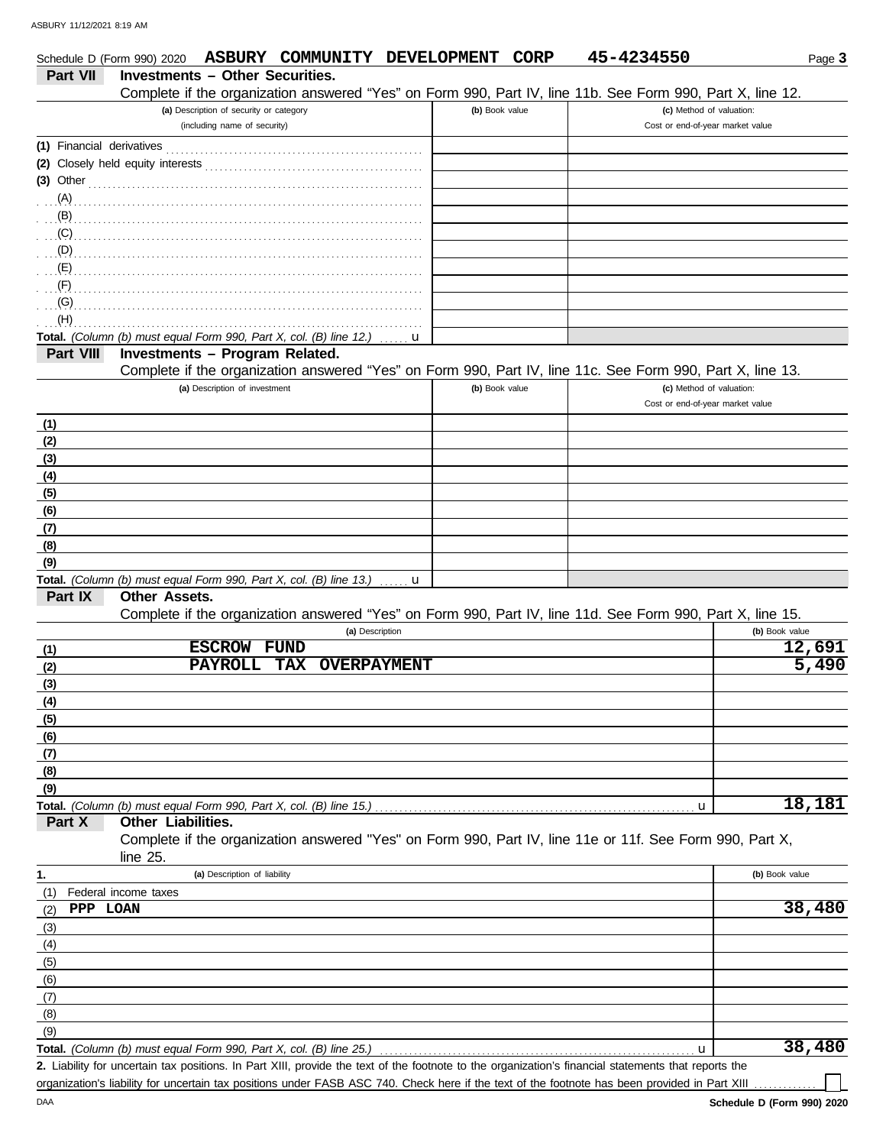DAA

| Schedule D (Form 990) 2020 |                                                           |                                         | ASBURY COMMUNITY DEVELOPMENT                                                                               |                 |                | <b>CORP</b> | 45-4234550 |                                  | Page 3         |
|----------------------------|-----------------------------------------------------------|-----------------------------------------|------------------------------------------------------------------------------------------------------------|-----------------|----------------|-------------|------------|----------------------------------|----------------|
| <b>Part VII</b>            | <b>Investments - Other Securities.</b>                    |                                         |                                                                                                            |                 |                |             |            |                                  |                |
|                            |                                                           |                                         | Complete if the organization answered "Yes" on Form 990, Part IV, line 11b. See Form 990, Part X, line 12. |                 |                |             |            |                                  |                |
|                            |                                                           | (a) Description of security or category |                                                                                                            |                 | (b) Book value |             |            | (c) Method of valuation:         |                |
|                            |                                                           | (including name of security)            |                                                                                                            |                 |                |             |            | Cost or end-of-year market value |                |
|                            |                                                           |                                         |                                                                                                            |                 |                |             |            |                                  |                |
|                            |                                                           |                                         |                                                                                                            |                 |                |             |            |                                  |                |
|                            | (3) Other $\ldots$ and $\ldots$ and $\ldots$ and $\ldots$ |                                         |                                                                                                            |                 |                |             |            |                                  |                |
|                            |                                                           |                                         |                                                                                                            |                 |                |             |            |                                  |                |
|                            |                                                           |                                         |                                                                                                            |                 |                |             |            |                                  |                |
| . (C)                      |                                                           |                                         |                                                                                                            |                 |                |             |            |                                  |                |
| $\Box$ (D)                 |                                                           |                                         |                                                                                                            |                 |                |             |            |                                  |                |
| (E)                        |                                                           |                                         |                                                                                                            |                 |                |             |            |                                  |                |
| $\mathcal{F}(\mathsf{F})$  |                                                           |                                         |                                                                                                            |                 |                |             |            |                                  |                |
| (G)                        |                                                           |                                         |                                                                                                            |                 |                |             |            |                                  |                |
| (H)                        |                                                           |                                         |                                                                                                            |                 |                |             |            |                                  |                |
|                            |                                                           |                                         | Total. (Column (b) must equal Form 990, Part X, col. (B) line 12.)                                         | u               |                |             |            |                                  |                |
| Part VIII                  | Investments - Program Related.                            |                                         |                                                                                                            |                 |                |             |            |                                  |                |
|                            |                                                           |                                         | Complete if the organization answered "Yes" on Form 990, Part IV, line 11c. See Form 990, Part X, line 13. |                 |                |             |            |                                  |                |
|                            |                                                           | (a) Description of investment           |                                                                                                            |                 | (b) Book value |             |            | (c) Method of valuation:         |                |
|                            |                                                           |                                         |                                                                                                            |                 |                |             |            | Cost or end-of-year market value |                |
| (1)                        |                                                           |                                         |                                                                                                            |                 |                |             |            |                                  |                |
| (2)                        |                                                           |                                         |                                                                                                            |                 |                |             |            |                                  |                |
| (3)                        |                                                           |                                         |                                                                                                            |                 |                |             |            |                                  |                |
| (4)                        |                                                           |                                         |                                                                                                            |                 |                |             |            |                                  |                |
| (5)                        |                                                           |                                         |                                                                                                            |                 |                |             |            |                                  |                |
| (6)                        |                                                           |                                         |                                                                                                            |                 |                |             |            |                                  |                |
| (7)                        |                                                           |                                         |                                                                                                            |                 |                |             |            |                                  |                |
| (8)                        |                                                           |                                         |                                                                                                            |                 |                |             |            |                                  |                |
| (9)                        |                                                           |                                         |                                                                                                            |                 |                |             |            |                                  |                |
|                            |                                                           |                                         | Total. (Column (b) must equal Form 990, Part X, col. (B) line 13.) $\dots$ $\mathbf u$                     |                 |                |             |            |                                  |                |
| Part IX                    | Other Assets.                                             |                                         |                                                                                                            |                 |                |             |            |                                  |                |
|                            |                                                           |                                         | Complete if the organization answered "Yes" on Form 990, Part IV, line 11d. See Form 990, Part X, line 15. |                 |                |             |            |                                  |                |
|                            |                                                           |                                         |                                                                                                            | (a) Description |                |             |            |                                  | (b) Book value |
| (1)                        |                                                           | <b>ESCROW</b>                           | FUND                                                                                                       |                 |                |             |            |                                  | 12,691         |
| (2)                        |                                                           | <b>PAYROLL</b>                          | <b>TAX</b>                                                                                                 | OVERPAYMENT     |                |             |            |                                  | 5,490          |
| (3)                        |                                                           |                                         |                                                                                                            |                 |                |             |            |                                  |                |
| <u>(4)</u>                 |                                                           |                                         |                                                                                                            |                 |                |             |            |                                  |                |
| (5)                        |                                                           |                                         |                                                                                                            |                 |                |             |            |                                  |                |
| (6)                        |                                                           |                                         |                                                                                                            |                 |                |             |            |                                  |                |
| (7)                        |                                                           |                                         |                                                                                                            |                 |                |             |            |                                  |                |
| (8)                        |                                                           |                                         |                                                                                                            |                 |                |             |            |                                  |                |
| (9)                        |                                                           |                                         | Total. (Column (b) must equal Form 990, Part X, col. (B) line 15.)                                         |                 |                |             |            |                                  | 18,181         |
| Part X                     | Other Liabilities.                                        |                                         |                                                                                                            |                 |                |             |            | u                                |                |
|                            |                                                           |                                         | Complete if the organization answered "Yes" on Form 990, Part IV, line 11e or 11f. See Form 990, Part X,   |                 |                |             |            |                                  |                |
|                            | line 25.                                                  |                                         |                                                                                                            |                 |                |             |            |                                  |                |
| 1.                         |                                                           | (a) Description of liability            |                                                                                                            |                 |                |             |            |                                  | (b) Book value |
| (1)                        | Federal income taxes                                      |                                         |                                                                                                            |                 |                |             |            |                                  |                |
| PPP LOAN<br>(2)            |                                                           |                                         |                                                                                                            |                 |                |             |            |                                  | 38,480         |
| (3)                        |                                                           |                                         |                                                                                                            |                 |                |             |            |                                  |                |
|                            |                                                           |                                         |                                                                                                            |                 |                |             |            |                                  |                |
| (4)                        |                                                           |                                         |                                                                                                            |                 |                |             |            |                                  |                |
| (5)                        |                                                           |                                         |                                                                                                            |                 |                |             |            |                                  |                |
| (6)<br>(7)                 |                                                           |                                         |                                                                                                            |                 |                |             |            |                                  |                |
| (8)                        |                                                           |                                         |                                                                                                            |                 |                |             |            |                                  |                |
| (9)                        |                                                           |                                         |                                                                                                            |                 |                |             |            |                                  |                |
|                            |                                                           |                                         | Total. (Column (b) must equal Form 990, Part X, col. (B) line 25.)                                         |                 |                |             |            | u                                | 38,480         |
|                            |                                                           |                                         |                                                                                                            |                 |                |             |            |                                  |                |

Liability for uncertain tax positions. In Part XIII, provide the text of the footnote to the organization's financial statements that reports the **2.** organization's liability for uncertain tax positions under FASB ASC 740. Check here if the text of the footnote has been provided in Part XIII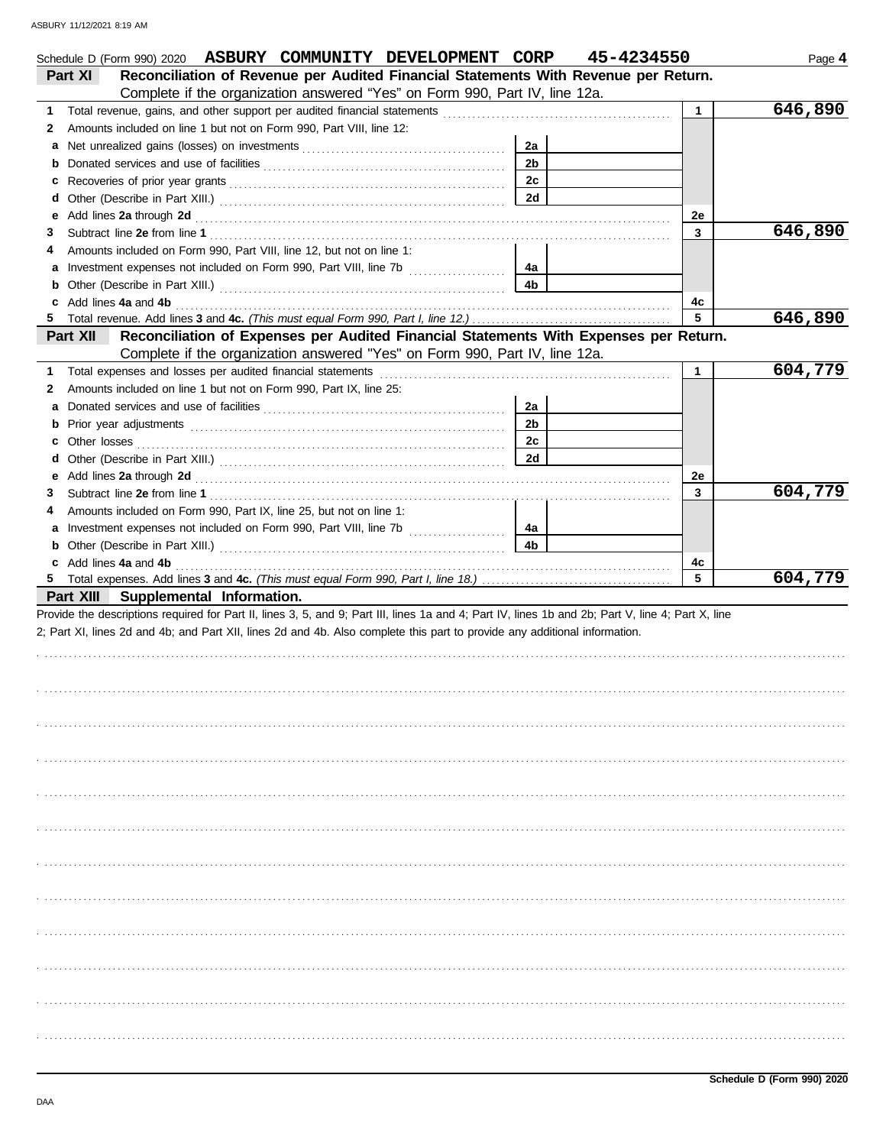|         | Schedule D (Form 990) 2020 ASBURY COMMUNITY DEVELOPMENT CORP                                                                                                                                                                   |                      | 45-4234550 |              | Page 4  |
|---------|--------------------------------------------------------------------------------------------------------------------------------------------------------------------------------------------------------------------------------|----------------------|------------|--------------|---------|
|         | Reconciliation of Revenue per Audited Financial Statements With Revenue per Return.<br>Part XI                                                                                                                                 |                      |            |              |         |
|         | Complete if the organization answered "Yes" on Form 990, Part IV, line 12a.                                                                                                                                                    |                      |            |              |         |
| 1.      |                                                                                                                                                                                                                                |                      |            | $\mathbf{1}$ | 646,890 |
| 2       | Amounts included on line 1 but not on Form 990, Part VIII, line 12:                                                                                                                                                            |                      |            |              |         |
| а       |                                                                                                                                                                                                                                | 2a                   |            |              |         |
| b       |                                                                                                                                                                                                                                | 2 <sub>b</sub>       |            |              |         |
| c       |                                                                                                                                                                                                                                | 2c                   |            |              |         |
| d       |                                                                                                                                                                                                                                | 2d                   |            |              |         |
| е       | Add lines 2a through 2d [11] Additional Property and Property and Property and Property and Property and Property and Property and Property and Property and Property and Property and Property and Property and Property and  |                      |            | 2e           |         |
| 3       |                                                                                                                                                                                                                                |                      |            | $\mathbf{3}$ | 646,890 |
| 4       | Amounts included on Form 990, Part VIII, line 12, but not on line 1:                                                                                                                                                           |                      |            |              |         |
|         |                                                                                                                                                                                                                                | 4а                   |            |              |         |
| b       |                                                                                                                                                                                                                                | 4b                   |            |              |         |
|         | c Add lines 4a and 4b                                                                                                                                                                                                          |                      |            | 4c<br>5      | 646,890 |
|         | Reconciliation of Expenses per Audited Financial Statements With Expenses per Return.                                                                                                                                          |                      |            |              |         |
|         | Part XII<br>Complete if the organization answered "Yes" on Form 990, Part IV, line 12a.                                                                                                                                        |                      |            |              |         |
|         |                                                                                                                                                                                                                                |                      |            | $\mathbf 1$  | 604,779 |
| 1.<br>2 | Total expenses and losses per audited financial statements<br>Amounts included on line 1 but not on Form 990, Part IX, line 25:                                                                                                |                      |            |              |         |
|         |                                                                                                                                                                                                                                |                      |            |              |         |
| а       |                                                                                                                                                                                                                                | 2a<br>2 <sub>b</sub> |            |              |         |
| b       | Other losses                                                                                                                                                                                                                   | 2c                   |            |              |         |
| c<br>d  |                                                                                                                                                                                                                                | 2d                   |            |              |         |
| е       |                                                                                                                                                                                                                                |                      |            | 2e           |         |
| 3       | Add lines 2a through 2d [11] March 2014 [12] March 2014 [12] March 2014 [12] March 2014 [12] March 2014 [12] March 2015 [12] March 2014 [12] March 2014 [12] March 2014 [12] March 2014 [12] March 2014 [12] March 2014 [12] M |                      |            | 3            | 604,779 |
| 4       | Amounts included on Form 990, Part IX, line 25, but not on line 1:                                                                                                                                                             |                      |            |              |         |
| а       |                                                                                                                                                                                                                                | 4а                   |            |              |         |
| b       |                                                                                                                                                                                                                                | 4b                   |            |              |         |
|         | c Add lines 4a and 4b                                                                                                                                                                                                          |                      |            | 4c           |         |
|         |                                                                                                                                                                                                                                |                      |            | 5            | 604,779 |
|         | Part XIII Supplemental Information.                                                                                                                                                                                            |                      |            |              |         |
|         | Provide the descriptions required for Part II, lines 3, 5, and 9; Part III, lines 1a and 4; Part IV, lines 1b and 2b; Part V, line 4; Part X, line                                                                             |                      |            |              |         |
|         | 2; Part XI, lines 2d and 4b; and Part XII, lines 2d and 4b. Also complete this part to provide any additional information.                                                                                                     |                      |            |              |         |
|         |                                                                                                                                                                                                                                |                      |            |              |         |
|         |                                                                                                                                                                                                                                |                      |            |              |         |
|         |                                                                                                                                                                                                                                |                      |            |              |         |
|         |                                                                                                                                                                                                                                |                      |            |              |         |
|         |                                                                                                                                                                                                                                |                      |            |              |         |
|         |                                                                                                                                                                                                                                |                      |            |              |         |
|         |                                                                                                                                                                                                                                |                      |            |              |         |
|         |                                                                                                                                                                                                                                |                      |            |              |         |
|         |                                                                                                                                                                                                                                |                      |            |              |         |
|         |                                                                                                                                                                                                                                |                      |            |              |         |
|         |                                                                                                                                                                                                                                |                      |            |              |         |
|         |                                                                                                                                                                                                                                |                      |            |              |         |
|         |                                                                                                                                                                                                                                |                      |            |              |         |
|         |                                                                                                                                                                                                                                |                      |            |              |         |
|         |                                                                                                                                                                                                                                |                      |            |              |         |
|         |                                                                                                                                                                                                                                |                      |            |              |         |
|         |                                                                                                                                                                                                                                |                      |            |              |         |
|         |                                                                                                                                                                                                                                |                      |            |              |         |
|         |                                                                                                                                                                                                                                |                      |            |              |         |
|         |                                                                                                                                                                                                                                |                      |            |              |         |
|         |                                                                                                                                                                                                                                |                      |            |              |         |
|         |                                                                                                                                                                                                                                |                      |            |              |         |
|         |                                                                                                                                                                                                                                |                      |            |              |         |
|         |                                                                                                                                                                                                                                |                      |            |              |         |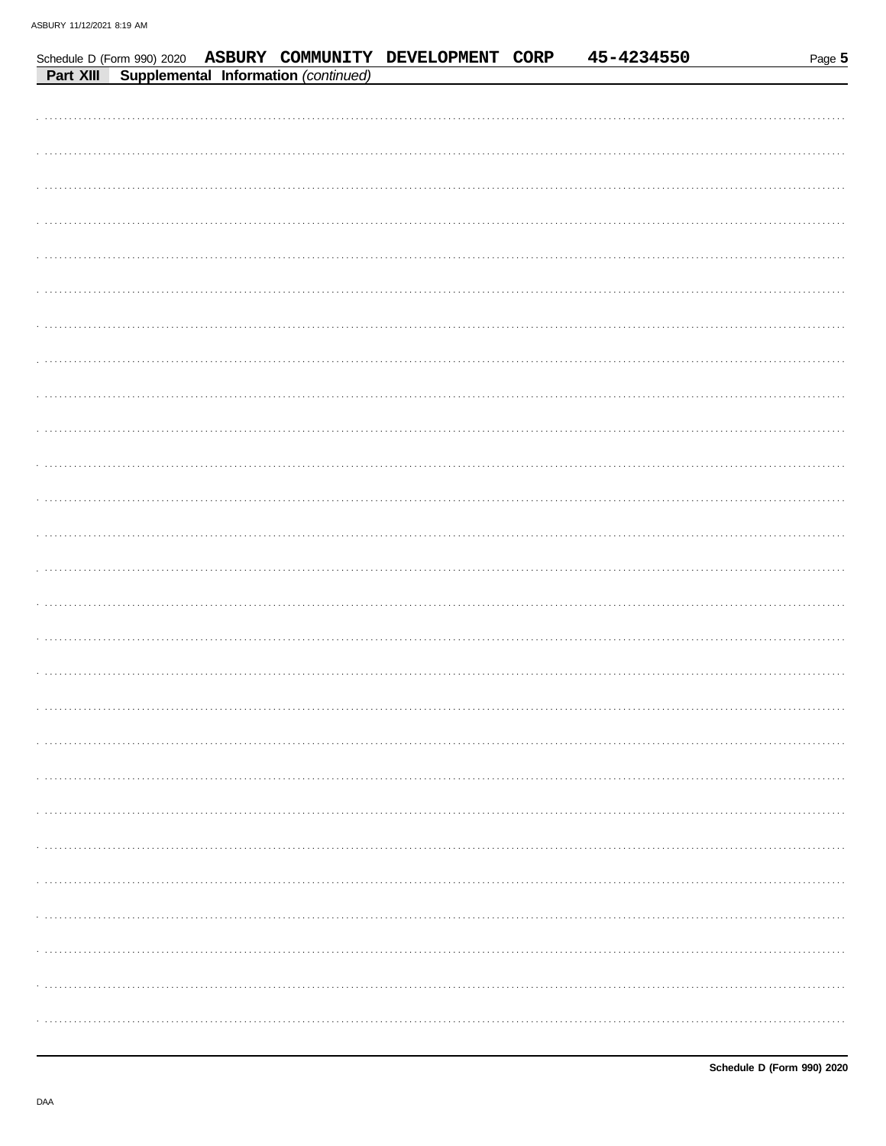Schedule D (Form 990) 2020 ASBURY COMMUNITY DEVELOPMENT CORP

| Part XIII Supplemental Information (continued) |
|------------------------------------------------|
|                                                |
|                                                |
|                                                |
|                                                |
|                                                |
|                                                |
|                                                |
|                                                |
|                                                |
|                                                |
|                                                |
|                                                |
|                                                |
|                                                |
|                                                |
|                                                |
|                                                |
|                                                |
|                                                |
|                                                |
|                                                |
|                                                |
|                                                |
|                                                |
|                                                |
|                                                |
|                                                |
|                                                |
|                                                |
|                                                |
|                                                |
|                                                |
|                                                |
|                                                |
|                                                |
|                                                |
|                                                |

45-4234550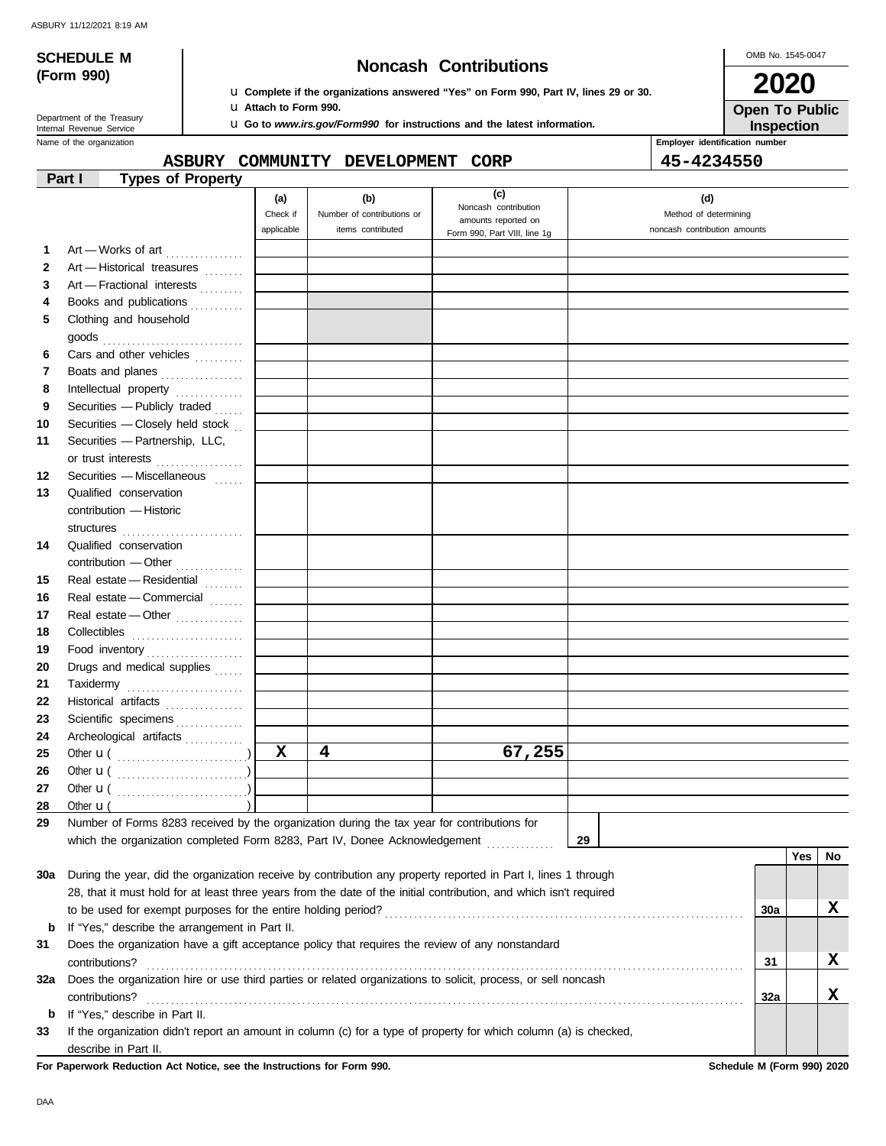|  |  | ASBURY 11/12/2021 8:19 AM |  |  |
|--|--|---------------------------|--|--|
|--|--|---------------------------|--|--|

# **SCHEDULE M Noncash Contributions**

OMB No. 1545-0047 **2020**

**Inspection Open To Public**

| (Form 990) |  |
|------------|--|
|------------|--|

#### u **Complete if the organizations answered "Yes" on Form 990, Part IV, lines 29 or 30.** u **Attach to Form 990.**

u **Go to** *www.irs.gov/Form990* **for instructions and the latest information.**

Name of the organization **Employer identification number Employer identification number** Department of the Treasury<br>Internal Revenue Service

### **ASBURY COMMUNITY DEVELOPMENT CORP 45-4234550**

|              | <b>Types of Property</b><br>Part I                                                                                 |             |                            |                                             |    |                              |     |    |
|--------------|--------------------------------------------------------------------------------------------------------------------|-------------|----------------------------|---------------------------------------------|----|------------------------------|-----|----|
|              |                                                                                                                    | (a)         | (b)                        | (c)                                         |    | (d)                          |     |    |
|              |                                                                                                                    | Check if    | Number of contributions or | Noncash contribution<br>amounts reported on |    | Method of determining        |     |    |
|              |                                                                                                                    | applicable  | items contributed          | Form 990, Part VIII, line 1g                |    | noncash contribution amounts |     |    |
| 1            | Art - Works of art                                                                                                 |             |                            |                                             |    |                              |     |    |
| $\mathbf{2}$ | Art - Historical treasures                                                                                         |             |                            |                                             |    |                              |     |    |
| 3            | Art - Fractional interests                                                                                         |             |                            |                                             |    |                              |     |    |
| 4            | Books and publications                                                                                             |             |                            |                                             |    |                              |     |    |
| 5            | Clothing and household                                                                                             |             |                            |                                             |    |                              |     |    |
|              | goods $\ldots \ldots \ldots \ldots \ldots \ldots \ldots \ldots$                                                    |             |                            |                                             |    |                              |     |    |
| 6            |                                                                                                                    |             |                            |                                             |    |                              |     |    |
| 7            | Boats and planes                                                                                                   |             |                            |                                             |    |                              |     |    |
| 8            | Intellectual property                                                                                              |             |                            |                                             |    |                              |     |    |
| 9            | Securities - Publicly traded                                                                                       |             |                            |                                             |    |                              |     |    |
| 10           | Securities - Closely held stock                                                                                    |             |                            |                                             |    |                              |     |    |
| 11           | Securities - Partnership, LLC,                                                                                     |             |                            |                                             |    |                              |     |    |
|              | or trust interests                                                                                                 |             |                            |                                             |    |                              |     |    |
| 12           | Securities - Miscellaneous                                                                                         |             |                            |                                             |    |                              |     |    |
| 13           | Qualified conservation                                                                                             |             |                            |                                             |    |                              |     |    |
|              | contribution - Historic                                                                                            |             |                            |                                             |    |                              |     |    |
|              |                                                                                                                    |             |                            |                                             |    |                              |     |    |
| 14           | Qualified conservation                                                                                             |             |                            |                                             |    |                              |     |    |
|              | contribution - Other                                                                                               |             |                            |                                             |    |                              |     |    |
| 15           | Real estate - Residential                                                                                          |             |                            |                                             |    |                              |     |    |
| 16           | Real estate - Commercial                                                                                           |             |                            |                                             |    |                              |     |    |
| 17           | Real estate - Other                                                                                                |             |                            |                                             |    |                              |     |    |
| 18           | Collectibles                                                                                                       |             |                            |                                             |    |                              |     |    |
| 19           | Food inventory                                                                                                     |             |                            |                                             |    |                              |     |    |
| 20           | Drugs and medical supplies                                                                                         |             |                            |                                             |    |                              |     |    |
| 21           | Taxidermy                                                                                                          |             |                            |                                             |    |                              |     |    |
| 22           | Historical artifacts                                                                                               |             |                            |                                             |    |                              |     |    |
| 23           | Scientific specimens                                                                                               |             |                            |                                             |    |                              |     |    |
| 24           | Archeological artifacts                                                                                            |             |                            |                                             |    |                              |     |    |
| 25           |                                                                                                                    | $\mathbf x$ | 4                          | 67,255                                      |    |                              |     |    |
| 26           |                                                                                                                    |             |                            |                                             |    |                              |     |    |
| 27           |                                                                                                                    |             |                            |                                             |    |                              |     |    |
| 28           | Other $\mathbf{u}$ (                                                                                               |             |                            |                                             |    |                              |     |    |
| 29           | Number of Forms 8283 received by the organization during the tax year for contributions for                        |             |                            |                                             |    |                              |     |    |
|              | which the organization completed Form 8283, Part IV, Donee Acknowledgement                                         |             |                            |                                             | 29 |                              |     |    |
|              |                                                                                                                    |             |                            |                                             |    |                              | Yes | No |
| 30a          | During the year, did the organization receive by contribution any property reported in Part I, lines 1 through     |             |                            |                                             |    |                              |     |    |
|              | 28, that it must hold for at least three years from the date of the initial contribution, and which isn't required |             |                            |                                             |    |                              |     |    |
|              |                                                                                                                    |             |                            |                                             |    | 30a                          |     | X  |
| b            | If "Yes," describe the arrangement in Part II.                                                                     |             |                            |                                             |    |                              |     |    |
| 31           | Does the organization have a gift acceptance policy that requires the review of any nonstandard                    |             |                            |                                             |    |                              |     |    |
|              | contributions?                                                                                                     |             |                            |                                             |    | 31                           |     | X  |
| 32a          | Does the organization hire or use third parties or related organizations to solicit, process, or sell noncash      |             |                            |                                             |    |                              |     |    |
|              | contributions?                                                                                                     |             |                            |                                             |    | 32a                          |     | X  |
| b            | If "Yes," describe in Part II.                                                                                     |             |                            |                                             |    |                              |     |    |
| 33           | If the organization didn't report an amount in column (c) for a type of property for which column (a) is checked,  |             |                            |                                             |    |                              |     |    |
|              | describe in Part II.                                                                                               |             |                            |                                             |    |                              |     |    |

**For Paperwork Reduction Act Notice, see the Instructions for Form 990. Schedule M (Form 990) 2020**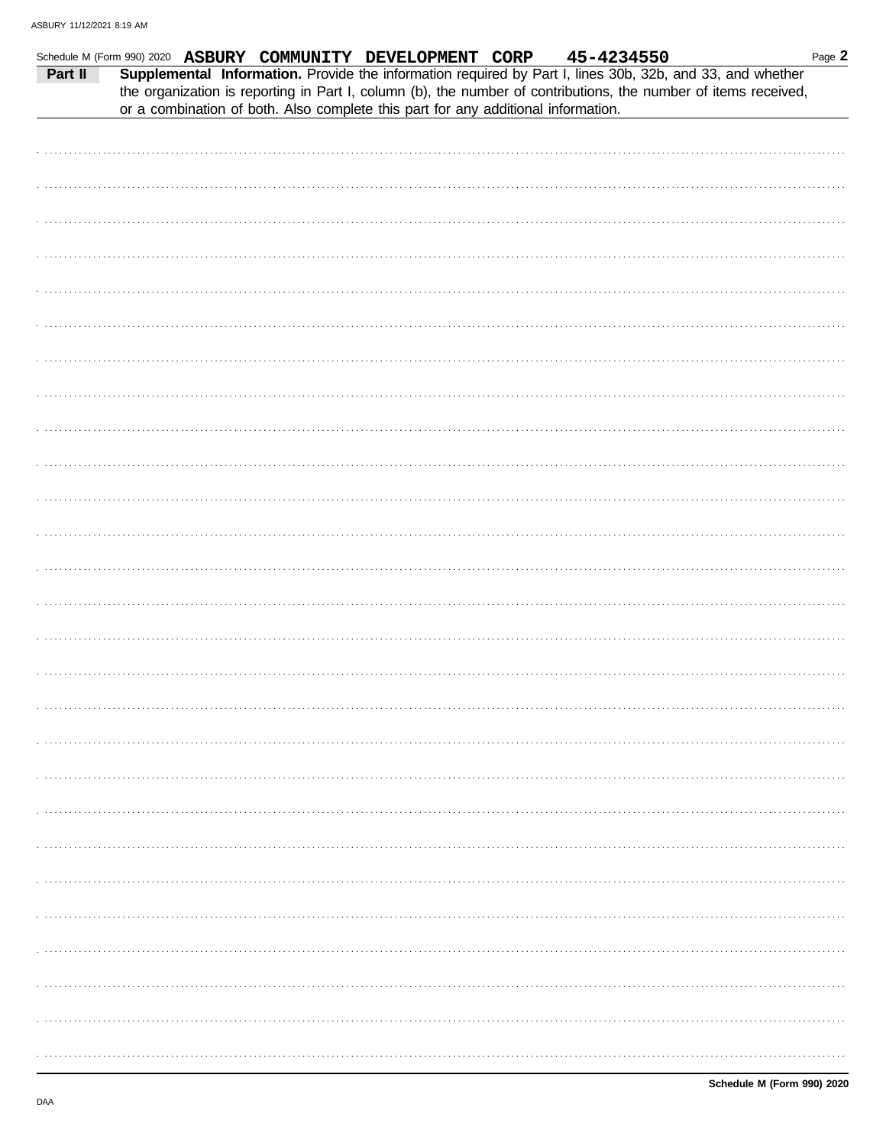|         | Schedule M (Form 990) 2020 ASBURY COMMUNITY DEVELOPMENT CORP |  |  |                                                                                   | 45-4234550 |                                                                                                                                                                                                                              | Page 2 |
|---------|--------------------------------------------------------------|--|--|-----------------------------------------------------------------------------------|------------|------------------------------------------------------------------------------------------------------------------------------------------------------------------------------------------------------------------------------|--------|
| Part II |                                                              |  |  | or a combination of both. Also complete this part for any additional information. |            | Supplemental Information. Provide the information required by Part I, lines 30b, 32b, and 33, and whether<br>the organization is reporting in Part I, column (b), the number of contributions, the number of items received, |        |
|         |                                                              |  |  |                                                                                   |            |                                                                                                                                                                                                                              |        |
|         |                                                              |  |  |                                                                                   |            |                                                                                                                                                                                                                              |        |
|         |                                                              |  |  |                                                                                   |            |                                                                                                                                                                                                                              |        |
|         |                                                              |  |  |                                                                                   |            |                                                                                                                                                                                                                              |        |
|         |                                                              |  |  |                                                                                   |            |                                                                                                                                                                                                                              |        |
|         |                                                              |  |  |                                                                                   |            |                                                                                                                                                                                                                              |        |
|         |                                                              |  |  |                                                                                   |            |                                                                                                                                                                                                                              |        |
|         |                                                              |  |  |                                                                                   |            |                                                                                                                                                                                                                              |        |
|         |                                                              |  |  |                                                                                   |            |                                                                                                                                                                                                                              |        |
|         |                                                              |  |  |                                                                                   |            |                                                                                                                                                                                                                              |        |
|         |                                                              |  |  |                                                                                   |            |                                                                                                                                                                                                                              |        |
|         |                                                              |  |  |                                                                                   |            |                                                                                                                                                                                                                              |        |
|         |                                                              |  |  |                                                                                   |            |                                                                                                                                                                                                                              |        |
|         |                                                              |  |  |                                                                                   |            |                                                                                                                                                                                                                              |        |
|         |                                                              |  |  |                                                                                   |            |                                                                                                                                                                                                                              |        |
|         |                                                              |  |  |                                                                                   |            |                                                                                                                                                                                                                              |        |
|         |                                                              |  |  |                                                                                   |            |                                                                                                                                                                                                                              |        |
|         |                                                              |  |  |                                                                                   |            |                                                                                                                                                                                                                              |        |
|         |                                                              |  |  |                                                                                   |            |                                                                                                                                                                                                                              |        |
|         |                                                              |  |  |                                                                                   |            |                                                                                                                                                                                                                              |        |
|         |                                                              |  |  |                                                                                   |            |                                                                                                                                                                                                                              |        |
|         |                                                              |  |  |                                                                                   |            |                                                                                                                                                                                                                              |        |
|         |                                                              |  |  |                                                                                   |            |                                                                                                                                                                                                                              |        |
|         |                                                              |  |  |                                                                                   |            |                                                                                                                                                                                                                              |        |
|         |                                                              |  |  |                                                                                   |            |                                                                                                                                                                                                                              |        |
|         |                                                              |  |  |                                                                                   |            |                                                                                                                                                                                                                              |        |
|         |                                                              |  |  |                                                                                   |            |                                                                                                                                                                                                                              |        |
|         |                                                              |  |  |                                                                                   |            |                                                                                                                                                                                                                              |        |
|         |                                                              |  |  |                                                                                   |            |                                                                                                                                                                                                                              |        |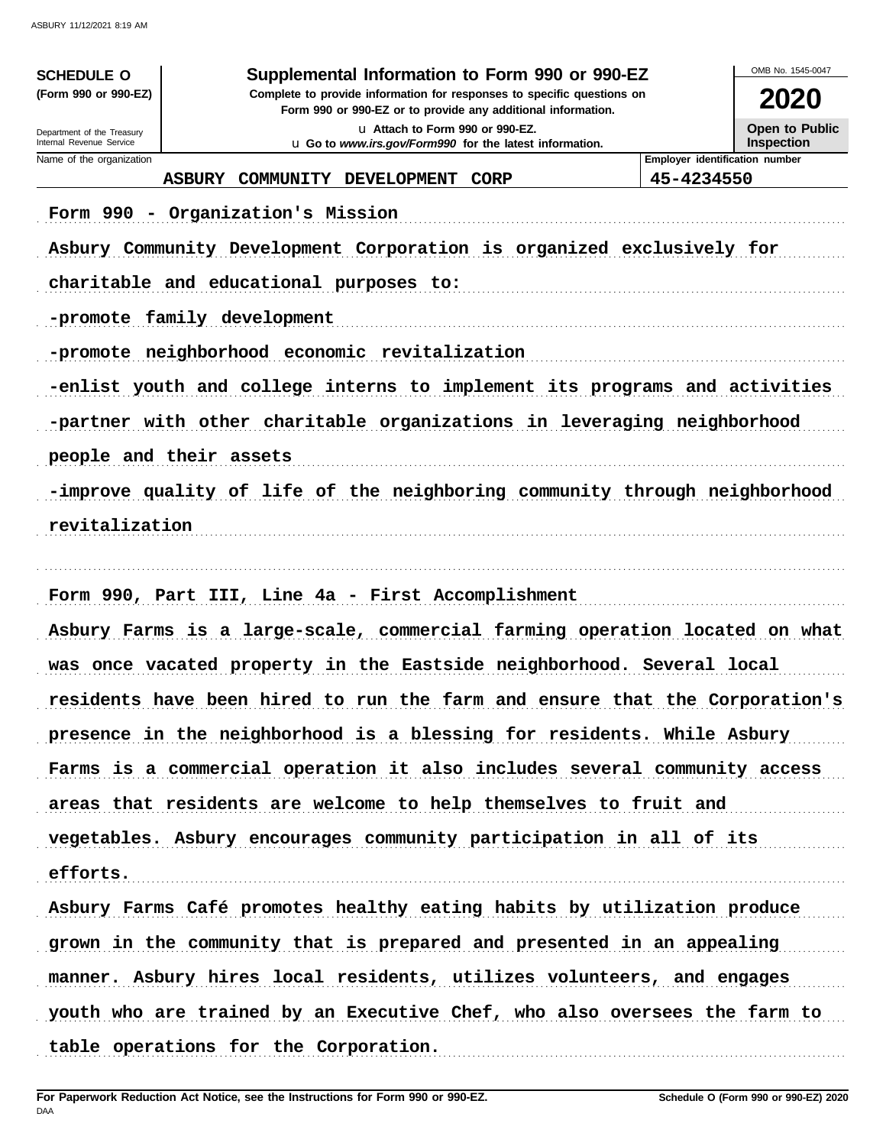| <b>SCHEDULE O</b>          | Supplemental Information to Form 990 or 990-EZ                                                                               |            | OMB No. 1545-0047 |  |  |  |  |
|----------------------------|------------------------------------------------------------------------------------------------------------------------------|------------|-------------------|--|--|--|--|
| (Form 990 or 990-EZ)       | Complete to provide information for responses to specific questions on                                                       | 2020       |                   |  |  |  |  |
| Department of the Treasury | Form 990 or 990-EZ or to provide any additional information.<br>La Attach to Form 990 or 990-EZ.                             |            |                   |  |  |  |  |
| Name of the organization   | Internal Revenue Service<br>u Go to www.irs.gov/Form990 for the latest information.<br><b>Employer identification number</b> |            |                   |  |  |  |  |
|                            | <b>ASBURY</b><br>COMMUNITY<br><b>DEVELOPMENT</b><br>CORP                                                                     | 45-4234550 |                   |  |  |  |  |
|                            | Form 990 - Organization's Mission<br>Asbury Community Development Corporation is organized exclusively for                   |            |                   |  |  |  |  |
|                            | charitable and educational purposes to:                                                                                      |            |                   |  |  |  |  |
|                            | -promote family development                                                                                                  |            |                   |  |  |  |  |
|                            | -promote neighborhood economic revitalization                                                                                |            |                   |  |  |  |  |
|                            | -enlist youth and college interns to implement its programs and activities                                                   |            |                   |  |  |  |  |
|                            | -partner with other charitable organizations in leveraging neighborhood                                                      |            |                   |  |  |  |  |
|                            | people and their assets                                                                                                      |            |                   |  |  |  |  |
|                            | -improve quality of life of the neighboring community through neighborhood                                                   |            |                   |  |  |  |  |
| revitalization             |                                                                                                                              |            |                   |  |  |  |  |
|                            |                                                                                                                              |            |                   |  |  |  |  |
|                            | Form 990, Part III, Line 4a - First Accomplishment                                                                           |            |                   |  |  |  |  |
|                            | Asbury Farms is a large-scale, commercial farming operation located on what                                                  |            |                   |  |  |  |  |
|                            | was once vacated property in the Eastside neighborhood. Several local                                                        |            |                   |  |  |  |  |
|                            | residents have been hired to run the farm and ensure that the Corporation's                                                  |            |                   |  |  |  |  |
|                            | presence in the neighborhood is a blessing for residents. While Asbury                                                       |            |                   |  |  |  |  |
|                            | Farms is a commercial operation it also includes several community access                                                    |            |                   |  |  |  |  |
|                            | areas that residents are welcome to help themselves to fruit and                                                             |            |                   |  |  |  |  |
|                            | vegetables. Asbury encourages community participation in all of its                                                          |            |                   |  |  |  |  |
| efforts.                   |                                                                                                                              |            |                   |  |  |  |  |
|                            | Asbury Farms Café promotes healthy eating habits by utilization produce                                                      |            |                   |  |  |  |  |
|                            | grown in the community that is prepared and presented in an appealing                                                        |            |                   |  |  |  |  |
|                            | manner. Asbury hires local residents, utilizes volunteers, and engages                                                       |            |                   |  |  |  |  |
|                            | youth who are trained by an Executive Chef, who also oversees the farm to                                                    |            |                   |  |  |  |  |
|                            | table operations for the Corporation.                                                                                        |            |                   |  |  |  |  |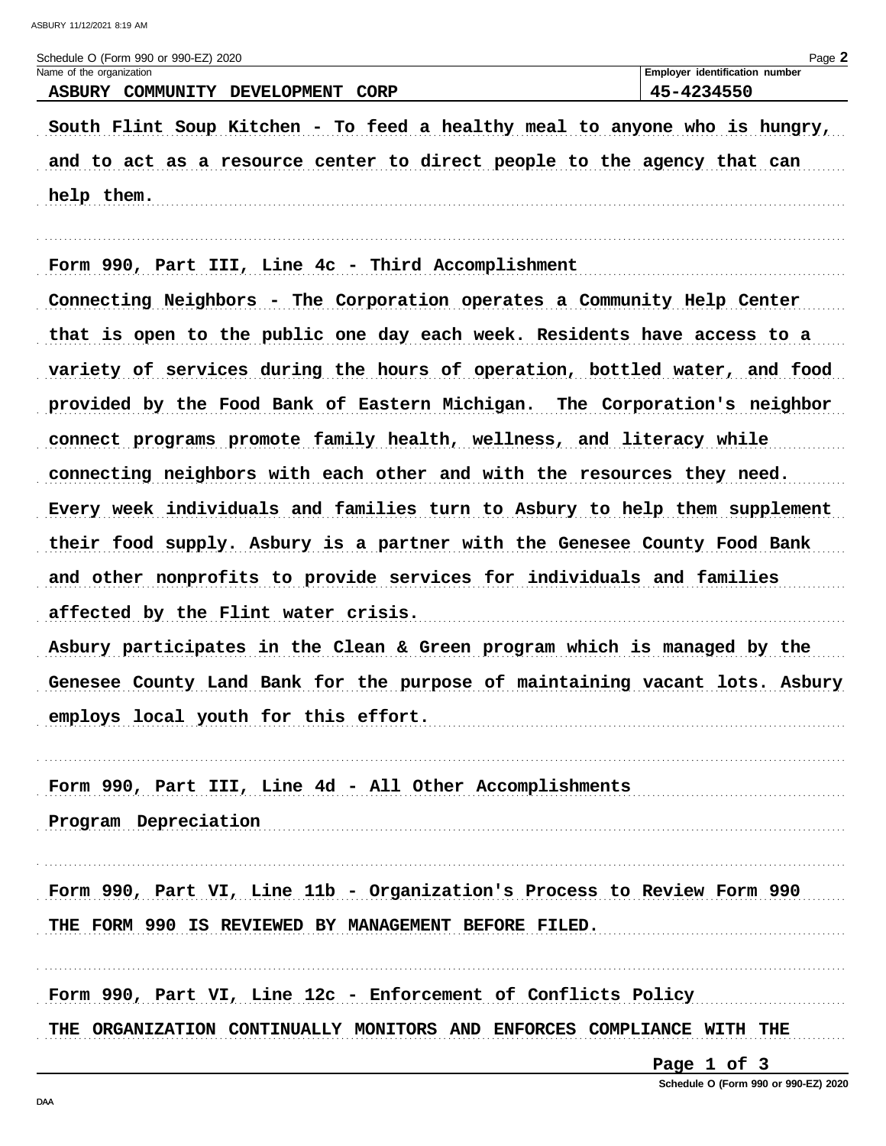ASBURY 11/12/2021 8:19 AM

| Schedule O (Form 990 or 990-EZ) 2020                                                                                                                                                                                                                                                                                                                                                                                                                                                                                                                                                                                        | Page 2                                       |
|-----------------------------------------------------------------------------------------------------------------------------------------------------------------------------------------------------------------------------------------------------------------------------------------------------------------------------------------------------------------------------------------------------------------------------------------------------------------------------------------------------------------------------------------------------------------------------------------------------------------------------|----------------------------------------------|
| Name of the organization<br>ASBURY COMMUNITY DEVELOPMENT CORP                                                                                                                                                                                                                                                                                                                                                                                                                                                                                                                                                               | Employer identification number<br>45-4234550 |
| South Flint Soup Kitchen - To feed a healthy meal to anyone who is hungry,<br>and to act as a resource center to direct people to the agency that can<br>help them.                                                                                                                                                                                                                                                                                                                                                                                                                                                         |                                              |
| Form 990, Part III, Line 4c - Third Accomplishment<br>Connecting Neighbors - The Corporation operates a Community Help Center<br>that is open to the public one day each week. Residents have access to a                                                                                                                                                                                                                                                                                                                                                                                                                   |                                              |
| variety of services during the hours of operation, bottled water, and food<br>provided by the Food Bank of Eastern Michigan. The Corporation's neighbor                                                                                                                                                                                                                                                                                                                                                                                                                                                                     |                                              |
| connect programs promote family health, wellness, and literacy while<br>connecting neighbors with each other and with the resources they need.<br>Every week individuals and families turn to Asbury to help them supplement<br>their food supply. Asbury is a partner with the Genesee County Food Bank<br>and other nonprofits to provide services for individuals and families<br>affected by the Flint water crisis.<br>Asbury participates in the Clean & Green program which is managed by the<br>Genesee County Land Bank for the purpose of maintaining vacant lots. Asbury<br>employs local youth for this effort. |                                              |
| Form 990, Part III, Line 4d - All Other Accomplishments<br>Program Depreciation                                                                                                                                                                                                                                                                                                                                                                                                                                                                                                                                             |                                              |
| Form 990, Part VI, Line 11b - Organization's Process to Review Form 990<br>THE FORM 990 IS REVIEWED BY MANAGEMENT BEFORE FILED.                                                                                                                                                                                                                                                                                                                                                                                                                                                                                             |                                              |
| Form 990, Part VI, Line 12c - Enforcement of Conflicts Policy<br>THE ORGANIZATION CONTINUALLY MONITORS AND ENFORCES COMPLIANCE WITH THE                                                                                                                                                                                                                                                                                                                                                                                                                                                                                     |                                              |

Page 1 of 3

Schedule O (Form 990 or 990-EZ) 2020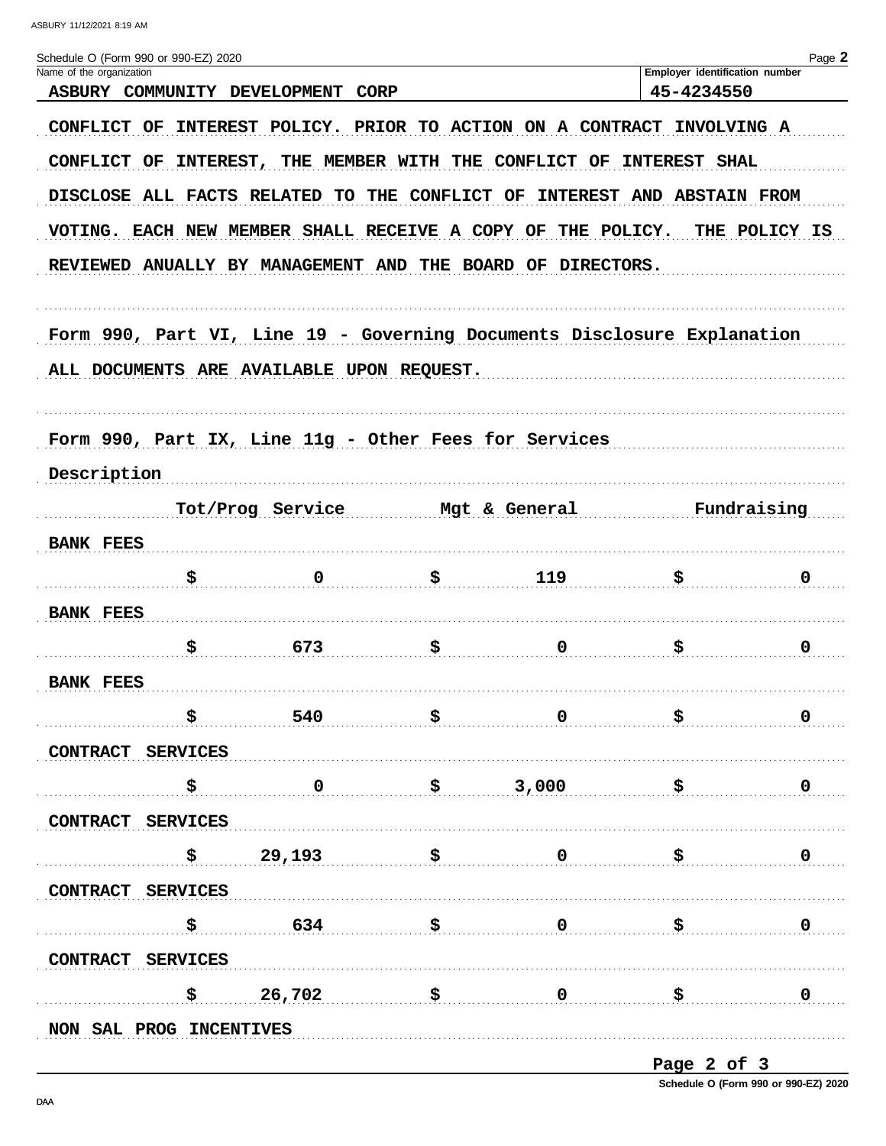ASBURY 11/12/2021 8:19 AM

| Schedule O (Form 990 or 990-EZ) 2020<br>Name of the organization |                                                                                                                                                                                                                                                      |               |             | Employer identification number | Page 2                  |
|------------------------------------------------------------------|------------------------------------------------------------------------------------------------------------------------------------------------------------------------------------------------------------------------------------------------------|---------------|-------------|--------------------------------|-------------------------|
|                                                                  | ASBURY COMMUNITY DEVELOPMENT CORP                                                                                                                                                                                                                    |               |             | 45-4234550                     |                         |
|                                                                  | CONFLICT OF INTEREST POLICY. PRIOR TO ACTION ON A CONTRACT INVOLVING A                                                                                                                                                                               |               |             |                                |                         |
|                                                                  | CONFLICT OF INTEREST, THE MEMBER WITH THE CONFLICT OF INTEREST SHAL                                                                                                                                                                                  |               |             |                                |                         |
|                                                                  | DISCLOSE ALL FACTS RELATED TO THE CONFLICT OF INTEREST AND ABSTAIN FROM                                                                                                                                                                              |               |             |                                |                         |
|                                                                  | VOTING. EACH NEW MEMBER SHALL RECEIVE A COPY OF THE POLICY. THE POLICY IS                                                                                                                                                                            |               |             |                                |                         |
|                                                                  | REVIEWED ANUALLY BY MANAGEMENT AND THE BOARD OF DIRECTORS.                                                                                                                                                                                           |               |             |                                |                         |
|                                                                  | Form 990, Part VI, Line 19 - Governing Documents Disclosure Explanation                                                                                                                                                                              |               |             |                                |                         |
|                                                                  | ALL DOCUMENTS ARE AVAILABLE UPON REQUEST.                                                                                                                                                                                                            |               |             |                                |                         |
|                                                                  |                                                                                                                                                                                                                                                      |               |             |                                |                         |
|                                                                  | Form 990, Part IX, Line 11g - Other Fees for Services                                                                                                                                                                                                |               |             |                                |                         |
| Description                                                      |                                                                                                                                                                                                                                                      |               |             |                                |                         |
|                                                                  | Tot/Prog Service                                                                                                                                                                                                                                     | Mgt & General |             | Fundraising                    |                         |
| <b>BANK FEES</b>                                                 |                                                                                                                                                                                                                                                      |               |             |                                |                         |
|                                                                  | \$<br>$\mathbf 0$                                                                                                                                                                                                                                    | \$            | 119         | \$                             | 0                       |
| <b>BANK FEES</b>                                                 |                                                                                                                                                                                                                                                      |               |             |                                |                         |
|                                                                  | \$<br>673                                                                                                                                                                                                                                            | \$            | $\mathbf 0$ | \$                             | $\mathbf 0$             |
| <b>BANK FEES</b>                                                 |                                                                                                                                                                                                                                                      |               |             |                                |                         |
|                                                                  | $\begin{array}{ccccccc}\n\boldsymbol{\mathsf{S}} & \boldsymbol{\mathsf{S}} & \boldsymbol{\mathsf{S}} & \boldsymbol{\mathsf{S}} & \boldsymbol{\mathsf{S}} & \boldsymbol{\mathsf{S}} & \boldsymbol{\mathsf{S}} & \boldsymbol{\mathsf{S}}\n\end{array}$ |               |             |                                | $\mathbf 0$             |
| CONTRACT SERVICES                                                |                                                                                                                                                                                                                                                      |               |             |                                |                         |
|                                                                  | \$ በ 0 \$ 3,000 \$ 0                                                                                                                                                                                                                                 |               |             |                                |                         |
| CONTRACT SERVICES                                                |                                                                                                                                                                                                                                                      |               |             |                                |                         |
|                                                                  | \$ 29,193 \$ 0 \$ 0                                                                                                                                                                                                                                  |               |             |                                |                         |
| CONTRACT SERVICES                                                |                                                                                                                                                                                                                                                      |               |             |                                |                         |
|                                                                  | $\begin{array}{ccccccc}\n\boldsymbol{\mathsf{S}}&\textbf{0}&&\textbf{0}&&\textbf{0}\n\end{array}$                                                                                                                                                    |               |             |                                |                         |
| CONTRACT SERVICES                                                |                                                                                                                                                                                                                                                      |               |             |                                |                         |
|                                                                  | \$ 26,702 \$ 0 \$                                                                                                                                                                                                                                    |               |             |                                | $\overline{\mathbf{0}}$ |
| NON SAL PROG INCENTIVES                                          |                                                                                                                                                                                                                                                      |               |             |                                |                         |

Page 2 of 3 Schedule O (Form 990 or 990-EZ) 2020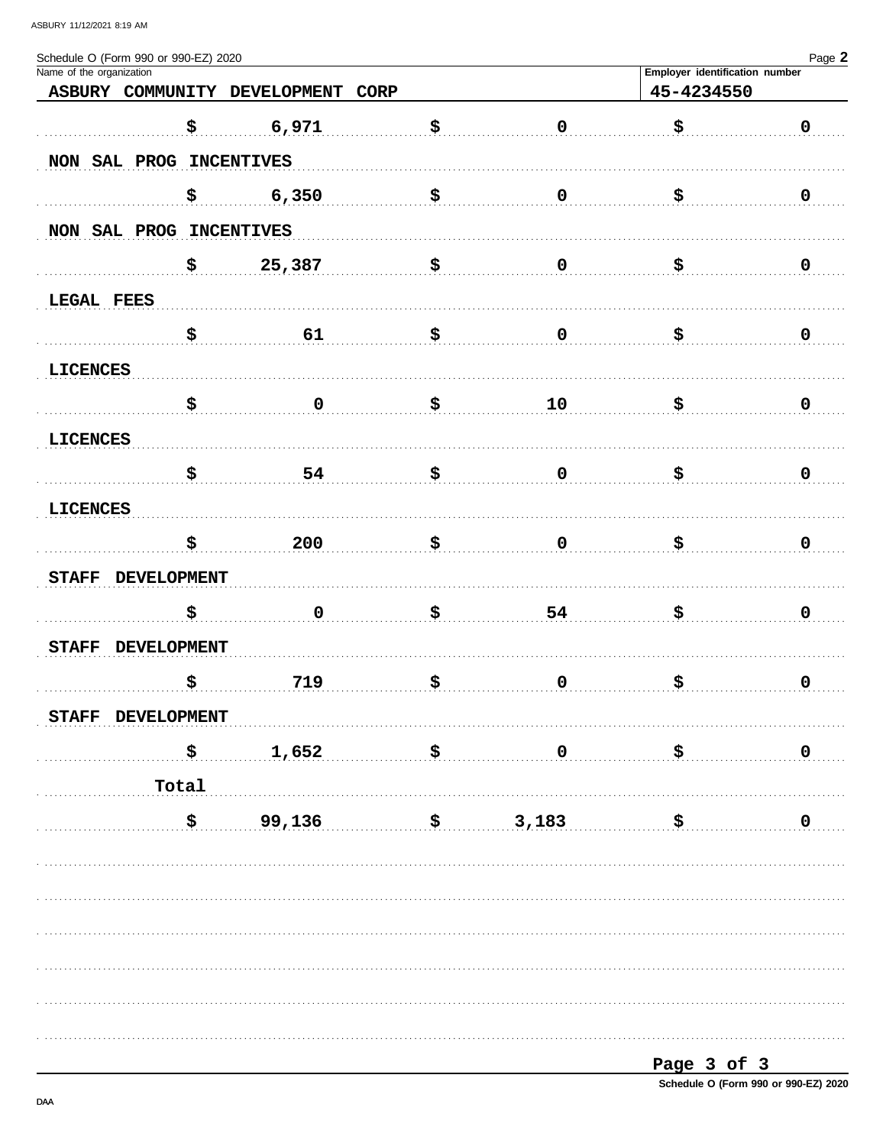|                          | Schedule O (Form 990 or 990-EZ) 2020 |             |             |             |                                              | Page 2      |
|--------------------------|--------------------------------------|-------------|-------------|-------------|----------------------------------------------|-------------|
| Name of the organization |                                      |             |             |             | Employer identification number<br>45-4234550 |             |
|                          | ASBURY COMMUNITY                     | DEVELOPMENT | <b>CORP</b> |             |                                              |             |
|                          | \$                                   | 6,971       | \$          | $\pmb{0}$   | \$                                           | $\mathbf 0$ |
|                          | NON SAL PROG INCENTIVES              |             |             |             |                                              |             |
|                          |                                      |             |             |             |                                              |             |
|                          | \$                                   | 6,350       | \$          | $\pmb{0}$   | \$                                           | $\mathbf 0$ |
|                          | NON SAL PROG INCENTIVES              |             |             |             |                                              |             |
|                          | \$                                   | 25,387      | \$          | $\pmb{0}$   | \$                                           | $\mathbf 0$ |
| LEGAL FEES               |                                      |             |             |             |                                              |             |
|                          |                                      |             |             |             |                                              |             |
|                          | \$                                   | 61          | \$          | $\pmb{0}$   | \$                                           | $\mathbf 0$ |
| <b>LICENCES</b>          |                                      |             |             |             |                                              |             |
|                          | \$                                   | $\pmb{0}$   | \$          | 10          | \$                                           | $\mathbf 0$ |
|                          |                                      |             |             |             |                                              |             |
| <b>LICENCES</b>          |                                      |             |             |             |                                              |             |
|                          | \$                                   | 54          | \$          | $\mathbf 0$ | \$                                           | $\mathbf 0$ |
| <b>LICENCES</b>          |                                      |             |             |             |                                              |             |
|                          | \$                                   | 200         | \$          | $\mathbf 0$ | \$                                           | $\mathbf 0$ |
|                          |                                      |             |             |             |                                              |             |
| <b>STAFF</b>             | DEVELOPMENT                          |             |             |             |                                              |             |
|                          | \$                                   | $\pmb{0}$   | \$          | 54          | \$                                           | $\mathbf 0$ |
| <b>STAFF</b>             | DEVELOPMENT                          |             |             |             |                                              |             |
|                          |                                      |             |             |             |                                              |             |
|                          | \$                                   | 719         | \$          | $\pmb{0}$   | \$                                           | $\mathbf 0$ |
| <b>STAFF</b>             | DEVELOPMENT                          |             |             |             |                                              |             |
|                          | \$                                   | 1,652       | \$          | $\mathbf 0$ | \$                                           | $\mathbf 0$ |
|                          | Total                                |             |             |             |                                              |             |
|                          |                                      |             |             |             |                                              |             |
|                          | $\boldsymbol{\mathsf{S}}$            | 99,136      | .\$         | 3,183       | \$                                           | $\mathbf 0$ |
|                          |                                      |             |             |             |                                              |             |
|                          |                                      |             |             |             |                                              |             |
|                          |                                      |             |             |             |                                              |             |
|                          |                                      |             |             |             |                                              |             |
|                          |                                      |             |             |             |                                              |             |
|                          |                                      |             |             |             |                                              |             |
|                          |                                      |             |             |             |                                              |             |
|                          |                                      |             |             |             |                                              |             |
|                          |                                      |             |             |             |                                              |             |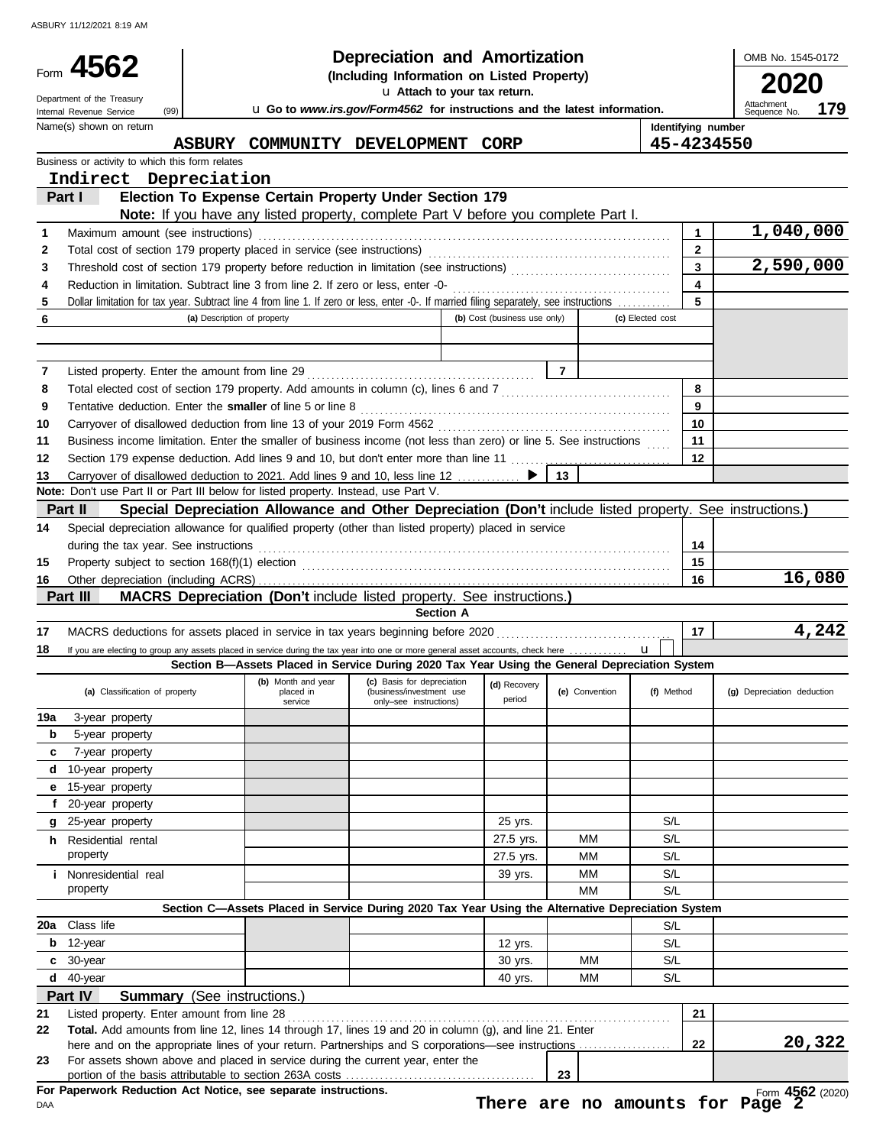|     | ASBURY 11/12/2021 8:19 AM                                   |                                                                                                                                         |                                                                                                           |                              |                |                    |                |                            |        |
|-----|-------------------------------------------------------------|-----------------------------------------------------------------------------------------------------------------------------------------|-----------------------------------------------------------------------------------------------------------|------------------------------|----------------|--------------------|----------------|----------------------------|--------|
|     | Form 4562                                                   |                                                                                                                                         | <b>Depreciation and Amortization</b>                                                                      |                              |                |                    |                | OMB No. 1545-0172          |        |
|     |                                                             |                                                                                                                                         | (Including Information on Listed Property)                                                                |                              |                |                    |                |                            |        |
|     | Department of the Treasury                                  |                                                                                                                                         | u Attach to your tax return.<br>u Go to www.irs.gov/Form4562 for instructions and the latest information. |                              |                |                    |                | Attachment                 | 179    |
|     | (99)<br>Internal Revenue Service<br>Name(s) shown on return |                                                                                                                                         |                                                                                                           |                              |                | Identifying number |                | Sequence No.               |        |
|     |                                                             | ASBURY COMMUNITY DEVELOPMENT CORP                                                                                                       |                                                                                                           |                              |                | 45-4234550         |                |                            |        |
|     | Business or activity to which this form relates             |                                                                                                                                         |                                                                                                           |                              |                |                    |                |                            |        |
|     | Indirect Depreciation                                       |                                                                                                                                         |                                                                                                           |                              |                |                    |                |                            |        |
|     | Part I                                                      | Election To Expense Certain Property Under Section 179                                                                                  |                                                                                                           |                              |                |                    |                |                            |        |
|     |                                                             | Note: If you have any listed property, complete Part V before you complete Part I.                                                      |                                                                                                           |                              |                |                    |                |                            |        |
| 1   | Maximum amount (see instructions)                           |                                                                                                                                         |                                                                                                           |                              |                |                    | $\mathbf{1}$   | 1,040,000                  |        |
| 2   |                                                             |                                                                                                                                         |                                                                                                           |                              |                |                    | $\overline{2}$ |                            |        |
| 3   |                                                             |                                                                                                                                         |                                                                                                           |                              |                |                    | $\mathbf{3}$   | 2,590,000                  |        |
| 4   |                                                             |                                                                                                                                         |                                                                                                           |                              |                |                    | 4              |                            |        |
| 5   |                                                             | Dollar limitation for tax year. Subtract line 4 from line 1. If zero or less, enter -0-. If married filing separately, see instructions |                                                                                                           |                              |                |                    | 5              |                            |        |
| 6   |                                                             | (a) Description of property                                                                                                             |                                                                                                           | (b) Cost (business use only) |                | (c) Elected cost   |                |                            |        |
|     |                                                             |                                                                                                                                         |                                                                                                           |                              |                |                    |                |                            |        |
|     |                                                             |                                                                                                                                         |                                                                                                           |                              |                |                    |                |                            |        |
| 7   |                                                             |                                                                                                                                         |                                                                                                           |                              | $\overline{7}$ |                    |                |                            |        |
| 8   |                                                             |                                                                                                                                         |                                                                                                           |                              |                |                    | 8              |                            |        |
| 9   |                                                             |                                                                                                                                         |                                                                                                           |                              |                |                    | 9              |                            |        |
| 10  |                                                             |                                                                                                                                         |                                                                                                           |                              |                |                    | 10             |                            |        |
| 11  |                                                             | Business income limitation. Enter the smaller of business income (not less than zero) or line 5. See instructions                       |                                                                                                           |                              |                |                    | 11             |                            |        |
| 12  |                                                             |                                                                                                                                         |                                                                                                           |                              |                |                    | 12             |                            |        |
| 13  |                                                             |                                                                                                                                         |                                                                                                           |                              | 13             |                    |                |                            |        |
|     |                                                             | Note: Don't use Part II or Part III below for listed property. Instead, use Part V.                                                     |                                                                                                           |                              |                |                    |                |                            |        |
|     | Part II                                                     | Special Depreciation Allowance and Other Depreciation (Don't include listed property. See instructions.)                                |                                                                                                           |                              |                |                    |                |                            |        |
| 14  |                                                             | Special depreciation allowance for qualified property (other than listed property) placed in service                                    |                                                                                                           |                              |                |                    |                |                            |        |
|     | during the tax year. See instructions                       |                                                                                                                                         |                                                                                                           |                              |                |                    | 14             |                            |        |
| 15  |                                                             |                                                                                                                                         |                                                                                                           |                              |                |                    | 15             |                            |        |
| 16  |                                                             |                                                                                                                                         |                                                                                                           |                              |                |                    | 16             |                            | 16,080 |
|     | Part III                                                    | MACRS Depreciation (Don't include listed property. See instructions.)                                                                   |                                                                                                           |                              |                |                    |                |                            |        |
|     |                                                             |                                                                                                                                         | <b>Section A</b>                                                                                          |                              |                |                    |                |                            |        |
| 17  |                                                             |                                                                                                                                         |                                                                                                           |                              |                |                    | 17             |                            | 4,242  |
| 18  |                                                             | If you are electing to group any assets placed in service during the tax year into one or more general asset accounts, check here       |                                                                                                           |                              |                | u                  |                |                            |        |
|     |                                                             | Section B-Assets Placed in Service During 2020 Tax Year Using the General Depreciation System                                           |                                                                                                           |                              |                |                    |                |                            |        |
|     | (a) Classification of property                              | (b) Month and year<br>placed in<br>service                                                                                              | (c) Basis for depreciation<br>(business/investment use<br>only-see instructions)                          | (d) Recovery<br>period       | (e) Convention | (f) Method         |                | (g) Depreciation deduction |        |
| 19a | 3-year property                                             |                                                                                                                                         |                                                                                                           |                              |                |                    |                |                            |        |
| b   | 5-year property                                             |                                                                                                                                         |                                                                                                           |                              |                |                    |                |                            |        |
| С   | 7-year property                                             |                                                                                                                                         |                                                                                                           |                              |                |                    |                |                            |        |
| d   | 10-year property                                            |                                                                                                                                         |                                                                                                           |                              |                |                    |                |                            |        |
| е   | 15-year property                                            |                                                                                                                                         |                                                                                                           |                              |                |                    |                |                            |        |
| f   | 20-year property                                            |                                                                                                                                         |                                                                                                           |                              |                |                    |                |                            |        |
| g   | 25-year property                                            |                                                                                                                                         |                                                                                                           | 25 yrs.                      |                | S/L                |                |                            |        |
|     | <b>h</b> Residential rental                                 |                                                                                                                                         |                                                                                                           | 27.5 yrs.                    | МM             | S/L                |                |                            |        |
|     | property                                                    |                                                                                                                                         |                                                                                                           | 27.5 yrs.                    | МM             | S/L                |                |                            |        |
|     | <i>i</i> Nonresidential real                                |                                                                                                                                         |                                                                                                           | 39 yrs.                      | МM             | S/L                |                |                            |        |
|     | property                                                    |                                                                                                                                         |                                                                                                           |                              | <b>MM</b>      | S/L                |                |                            |        |
|     |                                                             | Section C-Assets Placed in Service During 2020 Tax Year Using the Alternative Depreciation System                                       |                                                                                                           |                              |                |                    |                |                            |        |
| 20a | Class life                                                  |                                                                                                                                         |                                                                                                           |                              |                | S/L                |                |                            |        |
| b   | 12-year                                                     |                                                                                                                                         |                                                                                                           | 12 yrs.                      |                | S/L                |                |                            |        |
| c   | 30-year                                                     |                                                                                                                                         |                                                                                                           | 30 yrs.                      | MM             | S/L                |                |                            |        |
| d   | 40-year                                                     |                                                                                                                                         |                                                                                                           | 40 yrs.                      | MM             | S/L                |                |                            |        |
|     | Part IV                                                     | <b>Summary</b> (See instructions.)                                                                                                      |                                                                                                           |                              |                |                    |                |                            |        |
| 21  | Listed property. Enter amount from line 28                  |                                                                                                                                         |                                                                                                           |                              |                |                    | 21             |                            |        |
| 22  |                                                             | Total. Add amounts from line 12, lines 14 through 17, lines 19 and 20 in column (g), and line 21. Enter                                 |                                                                                                           |                              |                |                    |                |                            |        |
|     |                                                             | here and on the appropriate lines of your return. Partnerships and S corporations—see instructions                                      |                                                                                                           |                              |                |                    | 22             |                            | 20,322 |
| 23  |                                                             | For assets shown above and placed in service during the current year, enter the                                                         |                                                                                                           |                              |                |                    |                |                            |        |
|     |                                                             |                                                                                                                                         |                                                                                                           |                              | 23             |                    |                |                            |        |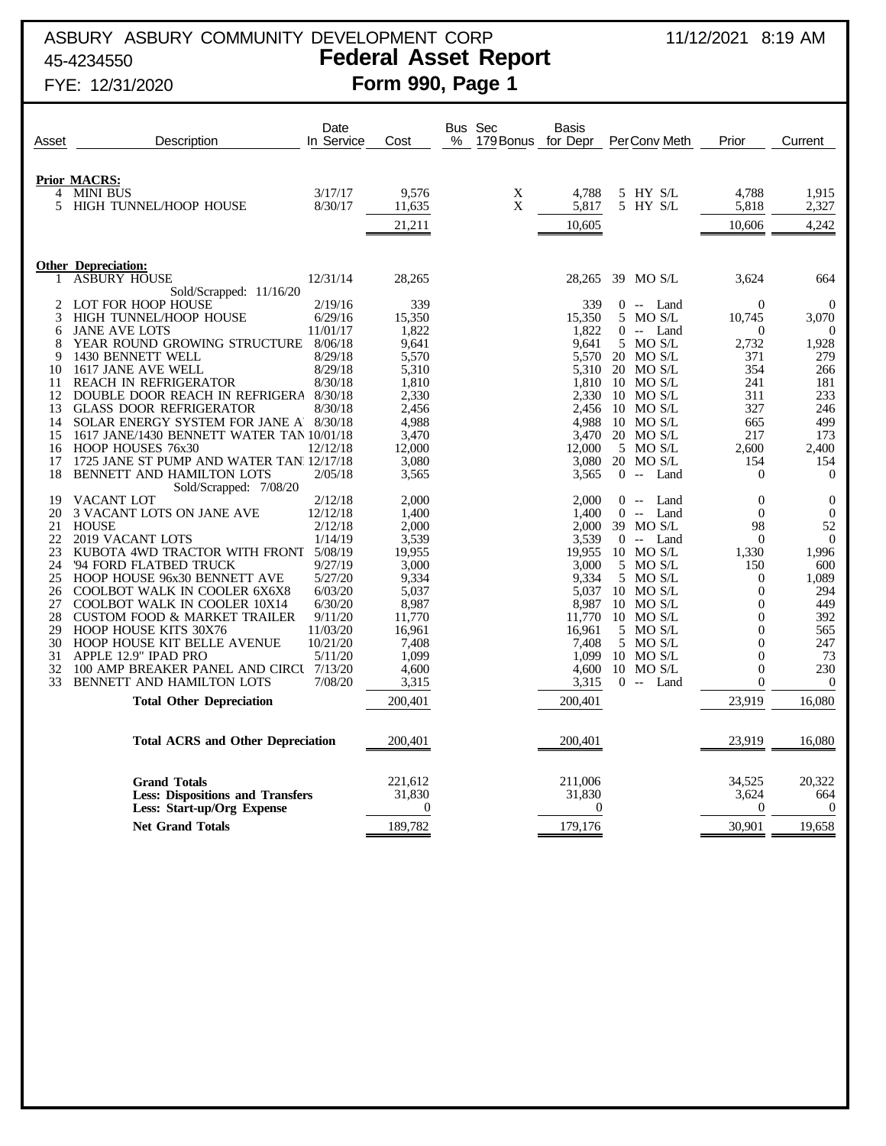## ASBURY ASBURY COMMUNITY DEVELOPMENT CORP 11/12/2021 8:19 AM 45-4234550 **Federal Asset Report** FYE: 12/31/2020 **Form 990, Page 1**

|          |                                                     | Date                |                |   | Bus Sec   | Basis          |                                                    |                          |                  |
|----------|-----------------------------------------------------|---------------------|----------------|---|-----------|----------------|----------------------------------------------------|--------------------------|------------------|
| Asset    | Description                                         | In Service          | Cost           | ℅ | 179 Bonus | for Depr       | PerConv Meth                                       | Prior                    | Current          |
|          |                                                     |                     |                |   |           |                |                                                    |                          |                  |
|          |                                                     |                     |                |   |           |                |                                                    |                          |                  |
|          | <b>Prior MACRS:</b>                                 |                     |                |   |           |                |                                                    |                          |                  |
| 4<br>5   | <b>MINI BUS</b>                                     | 3/17/17             | 9,576          |   | X<br>X    | 4,788          | 5 HY S/L                                           | 4,788                    | 1,915            |
|          | HIGH TUNNEL/HOOP HOUSE                              | 8/30/17             | 11,635         |   |           | 5,817          | 5 HY S/L                                           | 5,818                    | 2,327            |
|          |                                                     |                     | 21,211         |   |           | 10,605         |                                                    | 10,606                   | 4,242            |
|          |                                                     |                     |                |   |           |                |                                                    |                          |                  |
|          |                                                     |                     |                |   |           |                |                                                    |                          |                  |
|          | <b>Other Depreciation:</b>                          |                     |                |   |           |                |                                                    |                          |                  |
| T.       | <b>ASBURY HOUSE</b>                                 | 12/31/14            | 28,265         |   |           | 28,265         | 39 MO S/L                                          | 3,624                    | 664              |
| 2        | Sold/Scrapped: 11/16/20<br>LOT FOR HOOP HOUSE       | 2/19/16             | 339            |   |           | 339            | $0 -$ Land                                         | $\Omega$                 | $\Omega$         |
| 3        | HIGH TUNNEL/HOOP HOUSE                              | 6/29/16             | 15,350         |   |           | 15,350         | 5 MO S/L                                           | 10,745                   | 3,070            |
| 6        | <b>JANE AVE LOTS</b>                                | 11/01/17            | 1,822          |   |           | 1,822          | $\overline{0}$<br>Land<br>$\overline{\phantom{a}}$ | $\theta$                 | $\overline{0}$   |
| 8        | YEAR ROUND GROWING STRUCTURE 8/06/18                |                     | 9,641          |   |           | 9,641          | 5 MO S/L                                           | 2,732                    | 1,928            |
| 9        | 1430 BENNETT WELL                                   | 8/29/18             | 5,570          |   |           | 5,570          | 20 MO S/L                                          | 371                      | 279              |
| 10       | 1617 JANE AVE WELL                                  | 8/29/18             | 5,310          |   |           | 5.310          | 20 MO S/L                                          | 354                      | 266              |
| 11       | <b>REACH IN REFRIGERATOR</b>                        | 8/30/18             | 1,810          |   |           | 1,810          | 10 MO S/L                                          | 241                      | 181              |
| 12       | DOUBLE DOOR REACH IN REFRIGERA                      | 8/30/18             | 2,330          |   |           | 2.330          | $10$ MO S/L                                        | 311                      | 233              |
| 13       | <b>GLASS DOOR REFRIGERATOR</b>                      | 8/30/18             | 2,456          |   |           | 2,456          | 10<br>MO S/L                                       | 327                      | 246              |
| 14       | SOLAR ENERGY SYSTEM FOR JANE A 8/30/18              |                     | 4,988          |   |           | 4.988          | $10$ MO S/L                                        | 665                      | 499              |
| 15       | 1617 JANE/1430 BENNETT WATER TAN 10/01/18           |                     | 3,470          |   |           | 3.470          | 20 MO S/L                                          | 217                      | 173              |
| 16       | HOOP HOUSES 76x30                                   | 12/12/18            | 12,000         |   |           | 12,000         | 5 MO S/L                                           | 2,600                    | 2,400            |
| 17       | 1725 JANE ST PUMP AND WATER TAN. 12/17/18           |                     | 3,080          |   |           | 3,080          | 20 MO S/L                                          | 154                      | 154              |
| 18       | BENNETT AND HAMILTON LOTS                           | 2/05/18             | 3,565          |   |           | 3,565          | $\overline{0}$<br>Land<br>$-$                      | $\boldsymbol{0}$         | $\boldsymbol{0}$ |
|          | Sold/Scrapped: 7/08/20                              |                     |                |   |           |                |                                                    |                          |                  |
| 19       | VACANT LOT                                          | 2/12/18             | 2,000          |   |           | 2,000          | $0 -$<br>Land                                      | $\mathbf{0}$             | $\theta$         |
| 20       | 3 VACANT LOTS ON JANE AVE                           | 12/12/18            | 1,400          |   |           | 1,400          | Land<br>$\overline{0}$<br>$\overline{\phantom{a}}$ | $\mathbf{0}$             | $\mathbf{0}$     |
| 21       | <b>HOUSE</b>                                        | 2/12/18             | 2,000          |   |           | 2.000          | 39 MO S/L                                          | 98                       | 52               |
| 22       | 2019 VACANT LOTS                                    | 1/14/19             | 3,539          |   |           | 3,539          | $0 -$ Land                                         | $\theta$                 | $\mathbf{0}$     |
| 23       | KUBOTA 4WD TRACTOR WITH FRONT                       | 5/08/19             | 19,955         |   |           | 19,955         | 10 MO S/L                                          | 1,330                    | 1,996            |
| 24       | '94 FORD FLATBED TRUCK                              | 9/27/19             | 3,000          |   |           | 3,000          | 5 MO S/L                                           | 150                      | 600              |
| 25       | HOOP HOUSE 96x30 BENNETT AVE                        | 5/27/20             | 9,334          |   |           | 9,334          | 5 MO S/L                                           | $\boldsymbol{0}$         | 1,089            |
| 26       | COOLBOT WALK IN COOLER 6X6X8                        | 6/03/20             | 5,037          |   |           | 5.037          | 10 MO S/L                                          | $\Omega$                 | 294              |
| 27       | COOLBOT WALK IN COOLER 10X14                        | 6/30/20             | 8,987          |   |           | 8,987          | 10 MO S/L                                          | 0                        | 449              |
| 28       | <b>CUSTOM FOOD &amp; MARKET TRAILER</b>             | 9/11/20             | 11,770         |   |           | 11,770         | 10 MO S/L                                          | $\mathbf{0}$<br>$\Omega$ | 392              |
| 29<br>30 | HOOP HOUSE KITS 30X76                               | 11/03/20            | 16,961         |   |           | 16,961         | 5 MO S/L<br>5 MO S/L                               | $\mathbf{0}$             | 565              |
| 31       | HOOP HOUSE KIT BELLE AVENUE<br>APPLE 12.9" IPAD PRO | 10/21/20<br>5/11/20 | 7,408<br>1,099 |   |           | 7,408<br>1.099 | 10 MO S/L                                          | $\Omega$                 | 247<br>73        |
| 32       | 100 AMP BREAKER PANEL AND CIRCU 7/13/20             |                     | 4,600          |   |           | 4,600          | 10<br>MO S/L                                       | $\boldsymbol{0}$         | 230              |
| 33       | BENNETT AND HAMILTON LOTS                           | 7/08/20             | 3,315          |   |           | 3,315          | $0 -$ Land                                         | $\mathbf{0}$             | $\mathbf{0}$     |
|          |                                                     |                     |                |   |           |                |                                                    |                          |                  |
|          | <b>Total Other Depreciation</b>                     |                     | 200,401        |   |           | 200,401        |                                                    | 23,919                   | 16,080           |
|          |                                                     |                     |                |   |           |                |                                                    |                          |                  |
|          | <b>Total ACRS and Other Depreciation</b>            |                     | 200,401        |   |           | 200,401        |                                                    | 23,919                   | 16,080           |
|          |                                                     |                     |                |   |           |                |                                                    |                          |                  |
|          | <b>Grand Totals</b>                                 |                     | 221,612        |   |           | 211,006        |                                                    | 34,525                   | 20,322           |
|          | <b>Less: Dispositions and Transfers</b>             |                     | 31,830         |   |           | 31,830         |                                                    | 3,624                    | 664              |
|          | Less: Start-up/Org Expense                          |                     | $\theta$       |   |           | 0              |                                                    | $\boldsymbol{0}$         | $\boldsymbol{0}$ |
|          | <b>Net Grand Totals</b>                             |                     | 189,782        |   |           | 179,176        |                                                    | 30,901                   | 19,658           |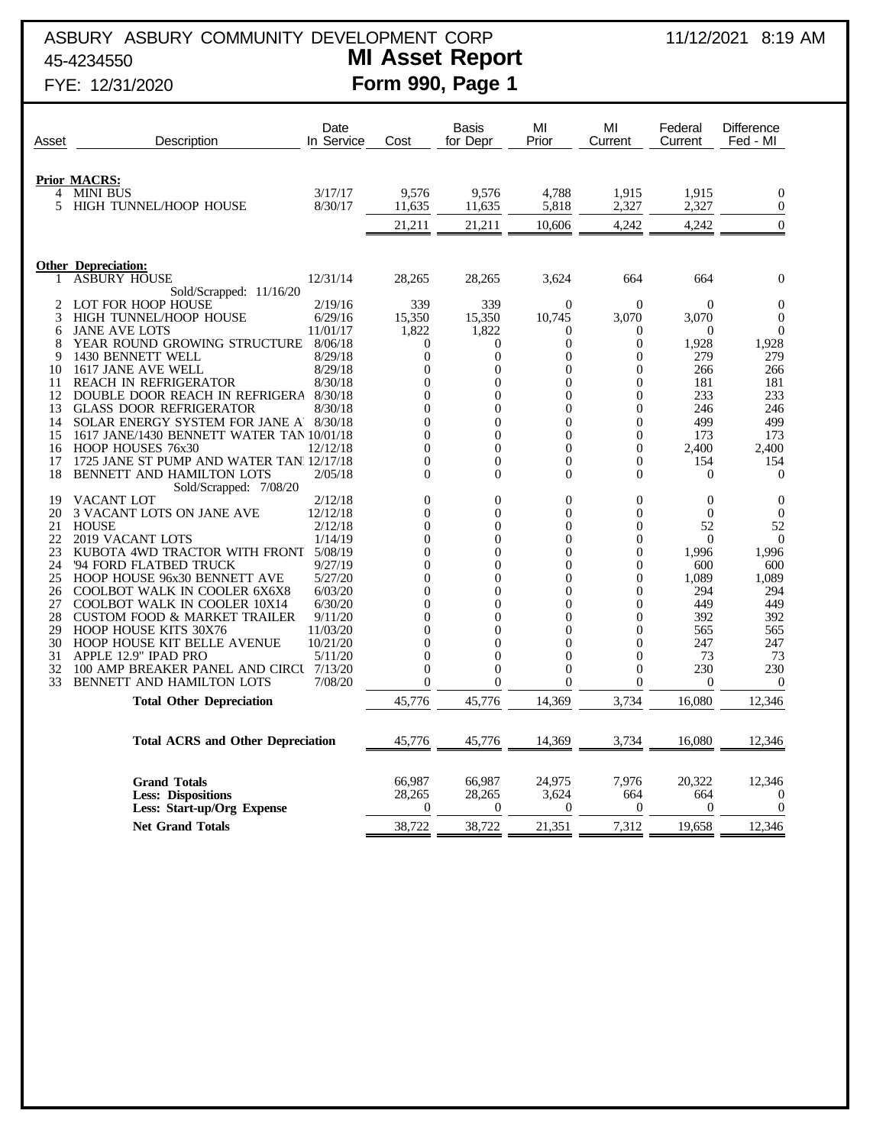## ASBURY ASBURY COMMUNITY DEVELOPMENT CORP 11/12/2021 8:19 AM 45-4234550 **MI Asset Report** FYE: 12/31/2020 **Form 990, Page 1**

| Asset                                                                 | Description                                                                                                                                                                                                                                                                                                                                                                                                                    | Date<br>In Service                                                                                                      | Cost                                                                                                                      | Basis<br>for Depr                                                                                                                                                    | MI<br>Prior                                                                                                                                                                                       | MI<br>Current                                                                                                                                                                                      | Federal<br>Current                                                                               | <b>Difference</b><br>Fed - MI                                                                              |
|-----------------------------------------------------------------------|--------------------------------------------------------------------------------------------------------------------------------------------------------------------------------------------------------------------------------------------------------------------------------------------------------------------------------------------------------------------------------------------------------------------------------|-------------------------------------------------------------------------------------------------------------------------|---------------------------------------------------------------------------------------------------------------------------|----------------------------------------------------------------------------------------------------------------------------------------------------------------------|---------------------------------------------------------------------------------------------------------------------------------------------------------------------------------------------------|----------------------------------------------------------------------------------------------------------------------------------------------------------------------------------------------------|--------------------------------------------------------------------------------------------------|------------------------------------------------------------------------------------------------------------|
| 4<br>5                                                                | <b>Prior MACRS:</b><br><b>MINI BUS</b><br>HIGH TUNNEL/HOOP HOUSE                                                                                                                                                                                                                                                                                                                                                               | 3/17/17<br>8/30/17                                                                                                      | 9,576<br>11,635<br>21,211                                                                                                 | 9,576<br>11,635<br>21,211                                                                                                                                            | 4,788<br>5,818<br>10,606                                                                                                                                                                          | 1,915<br>2,327<br>4,242                                                                                                                                                                            | 1,915<br>2,327<br>4,242                                                                          | $\theta$<br>$\boldsymbol{0}$<br>$\Omega$                                                                   |
| 1                                                                     | <b>Other Depreciation:</b><br><b>ASBURY HOUSE</b>                                                                                                                                                                                                                                                                                                                                                                              | 12/31/14                                                                                                                | 28,265                                                                                                                    | 28,265                                                                                                                                                               | 3,624                                                                                                                                                                                             | 664                                                                                                                                                                                                | 664                                                                                              | $\Omega$                                                                                                   |
| 2<br>3<br>6<br>8<br>9<br>10<br>11<br>12<br>13<br>14<br>15<br>16<br>17 | Sold/Scrapped: 11/16/20<br>LOT FOR HOOP HOUSE<br>HIGH TUNNEL/HOOP HOUSE<br><b>JANE AVE LOTS</b><br>YEAR ROUND GROWING STRUCTURE<br>1430 BENNETT WELL<br>1617 JANE AVE WELL<br><b>REACH IN REFRIGERATOR</b><br>DOUBLE DOOR REACH IN REFRIGERA<br><b>GLASS DOOR REFRIGERATOR</b><br>SOLAR ENERGY SYSTEM FOR JANE A<br>1617 JANE/1430 BENNETT WATER TAN 10/01/18<br>HOOP HOUSES 76x30<br>1725 JANE ST PUMP AND WATER TAN 12/17/18 | 2/19/16<br>6/29/16<br>11/01/17<br>8/06/18<br>8/29/18<br>8/29/18<br>8/30/18<br>8/30/18<br>8/30/18<br>8/30/18<br>12/12/18 | 339<br>15,350<br>1,822<br>$\mathbf{0}$<br>$\mathbf{0}$<br>$\theta$<br>0<br>0<br>0<br>0<br>$\theta$<br>0<br>$\overline{0}$ | 339<br>15,350<br>1,822<br>$\theta$<br>$\mathbf{0}$<br>$\Omega$<br>$\Omega$<br>$\overline{0}$<br>$\theta$<br>$\overline{0}$<br>$\Omega$<br>$\Omega$<br>$\overline{0}$ | $\overline{0}$<br>10,745<br>0<br>$\boldsymbol{0}$<br>$\mathbf{0}$<br>$\overline{0}$<br>$\mathbf{0}$<br>$\mathbf{0}$<br>$\overline{0}$<br>$\mathbf{0}$<br>$\mathbf{0}$<br>$\theta$<br>$\mathbf{0}$ | $\Omega$<br>3,070<br>0<br>$\boldsymbol{0}$<br>$\overline{0}$<br>$\overline{0}$<br>$\overline{0}$<br>$\overline{0}$<br>$\theta$<br>$\boldsymbol{0}$<br>$\overline{0}$<br>$\theta$<br>$\overline{0}$ | $\Omega$<br>3,070<br>0<br>1,928<br>279<br>266<br>181<br>233<br>246<br>499<br>173<br>2,400<br>154 | $\Omega$<br>$\theta$<br>$\Omega$<br>1,928<br>279<br>266<br>181<br>233<br>246<br>499<br>173<br>2,400<br>154 |
| 18<br>19                                                              | BENNETT AND HAMILTON LOTS<br>Sold/Scrapped: 7/08/20<br><b>VACANT LOT</b>                                                                                                                                                                                                                                                                                                                                                       | 2/05/18<br>2/12/18                                                                                                      | 0<br>$\theta$                                                                                                             | $\Omega$<br>$\Omega$                                                                                                                                                 | $\mathbf{0}$<br>$\mathbf{0}$                                                                                                                                                                      | $\Omega$<br>$\overline{0}$                                                                                                                                                                         | $\overline{0}$<br>$\theta$                                                                       | $\Omega$<br>$\Omega$                                                                                       |
| 20<br>21<br>22<br>23<br>24<br>25<br>26                                | 3 VACANT LOTS ON JANE AVE<br><b>HOUSE</b><br>2019 VACANT LOTS<br>KUBOTA 4WD TRACTOR WITH FRONT<br>'94 FORD FLATBED TRUCK<br>HOOP HOUSE 96x30 BENNETT AVE<br>COOLBOT WALK IN COOLER 6X6X8                                                                                                                                                                                                                                       | 12/12/18<br>2/12/18<br>1/14/19<br>5/08/19<br>9/27/19<br>5/27/20<br>6/03/20                                              | 0<br>0<br>0<br>0<br>0<br>0<br>0                                                                                           | $\overline{0}$<br>$\Omega$<br>$\Omega$<br>$\Omega$<br>$\Omega$<br>$\theta$<br>$\Omega$                                                                               | $\boldsymbol{0}$<br>0<br>$\overline{0}$<br>$\mathbf{0}$<br>$\overline{0}$<br>$\overline{0}$<br>$\Omega$                                                                                           | $\boldsymbol{0}$<br>$\Omega$<br>$\overline{0}$<br>$\overline{0}$<br>$\overline{0}$<br>$\overline{0}$<br>$\Omega$                                                                                   | $\theta$<br>52<br>$\theta$<br>1,996<br>600<br>1,089<br>294                                       | $\theta$<br>52<br>$\theta$<br>1,996<br>600<br>1,089<br>294                                                 |
| 27<br>28<br>29<br>30<br>31<br>32<br>33                                | COOLBOT WALK IN COOLER 10X14<br><b>CUSTOM FOOD &amp; MARKET TRAILER</b><br>HOOP HOUSE KITS 30X76<br><b>HOOP HOUSE KIT BELLE AVENUE</b><br>APPLE 12.9" IPAD PRO<br>100 AMP BREAKER PANEL AND CIRCU 7/13/20<br>BENNETT AND HAMILTON LOTS                                                                                                                                                                                         | 6/30/20<br>9/11/20<br>11/03/20<br>10/21/20<br>5/11/20<br>7/08/20                                                        | 0<br>0<br>0<br>0<br>0<br>$\theta$<br>$\boldsymbol{0}$                                                                     | $\theta$<br>$\Omega$<br>$\theta$<br>$\Omega$<br>$\Omega$<br>$\Omega$<br>$\overline{0}$                                                                               | $\theta$<br>$\theta$<br>$\overline{0}$<br>$\theta$<br>$\overline{0}$<br>$\Omega$<br>0                                                                                                             | $\overline{0}$<br>$\theta$<br>$\overline{0}$<br>$\Omega$<br>$\overline{0}$<br>$\Omega$<br>$\boldsymbol{0}$                                                                                         | 449<br>392<br>565<br>247<br>73<br>230<br>$\mathbf 0$                                             | 449<br>392<br>565<br>247<br>73<br>230<br>$\mathbf{0}$                                                      |
|                                                                       | <b>Total Other Depreciation</b>                                                                                                                                                                                                                                                                                                                                                                                                |                                                                                                                         | 45,776                                                                                                                    | 45,776                                                                                                                                                               | 14.369                                                                                                                                                                                            | 3,734                                                                                                                                                                                              | 16.080                                                                                           | 12,346                                                                                                     |
|                                                                       | <b>Total ACRS and Other Depreciation</b>                                                                                                                                                                                                                                                                                                                                                                                       |                                                                                                                         | 45,776                                                                                                                    | 45,776                                                                                                                                                               | 14,369                                                                                                                                                                                            | 3,734                                                                                                                                                                                              | 16.080                                                                                           | 12,346                                                                                                     |
|                                                                       | <b>Grand Totals</b><br><b>Less: Dispositions</b><br>Less: Start-up/Org Expense                                                                                                                                                                                                                                                                                                                                                 |                                                                                                                         | 66,987<br>28,265<br>$\theta$                                                                                              | 66,987<br>28,265<br>0                                                                                                                                                | 24,975<br>3,624<br>0                                                                                                                                                                              | 7,976<br>664<br>$\Omega$                                                                                                                                                                           | 20,322<br>664<br>$\Omega$                                                                        | 12,346<br>$\theta$<br>$\Omega$                                                                             |
|                                                                       | <b>Net Grand Totals</b>                                                                                                                                                                                                                                                                                                                                                                                                        |                                                                                                                         | 38,722                                                                                                                    | 38,722                                                                                                                                                               | 21,351                                                                                                                                                                                            | 7,312                                                                                                                                                                                              | 19,658                                                                                           | 12,346                                                                                                     |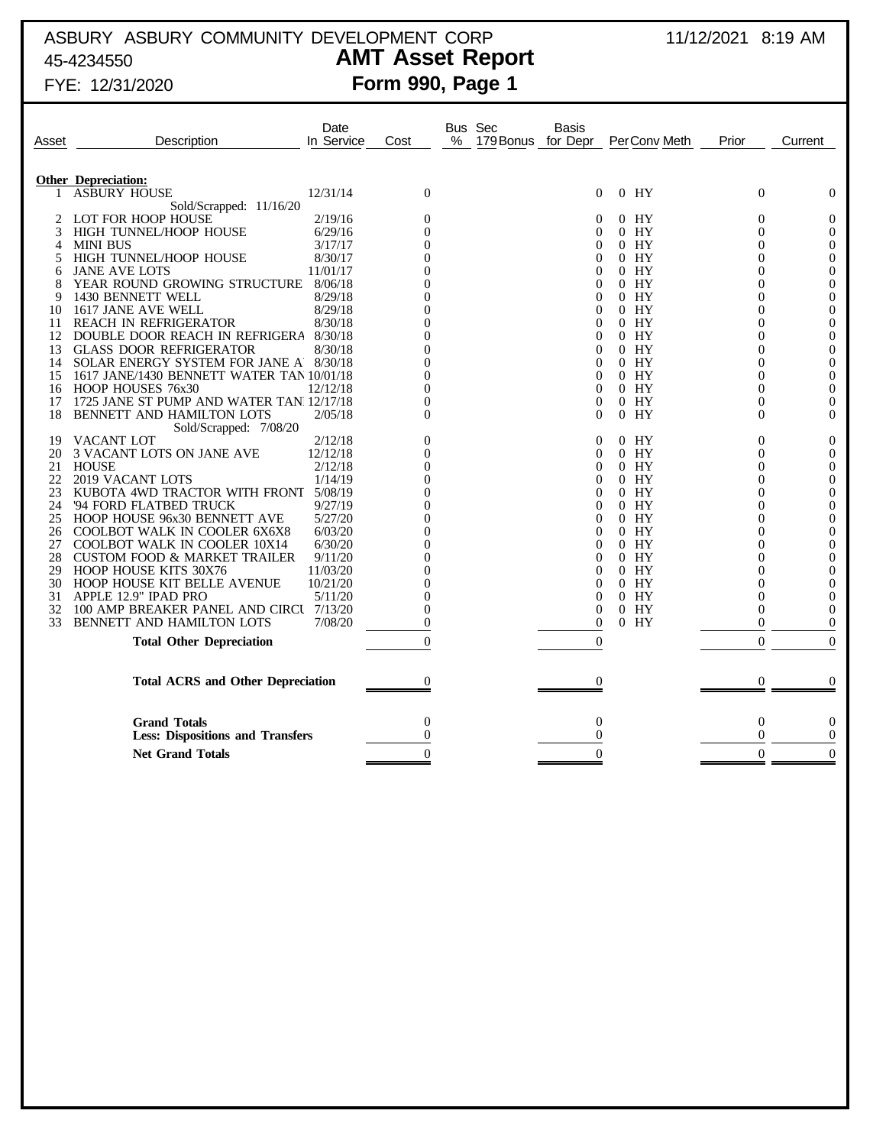## ASBURY ASBURY COMMUNITY DEVELOPMENT CORP 11/12/2021 8:19 AM 45-4234550 **AMT Asset Report** FYE: 12/31/2020 **Form 990, Page 1**

|          | Description                               | Date<br>In Service | Cost           | Bus Sec<br>$\%$ | 179 Bonus for Depr | Basis            | PerConv Meth     | Prior            | Current                              |
|----------|-------------------------------------------|--------------------|----------------|-----------------|--------------------|------------------|------------------|------------------|--------------------------------------|
| Asset    |                                           |                    |                |                 |                    |                  |                  |                  |                                      |
|          |                                           |                    |                |                 |                    |                  |                  |                  |                                      |
|          | <b>Other Depreciation:</b>                |                    |                |                 |                    |                  |                  |                  |                                      |
|          | <b>ASBURY HOUSE</b>                       | 12/31/14           | 0              |                 |                    | 0                | $0$ HY           | $\mathbf{0}$     | $\Omega$                             |
|          | Sold/Scrapped: 11/16/20                   |                    |                |                 |                    |                  |                  |                  |                                      |
|          | LOT FOR HOOP HOUSE                        | 2/19/16            | 0              |                 |                    |                  | 0 HY             | 0                | $\theta$                             |
|          | HIGH TUNNEL/HOOP HOUSE                    | 6/29/16            | 0              |                 |                    |                  | HY               | $\theta$         | $\overline{0}$                       |
|          | <b>MINI BUS</b>                           | 3/17/17            |                |                 |                    |                  | 0 HY             | 0                | $\boldsymbol{0}$                     |
|          | HIGH TUNNEL/HOOP HOUSE                    | 8/30/17            |                |                 |                    | $\theta$         | HY               | 0                | $\overline{0}$                       |
|          | <b>JANE AVE LOTS</b>                      | 11/01/17           |                |                 |                    | $\theta$         | 0 HY             | 0                | $\overline{0}$                       |
|          | YEAR ROUND GROWING STRUCTURE              | 8/06/18            |                |                 |                    | 0                | HY               | 0<br>$\Omega$    | $\boldsymbol{0}$                     |
| 9        | 1430 BENNETT WELL<br>1617 JANE AVE WELL   | 8/29/18<br>8/29/18 |                |                 |                    | 0<br>0           | HY               | 0                | $\boldsymbol{0}$<br>$\boldsymbol{0}$ |
| 10       | REACH IN REFRIGERATOR                     | 8/30/18            |                |                 |                    | 0                | HY<br>0 HY       | 0                | $\boldsymbol{0}$                     |
| 11<br>12 | DOUBLE DOOR REACH IN REFRIGERA            | 8/30/18            |                |                 |                    | 0                | HY               | 0                | $\boldsymbol{0}$                     |
| 13       | <b>GLASS DOOR REFRIGERATOR</b>            | 8/30/18            |                |                 |                    | 0                | HY               | 0                | $\boldsymbol{0}$                     |
| 14       | SOLAR ENERGY SYSTEM FOR JANE A 8/30/18    |                    |                |                 |                    | 0                | HY               | 0                | $\boldsymbol{0}$                     |
| 15       | 1617 JANE/1430 BENNETT WATER TAN 10/01/18 |                    |                |                 |                    | 0                | 0 HY             | 0                | $\boldsymbol{0}$                     |
| 16       | HOOP HOUSES 76x30                         | 12/12/18           |                |                 |                    | $\Omega$         | HY<br>$\Omega$   | 0                | $\boldsymbol{0}$                     |
| 17       | 1725 JANE ST PUMP AND WATER TAN. 12/17/18 |                    |                |                 |                    | 0                | 0 HY             | 0                | $\boldsymbol{0}$                     |
| 18       | BENNETT AND HAMILTON LOTS                 | 2/05/18            | 0              |                 |                    | 0                | HY<br>$\Omega$   | 0                | $\mathbf{0}$                         |
|          | Sold/Scrapped: 7/08/20                    |                    |                |                 |                    |                  |                  |                  |                                      |
| 19       | VACANT LOT                                | 2/12/18            | $_{0}$         |                 |                    | $\theta$         | 0 HY             | 0                | $\theta$                             |
| 20       | 3 VACANT LOTS ON JANE AVE                 | 12/12/18           |                |                 |                    | 0                | $0$ HY           | 0                | $\mathbf{0}$                         |
| 21       | <b>HOUSE</b>                              | 2/12/18            |                |                 |                    | 0                | HY<br>$\Omega$   | 0                | $\mathbf{0}$                         |
| 22       | 2019 VACANT LOTS                          | 1/14/19            |                |                 |                    | 0                | 0 HY             | 0                | $\mathbf{0}$                         |
| 23       | KUBOTA 4WD TRACTOR WITH FRONT             | 5/08/19            |                |                 |                    | 0                | HY<br>$^{\circ}$ | 0                | $\boldsymbol{0}$                     |
| 24       | '94 FORD FLATBED TRUCK                    | 9/27/19            |                |                 |                    | 0                | HY               | 0                | $\boldsymbol{0}$                     |
| 25       | HOOP HOUSE 96x30 BENNETT AVE              | 5/27/20            |                |                 |                    | 0                | HY               | 0                | $\boldsymbol{0}$                     |
| 26       | COOLBOT WALK IN COOLER 6X6X8              | 6/03/20            |                |                 |                    | 0                | HY               | 0                | $\boldsymbol{0}$                     |
| 27       | COOLBOT WALK IN COOLER 10X14              | 6/30/20            |                |                 |                    | $\Omega$         | HY<br>$^{\circ}$ | 0                | $\boldsymbol{0}$                     |
| 28       | <b>CUSTOM FOOD &amp; MARKET TRAILER</b>   | 9/11/20            |                |                 |                    | 0                | HY               | 0                | $\boldsymbol{0}$                     |
| 29       | HOOP HOUSE KITS 30X76                     | 11/03/20           |                |                 |                    | 0                | HY               | 0                | $\boldsymbol{0}$                     |
| 30       | HOOP HOUSE KIT BELLE AVENUE               | 10/21/20           |                |                 |                    | 0                | 0 HY             | 0                | $\boldsymbol{0}$                     |
| 31       | APPLE 12.9" IPAD PRO                      | 5/11/20            |                |                 |                    | 0                | HY<br>$\Omega$   | 0                | $\boldsymbol{0}$                     |
| 32       | 100 AMP BREAKER PANEL AND CIRCU 7/13/20   |                    |                |                 |                    | $\Omega$         | $0$ HY           | 0<br>$\Omega$    | $\theta$                             |
| 33       | BENNETT AND HAMILTON LOTS                 | 7/08/20            | 0              |                 |                    | $\overline{0}$   | HY<br>$\Omega$   |                  | $\mathbf{0}$                         |
|          | <b>Total Other Depreciation</b>           |                    | $\overline{0}$ |                 |                    | $\overline{0}$   |                  | $\Omega$         | $\mathbf{0}$                         |
|          |                                           |                    |                |                 |                    |                  |                  |                  |                                      |
|          |                                           |                    |                |                 |                    |                  |                  |                  |                                      |
|          | <b>Total ACRS and Other Depreciation</b>  |                    | $\mathbf{0}$   |                 |                    | $\overline{0}$   |                  | $\Omega$         | $\Omega$                             |
|          |                                           |                    |                |                 |                    |                  |                  |                  |                                      |
|          | <b>Grand Totals</b>                       |                    | $\mathbf{0}$   |                 |                    | $\boldsymbol{0}$ |                  | $\boldsymbol{0}$ | $\boldsymbol{0}$                     |
|          | <b>Less: Dispositions and Transfers</b>   |                    | $\Omega$       |                 |                    | 0                |                  | $\theta$         | $\overline{0}$                       |
|          |                                           |                    | $\Omega$       |                 |                    | $\overline{0}$   |                  | $\theta$         | $\theta$                             |
|          | <b>Net Grand Totals</b>                   |                    |                |                 |                    |                  |                  |                  |                                      |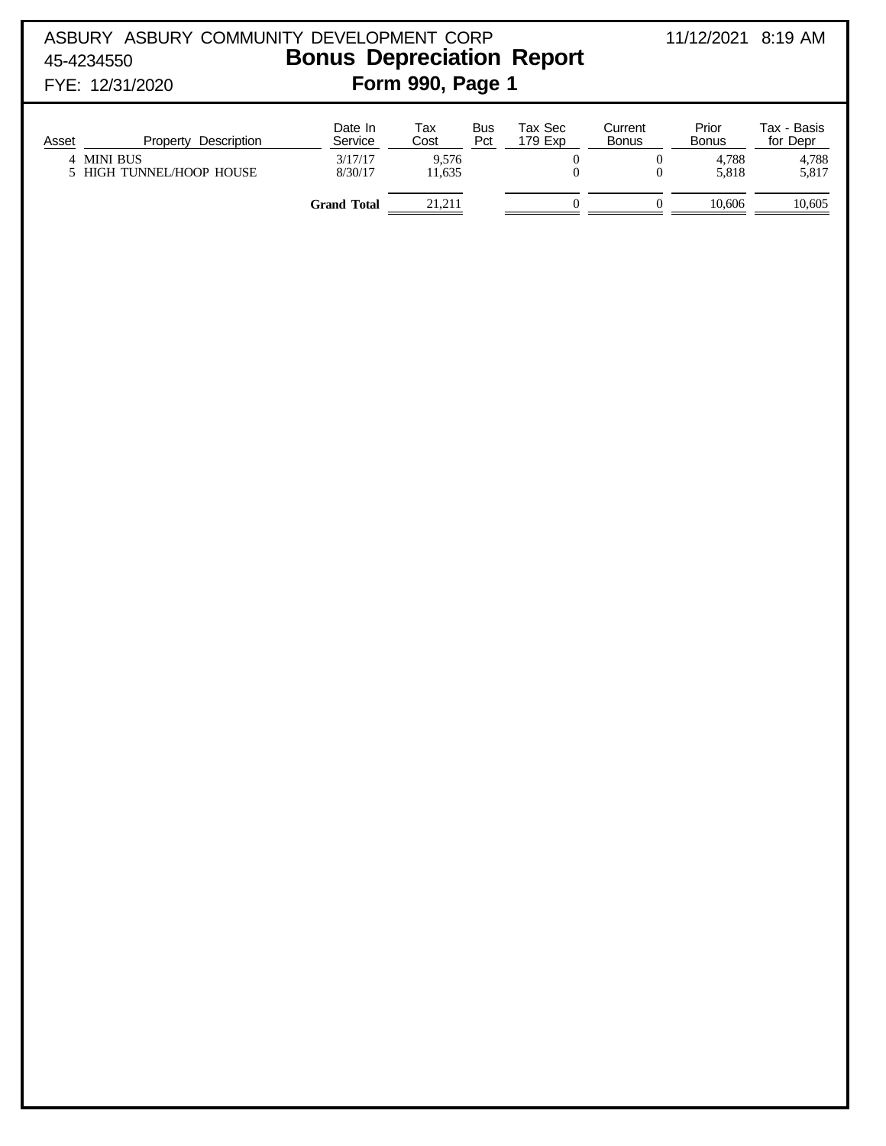| ASBURY ASBURY COMMUNITY DEVELOPMENT CORP<br>45-4234550<br>FYE: 12/31/2020 | <b>Bonus Depreciation Report</b>                               | Form 990, Page 1                                       |                                                                                       |                                                                                            |                                            | 11/12/2021 8:19 AM                                  |
|---------------------------------------------------------------------------|----------------------------------------------------------------|--------------------------------------------------------|---------------------------------------------------------------------------------------|--------------------------------------------------------------------------------------------|--------------------------------------------|-----------------------------------------------------|
| Property Description<br>Asset<br>4 MINI BUS<br>5 HIGH TUNNEL/HOOP HOUSE   | Date In<br>Service<br>3/17/17<br>8/30/17<br><b>Grand Total</b> | Tax<br>Bus<br>Pct<br>Cost<br>9,576<br>11,635<br>21,211 | Tax Sec<br>179 Exp<br>$\boldsymbol{0}$<br>$\boldsymbol{0}$<br>$\frac{0}{\phantom{0}}$ | Current<br><b>Bonus</b><br>$\boldsymbol{0}$<br>$\boldsymbol{0}$<br>$\frac{0}{\phantom{0}}$ | Prior<br>Bonus<br>4,788<br>5,818<br>10,606 | Tax - Basis<br>for Depr<br>4,788<br>5,817<br>10,605 |
|                                                                           |                                                                |                                                        |                                                                                       |                                                                                            |                                            |                                                     |
|                                                                           |                                                                |                                                        |                                                                                       |                                                                                            |                                            |                                                     |
|                                                                           |                                                                |                                                        |                                                                                       |                                                                                            |                                            |                                                     |
|                                                                           |                                                                |                                                        |                                                                                       |                                                                                            |                                            |                                                     |
|                                                                           |                                                                |                                                        |                                                                                       |                                                                                            |                                            |                                                     |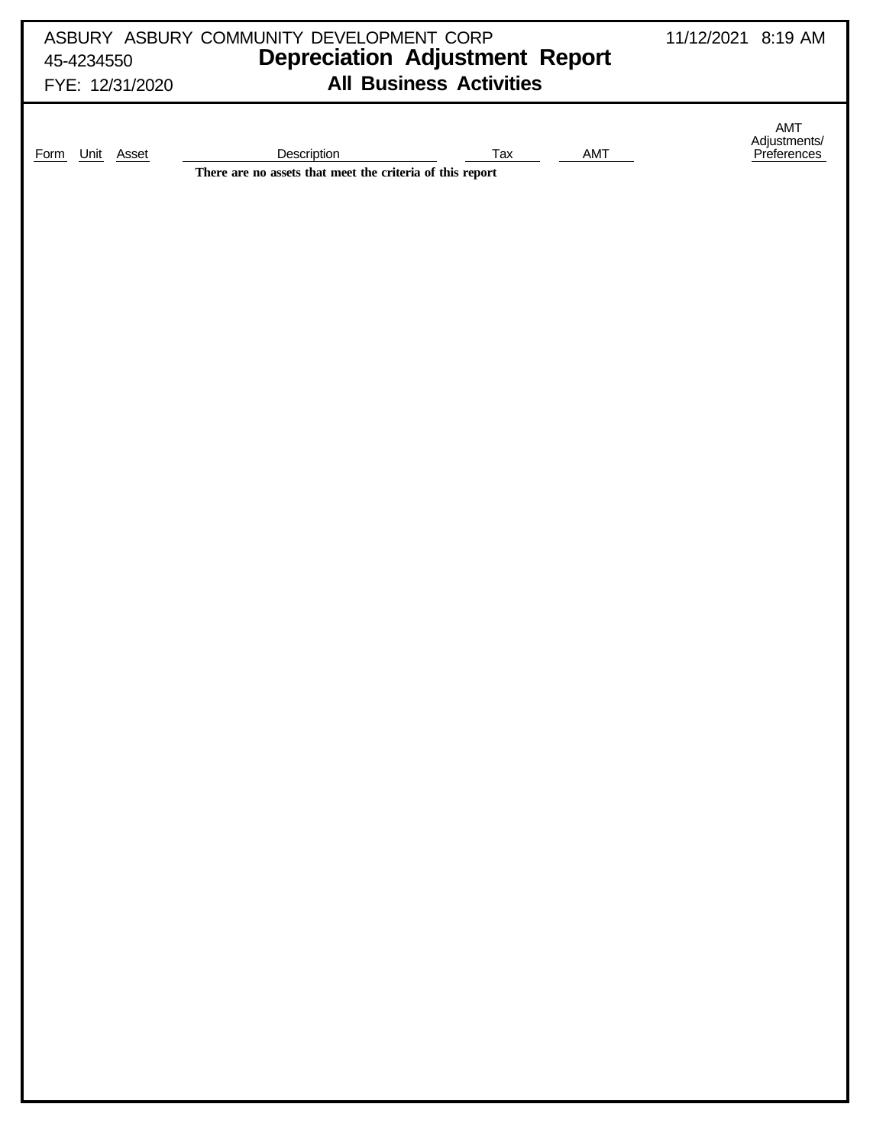| ASBURY ASBURY COMMUNITY DEVELOPMENT CORP<br>45-4234550<br>FYE: 12/31/2020 | <b>Depreciation Adjustment Report</b>                                    | 11/12/2021 8:19 AM |     |                                           |
|---------------------------------------------------------------------------|--------------------------------------------------------------------------|--------------------|-----|-------------------------------------------|
| Form Unit Asset                                                           | Description<br>There are no assets that meet the criteria of this report | Tax                | AMT | AMT<br>Adjustments/<br><u>Preferences</u> |
|                                                                           |                                                                          |                    |     |                                           |
|                                                                           |                                                                          |                    |     |                                           |
|                                                                           |                                                                          |                    |     |                                           |
|                                                                           |                                                                          |                    |     |                                           |
|                                                                           |                                                                          |                    |     |                                           |
|                                                                           |                                                                          |                    |     |                                           |
|                                                                           |                                                                          |                    |     |                                           |
|                                                                           |                                                                          |                    |     |                                           |
|                                                                           |                                                                          |                    |     |                                           |
|                                                                           |                                                                          |                    |     |                                           |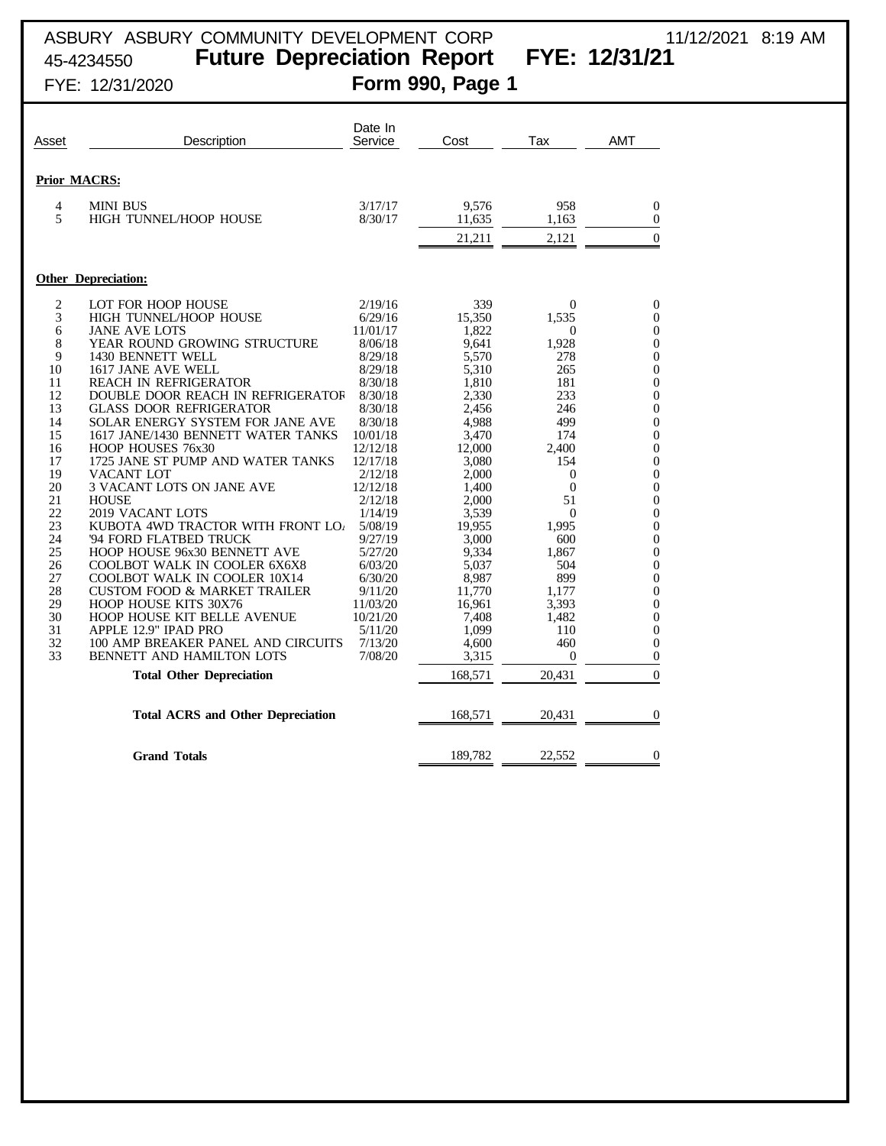**Prior MACRS:**

ASBURY ASBURY COMMUNITY DEVELOPMENT CORP<br>45-4234550 **Future Depreciation Report FYE: 12/31/21** 45-4234550 **Future Depreciation Report** 

# FYE: 12/31/2020 **Form 990, Page 1**

Date In<br>Service Asset **Description** Description Service Cost Tax AMT 4 MINI BUS 3/17/17 9,576 958 0 4 MINI BUS 3/17/17 9,576 958 0<br>5 HIGH TUNNEL/HOOP HOUSE 8/30/17 11,635 1,163 0 21,211 2,121 0

|    | <b>Other Depreciation:</b>               |          |         |                |                  |
|----|------------------------------------------|----------|---------|----------------|------------------|
| 2  | LOT FOR HOOP HOUSE                       | 2/19/16  | 339     | $\mathbf{0}$   | $\boldsymbol{0}$ |
| 3  | HIGH TUNNEL/HOOP HOUSE                   | 6/29/16  | 15,350  | 1,535          | $\boldsymbol{0}$ |
| 6  | <b>JANE AVE LOTS</b>                     | 11/01/17 | 1,822   | $\theta$       | $\boldsymbol{0}$ |
| 8  | YEAR ROUND GROWING STRUCTURE             | 8/06/18  | 9,641   | 1,928          | $\boldsymbol{0}$ |
| 9  | 1430 BENNETT WELL                        | 8/29/18  | 5,570   | 278            | $\boldsymbol{0}$ |
| 10 | 1617 JANE AVE WELL                       | 8/29/18  | 5,310   | 265            | $\boldsymbol{0}$ |
| 11 | <b>REACH IN REFRIGERATOR</b>             | 8/30/18  | 1,810   | 181            | $\boldsymbol{0}$ |
| 12 | DOUBLE DOOR REACH IN REFRIGERATOR        | 8/30/18  | 2,330   | 233            | $\boldsymbol{0}$ |
| 13 | <b>GLASS DOOR REFRIGERATOR</b>           | 8/30/18  | 2,456   | 246            | $\boldsymbol{0}$ |
| 14 | SOLAR ENERGY SYSTEM FOR JANE AVE         | 8/30/18  | 4,988   | 499            | $\boldsymbol{0}$ |
| 15 | 1617 JANE/1430 BENNETT WATER TANKS       | 10/01/18 | 3,470   | 174            | $\boldsymbol{0}$ |
| 16 | HOOP HOUSES 76x30                        | 12/12/18 | 12,000  | 2,400          | $\boldsymbol{0}$ |
| 17 | 1725 JANE ST PUMP AND WATER TANKS        | 12/17/18 | 3,080   | 154            | $\boldsymbol{0}$ |
| 19 | VACANT LOT                               | 2/12/18  | 2,000   | $\theta$       | $\boldsymbol{0}$ |
| 20 | <b>3 VACANT LOTS ON JANE AVE</b>         | 12/12/18 | 1,400   | $\overline{0}$ | $\boldsymbol{0}$ |
| 21 | <b>HOUSE</b>                             | 2/12/18  | 2,000   | 51             | $\boldsymbol{0}$ |
| 22 | 2019 VACANT LOTS                         | 1/14/19  | 3,539   | $\Omega$       | $\boldsymbol{0}$ |
| 23 | KUBOTA 4WD TRACTOR WITH FRONT LO.        | 5/08/19  | 19,955  | 1,995          | $\boldsymbol{0}$ |
| 24 | '94 FORD FLATBED TRUCK                   | 9/27/19  | 3,000   | 600            | $\boldsymbol{0}$ |
| 25 | HOOP HOUSE 96x30 BENNETT AVE             | 5/27/20  | 9,334   | 1,867          | $\boldsymbol{0}$ |
| 26 | COOLBOT WALK IN COOLER 6X6X8             | 6/03/20  | 5,037   | 504            | $\boldsymbol{0}$ |
| 27 | COOLBOT WALK IN COOLER 10X14             | 6/30/20  | 8,987   | 899            | $\boldsymbol{0}$ |
| 28 | <b>CUSTOM FOOD &amp; MARKET TRAILER</b>  | 9/11/20  | 11,770  | 1,177          | $\boldsymbol{0}$ |
| 29 | HOOP HOUSE KITS 30X76                    | 11/03/20 | 16,961  | 3,393          | $\boldsymbol{0}$ |
| 30 | <b>HOOP HOUSE KIT BELLE AVENUE</b>       | 10/21/20 | 7,408   | 1,482          | $\boldsymbol{0}$ |
| 31 | APPLE 12.9" IPAD PRO                     | 5/11/20  | 1,099   | 110            | $\boldsymbol{0}$ |
| 32 | 100 AMP BREAKER PANEL AND CIRCUITS       | 7/13/20  | 4,600   | 460            | $\theta$         |
| 33 | BENNETT AND HAMILTON LOTS                | 7/08/20  | 3,315   | $\theta$       | $\overline{0}$   |
|    | <b>Total Other Depreciation</b>          |          | 168,571 | 20,431         | $\theta$         |
|    | <b>Total ACRS and Other Depreciation</b> |          | 168,571 | 20,431         | $\theta$         |
|    | <b>Grand Totals</b>                      |          | 189,782 | 22,552         | $\boldsymbol{0}$ |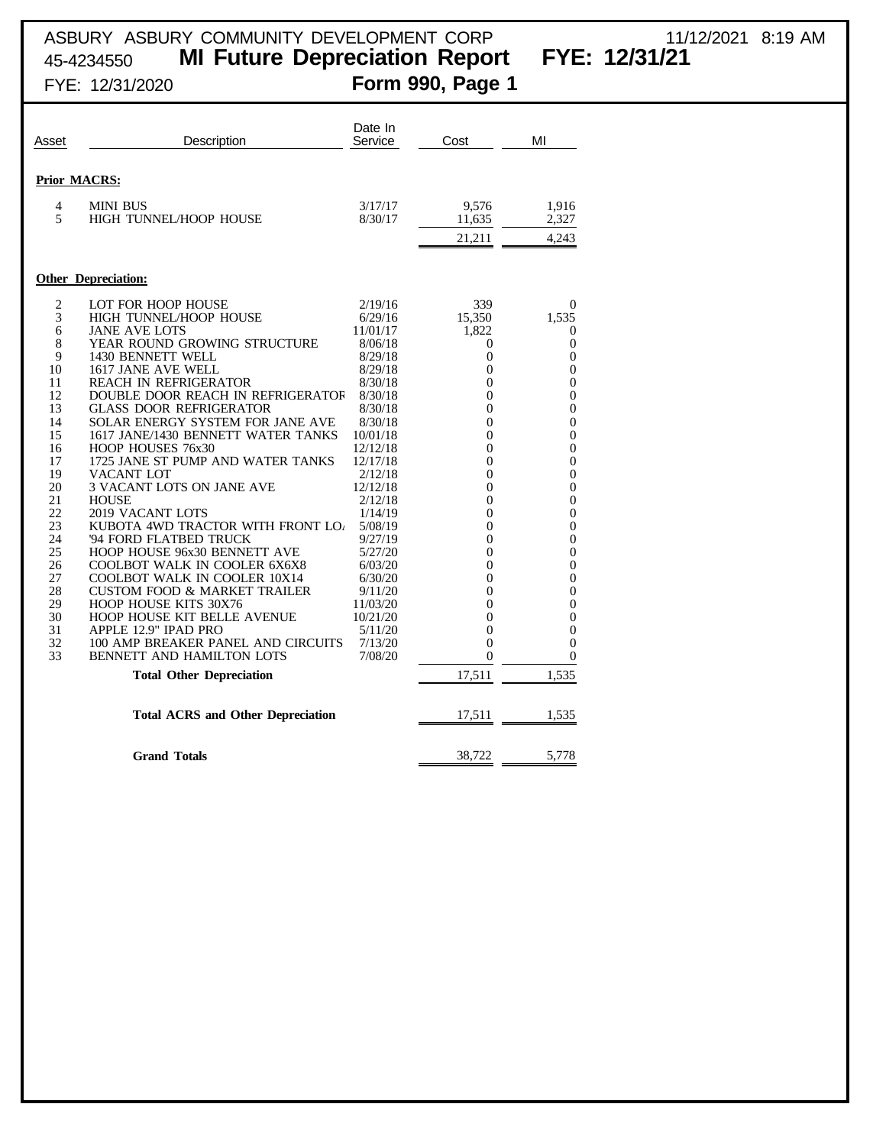ASBURY ASBURY COMMUNITY DEVELOPMENT CORP 11/12/2021 8:19 AM 45-4234550 **MI Future Depreciation Report FYE: 12/31/21**

# FYE: 12/31/2020 **Form 990, Page 1**

| Asset                   | Description                                                     | Date In<br>Service | Cost                             | МΙ             |
|-------------------------|-----------------------------------------------------------------|--------------------|----------------------------------|----------------|
|                         |                                                                 |                    |                                  |                |
|                         | <b>Prior MACRS:</b>                                             |                    |                                  |                |
| 4<br>5                  | <b>MINI BUS</b><br>HIGH TUNNEL/HOOP HOUSE                       | 3/17/17<br>8/30/17 | 9,576<br>11,635                  | 1,916<br>2,327 |
|                         |                                                                 |                    | 21,211                           | 4,243          |
|                         |                                                                 |                    |                                  |                |
|                         | <b>Other Depreciation:</b>                                      |                    |                                  |                |
| $\overline{\mathbf{c}}$ | LOT FOR HOOP HOUSE                                              | 2/19/16            | 339                              | $\overline{0}$ |
| 3                       | HIGH TUNNEL/HOOP HOUSE                                          | 6/29/16            | 15,350                           | 1,535          |
| 6                       | <b>JANE AVE LOTS</b>                                            | 11/01/17           | 1,822                            | $\mathbf{0}$   |
| 8                       | YEAR ROUND GROWING STRUCTURE                                    | 8/06/18            | 0                                | 0              |
| 9                       | 1430 BENNETT WELL                                               | 8/29/18            | $\mathbf{0}$                     | $\mathbf{0}$   |
| 10                      | 1617 JANE AVE WELL                                              | 8/29/18            | 0                                | $\mathbf{0}$   |
| 11                      | <b>REACH IN REFRIGERATOR</b>                                    | 8/30/18            | $\overline{0}$                   | $\mathbf{0}$   |
| 12                      | DOUBLE DOOR REACH IN REFRIGERATOR                               | 8/30/18            | 0                                | 0              |
| 13                      | <b>GLASS DOOR REFRIGERATOR</b>                                  | 8/30/18            | $\overline{0}$                   | 0              |
| 14                      | SOLAR ENERGY SYSTEM FOR JANE AVE                                | 8/30/18            | 0                                | 0              |
| 15                      | 1617 JANE/1430 BENNETT WATER TANKS                              | 10/01/18           | 0                                | 0              |
| 16                      | HOOP HOUSES 76x30                                               | 12/12/18           | 0                                | 0              |
| 17                      | 1725 JANE ST PUMP AND WATER TANKS                               | 12/17/18           | $\overline{0}$                   | $\overline{0}$ |
| 19                      | VACANT LOT                                                      | 2/12/18            | $\overline{0}$                   | $\overline{0}$ |
| 20                      | 3 VACANT LOTS ON JANE AVE                                       | 12/12/18           | $\overline{0}$                   | $\mathbf{0}$   |
| 21                      | <b>HOUSE</b>                                                    | 2/12/18            | $\overline{0}$                   | $\mathbf{0}$   |
| 22                      | 2019 VACANT LOTS                                                | 1/14/19            | $\overline{0}$                   | $\mathbf{0}$   |
| 23                      | KUBOTA 4WD TRACTOR WITH FRONT LO.                               | 5/08/19            | $\overline{0}$                   | $\mathbf{0}$   |
| 24                      | '94 FORD FLATBED TRUCK                                          | 9/27/19            | $\overline{0}$                   | $\mathbf{0}$   |
| 25                      | HOOP HOUSE 96x30 BENNETT AVE                                    | 5/27/20            | 0                                | 0              |
| 26                      | COOLBOT WALK IN COOLER 6X6X8                                    | 6/03/20            | $\overline{0}$                   | 0              |
| 27                      | COOLBOT WALK IN COOLER 10X14                                    | 6/30/20            | 0                                | 0              |
| 28                      | <b>CUSTOM FOOD &amp; MARKET TRAILER</b>                         | 9/11/20            | 0                                | 0              |
| 29                      | <b>HOOP HOUSE KITS 30X76</b>                                    | 11/03/20           | 0                                | 0              |
| 30                      | HOOP HOUSE KIT BELLE AVENUE                                     | 10/21/20           | $\overline{0}$                   | 0              |
| 31                      | APPLE 12.9" IPAD PRO                                            | 5/11/20            | $\overline{0}$                   | 0              |
| 32<br>33                | 100 AMP BREAKER PANEL AND CIRCUITS<br>BENNETT AND HAMILTON LOTS | 7/13/20<br>7/08/20 | $\overline{0}$<br>$\overline{0}$ | 0<br>$\Omega$  |
|                         | <b>Total Other Depreciation</b>                                 |                    | 17,511                           | 1,535          |
|                         |                                                                 |                    |                                  |                |
|                         | <b>Total ACRS and Other Depreciation</b>                        |                    | 17,511                           | 1,535          |
|                         | <b>Grand Totals</b>                                             |                    | 38,722                           | 5,778          |
|                         |                                                                 |                    |                                  |                |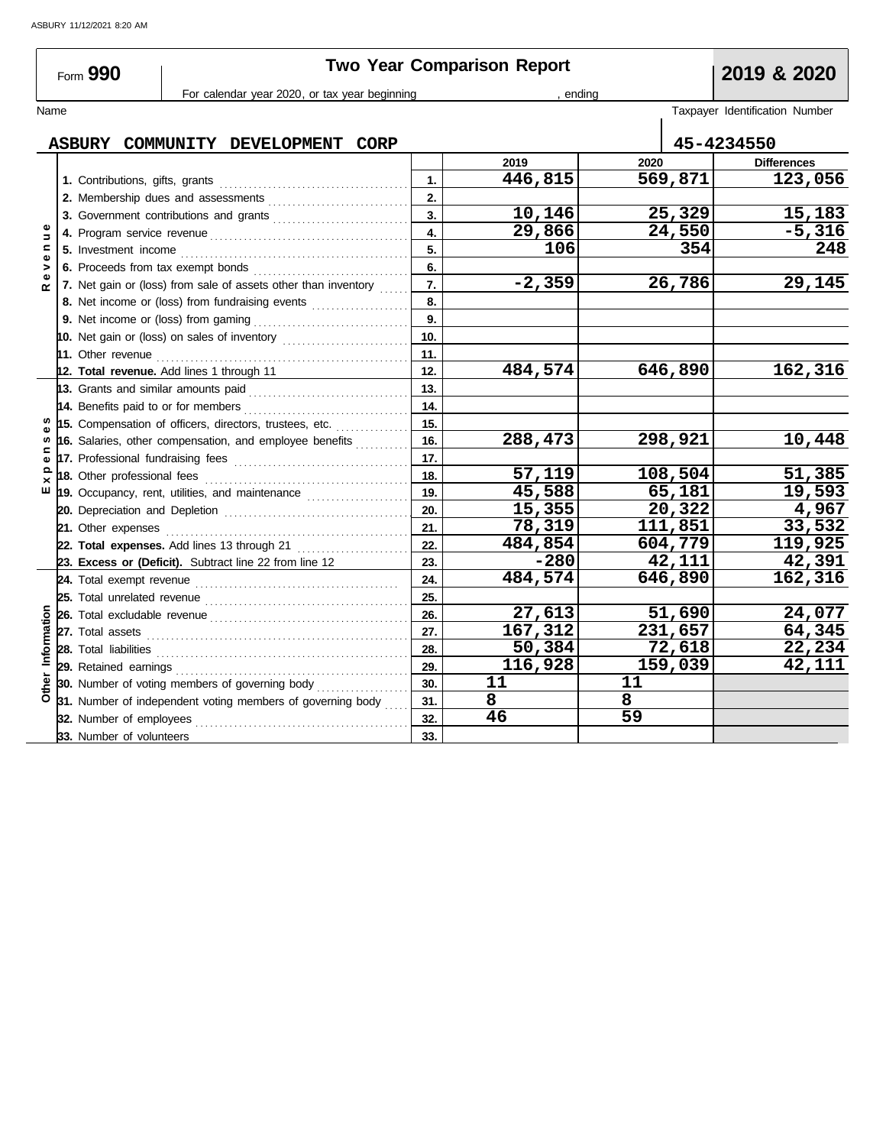|                           | Form 990                 |                                                                                                                                                                                                                                      |                  | <b>Two Year Comparison Report</b> | 2019 & 2020 |                      |                                |
|---------------------------|--------------------------|--------------------------------------------------------------------------------------------------------------------------------------------------------------------------------------------------------------------------------------|------------------|-----------------------------------|-------------|----------------------|--------------------------------|
| Name                      |                          | For calendar year 2020, or tax year beginning                                                                                                                                                                                        |                  |                                   | ending      |                      | Taxpayer Identification Number |
|                           |                          |                                                                                                                                                                                                                                      |                  |                                   |             |                      |                                |
|                           | <b>ASBURY</b>            | COMMUNITY DEVELOPMENT CORP                                                                                                                                                                                                           |                  |                                   |             |                      | 45-4234550                     |
|                           |                          |                                                                                                                                                                                                                                      |                  | 2019                              | 2020        |                      | <b>Differences</b>             |
|                           |                          |                                                                                                                                                                                                                                      | 1.               | 446,815                           |             | 569,871              | 123,056                        |
|                           |                          |                                                                                                                                                                                                                                      | 2.               |                                   |             |                      |                                |
|                           |                          |                                                                                                                                                                                                                                      | 3.               | 10,146                            |             | 25,329               | 15,183                         |
| $\overline{\phantom{a}}$  |                          |                                                                                                                                                                                                                                      | $\overline{4}$ . | 29,866                            |             | 24,550               | $-5,316$                       |
| $\mathbf{r}$<br>$\bullet$ |                          |                                                                                                                                                                                                                                      | 5.               | 106                               |             | 354                  | 248                            |
| >                         |                          |                                                                                                                                                                                                                                      | 6.               |                                   |             |                      |                                |
| $\mathbf{Q}$<br>œ         |                          | 7. Net gain or (loss) from sale of assets other than inventory                                                                                                                                                                       | 7.               | $-2,359$                          |             | 26,786               | 29,145                         |
|                           |                          | 8. Net income or (loss) from fundraising events                                                                                                                                                                                      | 8.               |                                   |             |                      |                                |
|                           |                          |                                                                                                                                                                                                                                      | 9.               |                                   |             |                      |                                |
|                           |                          |                                                                                                                                                                                                                                      | 10.              |                                   |             |                      |                                |
|                           |                          |                                                                                                                                                                                                                                      | 11.              |                                   |             |                      |                                |
|                           |                          | 12. Total revenue. Add lines 1 through 11                                                                                                                                                                                            | 12.              | 484,574                           |             | 646,890              | 162,316                        |
|                           |                          | 13. Grants and similar amounts paid                                                                                                                                                                                                  | 13.              |                                   |             |                      |                                |
|                           |                          |                                                                                                                                                                                                                                      | 14.              |                                   |             |                      |                                |
|                           |                          | 15. Compensation of officers, directors, trustees, etc.                                                                                                                                                                              | 15.              |                                   |             |                      |                                |
| s<br>⊂                    |                          | 16. Salaries, other compensation, and employee benefits $\ldots$                                                                                                                                                                     | 16.              | 288,473                           |             | 298,921              | 10,448                         |
| ω                         |                          |                                                                                                                                                                                                                                      | 17.              |                                   |             |                      |                                |
| ×                         |                          |                                                                                                                                                                                                                                      | 18.              | 57,119                            |             | 108,504              | 51,385                         |
| ш                         |                          | 19. Occupancy, rent, utilities, and maintenance <i>minimizoromane</i>                                                                                                                                                                | 19.              | 45,588                            |             | 65,181               | 19,593                         |
|                           |                          |                                                                                                                                                                                                                                      | 20.              | 15,355                            |             | $\overline{2}0, 322$ | 4,967                          |
|                           |                          | 21. Other expenses <b>constants</b> and <b>21.</b> Other expenses                                                                                                                                                                    | 21.              | 78,319                            |             | 111,851              | 33,532                         |
|                           |                          | 22. Total expenses. Add lines 13 through 21                                                                                                                                                                                          | 22.              | 484,854                           |             | 604,779              | 119,925                        |
|                           |                          | 23. Excess or (Deficit). Subtract line 22 from line 12                                                                                                                                                                               | 23.              | $-280$                            |             | 42,111               | 42,391                         |
|                           |                          |                                                                                                                                                                                                                                      | 24.              | 484,574                           |             | 646,890              | 162,316                        |
|                           |                          |                                                                                                                                                                                                                                      | 25.              |                                   |             |                      |                                |
|                           |                          |                                                                                                                                                                                                                                      | 26.              | 27,613                            |             | 51,690               | 24,077                         |
|                           |                          |                                                                                                                                                                                                                                      | 27.              | 167,312                           |             | 231,657              | 64,345                         |
| Information               |                          | 28. Total liabilities <b>constant in the constant of the constant in the constant in the constant in the constant in the constant in the constant in the constant in the constant in the constant in the constant in the constan</b> | 28.              | 50,384                            |             | 72,618               | 22,234                         |
|                           |                          |                                                                                                                                                                                                                                      | 29.              | 116,928                           |             | 159,039              | 42,111                         |
| Other                     |                          | 30. Number of voting members of governing body                                                                                                                                                                                       | 30.              | 11                                | 11          |                      |                                |
|                           |                          | 31. Number of independent voting members of governing body                                                                                                                                                                           | 31.              | 8                                 | 8           |                      |                                |
|                           |                          |                                                                                                                                                                                                                                      | 32.              | 46                                | 59          |                      |                                |
|                           | 33. Number of volunteers |                                                                                                                                                                                                                                      | 33.              |                                   |             |                      |                                |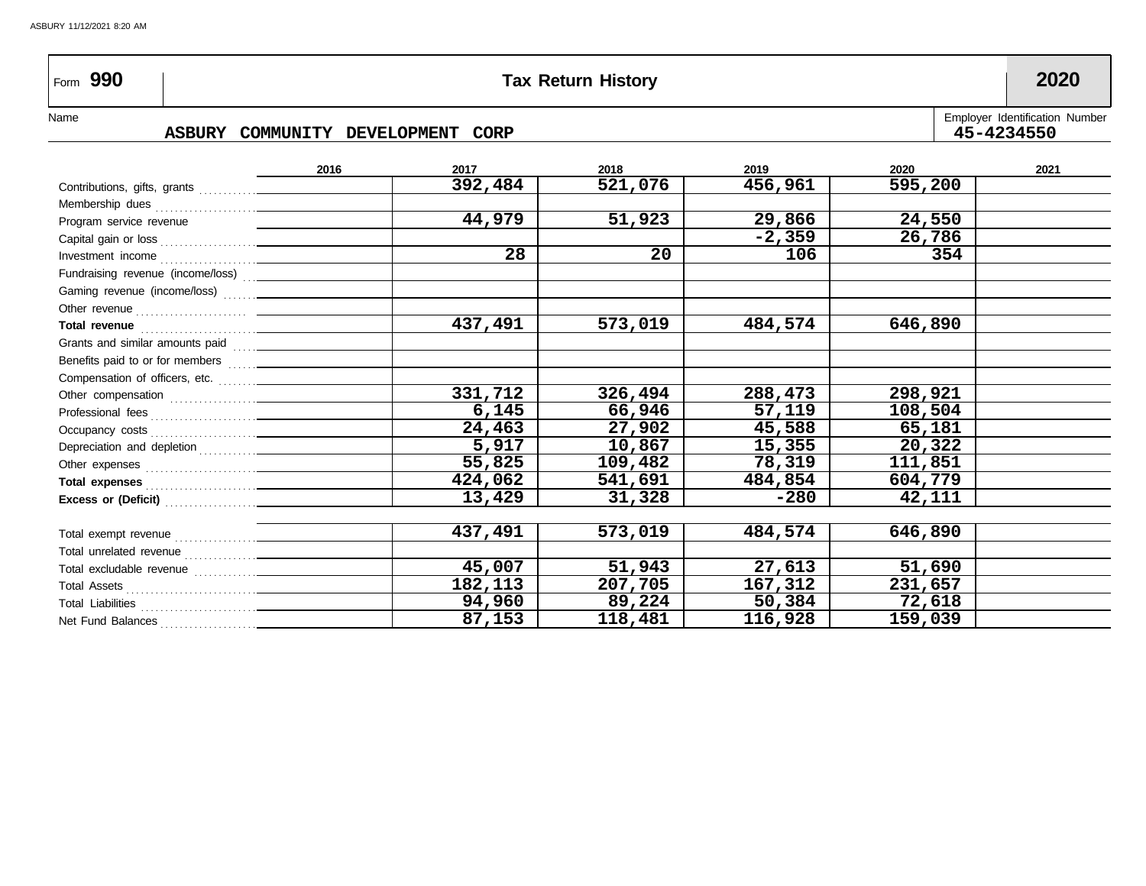## Form **990 Tax Return History 2020**

Name Employer Identification Number **ASBURY COMMUNITY DEVELOPMENT CORP 45-4234550**

|                                                    | 2016 | 2017    | 2018    | 2019     | 2020    | 2021 |
|----------------------------------------------------|------|---------|---------|----------|---------|------|
|                                                    |      | 392,484 | 521,076 | 456,961  | 595,200 |      |
|                                                    |      |         |         |          |         |      |
| Program service revenue                            |      | 44,979  | 51,923  | 29,866   | 24,550  |      |
|                                                    |      |         |         | $-2,359$ | 26,786  |      |
|                                                    |      | 28      | 20      | 106      | 354     |      |
| Fundraising revenue (income/loss)  _______________ |      |         |         |          |         |      |
|                                                    |      |         |         |          |         |      |
|                                                    |      |         |         |          |         |      |
|                                                    |      | 437,491 | 573,019 | 484,574  | 646,890 |      |
| Grants and similar amounts paid                    |      |         |         |          |         |      |
|                                                    |      |         |         |          |         |      |
|                                                    |      |         |         |          |         |      |
|                                                    |      | 331,712 | 326,494 | 288,473  | 298,921 |      |
|                                                    |      | 6,145   | 66,946  | 57,119   | 108,504 |      |
|                                                    |      | 24,463  | 27,902  | 45,588   | 65,181  |      |
|                                                    |      | 5,917   | 10,867  | 15,355   | 20,322  |      |
|                                                    |      | 55,825  | 109,482 | 78,319   | 111,851 |      |
|                                                    |      | 424,062 | 541,691 | 484,854  | 604,779 |      |
|                                                    |      | 13,429  | 31,328  | $-280$   | 42,111  |      |
|                                                    |      |         |         |          |         |      |
|                                                    |      | 437,491 | 573,019 | 484,574  | 646,890 |      |
|                                                    |      |         |         |          |         |      |
|                                                    |      | 45,007  | 51,943  | 27,613   | 51,690  |      |
|                                                    |      | 182,113 | 207,705 | 167,312  | 231,657 |      |
|                                                    |      | 94,960  | 89,224  | 50,384   | 72,618  |      |
| Net Fund Balances                                  |      | 87,153  | 118,481 | 116,928  | 159,039 |      |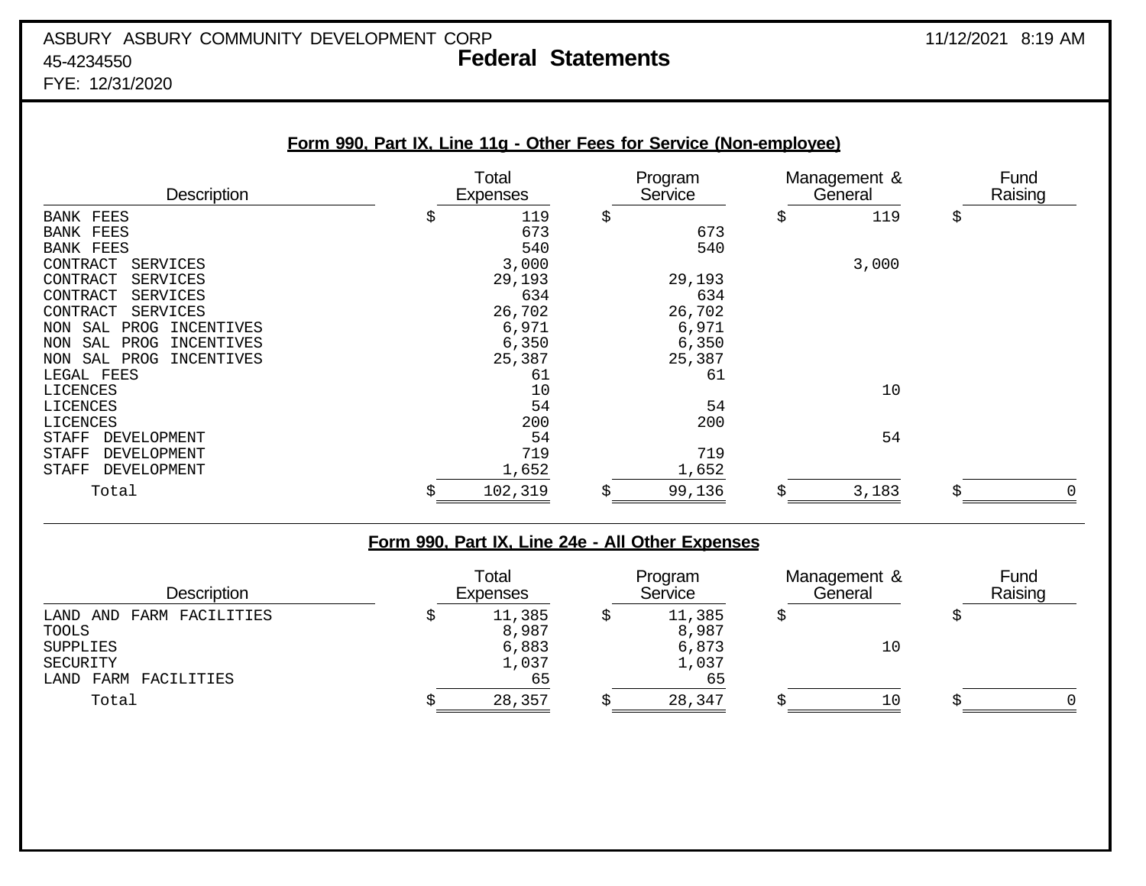# ASBURY ASBURY COMMUNITY DEVELOPMENT CORP 11/12/2021 8:19 AM 45-4234550 **Federal Statements**

FYE: 12/31/2020

| <b>Description</b>            |   | Total<br><b>Expenses</b> |    | Program<br>Service |   | Management &<br>General | Fund<br>Raising |
|-------------------------------|---|--------------------------|----|--------------------|---|-------------------------|-----------------|
| <b>BANK FEES</b>              | Ş | 119                      | \$ |                    | S | 119                     | \$              |
| <b>BANK FEES</b>              |   | 673                      |    | 673                |   |                         |                 |
| <b>BANK FEES</b>              |   | 540                      |    | 540                |   |                         |                 |
| CONTRACT<br>SERVICES          |   | 3,000                    |    |                    |   | 3,000                   |                 |
| CONTRACT<br>SERVICES          |   | 29,193                   |    | 29,193             |   |                         |                 |
| CONTRACT<br>SERVICES          |   | 634                      |    | 634                |   |                         |                 |
| CONTRACT<br>SERVICES          |   | 26,702                   |    | 26,702             |   |                         |                 |
| SAL PROG<br>INCENTIVES<br>NON |   | 6,971                    |    | 6,971              |   |                         |                 |
| SAL PROG<br>INCENTIVES<br>NON |   | 6,350                    |    | 6,350              |   |                         |                 |
| NON SAL PROG<br>INCENTIVES    |   | 25,387                   |    | 25,387             |   |                         |                 |
| LEGAL FEES                    |   | 61                       |    | 61                 |   |                         |                 |
| LICENCES                      |   | 10                       |    |                    |   | 10                      |                 |
| LICENCES                      |   | 54                       |    | 54                 |   |                         |                 |
| LICENCES                      |   | 200                      |    | 200                |   |                         |                 |
| <b>STAFF</b><br>DEVELOPMENT   |   | 54                       |    |                    |   | 54                      |                 |
| <b>STAFF</b><br>DEVELOPMENT   |   | 719                      |    | 719                |   |                         |                 |
| <b>STAFF</b><br>DEVELOPMENT   |   | 1,652                    |    | 1,652              |   |                         |                 |
| Total                         |   | 102,319                  | ς  | 99,136             |   | 3,183                   |                 |

## **Form 990, Part IX, Line 24e - All Other Expenses**

| <b>Description</b>                                  | Total<br><b>Expenses</b> |  | Program<br>Service   |  | Management &<br>General |  | Fund<br>Raising |
|-----------------------------------------------------|--------------------------|--|----------------------|--|-------------------------|--|-----------------|
| FARM FACILITIES<br>LAND AND<br>TOOLS                | 11,385<br>8,987          |  | 11,385<br>8,987      |  |                         |  |                 |
| <b>SUPPLIES</b><br>SECURITY<br>LAND FARM FACILITIES | 6,883<br>1,037<br>65     |  | 6,873<br>1,037<br>65 |  | 10                      |  |                 |
| Total                                               | 28,357                   |  | 28,347               |  | 10                      |  |                 |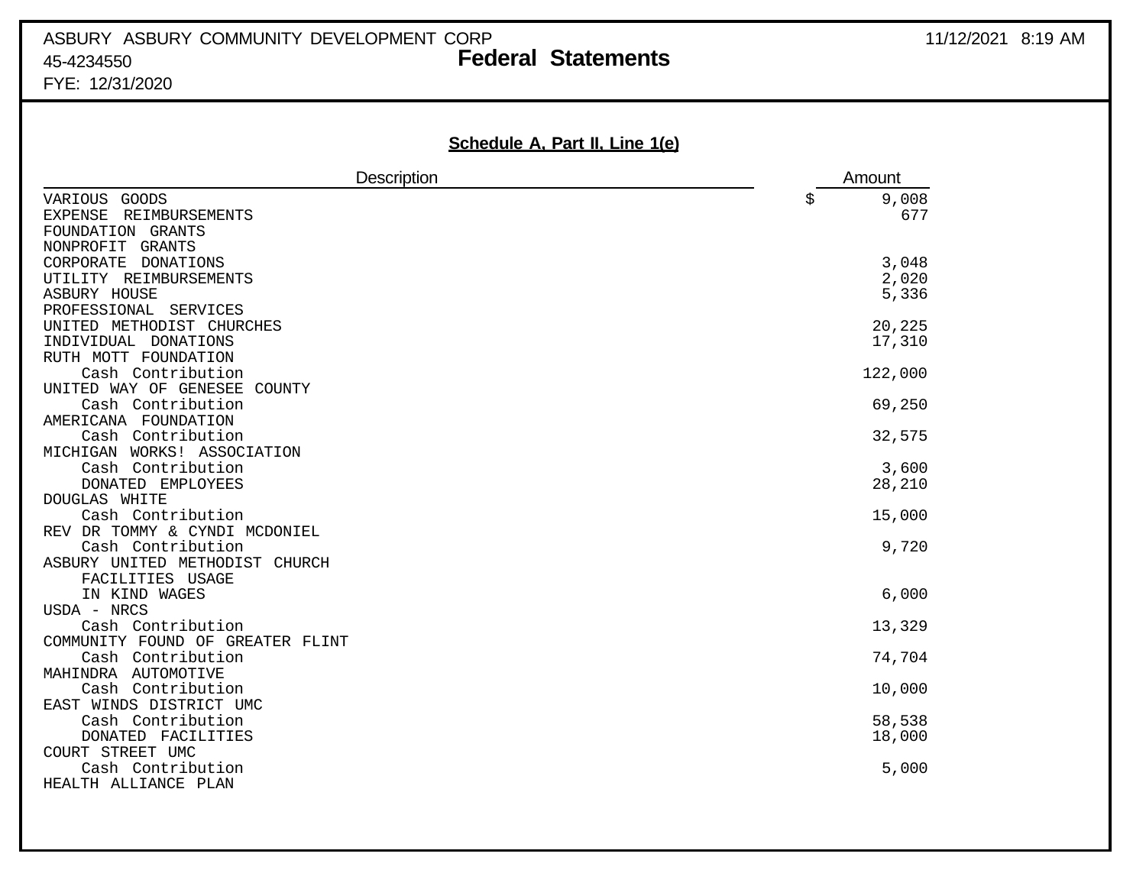| ASBURY ASBURY COMMUNITY DEVELOPMENT CORP |                           |
|------------------------------------------|---------------------------|
| 45-4234550                               | <b>Federal Statements</b> |
| FYE: 12/31/2020                          |                           |

**Schedule A, Part II, Line 1(e)**

| Description                      | Amount      |
|----------------------------------|-------------|
| VARIOUS GOODS                    | \$<br>9,008 |
| EXPENSE REIMBURSEMENTS           | 677         |
| FOUNDATION GRANTS                |             |
| NONPROFIT GRANTS                 |             |
| CORPORATE DONATIONS              | 3,048       |
| UTILITY REIMBURSEMENTS           | 2,020       |
| ASBURY HOUSE                     | 5,336       |
| PROFESSIONAL<br>SERVICES         |             |
| UNITED METHODIST CHURCHES        | 20,225      |
| INDIVIDUAL DONATIONS             | 17,310      |
| RUTH MOTT FOUNDATION             |             |
| Cash Contribution                | 122,000     |
| UNITED WAY OF GENESEE COUNTY     |             |
| Cash Contribution                | 69,250      |
| AMERICANA FOUNDATION             |             |
| Cash Contribution                | 32,575      |
| MICHIGAN WORKS! ASSOCIATION      |             |
| Cash Contribution                | 3,600       |
| DONATED EMPLOYEES                | 28,210      |
| DOUGLAS WHITE                    |             |
| Cash Contribution                | 15,000      |
| REV DR TOMMY & CYNDI MCDONIEL    |             |
| Cash Contribution                | 9,720       |
| ASBURY UNITED METHODIST CHURCH   |             |
| FACILITIES USAGE                 |             |
| IN KIND WAGES<br>USDA - NRCS     | 6,000       |
| Cash Contribution                | 13,329      |
| COMMUNITY FOUND OF GREATER FLINT |             |
| Cash Contribution                | 74,704      |
| MAHINDRA AUTOMOTIVE              |             |
| Cash Contribution                | 10,000      |
| EAST WINDS DISTRICT UMC          |             |
| Cash Contribution                | 58,538      |
| DONATED FACILITIES               | 18,000      |
| COURT STREET UMC                 |             |
| Cash Contribution                | 5,000       |
| HEALTH ALLIANCE PLAN             |             |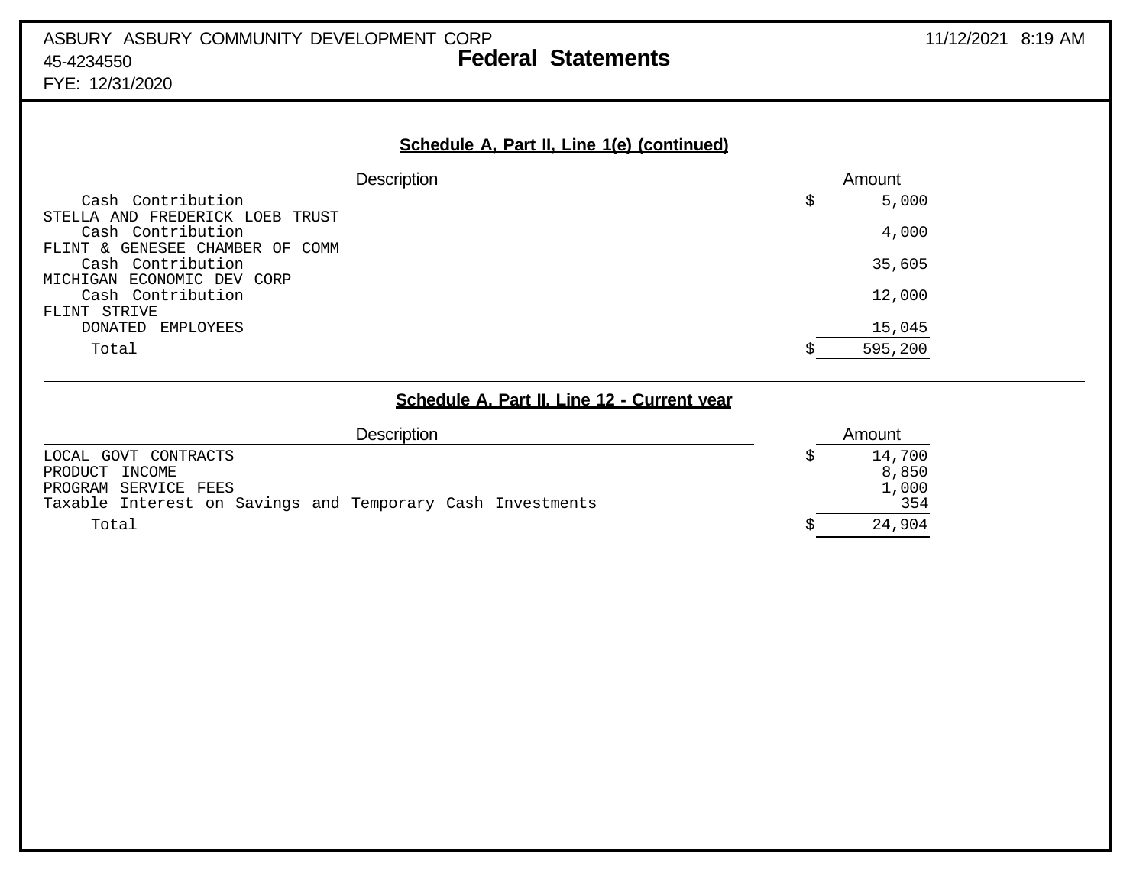# ASBURY ASBURY COMMUNITY DEVELOPMENT CORP 11/12/2021 8:19 AM 45-4234550 **Federal Statements**

FYE: 12/31/2020

|--|

| <b>Description</b>              |   | Amount  |
|---------------------------------|---|---------|
| Cash Contribution               | S | 5,000   |
| STELLA AND FREDERICK LOEB TRUST |   |         |
| Cash Contribution               |   | 4,000   |
| FLINT & GENESEE CHAMBER OF COMM |   |         |
| Cash Contribution               |   | 35,605  |
| ECONOMIC DEV CORP<br>MICHIGAN   |   |         |
| Cash Contribution               |   | 12,000  |
| FLINT STRIVE                    |   |         |
| DONATED<br>EMPLOYEES            |   | 15,045  |
| Total                           |   | 595,200 |

## **Schedule A, Part II, Line 12 - Current year**

| <b>Description</b>                                         | Amount |
|------------------------------------------------------------|--------|
| LOCAL GOVT CONTRACTS                                       | 14,700 |
| PRODUCT INCOME                                             | 8,850  |
| PROGRAM SERVICE FEES                                       | 1,000  |
| Taxable Interest on Savings and Temporary Cash Investments | 354    |
| Total                                                      | 24,904 |